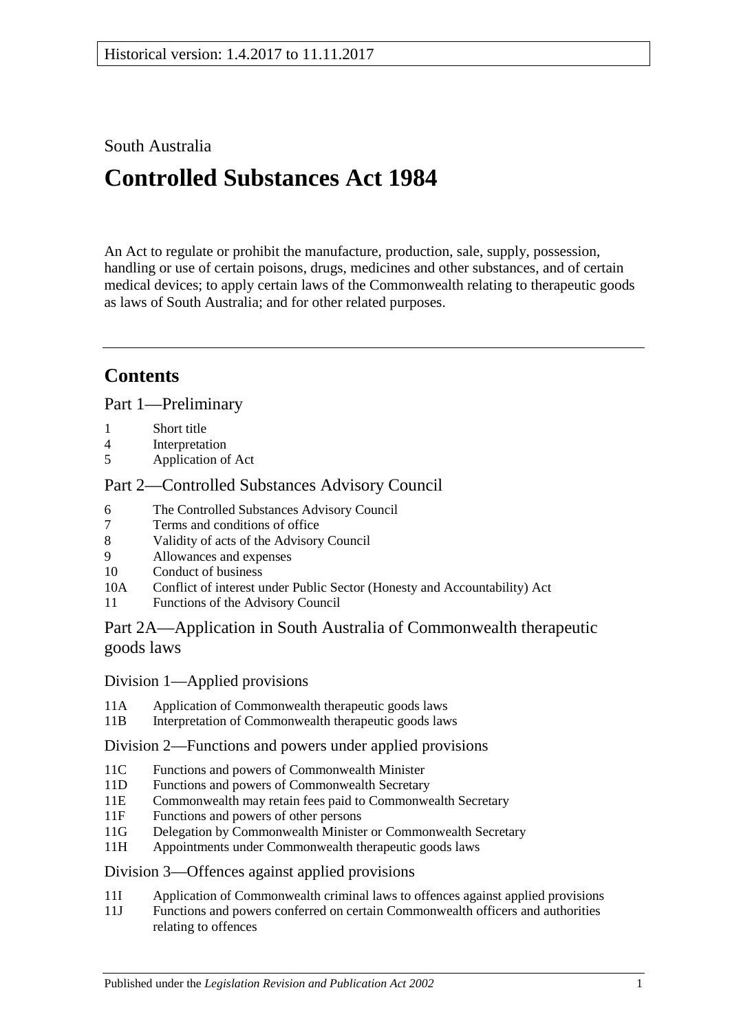# South Australia

# **Controlled Substances Act 1984**

An Act to regulate or prohibit the manufacture, production, sale, supply, possession, handling or use of certain poisons, drugs, medicines and other substances, and of certain medical devices; to apply certain laws of the Commonwealth relating to therapeutic goods as laws of South Australia; and for other related purposes.

# **Contents**

[Part 1—Preliminary](#page-5-0)

- 1 [Short title](#page-5-1)
- 4 [Interpretation](#page-5-2)<br>5 Application of
- [Application of Act](#page-12-0)

# [Part 2—Controlled Substances Advisory Council](#page-12-1)

- 6 [The Controlled Substances Advisory Council](#page-12-2)
- 7 [Terms and conditions of office](#page-13-0)
- 8 [Validity of acts of the Advisory Council](#page-13-1)<br>9 Allowances and expenses
- 9 [Allowances and expenses](#page-13-2)<br>10 Conduct of business
- [Conduct of business](#page-13-3)
- 10A Conflict of interest [under Public Sector \(Honesty and Accountability\) Act](#page-14-0)
- 11 [Functions of the Advisory Council](#page-14-1)

# [Part 2A—Application in South Australia of Commonwealth therapeutic](#page-15-0)  [goods laws](#page-15-0)

# Division [1—Applied provisions](#page-15-1)

- 11A [Application of Commonwealth therapeutic goods laws](#page-15-2)<br>11B Interpretation of Commonwealth therapeutic goods law
- [Interpretation of Commonwealth therapeutic goods laws](#page-15-3)

# Division [2—Functions and powers under applied provisions](#page-15-4)

- 11C [Functions and powers of Commonwealth Minister](#page-15-5)<br>11D Functions and powers of Commonwealth Secretary
- [Functions and powers of Commonwealth Secretary](#page-15-6)
- 11E [Commonwealth may retain fees paid to Commonwealth Secretary](#page-16-0)
- 11F [Functions and powers of other persons](#page-16-1)
- 11G [Delegation by Commonwealth Minister or Commonwealth Secretary](#page-16-2)
- 11H [Appointments under Commonwealth therapeutic goods laws](#page-16-3)

# Division [3—Offences against applied provisions](#page-16-4)

- 11I [Application of Commonwealth criminal laws to offences against applied provisions](#page-16-5)
- 11J [Functions and powers conferred on certain Commonwealth officers and authorities](#page-17-0)  [relating to offences](#page-17-0)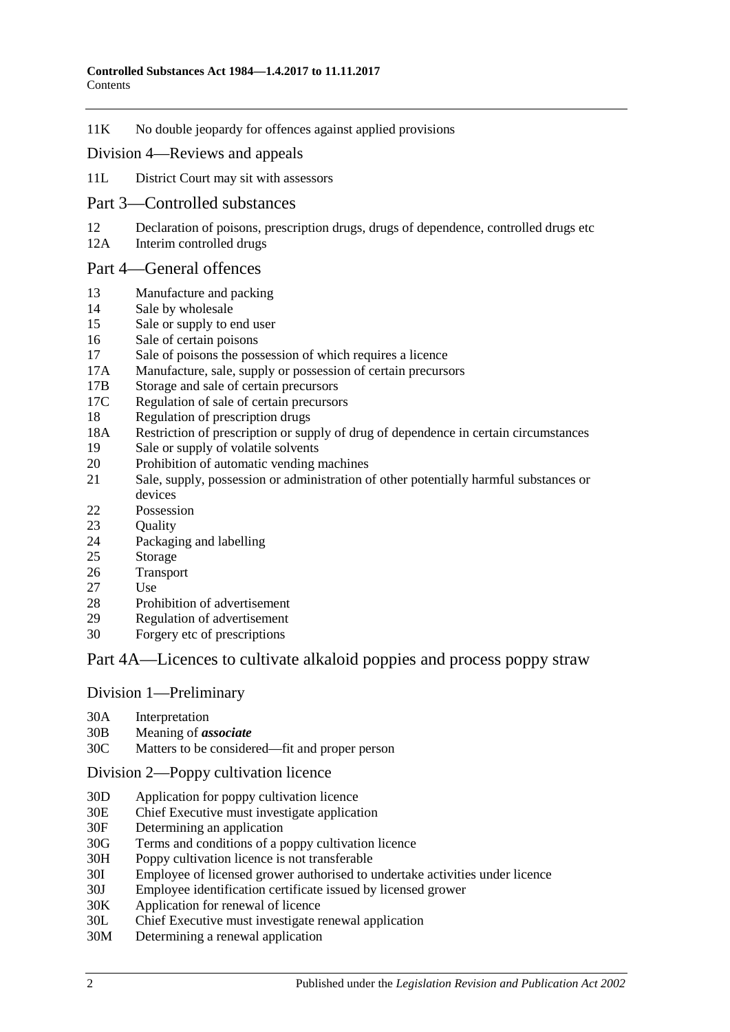11K [No double jeopardy for offences against applied provisions](#page-17-1)

#### Division [4—Reviews and appeals](#page-17-2)

- 11L [District Court may sit with assessors](#page-17-3)
- [Part 3—Controlled substances](#page-18-0)
- 12 [Declaration of poisons, prescription drugs, drugs of dependence, controlled drugs etc](#page-18-1) 12A Interim controlled drugs
- [Interim controlled drugs](#page-18-2)

#### [Part 4—General offences](#page-19-0)

- 13 [Manufacture and packing](#page-19-1)<br>14 Sale by wholesale
- 14 [Sale by wholesale](#page-19-2)<br>15 Sale or supply to e
- [Sale or supply to end user](#page-20-0)
- 16 [Sale of certain poisons](#page-20-1)<br>17 Sale of poisons the pos
- 17 [Sale of poisons the possession of which requires a licence](#page-20-2)<br>17A Manufacture, sale, supply or possession of certain precurse
- [Manufacture, sale, supply or possession of certain precursors](#page-20-3)
- 17B [Storage and sale of certain precursors](#page-21-0)
- 17C [Regulation of sale of certain precursors](#page-22-0)
- 18 [Regulation of prescription drugs](#page-23-0)
- 18A [Restriction of prescription or supply of drug of dependence in certain circumstances](#page-26-0)
- 19 [Sale or supply of volatile solvents](#page-28-0)
- 20 [Prohibition of automatic vending machines](#page-29-0)
- 21 [Sale, supply, possession or administration of other potentially harmful substances or](#page-29-1)  [devices](#page-29-1)
- 22 [Possession](#page-29-2)
- 23 [Quality](#page-29-3)
- 24 [Packaging and](#page-30-0) labelling
- 25 [Storage](#page-30-1)
- 26 [Transport](#page-30-2)<br>27 Use
- [Use](#page-30-3)
- 28 [Prohibition of advertisement](#page-30-4)<br>29 Regulation of advertisement
- [Regulation of advertisement](#page-30-5)
- 30 Forgery [etc of prescriptions](#page-31-0)

# [Part 4A—Licences to cultivate alkaloid poppies and process poppy straw](#page-31-1)

#### Division [1—Preliminary](#page-31-2)

- 30A [Interpretation](#page-31-3)<br>30B Meaning of as
- 30B [Meaning of](#page-33-0) *associate*
- [Matters to be considered—fit and proper person](#page-34-0)

#### Division [2—Poppy cultivation licence](#page-36-0)

- 30D [Application for poppy cultivation licence](#page-36-1)
- 30E [Chief Executive must investigate application](#page-37-0)
- 30F [Determining an application](#page-37-1)
- 30G [Terms and conditions of a poppy cultivation licence](#page-38-0)
- 30H [Poppy cultivation licence is not transferable](#page-39-0)
- 30I [Employee of licensed grower authorised to undertake activities under licence](#page-39-1)
- 30J [Employee identification certificate issued by licensed grower](#page-39-2)
- 30K [Application for renewal of licence](#page-39-3)
- 30L [Chief Executive must investigate renewal application](#page-40-0)
- 30M [Determining a renewal application](#page-40-1)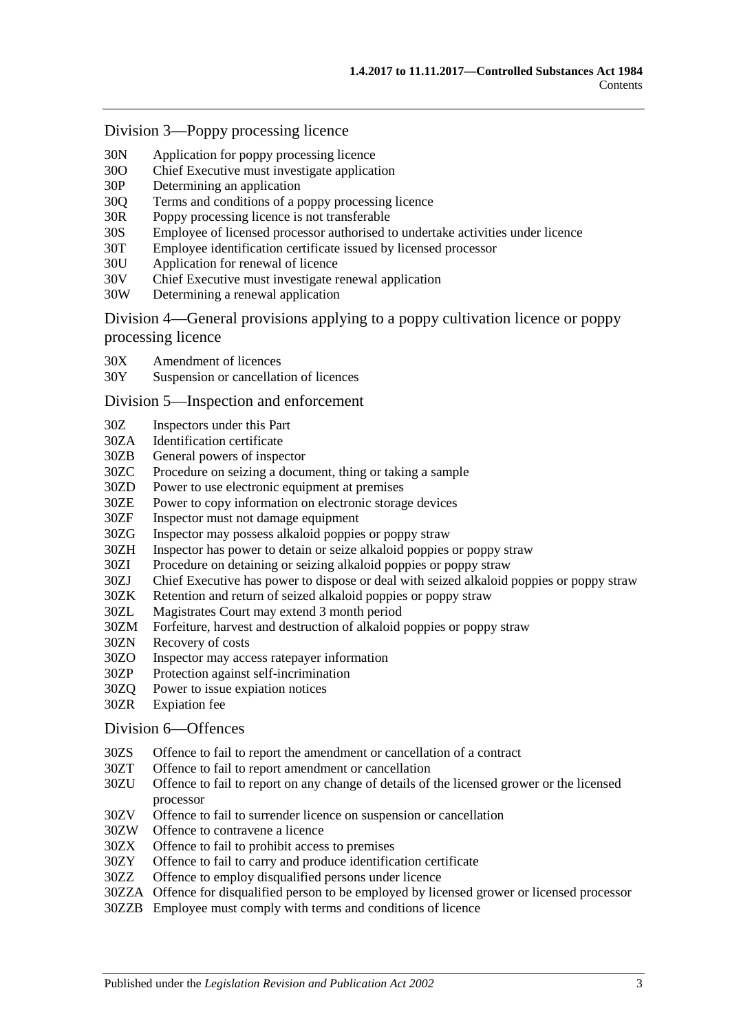#### Division [3—Poppy processing licence](#page-41-0)

- 30N [Application for poppy processing licence](#page-41-1)<br>30O Chief Executive must investigate applicat
- 300 [Chief Executive must investigate application](#page-42-0)<br>30P Determining an application
- [Determining an application](#page-42-1)
- 30Q [Terms and conditions of a poppy processing licence](#page-43-0)
- 30R [Poppy processing licence is not transferable](#page-43-1)
- 30S [Employee of licensed processor authorised to undertake activities under licence](#page-44-0)
- 30T [Employee identification certificate issued by licensed processor](#page-44-1)<br>30U Application for renewal of licence
- [Application for renewal of licence](#page-44-2)
- 30V [Chief Executive must investigate renewal application](#page-45-0)<br>30W Determining a renewal application
- [Determining a renewal application](#page-45-1)

Division [4—General provisions applying to a poppy cultivation licence or poppy](#page-46-0)  [processing licence](#page-46-0)

- 30X [Amendment of licences](#page-46-1)
- 30Y [Suspension or cancellation of licences](#page-46-2)

#### Division [5—Inspection and enforcement](#page-47-0)

- 30Z [Inspectors under this Part](#page-47-1)
- 30ZA [Identification certificate](#page-48-0)
- 30ZB [General powers of inspector](#page-48-1)
- 30ZC [Procedure on seizing a document, thing or taking a sample](#page-49-0)
- 30ZD [Power to use electronic equipment at premises](#page-49-1)<br>30ZE Power to copy information on electronic storage
- 30ZE [Power to copy information on electronic storage devices](#page-50-0)<br>30ZF Inspector must not damage equipment
- [Inspector must not damage equipment](#page-50-1)
- 30ZG [Inspector may possess alkaloid poppies or poppy straw](#page-50-2)
- 30ZH [Inspector has power to detain or seize alkaloid poppies or poppy straw](#page-50-3)
- 30ZI [Procedure on detaining or seizing alkaloid poppies or poppy straw](#page-50-4)<br>30ZJ Chief Executive has power to dispose or deal with seized alkaloid
- 30ZJ [Chief Executive has power to dispose or deal with seized alkaloid poppies or poppy straw](#page-51-0)<br>30ZK Retention and return of seized alkaloid poppies or poppy straw
- 30ZK [Retention and return of seized alkaloid poppies or poppy straw](#page-51-1)<br>30ZL Magistrates Court may extend 3 month period
- 30ZL [Magistrates Court may extend 3 month period](#page-52-0)
- [Forfeiture, harvest and destruction of alkaloid poppies or poppy straw](#page-52-1)
- 30ZN [Recovery of costs](#page-53-0)
- 30ZO [Inspector may access ratepayer information](#page-53-1)
- 30ZP [Protection against self-incrimination](#page-53-2)
- 30ZQ [Power to issue expiation notices](#page-53-3)
- 30ZR [Expiation fee](#page-53-4)

#### Division [6—Offences](#page-54-0)

- 30ZS [Offence to fail to report the amendment or cancellation of a contract](#page-54-1)
- 30ZT [Offence to fail to report amendment or cancellation](#page-54-2)
- 30ZU [Offence to fail to report on any change of details of the licensed grower or the licensed](#page-54-3)  [processor](#page-54-3)
- 30ZV [Offence to fail to surrender licence on suspension or cancellation](#page-55-0)
- 30ZW [Offence to contravene a licence](#page-55-1)<br>30ZX Offence to fail to prohibit access
- [Offence to fail to prohibit access to premises](#page-55-2)
- 30ZY [Offence to fail to carry and produce identification certificate](#page-56-0)
- 30ZZ [Offence to employ disqualified persons under licence](#page-56-1)
- 30ZZA [Offence for disqualified person to be employed by licensed grower or licensed processor](#page-57-0)
- 30ZZB Employee [must comply with terms and conditions of licence](#page-57-1)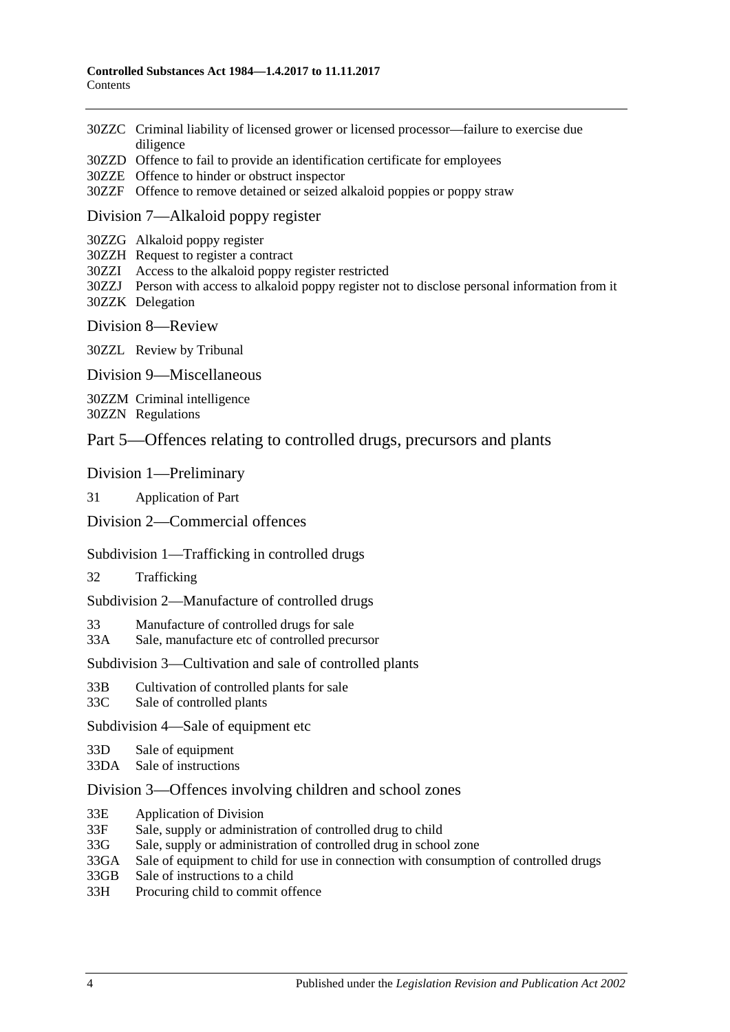- 30ZZC [Criminal liability of licensed grower or licensed processor—failure to exercise due](#page-58-0)  [diligence](#page-58-0)
- 30ZZD [Offence to fail to provide an identification certificate for employees](#page-58-1)
- 30ZZE [Offence to hinder or obstruct inspector](#page-58-2)
- 30ZZF [Offence to remove detained or seized alkaloid poppies or poppy straw](#page-59-0)

#### Division [7—Alkaloid poppy register](#page-59-1)

30ZZG [Alkaloid poppy register](#page-59-2)

30ZZH [Request to register a contract](#page-59-3)

30ZZI [Access to the alkaloid poppy register restricted](#page-60-0)

30ZZJ [Person with access to alkaloid poppy register not to disclose personal information from it](#page-60-1) 30ZZK [Delegation](#page-60-2)

Division [8—Review](#page-61-0)

30ZZL [Review by Tribunal](#page-61-1)

Division [9—Miscellaneous](#page-61-2)

30ZZM [Criminal intelligence](#page-61-3)

30ZZN [Regulations](#page-62-0)

# [Part 5—Offences relating to controlled drugs, precursors and plants](#page-63-0)

[Division 1—Preliminary](#page-63-1)

31 [Application of Part](#page-63-2)

[Division 2—Commercial offences](#page-65-0)

#### [Subdivision 1—Trafficking in controlled drugs](#page-65-1)

32 [Trafficking](#page-65-2)

[Subdivision 2—Manufacture of controlled drugs](#page-67-0)

33 [Manufacture of controlled drugs for sale](#page-67-1)

33A [Sale, manufacture etc of controlled precursor](#page-68-0)

[Subdivision 3—Cultivation and sale of controlled plants](#page-69-0)

- 33B [Cultivation of controlled plants for sale](#page-69-1)
- 33C [Sale of controlled plants](#page-69-2)

[Subdivision 4—Sale of equipment etc](#page-70-0)

33D [Sale of equipment](#page-70-1)

33DA [Sale of instructions](#page-71-0)

#### [Division 3—Offences involving children and school zones](#page-71-1)

- 33E [Application of Division](#page-71-2)
- 33F [Sale, supply or administration of controlled drug to child](#page-71-3)
- 33G [Sale, supply or administration of controlled drug in school zone](#page-71-4)
- 33GA [Sale of equipment to child for use in connection with consumption of controlled drugs](#page-72-0)
- 33GB [Sale of instructions to a child](#page-72-1)

33H [Procuring child to commit offence](#page-72-2)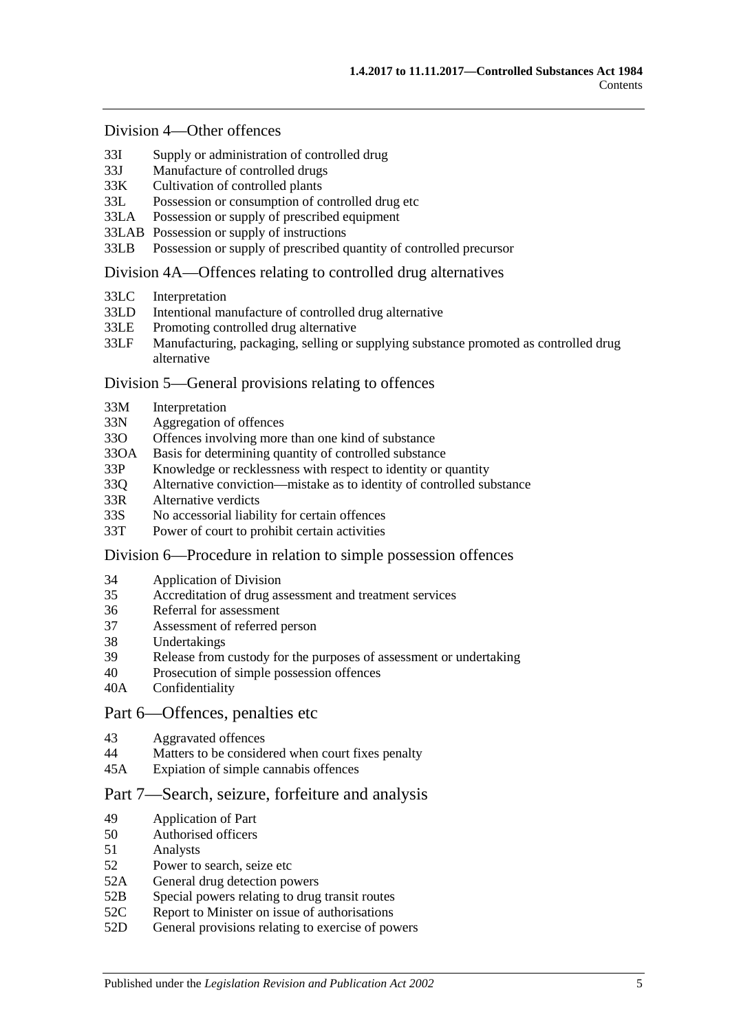#### [Division 4—Other offences](#page-73-0)

- 33I [Supply or administration of controlled drug](#page-73-1)<br>33I Manufacture of controlled drugs
- 33J [Manufacture of controlled drugs](#page-73-2)<br>33K Cultivation of controlled plants
- [Cultivation of controlled plants](#page-73-3)
- 33L [Possession or consumption of controlled drug etc](#page-74-0)
- 33LA [Possession or supply of prescribed equipment](#page-74-1)
- 33LAB [Possession or supply of instructions](#page-74-2)<br>33LB Possession or supply of prescribed a
- [Possession or supply of prescribed quantity of controlled precursor](#page-75-0)

#### [Division 4A—Offences relating to controlled drug alternatives](#page-76-0)

- 33LC [Interpretation](#page-76-1)
- 33LD [Intentional manufacture of controlled drug alternative](#page-76-2)
- 33LE [Promoting controlled drug alternative](#page-77-0)<br>33LF Manufacturing, packaging, selling or
- Manufacturing, packaging, selling or supplying substance promoted as controlled drug [alternative](#page-77-1)

#### [Division 5—General provisions relating to offences](#page-78-0)

- 33M [Interpretation](#page-78-1)
- 33N [Aggregation of offences](#page-78-2)
- 33O [Offences involving more than one kind of substance](#page-79-0)
- 33OA [Basis for determining quantity of controlled substance](#page-79-1)
- 33P [Knowledge or recklessness with respect to identity or quantity](#page-80-0)
- 33Q [Alternative conviction—mistake as to identity of controlled substance](#page-80-1)
- 33R [Alternative verdicts](#page-81-0)<br>33S No accessorial liabil
- [No accessorial liability for certain offences](#page-81-1)
- 33T [Power of court to prohibit certain activities](#page-81-2)

#### [Division 6—Procedure in relation to simple possession offences](#page-81-3)

- 34 [Application of Division](#page-81-4)
- 35 [Accreditation of drug assessment and treatment services](#page-82-0)<br>36 Referral for assessment
- 36 [Referral for assessment](#page-82-1)<br>37 Assessment of referred
- 37 [Assessment of referred person](#page-82-2)<br>38 Undertakings
- [Undertakings](#page-83-0)
- 39 [Release from custody for the purposes of assessment or undertaking](#page-84-0)
- 40 [Prosecution of simple possession offences](#page-84-1)
- 40A [Confidentiality](#page-85-0)

#### [Part 6—Offences, penalties etc](#page-85-1)

- 43 [Aggravated offences](#page-85-2)
- 44 [Matters to be considered when court fixes penalty](#page-86-0)
- 45A [Expiation of simple cannabis offences](#page-87-0)

#### [Part 7—Search, seizure, forfeiture and analysis](#page-87-1)

- 49 [Application of Part](#page-87-2)
- 50 [Authorised officers](#page-87-3)
- 51 [Analysts](#page-88-0)
- 52 [Power to search, seize etc](#page-88-1)
- 52A [General drug detection powers](#page-89-0)
- 52B [Special powers relating to drug transit routes](#page-91-0)
- 52C [Report to Minister on issue of authorisations](#page-92-0)
- 52D [General provisions relating to exercise of powers](#page-93-0)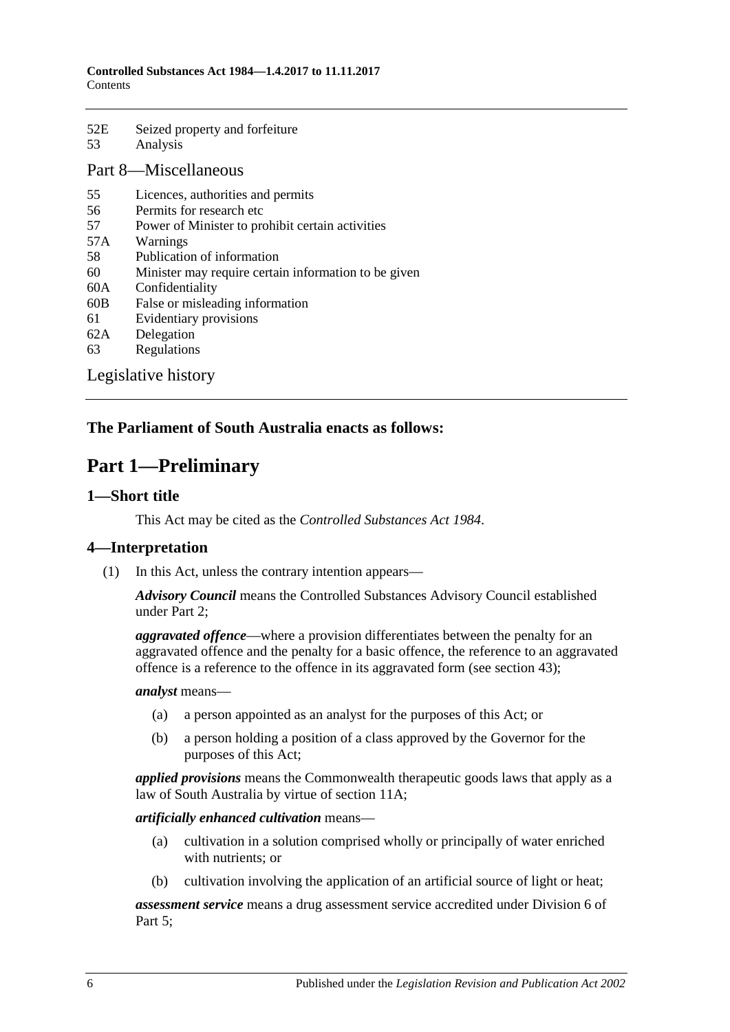| 52E | Seized property and forfeiture |
|-----|--------------------------------|
| 53  | Analysis                       |

#### [Part 8—Miscellaneous](#page-95-1)

- 55 [Licences, authorities and permits](#page-95-2)
- 56 [Permits for research etc](#page-96-0)<br>57 Power of Minister to pro
- [Power of Minister to prohibit certain activities](#page-96-1)
- 57A [Warnings](#page-97-0)
- 58 [Publication of information](#page-98-0)
- 60 [Minister may require certain information to be given](#page-98-1)
- 60A [Confidentiality](#page-99-0)
- 60B [False or misleading information](#page-100-0)
- 61 [Evidentiary provisions](#page-100-1)
- 62A [Delegation](#page-100-2)
- 63 [Regulations](#page-101-0)

[Legislative history](#page-103-0)

# <span id="page-5-0"></span>**The Parliament of South Australia enacts as follows:**

# **Part 1—Preliminary**

#### <span id="page-5-1"></span>**1—Short title**

This Act may be cited as the *Controlled Substances Act 1984*.

# <span id="page-5-2"></span>**4—Interpretation**

(1) In this Act, unless the contrary intention appears—

*Advisory Council* means the Controlled Substances Advisory Council established under [Part 2;](#page-12-1)

*aggravated offence*—where a provision differentiates between the penalty for an aggravated offence and the penalty for a basic offence, the reference to an aggravated offence is a reference to the offence in its aggravated form (see [section](#page-85-2) 43);

#### *analyst* means—

- (a) a person appointed as an analyst for the purposes of this Act; or
- (b) a person holding a position of a class approved by the Governor for the purposes of this Act;

*applied provisions* means the Commonwealth therapeutic goods laws that apply as a law of South Australia by virtue of [section](#page-15-2) 11A;

#### *artificially enhanced cultivation* means—

- (a) cultivation in a solution comprised wholly or principally of water enriched with nutrients; or
- (b) cultivation involving the application of an artificial source of light or heat;

*assessment service* means a drug assessment service accredited under [Division](#page-81-3) 6 of [Part 5;](#page-63-0)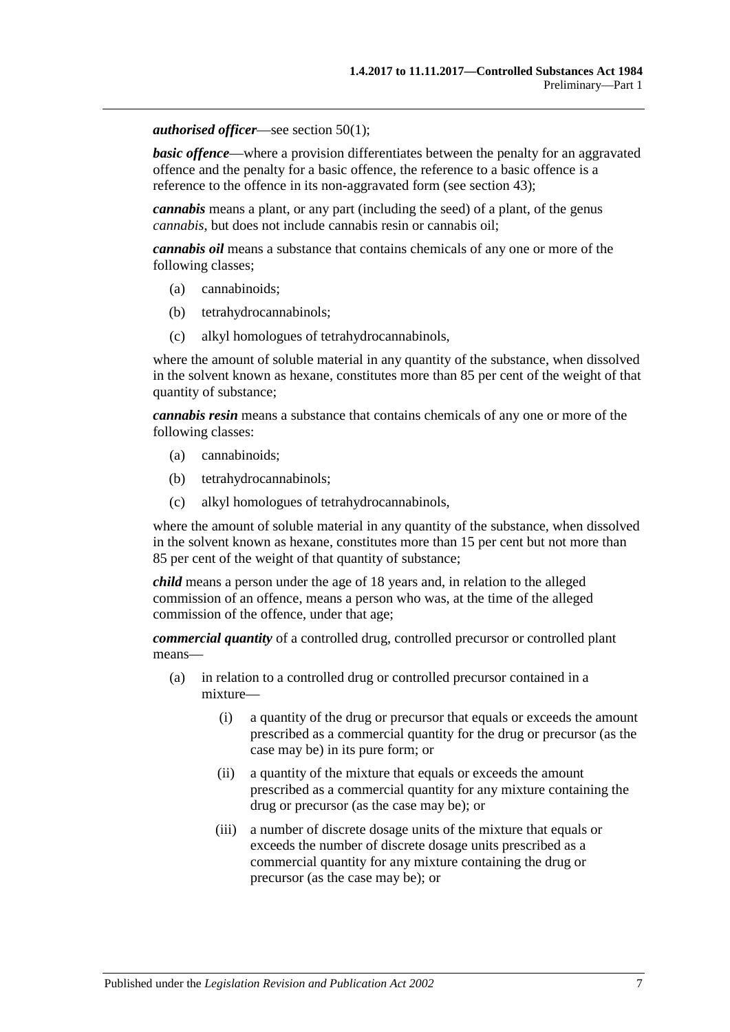#### *authorised officer*—see [section](#page-87-4) 50(1);

**basic offence—where a provision differentiates between the penalty for an aggravated** offence and the penalty for a basic offence, the reference to a basic offence is a reference to the offence in its non-aggravated form (see [section](#page-85-2) 43);

*cannabis* means a plant, or any part (including the seed) of a plant, of the genus *cannabis*, but does not include cannabis resin or cannabis oil;

*cannabis oil* means a substance that contains chemicals of any one or more of the following classes;

- (a) cannabinoids;
- (b) tetrahydrocannabinols;
- (c) alkyl homologues of tetrahydrocannabinols,

where the amount of soluble material in any quantity of the substance, when dissolved in the solvent known as hexane, constitutes more than 85 per cent of the weight of that quantity of substance;

*cannabis resin* means a substance that contains chemicals of any one or more of the following classes:

- (a) cannabinoids;
- (b) tetrahydrocannabinols;
- (c) alkyl homologues of tetrahydrocannabinols,

where the amount of soluble material in any quantity of the substance, when dissolved in the solvent known as hexane, constitutes more than 15 per cent but not more than 85 per cent of the weight of that quantity of substance;

*child* means a person under the age of 18 years and, in relation to the alleged commission of an offence, means a person who was, at the time of the alleged commission of the offence, under that age;

*commercial quantity* of a controlled drug, controlled precursor or controlled plant means—

- (a) in relation to a controlled drug or controlled precursor contained in a mixture—
	- (i) a quantity of the drug or precursor that equals or exceeds the amount prescribed as a commercial quantity for the drug or precursor (as the case may be) in its pure form; or
	- (ii) a quantity of the mixture that equals or exceeds the amount prescribed as a commercial quantity for any mixture containing the drug or precursor (as the case may be); or
	- (iii) a number of discrete dosage units of the mixture that equals or exceeds the number of discrete dosage units prescribed as a commercial quantity for any mixture containing the drug or precursor (as the case may be); or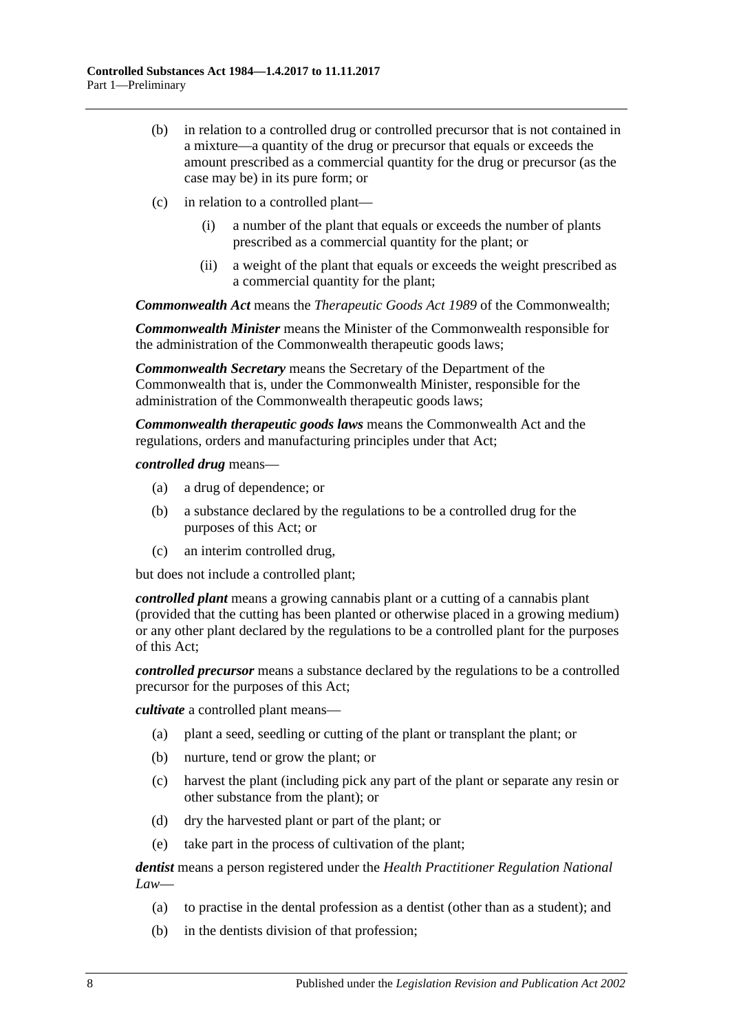- (b) in relation to a controlled drug or controlled precursor that is not contained in a mixture—a quantity of the drug or precursor that equals or exceeds the amount prescribed as a commercial quantity for the drug or precursor (as the case may be) in its pure form; or
- (c) in relation to a controlled plant—
	- (i) a number of the plant that equals or exceeds the number of plants prescribed as a commercial quantity for the plant; or
	- (ii) a weight of the plant that equals or exceeds the weight prescribed as a commercial quantity for the plant;

*Commonwealth Act* means the *Therapeutic Goods Act 1989* of the Commonwealth;

*Commonwealth Minister* means the Minister of the Commonwealth responsible for the administration of the Commonwealth therapeutic goods laws;

*Commonwealth Secretary* means the Secretary of the Department of the Commonwealth that is, under the Commonwealth Minister, responsible for the administration of the Commonwealth therapeutic goods laws;

*Commonwealth therapeutic goods laws* means the Commonwealth Act and the regulations, orders and manufacturing principles under that Act;

*controlled drug* means—

- (a) a drug of dependence; or
- (b) a substance declared by the regulations to be a controlled drug for the purposes of this Act; or
- (c) an interim controlled drug,

but does not include a controlled plant;

*controlled plant* means a growing cannabis plant or a cutting of a cannabis plant (provided that the cutting has been planted or otherwise placed in a growing medium) or any other plant declared by the regulations to be a controlled plant for the purposes of this Act;

*controlled precursor* means a substance declared by the regulations to be a controlled precursor for the purposes of this Act;

*cultivate* a controlled plant means—

- (a) plant a seed, seedling or cutting of the plant or transplant the plant; or
- (b) nurture, tend or grow the plant; or
- (c) harvest the plant (including pick any part of the plant or separate any resin or other substance from the plant); or
- (d) dry the harvested plant or part of the plant; or
- (e) take part in the process of cultivation of the plant;

*dentist* means a person registered under the *Health Practitioner Regulation National Law*—

- (a) to practise in the dental profession as a dentist (other than as a student); and
- (b) in the dentists division of that profession;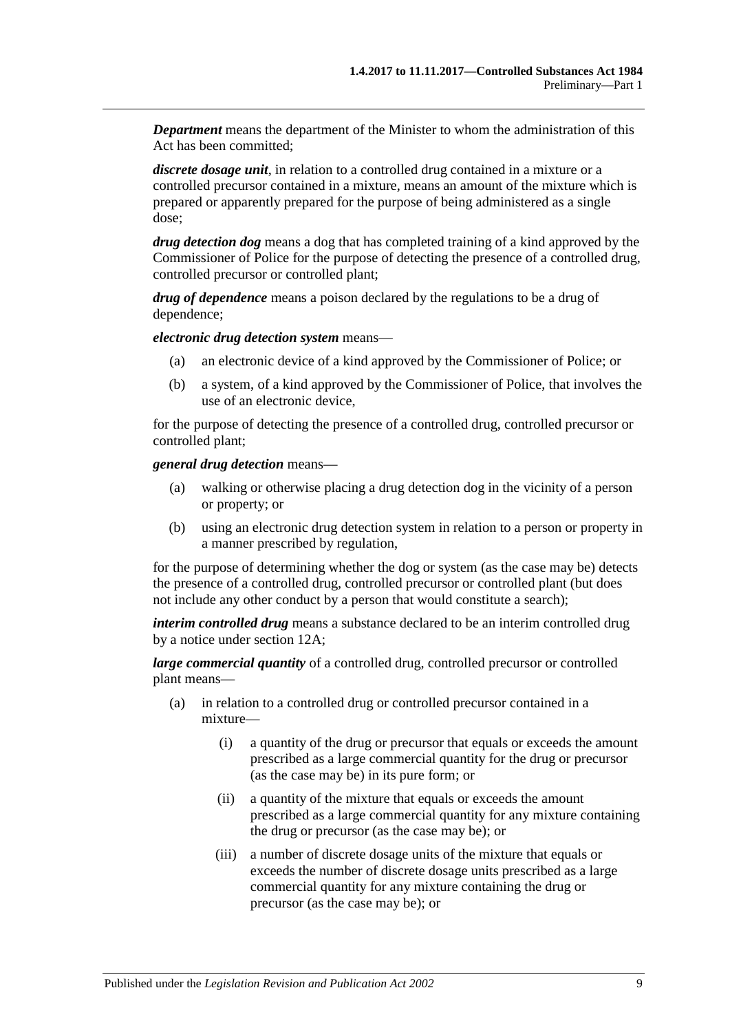*Department* means the department of the Minister to whom the administration of this Act has been committed;

*discrete dosage unit*, in relation to a controlled drug contained in a mixture or a controlled precursor contained in a mixture, means an amount of the mixture which is prepared or apparently prepared for the purpose of being administered as a single dose;

*drug detection dog* means a dog that has completed training of a kind approved by the Commissioner of Police for the purpose of detecting the presence of a controlled drug, controlled precursor or controlled plant;

*drug of dependence* means a poison declared by the regulations to be a drug of dependence;

*electronic drug detection system* means—

- (a) an electronic device of a kind approved by the Commissioner of Police; or
- (b) a system, of a kind approved by the Commissioner of Police, that involves the use of an electronic device,

for the purpose of detecting the presence of a controlled drug, controlled precursor or controlled plant;

*general drug detection* means—

- (a) walking or otherwise placing a drug detection dog in the vicinity of a person or property; or
- (b) using an electronic drug detection system in relation to a person or property in a manner prescribed by regulation,

for the purpose of determining whether the dog or system (as the case may be) detects the presence of a controlled drug, controlled precursor or controlled plant (but does not include any other conduct by a person that would constitute a search);

*interim controlled drug* means a substance declared to be an interim controlled drug by a notice under [section](#page-18-2) 12A;

*large commercial quantity* of a controlled drug, controlled precursor or controlled plant means—

- (a) in relation to a controlled drug or controlled precursor contained in a mixture—
	- (i) a quantity of the drug or precursor that equals or exceeds the amount prescribed as a large commercial quantity for the drug or precursor (as the case may be) in its pure form; or
	- (ii) a quantity of the mixture that equals or exceeds the amount prescribed as a large commercial quantity for any mixture containing the drug or precursor (as the case may be); or
	- (iii) a number of discrete dosage units of the mixture that equals or exceeds the number of discrete dosage units prescribed as a large commercial quantity for any mixture containing the drug or precursor (as the case may be); or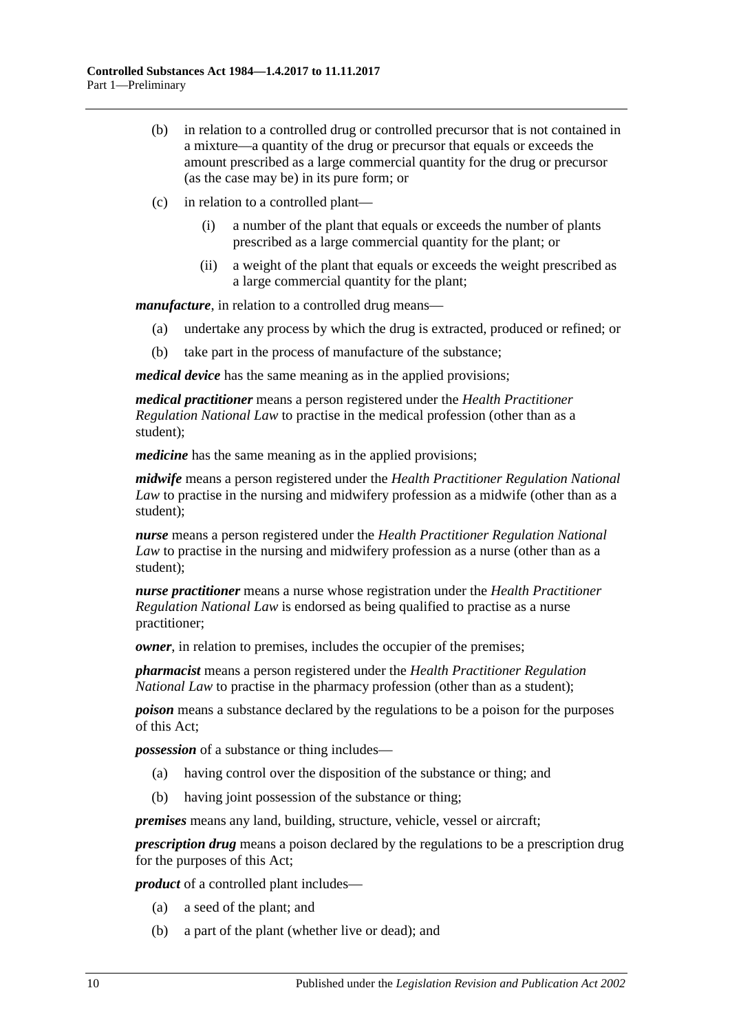- (b) in relation to a controlled drug or controlled precursor that is not contained in a mixture—a quantity of the drug or precursor that equals or exceeds the amount prescribed as a large commercial quantity for the drug or precursor (as the case may be) in its pure form; or
- (c) in relation to a controlled plant—
	- (i) a number of the plant that equals or exceeds the number of plants prescribed as a large commercial quantity for the plant; or
	- (ii) a weight of the plant that equals or exceeds the weight prescribed as a large commercial quantity for the plant;

*manufacture*, in relation to a controlled drug means—

- (a) undertake any process by which the drug is extracted, produced or refined; or
- (b) take part in the process of manufacture of the substance;

*medical device* has the same meaning as in the applied provisions;

*medical practitioner* means a person registered under the *Health Practitioner Regulation National Law* to practise in the medical profession (other than as a student);

*medicine* has the same meaning as in the applied provisions;

*midwife* means a person registered under the *Health Practitioner Regulation National Law* to practise in the nursing and midwifery profession as a midwife (other than as a student);

*nurse* means a person registered under the *Health Practitioner Regulation National Law* to practise in the nursing and midwifery profession as a nurse (other than as a student);

*nurse practitioner* means a nurse whose registration under the *Health Practitioner Regulation National Law* is endorsed as being qualified to practise as a nurse practitioner;

*owner*, in relation to premises, includes the occupier of the premises;

*pharmacist* means a person registered under the *Health Practitioner Regulation National Law* to practise in the pharmacy profession (other than as a student);

*poison* means a substance declared by the regulations to be a poison for the purposes of this Act;

*possession* of a substance or thing includes—

- (a) having control over the disposition of the substance or thing; and
- (b) having joint possession of the substance or thing;

*premises* means any land, building, structure, vehicle, vessel or aircraft;

*prescription drug* means a poison declared by the regulations to be a prescription drug for the purposes of this Act;

*product* of a controlled plant includes—

- (a) a seed of the plant; and
- (b) a part of the plant (whether live or dead); and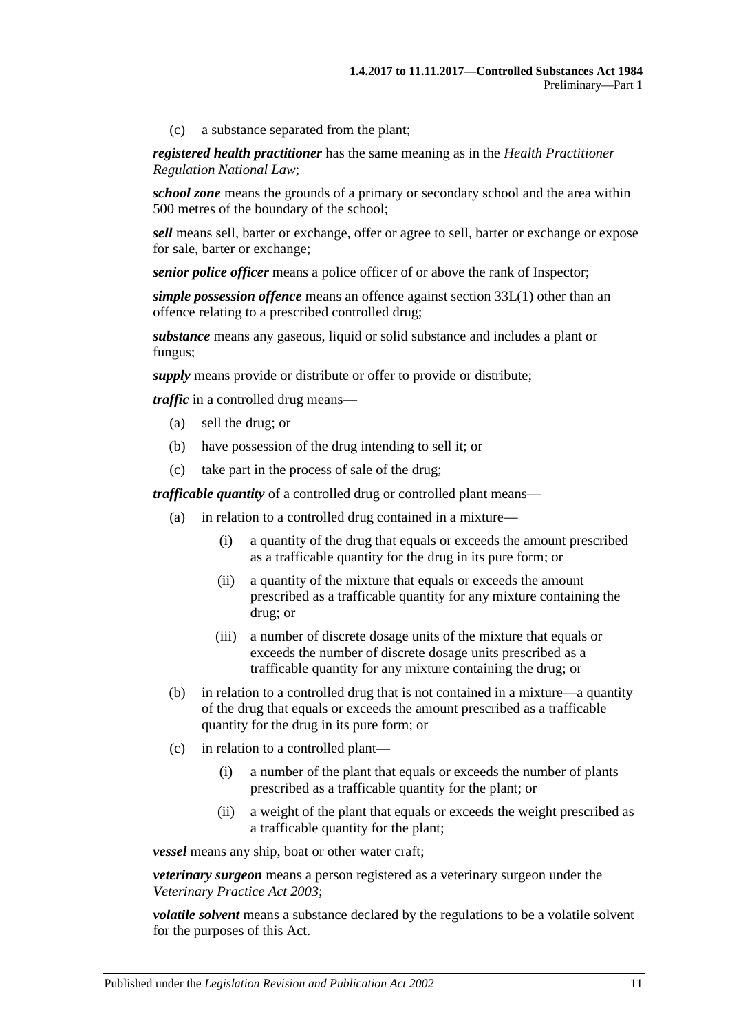(c) a substance separated from the plant;

*registered health practitioner* has the same meaning as in the *Health Practitioner Regulation National Law*;

*school zone* means the grounds of a primary or secondary school and the area within 500 metres of the boundary of the school;

*sell* means sell, barter or exchange, offer or agree to sell, barter or exchange or expose for sale, barter or exchange;

*senior police officer* means a police officer of or above the rank of Inspector;

*simple possession offence* means an offence against [section](#page-74-3) 33L(1) other than an offence relating to a prescribed controlled drug;

*substance* means any gaseous, liquid or solid substance and includes a plant or fungus;

*supply* means provide or distribute or offer to provide or distribute;

*traffic* in a controlled drug means—

- (a) sell the drug; or
- (b) have possession of the drug intending to sell it; or
- (c) take part in the process of sale of the drug;

*trafficable quantity* of a controlled drug or controlled plant means—

- (a) in relation to a controlled drug contained in a mixture—
	- (i) a quantity of the drug that equals or exceeds the amount prescribed as a trafficable quantity for the drug in its pure form; or
	- (ii) a quantity of the mixture that equals or exceeds the amount prescribed as a trafficable quantity for any mixture containing the drug; or
	- (iii) a number of discrete dosage units of the mixture that equals or exceeds the number of discrete dosage units prescribed as a trafficable quantity for any mixture containing the drug; or
- (b) in relation to a controlled drug that is not contained in a mixture—a quantity of the drug that equals or exceeds the amount prescribed as a trafficable quantity for the drug in its pure form; or
- (c) in relation to a controlled plant—
	- (i) a number of the plant that equals or exceeds the number of plants prescribed as a trafficable quantity for the plant; or
	- (ii) a weight of the plant that equals or exceeds the weight prescribed as a trafficable quantity for the plant;

*vessel* means any ship, boat or other water craft;

*veterinary surgeon* means a person registered as a veterinary surgeon under the *[Veterinary Practice Act](http://www.legislation.sa.gov.au/index.aspx?action=legref&type=act&legtitle=Veterinary%20Practice%20Act%202003) 2003*;

*volatile solvent* means a substance declared by the regulations to be a volatile solvent for the purposes of this Act.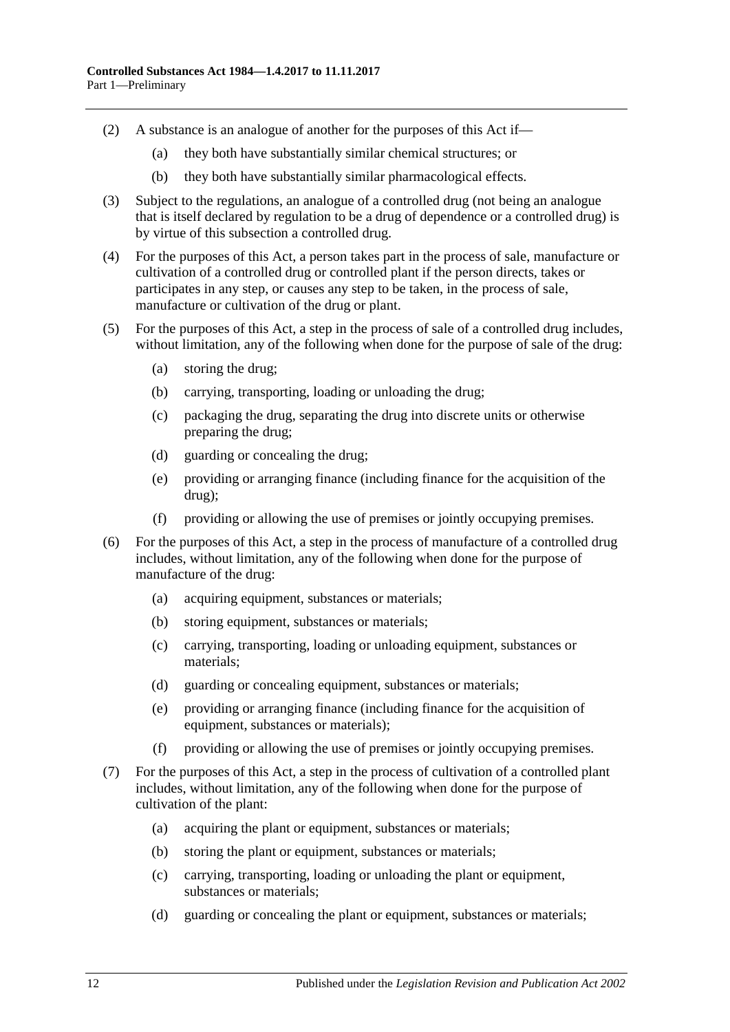- (2) A substance is an analogue of another for the purposes of this Act if—
	- (a) they both have substantially similar chemical structures; or
	- (b) they both have substantially similar pharmacological effects.
- (3) Subject to the regulations, an analogue of a controlled drug (not being an analogue that is itself declared by regulation to be a drug of dependence or a controlled drug) is by virtue of this subsection a controlled drug.
- (4) For the purposes of this Act, a person takes part in the process of sale, manufacture or cultivation of a controlled drug or controlled plant if the person directs, takes or participates in any step, or causes any step to be taken, in the process of sale, manufacture or cultivation of the drug or plant.
- (5) For the purposes of this Act, a step in the process of sale of a controlled drug includes, without limitation, any of the following when done for the purpose of sale of the drug:
	- (a) storing the drug;
	- (b) carrying, transporting, loading or unloading the drug;
	- (c) packaging the drug, separating the drug into discrete units or otherwise preparing the drug;
	- (d) guarding or concealing the drug;
	- (e) providing or arranging finance (including finance for the acquisition of the drug);
	- (f) providing or allowing the use of premises or jointly occupying premises.
- (6) For the purposes of this Act, a step in the process of manufacture of a controlled drug includes, without limitation, any of the following when done for the purpose of manufacture of the drug:
	- (a) acquiring equipment, substances or materials;
	- (b) storing equipment, substances or materials;
	- (c) carrying, transporting, loading or unloading equipment, substances or materials;
	- (d) guarding or concealing equipment, substances or materials;
	- (e) providing or arranging finance (including finance for the acquisition of equipment, substances or materials);
	- (f) providing or allowing the use of premises or jointly occupying premises.
- <span id="page-11-0"></span>(7) For the purposes of this Act, a step in the process of cultivation of a controlled plant includes, without limitation, any of the following when done for the purpose of cultivation of the plant:
	- (a) acquiring the plant or equipment, substances or materials;
	- (b) storing the plant or equipment, substances or materials;
	- (c) carrying, transporting, loading or unloading the plant or equipment, substances or materials;
	- (d) guarding or concealing the plant or equipment, substances or materials;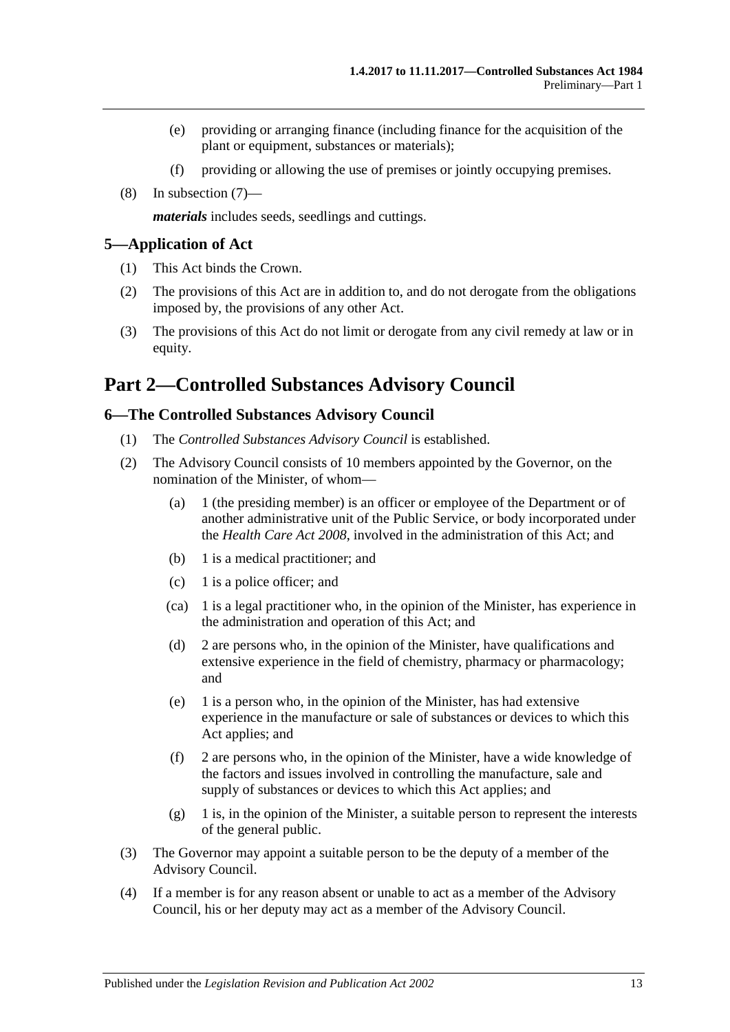- (e) providing or arranging finance (including finance for the acquisition of the plant or equipment, substances or materials);
- (f) providing or allowing the use of premises or jointly occupying premises.
- (8) In [subsection](#page-11-0) (7)—

*materials* includes seeds, seedlings and cuttings.

#### <span id="page-12-0"></span>**5—Application of Act**

- (1) This Act binds the Crown.
- (2) The provisions of this Act are in addition to, and do not derogate from the obligations imposed by, the provisions of any other Act.
- (3) The provisions of this Act do not limit or derogate from any civil remedy at law or in equity.

# <span id="page-12-1"></span>**Part 2—Controlled Substances Advisory Council**

#### <span id="page-12-2"></span>**6—The Controlled Substances Advisory Council**

- (1) The *Controlled Substances Advisory Council* is established.
- (2) The Advisory Council consists of 10 members appointed by the Governor, on the nomination of the Minister, of whom—
	- (a) 1 (the presiding member) is an officer or employee of the Department or of another administrative unit of the Public Service, or body incorporated under the *[Health Care Act](http://www.legislation.sa.gov.au/index.aspx?action=legref&type=act&legtitle=Health%20Care%20Act%202008) 2008*, involved in the administration of this Act; and
	- (b) 1 is a medical practitioner; and
	- (c) 1 is a police officer; and
	- (ca) 1 is a legal practitioner who, in the opinion of the Minister, has experience in the administration and operation of this Act; and
	- (d) 2 are persons who, in the opinion of the Minister, have qualifications and extensive experience in the field of chemistry, pharmacy or pharmacology; and
	- (e) 1 is a person who, in the opinion of the Minister, has had extensive experience in the manufacture or sale of substances or devices to which this Act applies; and
	- (f) 2 are persons who, in the opinion of the Minister, have a wide knowledge of the factors and issues involved in controlling the manufacture, sale and supply of substances or devices to which this Act applies; and
	- (g) 1 is, in the opinion of the Minister, a suitable person to represent the interests of the general public.
- (3) The Governor may appoint a suitable person to be the deputy of a member of the Advisory Council.
- (4) If a member is for any reason absent or unable to act as a member of the Advisory Council, his or her deputy may act as a member of the Advisory Council.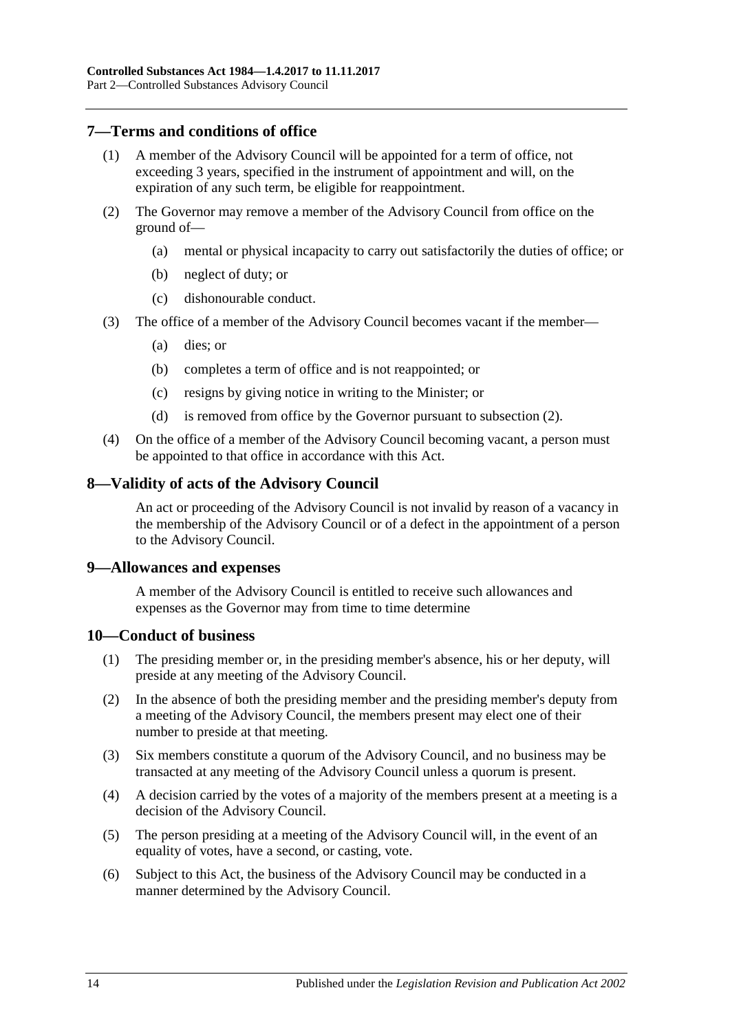# <span id="page-13-0"></span>**7—Terms and conditions of office**

- A member of the Advisory Council will be appointed for a term of office, not exceeding 3 years, specified in the instrument of appointment and will, on the expiration of any such term, be eligible for reappointment.
- <span id="page-13-4"></span>(2) The Governor may remove a member of the Advisory Council from office on the ground of—
	- (a) mental or physical incapacity to carry out satisfactorily the duties of office; or
	- (b) neglect of duty; or
	- (c) dishonourable conduct.
- (3) The office of a member of the Advisory Council becomes vacant if the member—
	- (a) dies; or
	- (b) completes a term of office and is not reappointed; or
	- (c) resigns by giving notice in writing to the Minister; or
	- (d) is removed from office by the Governor pursuant to [subsection](#page-13-4) (2).
- (4) On the office of a member of the Advisory Council becoming vacant, a person must be appointed to that office in accordance with this Act.

#### <span id="page-13-1"></span>**8—Validity of acts of the Advisory Council**

An act or proceeding of the Advisory Council is not invalid by reason of a vacancy in the membership of the Advisory Council or of a defect in the appointment of a person to the Advisory Council.

#### <span id="page-13-2"></span>**9—Allowances and expenses**

A member of the Advisory Council is entitled to receive such allowances and expenses as the Governor may from time to time determine

#### <span id="page-13-3"></span>**10—Conduct of business**

- (1) The presiding member or, in the presiding member's absence, his or her deputy, will preside at any meeting of the Advisory Council.
- (2) In the absence of both the presiding member and the presiding member's deputy from a meeting of the Advisory Council, the members present may elect one of their number to preside at that meeting.
- (3) Six members constitute a quorum of the Advisory Council, and no business may be transacted at any meeting of the Advisory Council unless a quorum is present.
- (4) A decision carried by the votes of a majority of the members present at a meeting is a decision of the Advisory Council.
- (5) The person presiding at a meeting of the Advisory Council will, in the event of an equality of votes, have a second, or casting, vote.
- (6) Subject to this Act, the business of the Advisory Council may be conducted in a manner determined by the Advisory Council.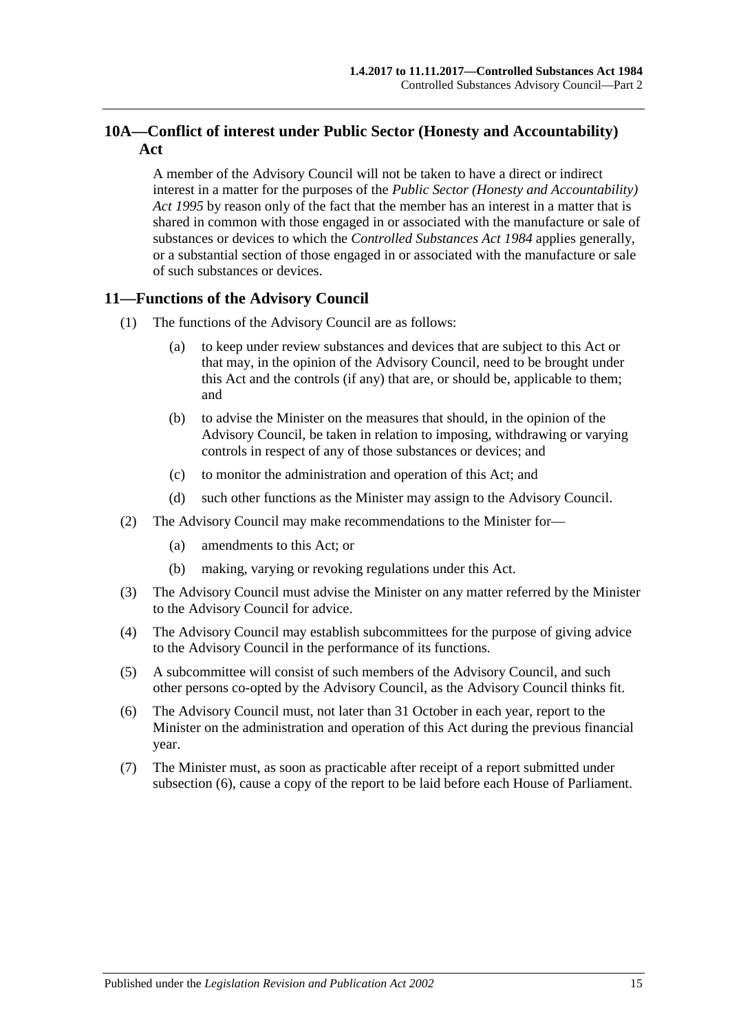# <span id="page-14-0"></span>**10A—Conflict of interest under Public Sector (Honesty and Accountability) Act**

A member of the Advisory Council will not be taken to have a direct or indirect interest in a matter for the purposes of the *[Public Sector \(Honesty and Accountability\)](http://www.legislation.sa.gov.au/index.aspx?action=legref&type=act&legtitle=Public%20Sector%20(Honesty%20and%20Accountability)%20Act%201995)  Act [1995](http://www.legislation.sa.gov.au/index.aspx?action=legref&type=act&legtitle=Public%20Sector%20(Honesty%20and%20Accountability)%20Act%201995)* by reason only of the fact that the member has an interest in a matter that is shared in common with those engaged in or associated with the manufacture or sale of substances or devices to which the *[Controlled Substances Act](http://www.legislation.sa.gov.au/index.aspx?action=legref&type=act&legtitle=Controlled%20Substances%20Act%201984) 1984* applies generally, or a substantial section of those engaged in or associated with the manufacture or sale of such substances or devices.

# <span id="page-14-1"></span>**11—Functions of the Advisory Council**

- (1) The functions of the Advisory Council are as follows:
	- (a) to keep under review substances and devices that are subject to this Act or that may, in the opinion of the Advisory Council, need to be brought under this Act and the controls (if any) that are, or should be, applicable to them; and
	- (b) to advise the Minister on the measures that should, in the opinion of the Advisory Council, be taken in relation to imposing, withdrawing or varying controls in respect of any of those substances or devices; and
	- (c) to monitor the administration and operation of this Act; and
	- (d) such other functions as the Minister may assign to the Advisory Council.
- (2) The Advisory Council may make recommendations to the Minister for—
	- (a) amendments to this Act; or
	- (b) making, varying or revoking regulations under this Act.
- (3) The Advisory Council must advise the Minister on any matter referred by the Minister to the Advisory Council for advice.
- (4) The Advisory Council may establish subcommittees for the purpose of giving advice to the Advisory Council in the performance of its functions.
- (5) A subcommittee will consist of such members of the Advisory Council, and such other persons co-opted by the Advisory Council, as the Advisory Council thinks fit.
- <span id="page-14-2"></span>(6) The Advisory Council must, not later than 31 October in each year, report to the Minister on the administration and operation of this Act during the previous financial year.
- (7) The Minister must, as soon as practicable after receipt of a report submitted under [subsection](#page-14-2) (6), cause a copy of the report to be laid before each House of Parliament.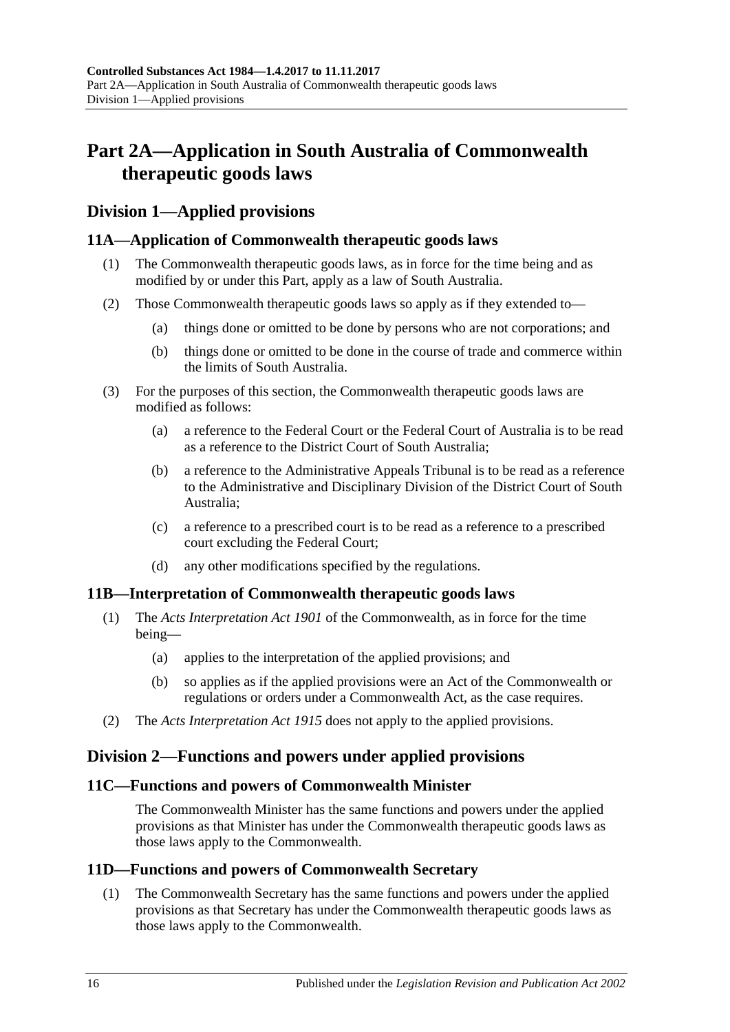# <span id="page-15-0"></span>**Part 2A—Application in South Australia of Commonwealth therapeutic goods laws**

# <span id="page-15-1"></span>**Division 1—Applied provisions**

# <span id="page-15-2"></span>**11A—Application of Commonwealth therapeutic goods laws**

- (1) The Commonwealth therapeutic goods laws, as in force for the time being and as modified by or under this Part, apply as a law of South Australia.
- (2) Those Commonwealth therapeutic goods laws so apply as if they extended to—
	- (a) things done or omitted to be done by persons who are not corporations; and
	- (b) things done or omitted to be done in the course of trade and commerce within the limits of South Australia.
- (3) For the purposes of this section, the Commonwealth therapeutic goods laws are modified as follows:
	- (a) a reference to the Federal Court or the Federal Court of Australia is to be read as a reference to the District Court of South Australia;
	- (b) a reference to the Administrative Appeals Tribunal is to be read as a reference to the Administrative and Disciplinary Division of the District Court of South Australia;
	- (c) a reference to a prescribed court is to be read as a reference to a prescribed court excluding the Federal Court;
	- (d) any other modifications specified by the regulations.

# <span id="page-15-3"></span>**11B—Interpretation of Commonwealth therapeutic goods laws**

- (1) The *Acts Interpretation Act 1901* of the Commonwealth, as in force for the time being—
	- (a) applies to the interpretation of the applied provisions; and
	- (b) so applies as if the applied provisions were an Act of the Commonwealth or regulations or orders under a Commonwealth Act, as the case requires.
- (2) The *[Acts Interpretation Act](http://www.legislation.sa.gov.au/index.aspx?action=legref&type=act&legtitle=Acts%20Interpretation%20Act%201915) 1915* does not apply to the applied provisions.

# <span id="page-15-4"></span>**Division 2—Functions and powers under applied provisions**

# <span id="page-15-5"></span>**11C—Functions and powers of Commonwealth Minister**

The Commonwealth Minister has the same functions and powers under the applied provisions as that Minister has under the Commonwealth therapeutic goods laws as those laws apply to the Commonwealth.

# <span id="page-15-7"></span><span id="page-15-6"></span>**11D—Functions and powers of Commonwealth Secretary**

(1) The Commonwealth Secretary has the same functions and powers under the applied provisions as that Secretary has under the Commonwealth therapeutic goods laws as those laws apply to the Commonwealth.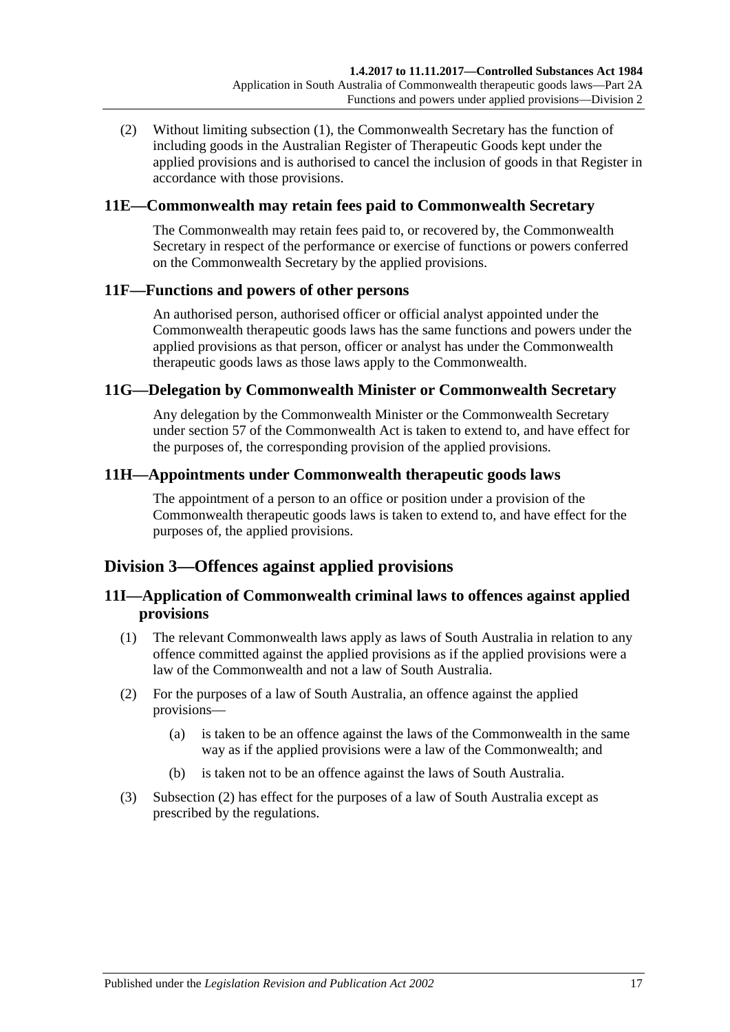(2) Without limiting [subsection](#page-15-7) (1), the Commonwealth Secretary has the function of including goods in the Australian Register of Therapeutic Goods kept under the applied provisions and is authorised to cancel the inclusion of goods in that Register in accordance with those provisions.

# <span id="page-16-0"></span>**11E—Commonwealth may retain fees paid to Commonwealth Secretary**

The Commonwealth may retain fees paid to, or recovered by, the Commonwealth Secretary in respect of the performance or exercise of functions or powers conferred on the Commonwealth Secretary by the applied provisions.

# <span id="page-16-1"></span>**11F—Functions and powers of other persons**

An authorised person, authorised officer or official analyst appointed under the Commonwealth therapeutic goods laws has the same functions and powers under the applied provisions as that person, officer or analyst has under the Commonwealth therapeutic goods laws as those laws apply to the Commonwealth.

# <span id="page-16-2"></span>**11G—Delegation by Commonwealth Minister or Commonwealth Secretary**

Any delegation by the Commonwealth Minister or the Commonwealth Secretary under section 57 of the Commonwealth Act is taken to extend to, and have effect for the purposes of, the corresponding provision of the applied provisions.

# <span id="page-16-3"></span>**11H—Appointments under Commonwealth therapeutic goods laws**

The appointment of a person to an office or position under a provision of the Commonwealth therapeutic goods laws is taken to extend to, and have effect for the purposes of, the applied provisions.

# <span id="page-16-4"></span>**Division 3—Offences against applied provisions**

# <span id="page-16-5"></span>**11I—Application of Commonwealth criminal laws to offences against applied provisions**

- (1) The relevant Commonwealth laws apply as laws of South Australia in relation to any offence committed against the applied provisions as if the applied provisions were a law of the Commonwealth and not a law of South Australia.
- <span id="page-16-6"></span>(2) For the purposes of a law of South Australia, an offence against the applied provisions—
	- (a) is taken to be an offence against the laws of the Commonwealth in the same way as if the applied provisions were a law of the Commonwealth; and
	- (b) is taken not to be an offence against the laws of South Australia.
- (3) [Subsection](#page-16-6) (2) has effect for the purposes of a law of South Australia except as prescribed by the regulations.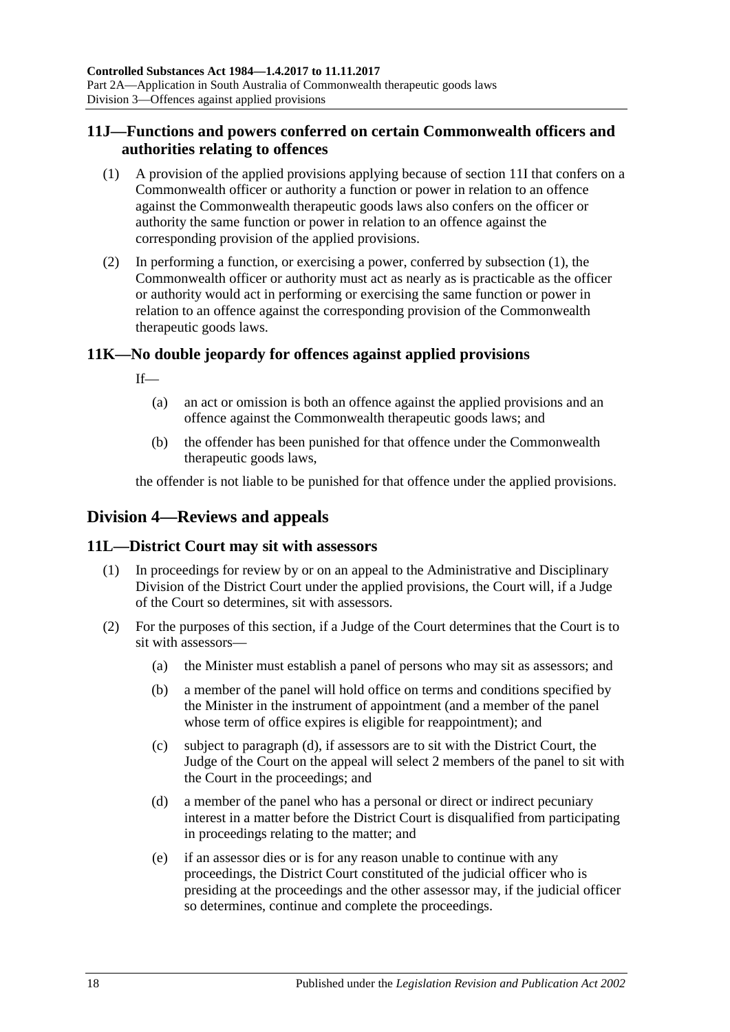# <span id="page-17-0"></span>**11J—Functions and powers conferred on certain Commonwealth officers and authorities relating to offences**

- <span id="page-17-4"></span>(1) A provision of the applied provisions applying because of [section](#page-16-5) 11I that confers on a Commonwealth officer or authority a function or power in relation to an offence against the Commonwealth therapeutic goods laws also confers on the officer or authority the same function or power in relation to an offence against the corresponding provision of the applied provisions.
- (2) In performing a function, or exercising a power, conferred by [subsection](#page-17-4) (1), the Commonwealth officer or authority must act as nearly as is practicable as the officer or authority would act in performing or exercising the same function or power in relation to an offence against the corresponding provision of the Commonwealth therapeutic goods laws.

# <span id="page-17-1"></span>**11K—No double jeopardy for offences against applied provisions**

If—

- (a) an act or omission is both an offence against the applied provisions and an offence against the Commonwealth therapeutic goods laws; and
- (b) the offender has been punished for that offence under the Commonwealth therapeutic goods laws,

the offender is not liable to be punished for that offence under the applied provisions.

# <span id="page-17-2"></span>**Division 4—Reviews and appeals**

# <span id="page-17-3"></span>**11L—District Court may sit with assessors**

- (1) In proceedings for review by or on an appeal to the Administrative and Disciplinary Division of the District Court under the applied provisions, the Court will, if a Judge of the Court so determines, sit with assessors.
- <span id="page-17-5"></span>(2) For the purposes of this section, if a Judge of the Court determines that the Court is to sit with assessors—
	- (a) the Minister must establish a panel of persons who may sit as assessors; and
	- (b) a member of the panel will hold office on terms and conditions specified by the Minister in the instrument of appointment (and a member of the panel whose term of office expires is eligible for reappointment); and
	- (c) subject to [paragraph](#page-17-5) (d), if assessors are to sit with the District Court, the Judge of the Court on the appeal will select 2 members of the panel to sit with the Court in the proceedings; and
	- (d) a member of the panel who has a personal or direct or indirect pecuniary interest in a matter before the District Court is disqualified from participating in proceedings relating to the matter; and
	- (e) if an assessor dies or is for any reason unable to continue with any proceedings, the District Court constituted of the judicial officer who is presiding at the proceedings and the other assessor may, if the judicial officer so determines, continue and complete the proceedings.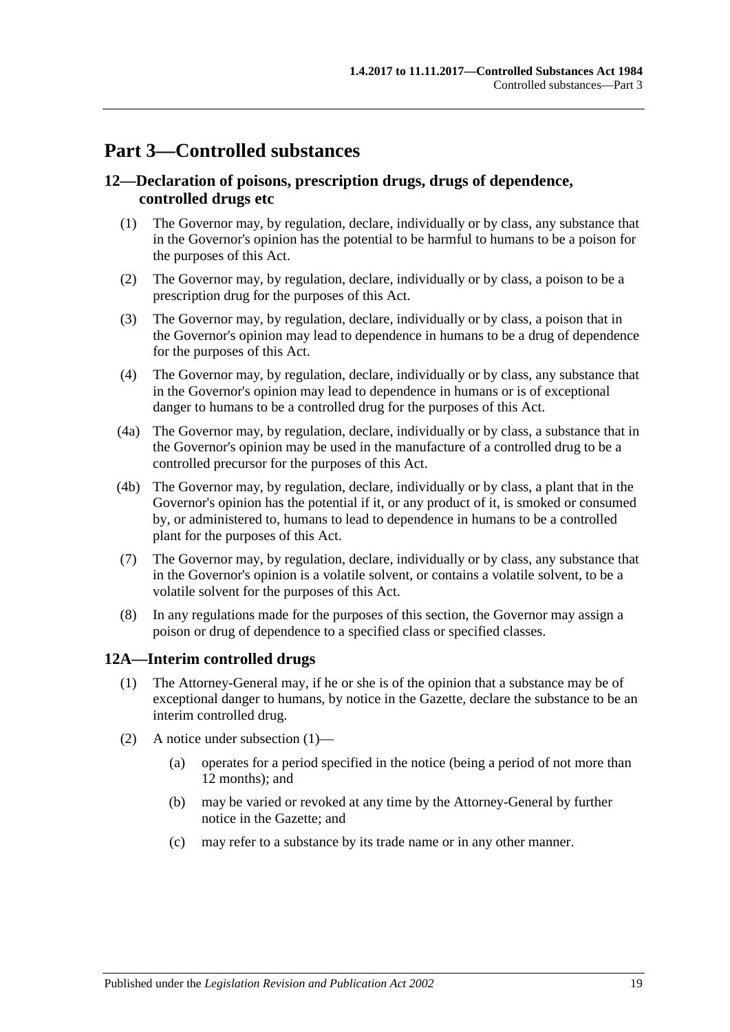# <span id="page-18-0"></span>**Part 3—Controlled substances**

# <span id="page-18-1"></span>**12—Declaration of poisons, prescription drugs, drugs of dependence, controlled drugs etc**

- (1) The Governor may, by regulation, declare, individually or by class, any substance that in the Governor's opinion has the potential to be harmful to humans to be a poison for the purposes of this Act.
- (2) The Governor may, by regulation, declare, individually or by class, a poison to be a prescription drug for the purposes of this Act.
- (3) The Governor may, by regulation, declare, individually or by class, a poison that in the Governor's opinion may lead to dependence in humans to be a drug of dependence for the purposes of this Act.
- (4) The Governor may, by regulation, declare, individually or by class, any substance that in the Governor's opinion may lead to dependence in humans or is of exceptional danger to humans to be a controlled drug for the purposes of this Act.
- (4a) The Governor may, by regulation, declare, individually or by class, a substance that in the Governor's opinion may be used in the manufacture of a controlled drug to be a controlled precursor for the purposes of this Act.
- (4b) The Governor may, by regulation, declare, individually or by class, a plant that in the Governor's opinion has the potential if it, or any product of it, is smoked or consumed by, or administered to, humans to lead to dependence in humans to be a controlled plant for the purposes of this Act.
- (7) The Governor may, by regulation, declare, individually or by class, any substance that in the Governor's opinion is a volatile solvent, or contains a volatile solvent, to be a volatile solvent for the purposes of this Act.
- (8) In any regulations made for the purposes of this section, the Governor may assign a poison or drug of dependence to a specified class or specified classes.

# <span id="page-18-3"></span><span id="page-18-2"></span>**12A—Interim controlled drugs**

- (1) The Attorney-General may, if he or she is of the opinion that a substance may be of exceptional danger to humans, by notice in the Gazette, declare the substance to be an interim controlled drug.
- (2) A notice under [subsection](#page-18-3) (1)—
	- (a) operates for a period specified in the notice (being a period of not more than 12 months); and
	- (b) may be varied or revoked at any time by the Attorney-General by further notice in the Gazette; and
	- (c) may refer to a substance by its trade name or in any other manner.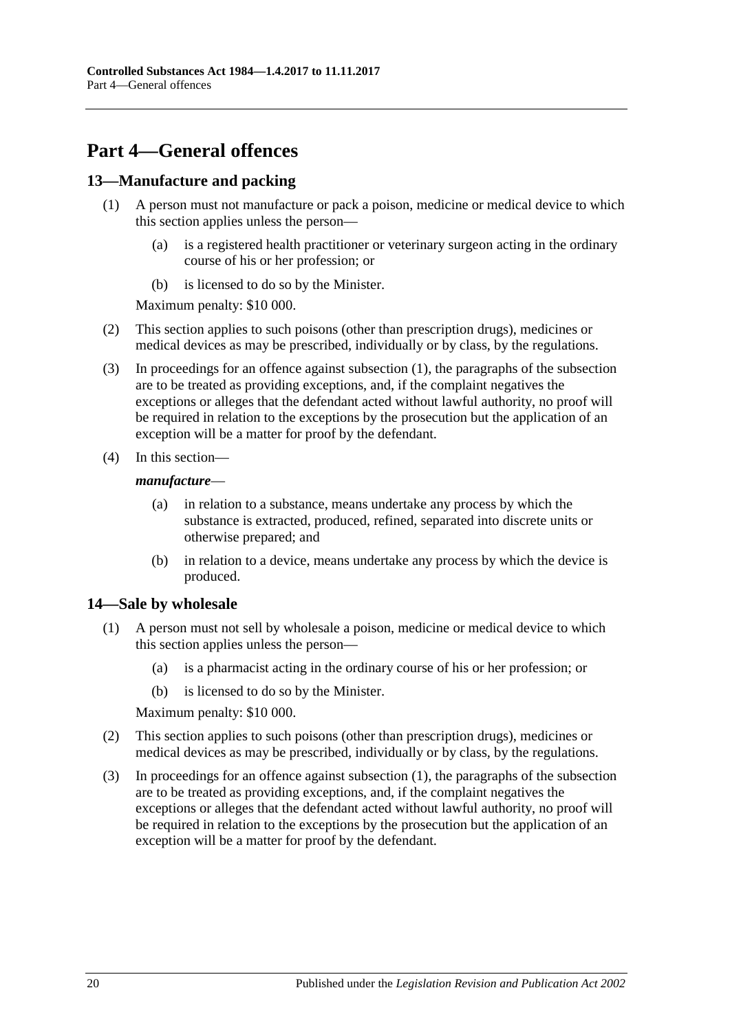# <span id="page-19-0"></span>**Part 4—General offences**

# <span id="page-19-3"></span><span id="page-19-1"></span>**13—Manufacture and packing**

- (1) A person must not manufacture or pack a poison, medicine or medical device to which this section applies unless the person—
	- (a) is a registered health practitioner or veterinary surgeon acting in the ordinary course of his or her profession; or
	- (b) is licensed to do so by the Minister.

Maximum penalty: \$10 000.

- (2) This section applies to such poisons (other than prescription drugs), medicines or medical devices as may be prescribed, individually or by class, by the regulations.
- (3) In proceedings for an offence against [subsection](#page-19-3) (1), the paragraphs of the subsection are to be treated as providing exceptions, and, if the complaint negatives the exceptions or alleges that the defendant acted without lawful authority, no proof will be required in relation to the exceptions by the prosecution but the application of an exception will be a matter for proof by the defendant.
- (4) In this section—

#### *manufacture*—

- (a) in relation to a substance, means undertake any process by which the substance is extracted, produced, refined, separated into discrete units or otherwise prepared; and
- (b) in relation to a device, means undertake any process by which the device is produced.

# <span id="page-19-4"></span><span id="page-19-2"></span>**14—Sale by wholesale**

- (1) A person must not sell by wholesale a poison, medicine or medical device to which this section applies unless the person—
	- (a) is a pharmacist acting in the ordinary course of his or her profession; or
	- (b) is licensed to do so by the Minister.

Maximum penalty: \$10 000.

- (2) This section applies to such poisons (other than prescription drugs), medicines or medical devices as may be prescribed, individually or by class, by the regulations.
- (3) In proceedings for an offence against [subsection](#page-19-4) (1), the paragraphs of the subsection are to be treated as providing exceptions, and, if the complaint negatives the exceptions or alleges that the defendant acted without lawful authority, no proof will be required in relation to the exceptions by the prosecution but the application of an exception will be a matter for proof by the defendant.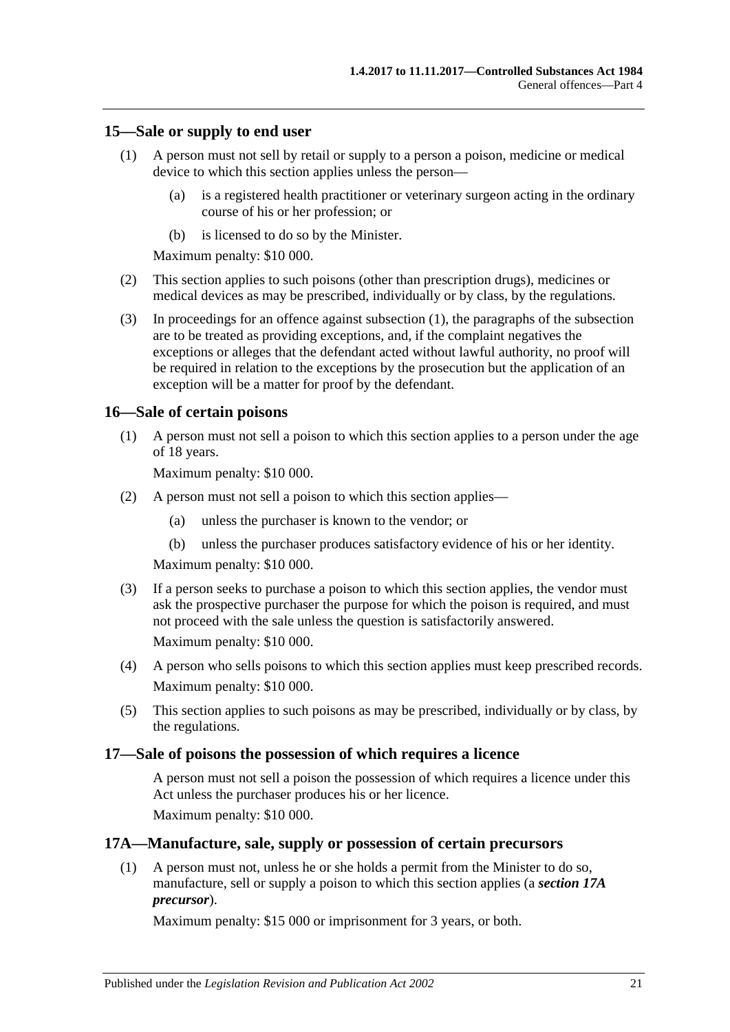#### <span id="page-20-4"></span><span id="page-20-0"></span>**15—Sale or supply to end user**

- (1) A person must not sell by retail or supply to a person a poison, medicine or medical device to which this section applies unless the person—
	- (a) is a registered health practitioner or veterinary surgeon acting in the ordinary course of his or her profession; or
	- (b) is licensed to do so by the Minister.

Maximum penalty: \$10 000.

- (2) This section applies to such poisons (other than prescription drugs), medicines or medical devices as may be prescribed, individually or by class, by the regulations.
- (3) In proceedings for an offence against [subsection](#page-20-4) (1), the paragraphs of the subsection are to be treated as providing exceptions, and, if the complaint negatives the exceptions or alleges that the defendant acted without lawful authority, no proof will be required in relation to the exceptions by the prosecution but the application of an exception will be a matter for proof by the defendant.

#### <span id="page-20-1"></span>**16—Sale of certain poisons**

(1) A person must not sell a poison to which this section applies to a person under the age of 18 years.

Maximum penalty: \$10 000.

- (2) A person must not sell a poison to which this section applies—
	- (a) unless the purchaser is known to the vendor; or
	- (b) unless the purchaser produces satisfactory evidence of his or her identity.

Maximum penalty: \$10 000.

(3) If a person seeks to purchase a poison to which this section applies, the vendor must ask the prospective purchaser the purpose for which the poison is required, and must not proceed with the sale unless the question is satisfactorily answered. Maximum penalty: \$10 000.

- (4) A person who sells poisons to which this section applies must keep prescribed records. Maximum penalty: \$10 000.
- (5) This section applies to such poisons as may be prescribed, individually or by class, by the regulations.

#### <span id="page-20-2"></span>**17—Sale of poisons the possession of which requires a licence**

A person must not sell a poison the possession of which requires a licence under this Act unless the purchaser produces his or her licence.

Maximum penalty: \$10 000.

#### <span id="page-20-3"></span>**17A—Manufacture, sale, supply or possession of certain precursors**

(1) A person must not, unless he or she holds a permit from the Minister to do so, manufacture, sell or supply a poison to which this section applies (a *section 17A precursor*).

Maximum penalty: \$15 000 or imprisonment for 3 years, or both.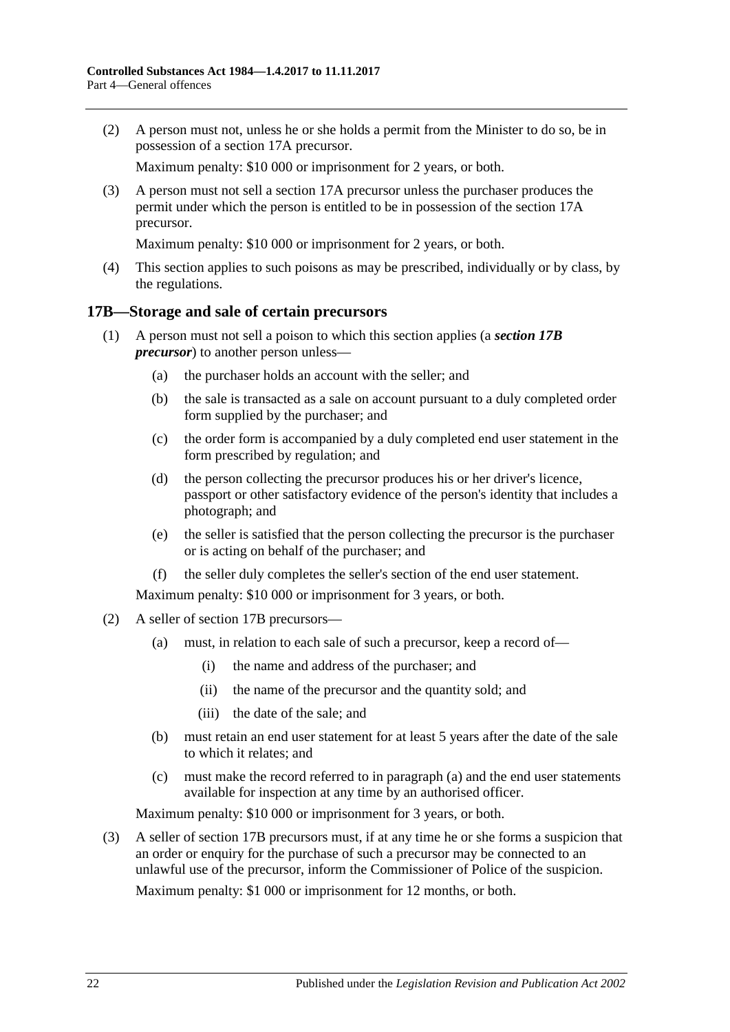(2) A person must not, unless he or she holds a permit from the Minister to do so, be in possession of a section 17A precursor.

Maximum penalty: \$10 000 or imprisonment for 2 years, or both.

(3) A person must not sell a section 17A precursor unless the purchaser produces the permit under which the person is entitled to be in possession of the section 17A precursor.

Maximum penalty: \$10 000 or imprisonment for 2 years, or both.

(4) This section applies to such poisons as may be prescribed, individually or by class, by the regulations.

#### <span id="page-21-0"></span>**17B—Storage and sale of certain precursors**

- (1) A person must not sell a poison to which this section applies (a *section 17B precursor*) to another person unless—
	- (a) the purchaser holds an account with the seller; and
	- (b) the sale is transacted as a sale on account pursuant to a duly completed order form supplied by the purchaser; and
	- (c) the order form is accompanied by a duly completed end user statement in the form prescribed by regulation; and
	- (d) the person collecting the precursor produces his or her driver's licence, passport or other satisfactory evidence of the person's identity that includes a photograph; and
	- (e) the seller is satisfied that the person collecting the precursor is the purchaser or is acting on behalf of the purchaser; and
	- (f) the seller duly completes the seller's section of the end user statement.

Maximum penalty: \$10 000 or imprisonment for 3 years, or both.

- <span id="page-21-1"></span>(2) A seller of section 17B precursors—
	- (a) must, in relation to each sale of such a precursor, keep a record of—
		- (i) the name and address of the purchaser; and
		- (ii) the name of the precursor and the quantity sold; and
		- (iii) the date of the sale; and
	- (b) must retain an end user statement for at least 5 years after the date of the sale to which it relates; and
	- (c) must make the record referred to in [paragraph](#page-21-1) (a) and the end user statements available for inspection at any time by an authorised officer.

Maximum penalty: \$10 000 or imprisonment for 3 years, or both.

(3) A seller of section 17B precursors must, if at any time he or she forms a suspicion that an order or enquiry for the purchase of such a precursor may be connected to an unlawful use of the precursor, inform the Commissioner of Police of the suspicion. Maximum penalty: \$1 000 or imprisonment for 12 months, or both.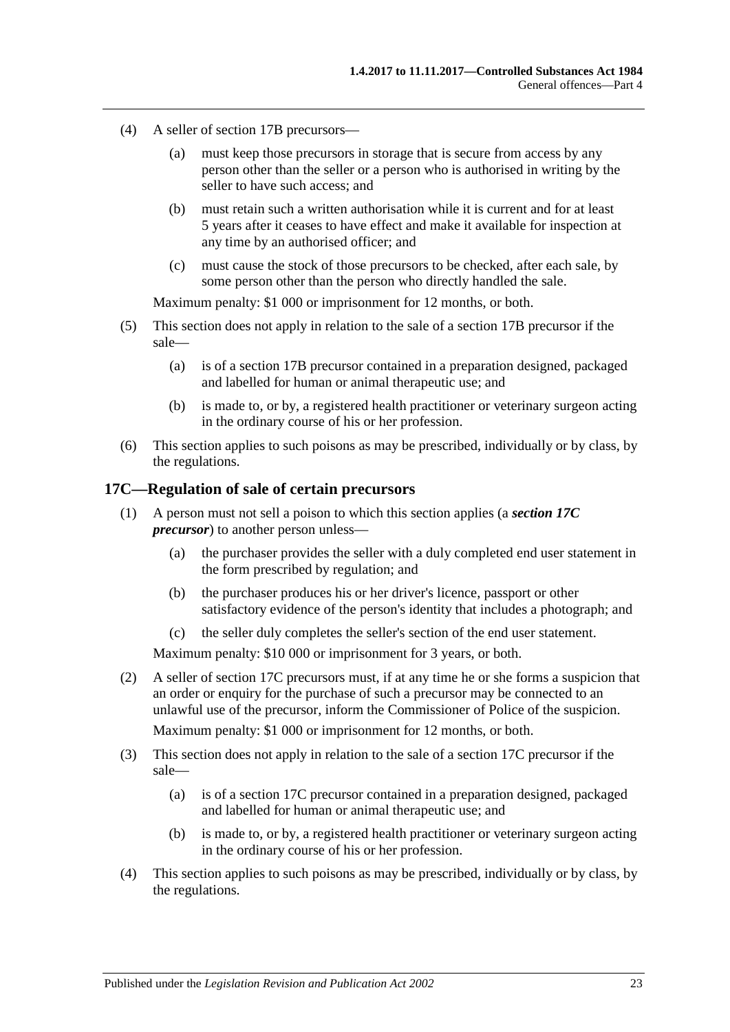- (4) A seller of section 17B precursors—
	- (a) must keep those precursors in storage that is secure from access by any person other than the seller or a person who is authorised in writing by the seller to have such access; and
	- (b) must retain such a written authorisation while it is current and for at least 5 years after it ceases to have effect and make it available for inspection at any time by an authorised officer; and
	- (c) must cause the stock of those precursors to be checked, after each sale, by some person other than the person who directly handled the sale.

Maximum penalty: \$1 000 or imprisonment for 12 months, or both.

- (5) This section does not apply in relation to the sale of a section 17B precursor if the sale—
	- (a) is of a section 17B precursor contained in a preparation designed, packaged and labelled for human or animal therapeutic use; and
	- (b) is made to, or by, a registered health practitioner or veterinary surgeon acting in the ordinary course of his or her profession.
- (6) This section applies to such poisons as may be prescribed, individually or by class, by the regulations.

#### <span id="page-22-0"></span>**17C—Regulation of sale of certain precursors**

- (1) A person must not sell a poison to which this section applies (a *section 17C precursor*) to another person unless—
	- (a) the purchaser provides the seller with a duly completed end user statement in the form prescribed by regulation; and
	- (b) the purchaser produces his or her driver's licence, passport or other satisfactory evidence of the person's identity that includes a photograph; and
	- (c) the seller duly completes the seller's section of the end user statement.

Maximum penalty: \$10 000 or imprisonment for 3 years, or both.

(2) A seller of section 17C precursors must, if at any time he or she forms a suspicion that an order or enquiry for the purchase of such a precursor may be connected to an unlawful use of the precursor, inform the Commissioner of Police of the suspicion.

Maximum penalty: \$1 000 or imprisonment for 12 months, or both.

- (3) This section does not apply in relation to the sale of a section 17C precursor if the sale—
	- (a) is of a section 17C precursor contained in a preparation designed, packaged and labelled for human or animal therapeutic use; and
	- (b) is made to, or by, a registered health practitioner or veterinary surgeon acting in the ordinary course of his or her profession.
- (4) This section applies to such poisons as may be prescribed, individually or by class, by the regulations.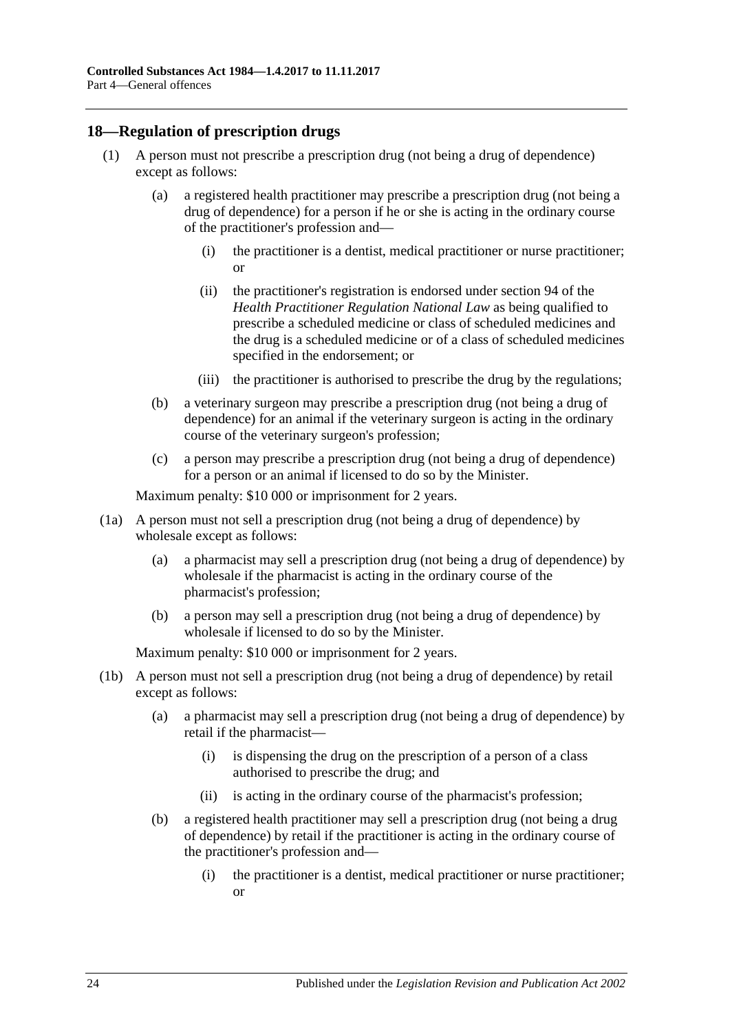# <span id="page-23-1"></span><span id="page-23-0"></span>**18—Regulation of prescription drugs**

- (1) A person must not prescribe a prescription drug (not being a drug of dependence) except as follows:
	- (a) a registered health practitioner may prescribe a prescription drug (not being a drug of dependence) for a person if he or she is acting in the ordinary course of the practitioner's profession and—
		- (i) the practitioner is a dentist, medical practitioner or nurse practitioner; or
		- (ii) the practitioner's registration is endorsed under section 94 of the *Health Practitioner Regulation National Law* as being qualified to prescribe a scheduled medicine or class of scheduled medicines and the drug is a scheduled medicine or of a class of scheduled medicines specified in the endorsement; or
		- (iii) the practitioner is authorised to prescribe the drug by the regulations;
	- (b) a veterinary surgeon may prescribe a prescription drug (not being a drug of dependence) for an animal if the veterinary surgeon is acting in the ordinary course of the veterinary surgeon's profession;
	- (c) a person may prescribe a prescription drug (not being a drug of dependence) for a person or an animal if licensed to do so by the Minister.

Maximum penalty: \$10 000 or imprisonment for 2 years.

- (1a) A person must not sell a prescription drug (not being a drug of dependence) by wholesale except as follows:
	- (a) a pharmacist may sell a prescription drug (not being a drug of dependence) by wholesale if the pharmacist is acting in the ordinary course of the pharmacist's profession;
	- (b) a person may sell a prescription drug (not being a drug of dependence) by wholesale if licensed to do so by the Minister.

- (1b) A person must not sell a prescription drug (not being a drug of dependence) by retail except as follows:
	- (a) a pharmacist may sell a prescription drug (not being a drug of dependence) by retail if the pharmacist—
		- (i) is dispensing the drug on the prescription of a person of a class authorised to prescribe the drug; and
		- (ii) is acting in the ordinary course of the pharmacist's profession;
	- (b) a registered health practitioner may sell a prescription drug (not being a drug of dependence) by retail if the practitioner is acting in the ordinary course of the practitioner's profession and—
		- (i) the practitioner is a dentist, medical practitioner or nurse practitioner; or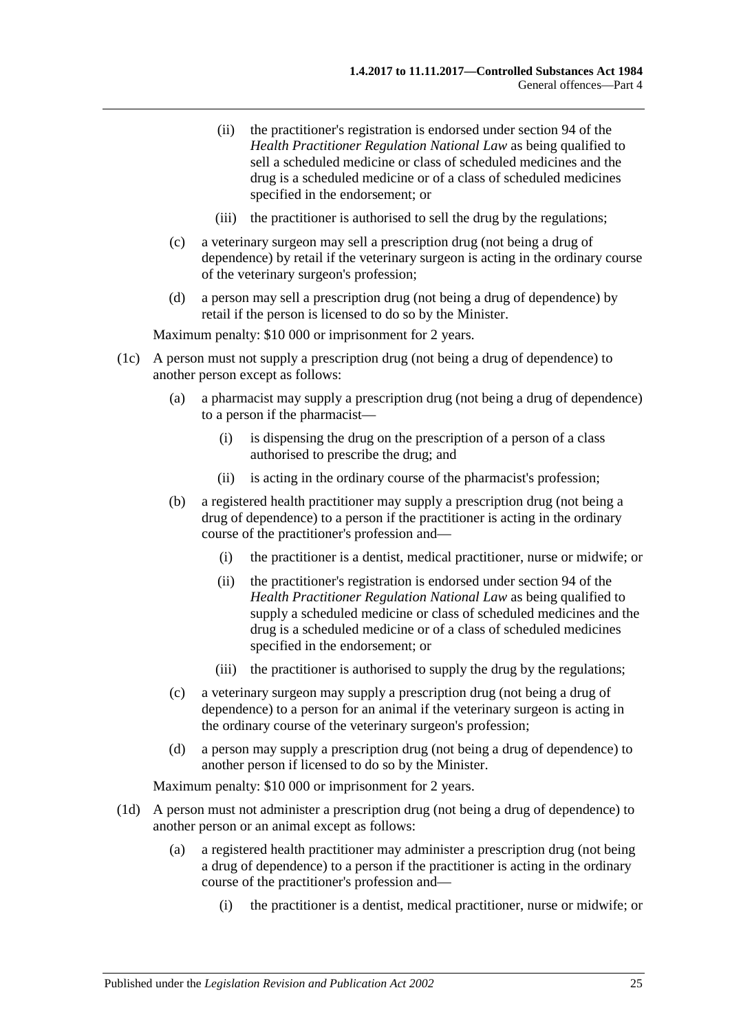- (ii) the practitioner's registration is endorsed under section 94 of the *Health Practitioner Regulation National Law* as being qualified to sell a scheduled medicine or class of scheduled medicines and the drug is a scheduled medicine or of a class of scheduled medicines specified in the endorsement; or
- (iii) the practitioner is authorised to sell the drug by the regulations;
- (c) a veterinary surgeon may sell a prescription drug (not being a drug of dependence) by retail if the veterinary surgeon is acting in the ordinary course of the veterinary surgeon's profession;
- (d) a person may sell a prescription drug (not being a drug of dependence) by retail if the person is licensed to do so by the Minister.

- (1c) A person must not supply a prescription drug (not being a drug of dependence) to another person except as follows:
	- (a) a pharmacist may supply a prescription drug (not being a drug of dependence) to a person if the pharmacist—
		- (i) is dispensing the drug on the prescription of a person of a class authorised to prescribe the drug; and
		- (ii) is acting in the ordinary course of the pharmacist's profession;
	- (b) a registered health practitioner may supply a prescription drug (not being a drug of dependence) to a person if the practitioner is acting in the ordinary course of the practitioner's profession and—
		- (i) the practitioner is a dentist, medical practitioner, nurse or midwife; or
		- (ii) the practitioner's registration is endorsed under section 94 of the *Health Practitioner Regulation National Law* as being qualified to supply a scheduled medicine or class of scheduled medicines and the drug is a scheduled medicine or of a class of scheduled medicines specified in the endorsement; or
		- (iii) the practitioner is authorised to supply the drug by the regulations;
	- (c) a veterinary surgeon may supply a prescription drug (not being a drug of dependence) to a person for an animal if the veterinary surgeon is acting in the ordinary course of the veterinary surgeon's profession;
	- (d) a person may supply a prescription drug (not being a drug of dependence) to another person if licensed to do so by the Minister.

- (1d) A person must not administer a prescription drug (not being a drug of dependence) to another person or an animal except as follows:
	- (a) a registered health practitioner may administer a prescription drug (not being a drug of dependence) to a person if the practitioner is acting in the ordinary course of the practitioner's profession and—
		- (i) the practitioner is a dentist, medical practitioner, nurse or midwife; or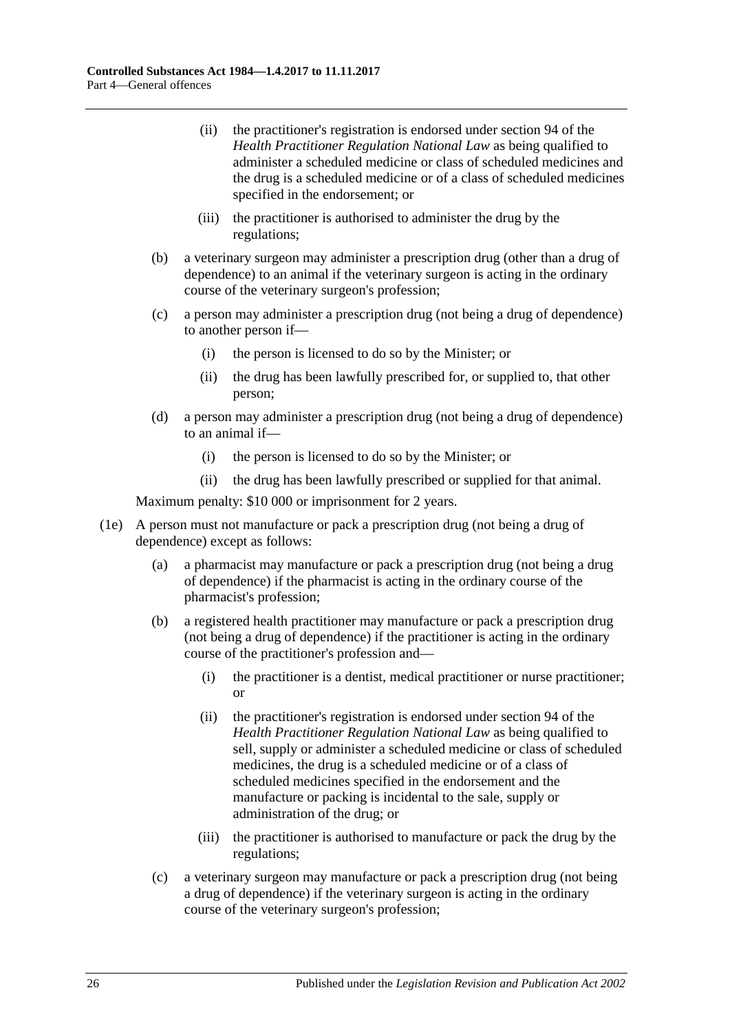- (ii) the practitioner's registration is endorsed under section 94 of the *Health Practitioner Regulation National Law* as being qualified to administer a scheduled medicine or class of scheduled medicines and the drug is a scheduled medicine or of a class of scheduled medicines specified in the endorsement; or
- (iii) the practitioner is authorised to administer the drug by the regulations;
- (b) a veterinary surgeon may administer a prescription drug (other than a drug of dependence) to an animal if the veterinary surgeon is acting in the ordinary course of the veterinary surgeon's profession;
- (c) a person may administer a prescription drug (not being a drug of dependence) to another person if—
	- (i) the person is licensed to do so by the Minister; or
	- (ii) the drug has been lawfully prescribed for, or supplied to, that other person;
- (d) a person may administer a prescription drug (not being a drug of dependence) to an animal if—
	- (i) the person is licensed to do so by the Minister; or
	- (ii) the drug has been lawfully prescribed or supplied for that animal.

- (1e) A person must not manufacture or pack a prescription drug (not being a drug of dependence) except as follows:
	- (a) a pharmacist may manufacture or pack a prescription drug (not being a drug of dependence) if the pharmacist is acting in the ordinary course of the pharmacist's profession;
	- (b) a registered health practitioner may manufacture or pack a prescription drug (not being a drug of dependence) if the practitioner is acting in the ordinary course of the practitioner's profession and—
		- (i) the practitioner is a dentist, medical practitioner or nurse practitioner; or
		- (ii) the practitioner's registration is endorsed under section 94 of the *Health Practitioner Regulation National Law* as being qualified to sell, supply or administer a scheduled medicine or class of scheduled medicines, the drug is a scheduled medicine or of a class of scheduled medicines specified in the endorsement and the manufacture or packing is incidental to the sale, supply or administration of the drug; or
		- (iii) the practitioner is authorised to manufacture or pack the drug by the regulations;
	- (c) a veterinary surgeon may manufacture or pack a prescription drug (not being a drug of dependence) if the veterinary surgeon is acting in the ordinary course of the veterinary surgeon's profession;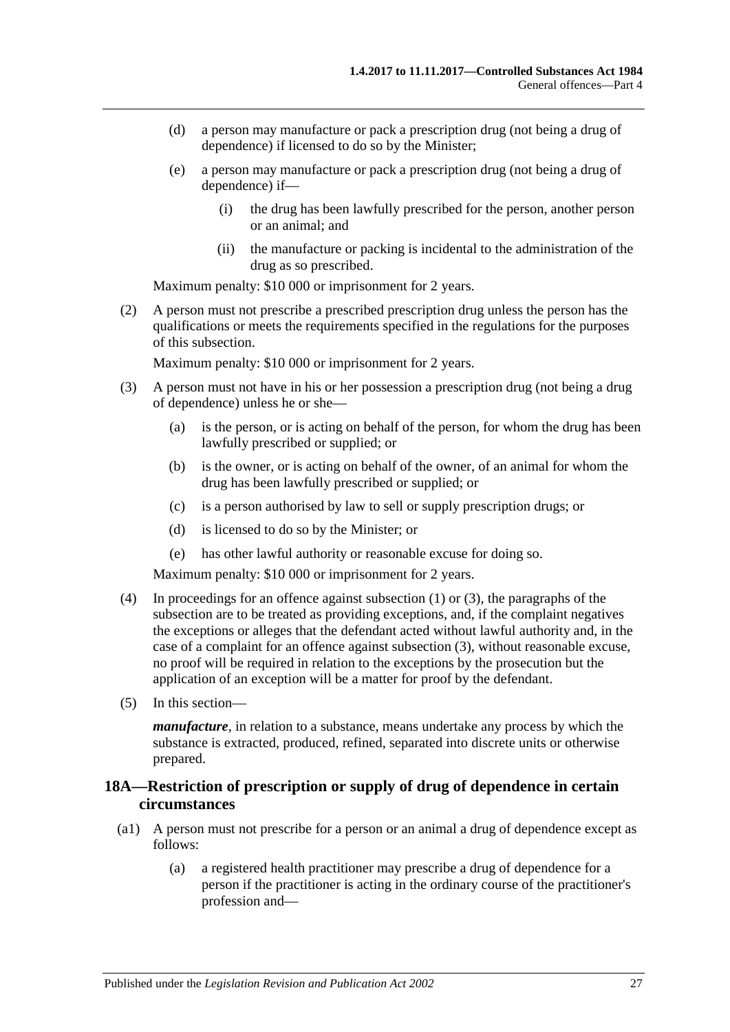- (d) a person may manufacture or pack a prescription drug (not being a drug of dependence) if licensed to do so by the Minister;
- (e) a person may manufacture or pack a prescription drug (not being a drug of dependence) if—
	- (i) the drug has been lawfully prescribed for the person, another person or an animal; and
	- (ii) the manufacture or packing is incidental to the administration of the drug as so prescribed.

(2) A person must not prescribe a prescribed prescription drug unless the person has the qualifications or meets the requirements specified in the regulations for the purposes of this subsection.

Maximum penalty: \$10 000 or imprisonment for 2 years.

- <span id="page-26-1"></span>(3) A person must not have in his or her possession a prescription drug (not being a drug of dependence) unless he or she—
	- (a) is the person, or is acting on behalf of the person, for whom the drug has been lawfully prescribed or supplied; or
	- (b) is the owner, or is acting on behalf of the owner, of an animal for whom the drug has been lawfully prescribed or supplied; or
	- (c) is a person authorised by law to sell or supply prescription drugs; or
	- (d) is licensed to do so by the Minister; or
	- (e) has other lawful authority or reasonable excuse for doing so.

Maximum penalty: \$10 000 or imprisonment for 2 years.

- (4) In proceedings for an offence against [subsection](#page-23-1) (1) or [\(3\),](#page-26-1) the paragraphs of the subsection are to be treated as providing exceptions, and, if the complaint negatives the exceptions or alleges that the defendant acted without lawful authority and, in the case of a complaint for an offence against [subsection](#page-26-1) (3), without reasonable excuse, no proof will be required in relation to the exceptions by the prosecution but the application of an exception will be a matter for proof by the defendant.
- (5) In this section—

*manufacture*, in relation to a substance, means undertake any process by which the substance is extracted, produced, refined, separated into discrete units or otherwise prepared.

# <span id="page-26-0"></span>**18A—Restriction of prescription or supply of drug of dependence in certain circumstances**

- (a1) A person must not prescribe for a person or an animal a drug of dependence except as follows:
	- (a) a registered health practitioner may prescribe a drug of dependence for a person if the practitioner is acting in the ordinary course of the practitioner's profession and—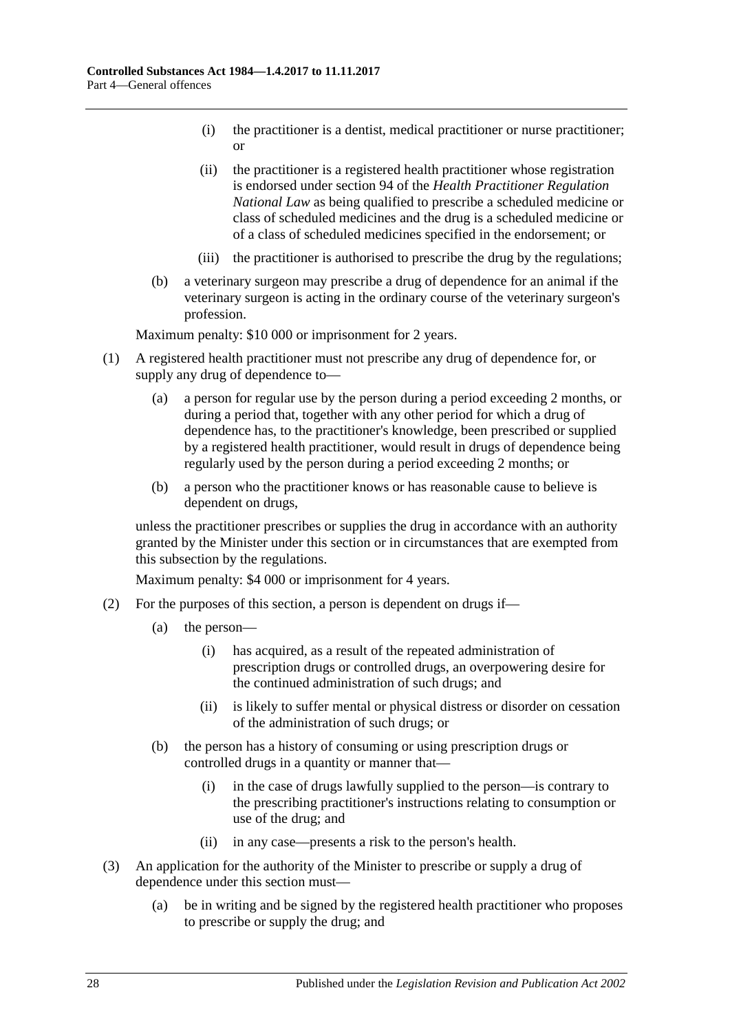- (i) the practitioner is a dentist, medical practitioner or nurse practitioner; or
- (ii) the practitioner is a registered health practitioner whose registration is endorsed under section 94 of the *Health Practitioner Regulation National Law* as being qualified to prescribe a scheduled medicine or class of scheduled medicines and the drug is a scheduled medicine or of a class of scheduled medicines specified in the endorsement; or
- (iii) the practitioner is authorised to prescribe the drug by the regulations;
- (b) a veterinary surgeon may prescribe a drug of dependence for an animal if the veterinary surgeon is acting in the ordinary course of the veterinary surgeon's profession.

- (1) A registered health practitioner must not prescribe any drug of dependence for, or supply any drug of dependence to—
	- (a) a person for regular use by the person during a period exceeding 2 months, or during a period that, together with any other period for which a drug of dependence has, to the practitioner's knowledge, been prescribed or supplied by a registered health practitioner, would result in drugs of dependence being regularly used by the person during a period exceeding 2 months; or
	- (b) a person who the practitioner knows or has reasonable cause to believe is dependent on drugs,

unless the practitioner prescribes or supplies the drug in accordance with an authority granted by the Minister under this section or in circumstances that are exempted from this subsection by the regulations.

- (2) For the purposes of this section, a person is dependent on drugs if—
	- (a) the person—
		- (i) has acquired, as a result of the repeated administration of prescription drugs or controlled drugs, an overpowering desire for the continued administration of such drugs; and
		- (ii) is likely to suffer mental or physical distress or disorder on cessation of the administration of such drugs; or
	- (b) the person has a history of consuming or using prescription drugs or controlled drugs in a quantity or manner that—
		- (i) in the case of drugs lawfully supplied to the person—is contrary to the prescribing practitioner's instructions relating to consumption or use of the drug; and
		- (ii) in any case—presents a risk to the person's health.
- (3) An application for the authority of the Minister to prescribe or supply a drug of dependence under this section must—
	- (a) be in writing and be signed by the registered health practitioner who proposes to prescribe or supply the drug; and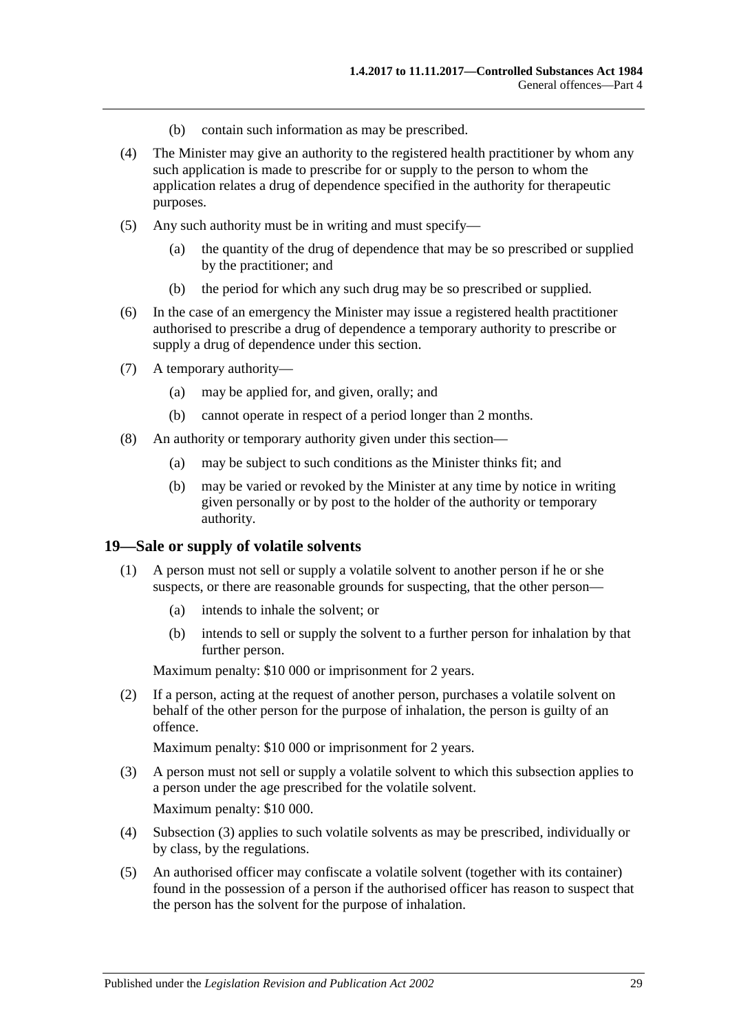- (b) contain such information as may be prescribed.
- (4) The Minister may give an authority to the registered health practitioner by whom any such application is made to prescribe for or supply to the person to whom the application relates a drug of dependence specified in the authority for therapeutic purposes.
- (5) Any such authority must be in writing and must specify—
	- (a) the quantity of the drug of dependence that may be so prescribed or supplied by the practitioner; and
	- (b) the period for which any such drug may be so prescribed or supplied.
- (6) In the case of an emergency the Minister may issue a registered health practitioner authorised to prescribe a drug of dependence a temporary authority to prescribe or supply a drug of dependence under this section.
- (7) A temporary authority—
	- (a) may be applied for, and given, orally; and
	- (b) cannot operate in respect of a period longer than 2 months.
- (8) An authority or temporary authority given under this section—
	- (a) may be subject to such conditions as the Minister thinks fit; and
	- (b) may be varied or revoked by the Minister at any time by notice in writing given personally or by post to the holder of the authority or temporary authority.

#### <span id="page-28-0"></span>**19—Sale or supply of volatile solvents**

- (1) A person must not sell or supply a volatile solvent to another person if he or she suspects, or there are reasonable grounds for suspecting, that the other person—
	- (a) intends to inhale the solvent; or
	- (b) intends to sell or supply the solvent to a further person for inhalation by that further person.

Maximum penalty: \$10 000 or imprisonment for 2 years.

(2) If a person, acting at the request of another person, purchases a volatile solvent on behalf of the other person for the purpose of inhalation, the person is guilty of an offence.

- <span id="page-28-1"></span>(3) A person must not sell or supply a volatile solvent to which this subsection applies to a person under the age prescribed for the volatile solvent. Maximum penalty: \$10 000.
- (4) [Subsection](#page-28-1) (3) applies to such volatile solvents as may be prescribed, individually or by class, by the regulations.
- <span id="page-28-2"></span>(5) An authorised officer may confiscate a volatile solvent (together with its container) found in the possession of a person if the authorised officer has reason to suspect that the person has the solvent for the purpose of inhalation.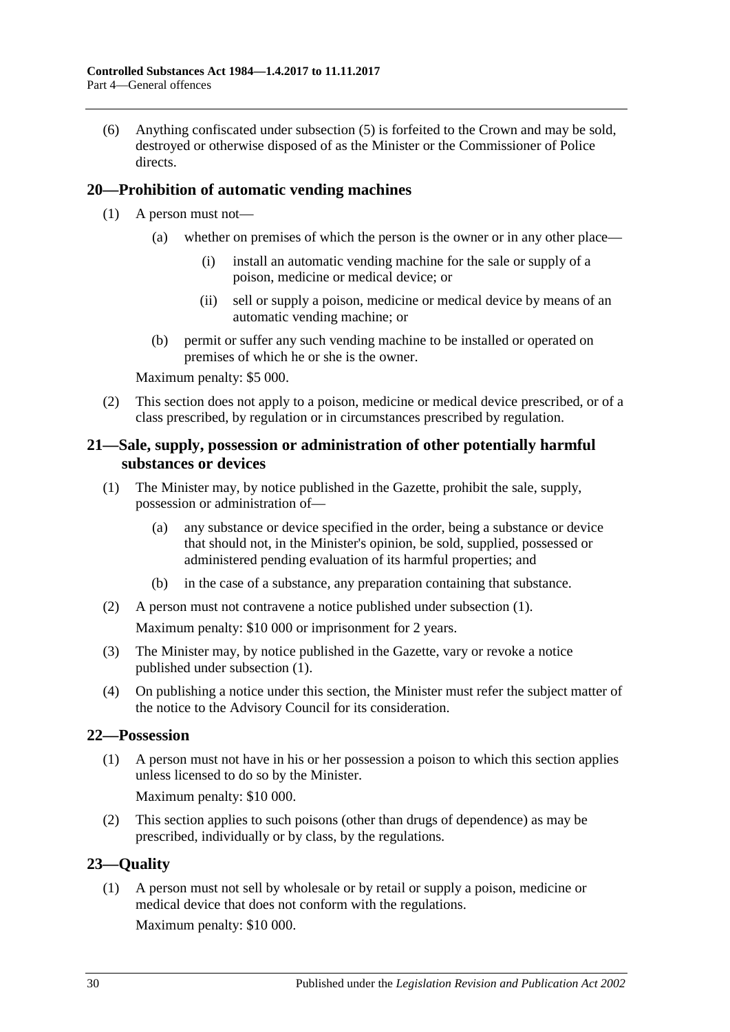(6) Anything confiscated under [subsection](#page-28-2) (5) is forfeited to the Crown and may be sold, destroyed or otherwise disposed of as the Minister or the Commissioner of Police directs.

# <span id="page-29-0"></span>**20—Prohibition of automatic vending machines**

- (1) A person must not—
	- (a) whether on premises of which the person is the owner or in any other place—
		- (i) install an automatic vending machine for the sale or supply of a poison, medicine or medical device; or
		- (ii) sell or supply a poison, medicine or medical device by means of an automatic vending machine; or
	- (b) permit or suffer any such vending machine to be installed or operated on premises of which he or she is the owner.

Maximum penalty: \$5 000.

(2) This section does not apply to a poison, medicine or medical device prescribed, or of a class prescribed, by regulation or in circumstances prescribed by regulation.

# <span id="page-29-1"></span>**21—Sale, supply, possession or administration of other potentially harmful substances or devices**

- <span id="page-29-4"></span>(1) The Minister may, by notice published in the Gazette, prohibit the sale, supply, possession or administration of—
	- (a) any substance or device specified in the order, being a substance or device that should not, in the Minister's opinion, be sold, supplied, possessed or administered pending evaluation of its harmful properties; and
	- (b) in the case of a substance, any preparation containing that substance.
- (2) A person must not contravene a notice published under [subsection](#page-29-4) (1). Maximum penalty: \$10 000 or imprisonment for 2 years.
- (3) The Minister may, by notice published in the Gazette, vary or revoke a notice published under [subsection](#page-29-4) (1).
- (4) On publishing a notice under this section, the Minister must refer the subject matter of the notice to the Advisory Council for its consideration.

#### <span id="page-29-2"></span>**22—Possession**

(1) A person must not have in his or her possession a poison to which this section applies unless licensed to do so by the Minister.

Maximum penalty: \$10 000.

(2) This section applies to such poisons (other than drugs of dependence) as may be prescribed, individually or by class, by the regulations.

# <span id="page-29-3"></span>**23—Quality**

(1) A person must not sell by wholesale or by retail or supply a poison, medicine or medical device that does not conform with the regulations.

Maximum penalty: \$10 000.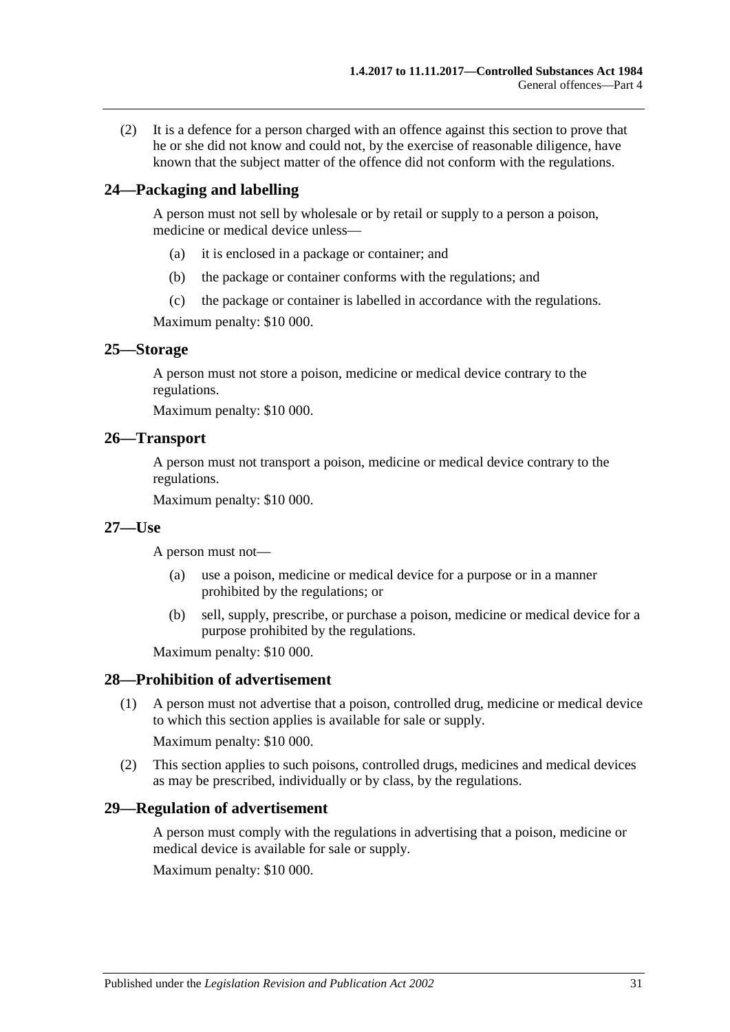(2) It is a defence for a person charged with an offence against this section to prove that he or she did not know and could not, by the exercise of reasonable diligence, have known that the subject matter of the offence did not conform with the regulations.

#### <span id="page-30-0"></span>**24—Packaging and labelling**

A person must not sell by wholesale or by retail or supply to a person a poison, medicine or medical device unless—

- (a) it is enclosed in a package or container; and
- (b) the package or container conforms with the regulations; and
- (c) the package or container is labelled in accordance with the regulations.

Maximum penalty: \$10 000.

#### <span id="page-30-1"></span>**25—Storage**

A person must not store a poison, medicine or medical device contrary to the regulations.

Maximum penalty: \$10 000.

#### <span id="page-30-2"></span>**26—Transport**

A person must not transport a poison, medicine or medical device contrary to the regulations.

Maximum penalty: \$10 000.

#### <span id="page-30-3"></span>**27—Use**

A person must not—

- (a) use a poison, medicine or medical device for a purpose or in a manner prohibited by the regulations; or
- (b) sell, supply, prescribe, or purchase a poison, medicine or medical device for a purpose prohibited by the regulations.

Maximum penalty: \$10 000.

#### <span id="page-30-4"></span>**28—Prohibition of advertisement**

(1) A person must not advertise that a poison, controlled drug, medicine or medical device to which this section applies is available for sale or supply.

Maximum penalty: \$10 000.

(2) This section applies to such poisons, controlled drugs, medicines and medical devices as may be prescribed, individually or by class, by the regulations.

#### <span id="page-30-5"></span>**29—Regulation of advertisement**

A person must comply with the regulations in advertising that a poison, medicine or medical device is available for sale or supply.

Maximum penalty: \$10 000.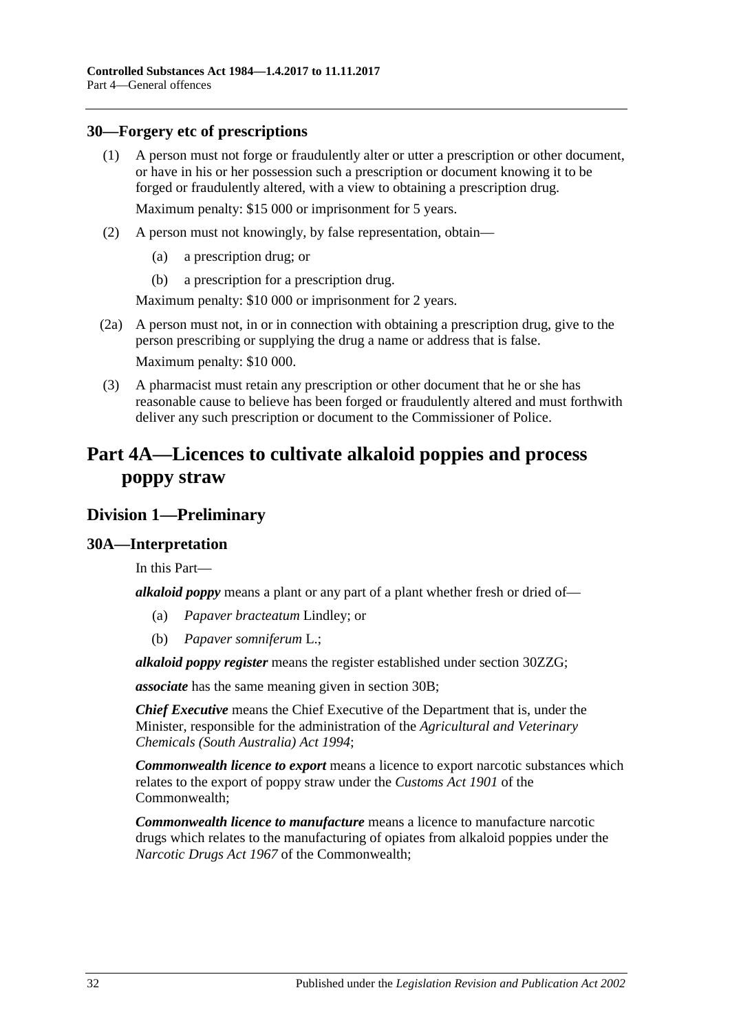# <span id="page-31-0"></span>**30—Forgery etc of prescriptions**

(1) A person must not forge or fraudulently alter or utter a prescription or other document, or have in his or her possession such a prescription or document knowing it to be forged or fraudulently altered, with a view to obtaining a prescription drug.

Maximum penalty: \$15 000 or imprisonment for 5 years.

- (2) A person must not knowingly, by false representation, obtain—
	- (a) a prescription drug; or
	- (b) a prescription for a prescription drug.

Maximum penalty: \$10 000 or imprisonment for 2 years.

- (2a) A person must not, in or in connection with obtaining a prescription drug, give to the person prescribing or supplying the drug a name or address that is false. Maximum penalty: \$10 000.
- (3) A pharmacist must retain any prescription or other document that he or she has reasonable cause to believe has been forged or fraudulently altered and must forthwith deliver any such prescription or document to the Commissioner of Police.

# <span id="page-31-1"></span>**Part 4A—Licences to cultivate alkaloid poppies and process poppy straw**

# <span id="page-31-2"></span>**Division 1—Preliminary**

# <span id="page-31-3"></span>**30A—Interpretation**

In this Part—

*alkaloid poppy* means a plant or any part of a plant whether fresh or dried of—

- (a) *Papaver bracteatum* Lindley; or
- (b) *Papaver somniferum* L.;

*alkaloid poppy register* means the register established under section [30ZZG;](#page-59-2)

*associate* has the same meaning given in [section](#page-33-0) 30B;

*Chief Executive* means the Chief Executive of the Department that is, under the Minister, responsible for the administration of the *[Agricultural and Veterinary](http://www.legislation.sa.gov.au/index.aspx?action=legref&type=act&legtitle=Agricultural%20and%20Veterinary%20Chemicals%20(South%20Australia)%20Act%201994)  [Chemicals \(South Australia\) Act](http://www.legislation.sa.gov.au/index.aspx?action=legref&type=act&legtitle=Agricultural%20and%20Veterinary%20Chemicals%20(South%20Australia)%20Act%201994) 1994*;

*Commonwealth licence to export* means a licence to export narcotic substances which relates to the export of poppy straw under the *Customs Act 1901* of the Commonwealth;

*Commonwealth licence to manufacture* means a licence to manufacture narcotic drugs which relates to the manufacturing of opiates from alkaloid poppies under the *Narcotic Drugs Act 1967* of the Commonwealth;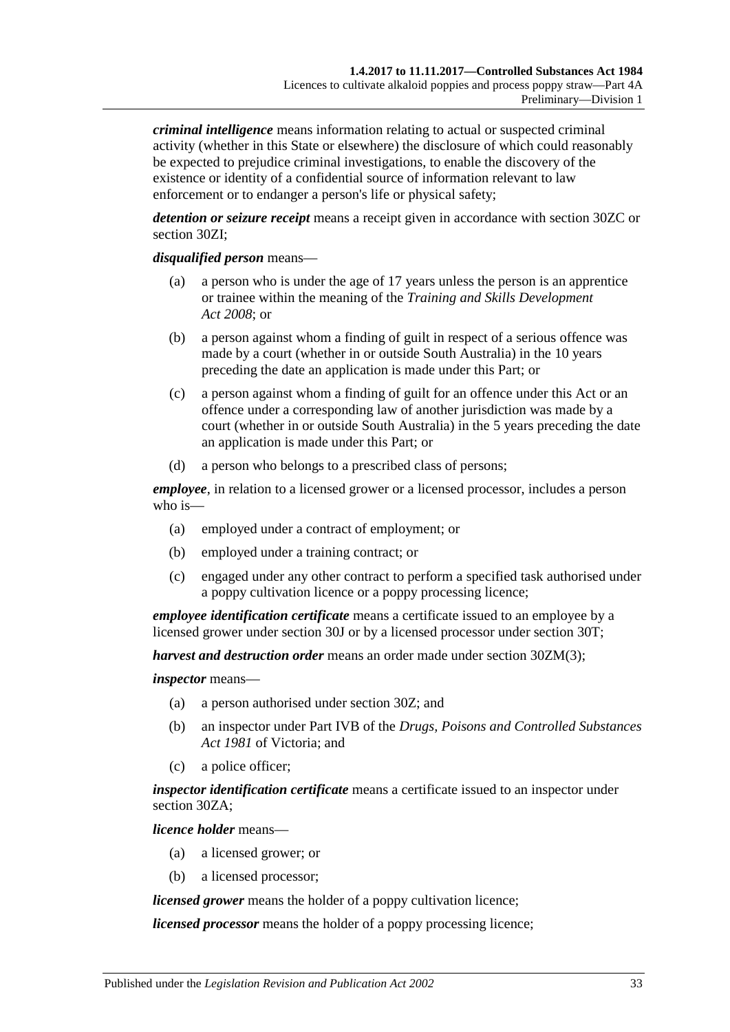*criminal intelligence* means information relating to actual or suspected criminal activity (whether in this State or elsewhere) the disclosure of which could reasonably be expected to prejudice criminal investigations, to enable the discovery of the existence or identity of a confidential source of information relevant to law enforcement or to endanger a person's life or physical safety;

*detention or seizure receipt* means a receipt given in accordance with [section](#page-49-0) 30ZC or [section](#page-50-4) 30ZI;

#### *disqualified person* means—

- (a) a person who is under the age of 17 years unless the person is an apprentice or trainee within the meaning of the *[Training and Skills Development](http://www.legislation.sa.gov.au/index.aspx?action=legref&type=act&legtitle=Training%20and%20Skills%20Development%20Act%202008)  Act [2008](http://www.legislation.sa.gov.au/index.aspx?action=legref&type=act&legtitle=Training%20and%20Skills%20Development%20Act%202008)*; or
- (b) a person against whom a finding of guilt in respect of a serious offence was made by a court (whether in or outside South Australia) in the 10 years preceding the date an application is made under this Part; or
- (c) a person against whom a finding of guilt for an offence under this Act or an offence under a corresponding law of another jurisdiction was made by a court (whether in or outside South Australia) in the 5 years preceding the date an application is made under this Part; or
- (d) a person who belongs to a prescribed class of persons;

*employee*, in relation to a licensed grower or a licensed processor, includes a person who is—

- (a) employed under a contract of employment; or
- (b) employed under a training contract; or
- (c) engaged under any other contract to perform a specified task authorised under a poppy cultivation licence or a poppy processing licence;

*employee identification certificate* means a certificate issued to an employee by a licensed grower under [section](#page-39-2) 30J or by a licensed processor under [section](#page-44-1) 30T;

*harvest and destruction order* means an order made under section [30ZM\(3\);](#page-52-2)

# *inspector* means—

- (a) a person authorised under [section](#page-47-1) 30Z; and
- (b) an inspector under Part IVB of the *Drugs, Poisons and Controlled Substances Act 1981* of Victoria; and
- (c) a police officer;

*inspector identification certificate* means a certificate issued to an inspector under [section](#page-48-0) 30ZA;

*licence holder* means—

- (a) a licensed grower; or
- (b) a licensed processor;

*licensed grower* means the holder of a poppy cultivation licence;

*licensed processor* means the holder of a poppy processing licence;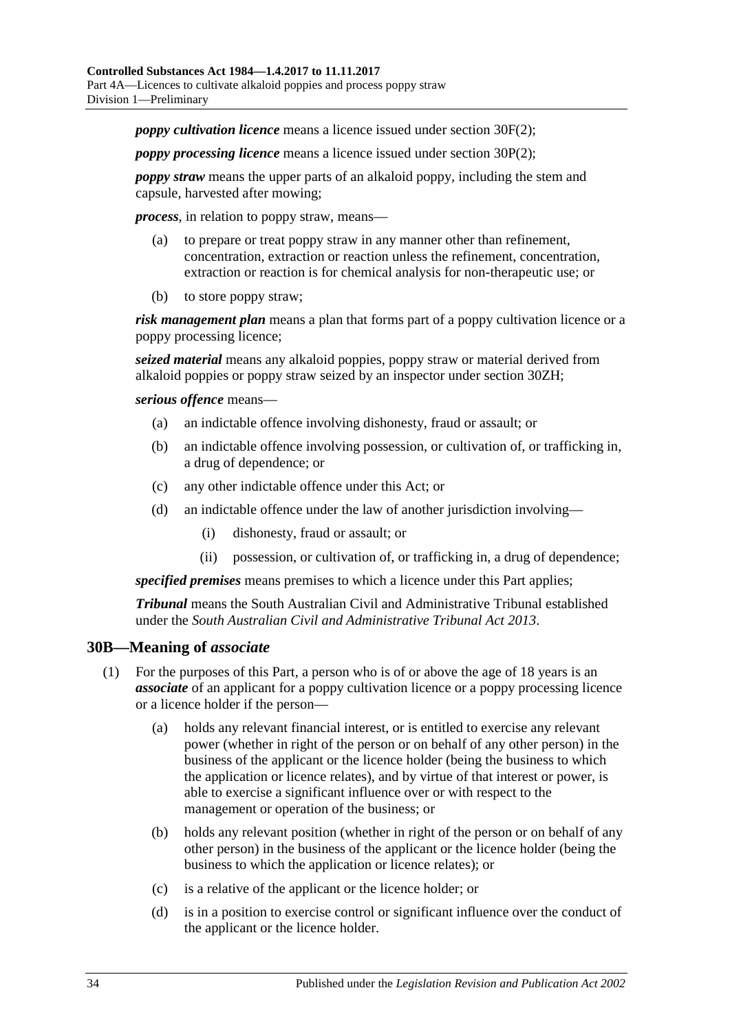*poppy cultivation licence* means a licence issued under [section](#page-37-2) 30F(2);

*poppy processing licence* means a licence issued under [section](#page-42-2) 30P(2);

*poppy straw* means the upper parts of an alkaloid poppy, including the stem and capsule, harvested after mowing;

*process*, in relation to poppy straw, means—

- (a) to prepare or treat poppy straw in any manner other than refinement, concentration, extraction or reaction unless the refinement, concentration, extraction or reaction is for chemical analysis for non-therapeutic use; or
- (b) to store poppy straw;

*risk management plan* means a plan that forms part of a poppy cultivation licence or a poppy processing licence;

*seized material* means any alkaloid poppies, poppy straw or material derived from alkaloid poppies or poppy straw seized by an inspector under [section](#page-50-3) 30ZH;

*serious offence* means—

- (a) an indictable offence involving dishonesty, fraud or assault; or
- (b) an indictable offence involving possession, or cultivation of, or trafficking in, a drug of dependence; or
- (c) any other indictable offence under this Act; or
- (d) an indictable offence under the law of another jurisdiction involving—
	- (i) dishonesty, fraud or assault; or
	- (ii) possession, or cultivation of, or trafficking in, a drug of dependence;

*specified premises* means premises to which a licence under this Part applies;

*Tribunal* means the South Australian Civil and Administrative Tribunal established under the *[South Australian Civil and Administrative Tribunal Act](http://www.legislation.sa.gov.au/index.aspx?action=legref&type=act&legtitle=South%20Australian%20Civil%20and%20Administrative%20Tribunal%20Act%202013) 2013*.

#### <span id="page-33-0"></span>**30B—Meaning of** *associate*

- (1) For the purposes of this Part, a person who is of or above the age of 18 years is an *associate* of an applicant for a poppy cultivation licence or a poppy processing licence or a licence holder if the person—
	- (a) holds any relevant financial interest, or is entitled to exercise any relevant power (whether in right of the person or on behalf of any other person) in the business of the applicant or the licence holder (being the business to which the application or licence relates), and by virtue of that interest or power, is able to exercise a significant influence over or with respect to the management or operation of the business; or
	- (b) holds any relevant position (whether in right of the person or on behalf of any other person) in the business of the applicant or the licence holder (being the business to which the application or licence relates); or
	- (c) is a relative of the applicant or the licence holder; or
	- (d) is in a position to exercise control or significant influence over the conduct of the applicant or the licence holder.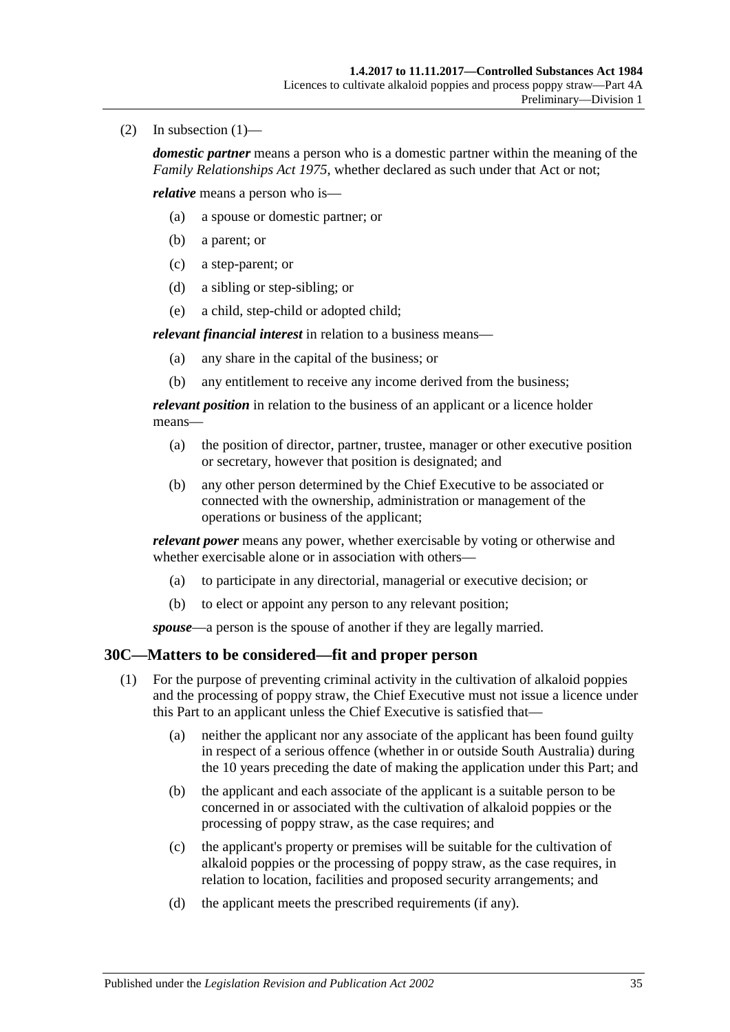$(2)$  In subsection  $(1)$ —

*domestic partner* means a person who is a domestic partner within the meaning of the *[Family Relationships Act](http://www.legislation.sa.gov.au/index.aspx?action=legref&type=act&legtitle=Family%20Relationships%20Act%201975) 1975*, whether declared as such under that Act or not;

*relative* means a person who is—

- (a) a spouse or domestic partner; or
- (b) a parent; or
- (c) a step-parent; or
- (d) a sibling or step-sibling; or
- (e) a child, step-child or adopted child;

*relevant financial interest* in relation to a business means—

- (a) any share in the capital of the business; or
- (b) any entitlement to receive any income derived from the business;

*relevant position* in relation to the business of an applicant or a licence holder means—

- (a) the position of director, partner, trustee, manager or other executive position or secretary, however that position is designated; and
- (b) any other person determined by the Chief Executive to be associated or connected with the ownership, administration or management of the operations or business of the applicant;

*relevant power* means any power, whether exercisable by voting or otherwise and whether exercisable alone or in association with others—

- (a) to participate in any directorial, managerial or executive decision; or
- (b) to elect or appoint any person to any relevant position;

*spouse*—a person is the spouse of another if they are legally married.

# <span id="page-34-1"></span><span id="page-34-0"></span>**30C—Matters to be considered—fit and proper person**

- (1) For the purpose of preventing criminal activity in the cultivation of alkaloid poppies and the processing of poppy straw, the Chief Executive must not issue a licence under this Part to an applicant unless the Chief Executive is satisfied that—
	- (a) neither the applicant nor any associate of the applicant has been found guilty in respect of a serious offence (whether in or outside South Australia) during the 10 years preceding the date of making the application under this Part; and
	- (b) the applicant and each associate of the applicant is a suitable person to be concerned in or associated with the cultivation of alkaloid poppies or the processing of poppy straw, as the case requires; and
	- (c) the applicant's property or premises will be suitable for the cultivation of alkaloid poppies or the processing of poppy straw, as the case requires, in relation to location, facilities and proposed security arrangements; and
	- (d) the applicant meets the prescribed requirements (if any).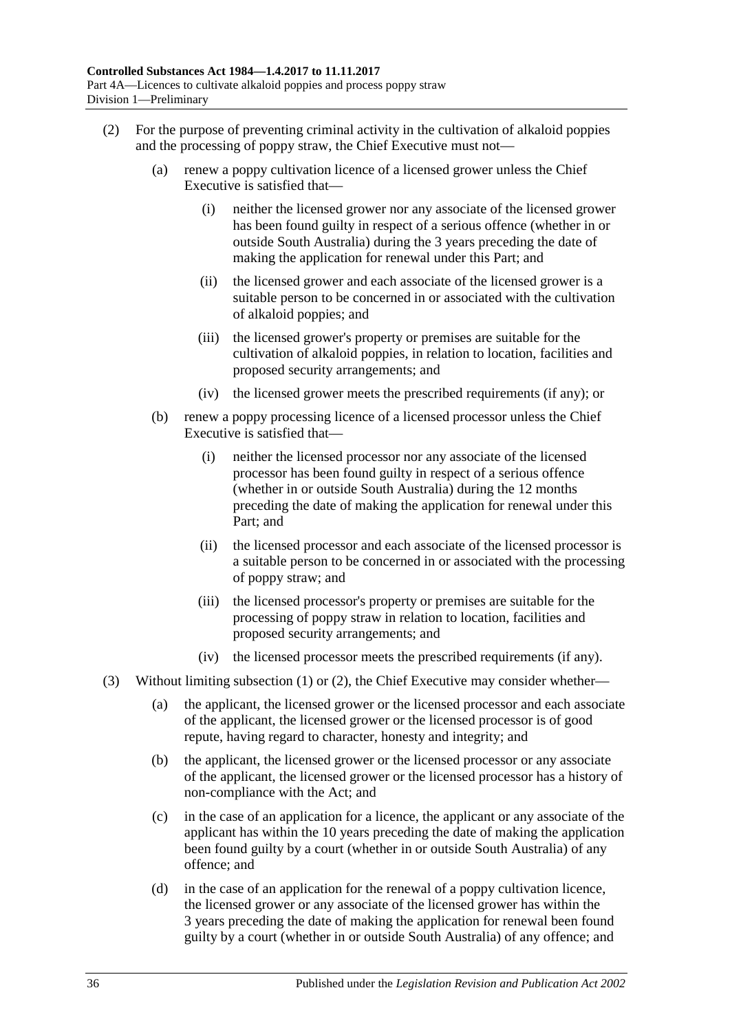- <span id="page-35-0"></span>(2) For the purpose of preventing criminal activity in the cultivation of alkaloid poppies and the processing of poppy straw, the Chief Executive must not—
	- (a) renew a poppy cultivation licence of a licensed grower unless the Chief Executive is satisfied that—
		- (i) neither the licensed grower nor any associate of the licensed grower has been found guilty in respect of a serious offence (whether in or outside South Australia) during the 3 years preceding the date of making the application for renewal under this Part; and
		- (ii) the licensed grower and each associate of the licensed grower is a suitable person to be concerned in or associated with the cultivation of alkaloid poppies; and
		- (iii) the licensed grower's property or premises are suitable for the cultivation of alkaloid poppies, in relation to location, facilities and proposed security arrangements; and
		- (iv) the licensed grower meets the prescribed requirements (if any); or
	- (b) renew a poppy processing licence of a licensed processor unless the Chief Executive is satisfied that—
		- (i) neither the licensed processor nor any associate of the licensed processor has been found guilty in respect of a serious offence (whether in or outside South Australia) during the 12 months preceding the date of making the application for renewal under this Part; and
		- (ii) the licensed processor and each associate of the licensed processor is a suitable person to be concerned in or associated with the processing of poppy straw; and
		- (iii) the licensed processor's property or premises are suitable for the processing of poppy straw in relation to location, facilities and proposed security arrangements; and
		- (iv) the licensed processor meets the prescribed requirements (if any).
- (3) Without limiting [subsection](#page-34-1) (1) or [\(2\),](#page-35-0) the Chief Executive may consider whether—
	- (a) the applicant, the licensed grower or the licensed processor and each associate of the applicant, the licensed grower or the licensed processor is of good repute, having regard to character, honesty and integrity; and
	- (b) the applicant, the licensed grower or the licensed processor or any associate of the applicant, the licensed grower or the licensed processor has a history of non-compliance with the Act; and
	- (c) in the case of an application for a licence, the applicant or any associate of the applicant has within the 10 years preceding the date of making the application been found guilty by a court (whether in or outside South Australia) of any offence; and
	- (d) in the case of an application for the renewal of a poppy cultivation licence, the licensed grower or any associate of the licensed grower has within the 3 years preceding the date of making the application for renewal been found guilty by a court (whether in or outside South Australia) of any offence; and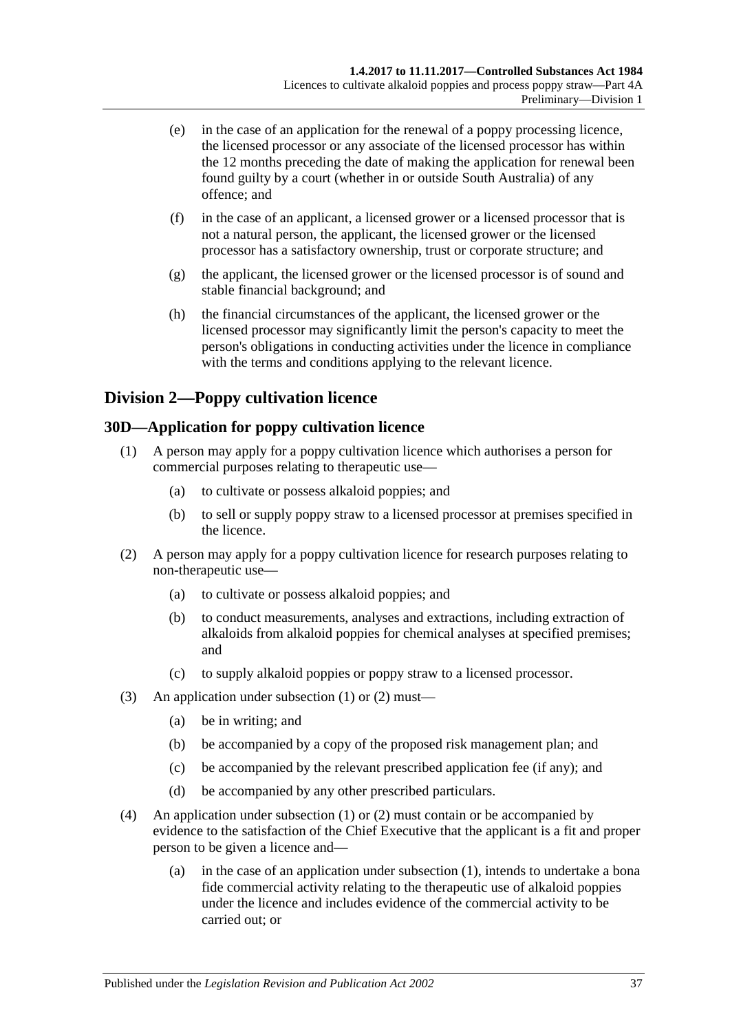- (e) in the case of an application for the renewal of a poppy processing licence, the licensed processor or any associate of the licensed processor has within the 12 months preceding the date of making the application for renewal been found guilty by a court (whether in or outside South Australia) of any offence; and
- (f) in the case of an applicant, a licensed grower or a licensed processor that is not a natural person, the applicant, the licensed grower or the licensed processor has a satisfactory ownership, trust or corporate structure; and
- (g) the applicant, the licensed grower or the licensed processor is of sound and stable financial background; and
- (h) the financial circumstances of the applicant, the licensed grower or the licensed processor may significantly limit the person's capacity to meet the person's obligations in conducting activities under the licence in compliance with the terms and conditions applying to the relevant licence.

## **Division 2—Poppy cultivation licence**

## <span id="page-36-2"></span><span id="page-36-0"></span>**30D—Application for poppy cultivation licence**

- (1) A person may apply for a poppy cultivation licence which authorises a person for commercial purposes relating to therapeutic use—
	- (a) to cultivate or possess alkaloid poppies; and
	- (b) to sell or supply poppy straw to a licensed processor at premises specified in the licence.
- <span id="page-36-1"></span>(2) A person may apply for a poppy cultivation licence for research purposes relating to non-therapeutic use—
	- (a) to cultivate or possess alkaloid poppies; and
	- (b) to conduct measurements, analyses and extractions, including extraction of alkaloids from alkaloid poppies for chemical analyses at specified premises; and
	- (c) to supply alkaloid poppies or poppy straw to a licensed processor.
- (3) An application under [subsection](#page-36-0) (1) or [\(2\)](#page-36-1) must—
	- (a) be in writing; and
	- (b) be accompanied by a copy of the proposed risk management plan; and
	- (c) be accompanied by the relevant prescribed application fee (if any); and
	- (d) be accompanied by any other prescribed particulars.
- (4) An application under [subsection](#page-36-0) (1) or [\(2\)](#page-36-1) must contain or be accompanied by evidence to the satisfaction of the Chief Executive that the applicant is a fit and proper person to be given a licence and—
	- (a) in the case of an application under [subsection](#page-36-0) (1), intends to undertake a bona fide commercial activity relating to the therapeutic use of alkaloid poppies under the licence and includes evidence of the commercial activity to be carried out; or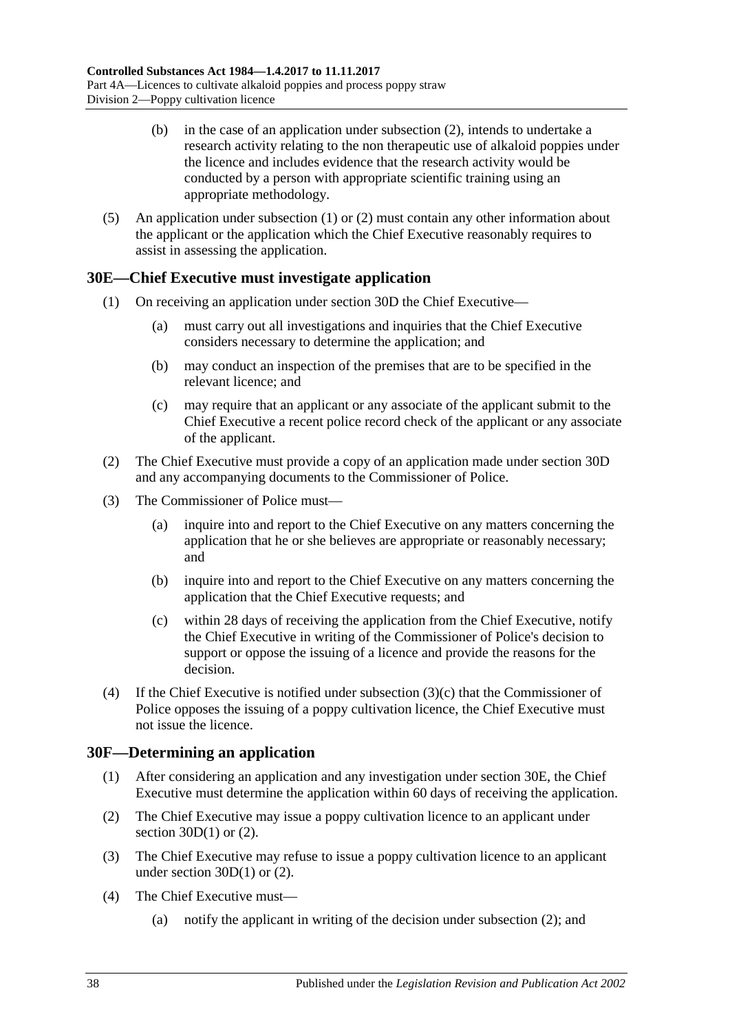- (b) in the case of an application under [subsection](#page-36-1) (2), intends to undertake a research activity relating to the non therapeutic use of alkaloid poppies under the licence and includes evidence that the research activity would be conducted by a person with appropriate scientific training using an appropriate methodology.
- (5) An application under [subsection](#page-36-0) (1) or [\(2\)](#page-36-1) must contain any other information about the applicant or the application which the Chief Executive reasonably requires to assist in assessing the application.

## <span id="page-37-1"></span>**30E—Chief Executive must investigate application**

- (1) On receiving an application under [section](#page-36-2) 30D the Chief Executive—
	- (a) must carry out all investigations and inquiries that the Chief Executive considers necessary to determine the application; and
	- (b) may conduct an inspection of the premises that are to be specified in the relevant licence; and
	- (c) may require that an applicant or any associate of the applicant submit to the Chief Executive a recent police record check of the applicant or any associate of the applicant.
- (2) The Chief Executive must provide a copy of an application made under [section](#page-36-2) 30D and any accompanying documents to the Commissioner of Police.
- (3) The Commissioner of Police must—
	- (a) inquire into and report to the Chief Executive on any matters concerning the application that he or she believes are appropriate or reasonably necessary; and
	- (b) inquire into and report to the Chief Executive on any matters concerning the application that the Chief Executive requests; and
	- (c) within 28 days of receiving the application from the Chief Executive, notify the Chief Executive in writing of the Commissioner of Police's decision to support or oppose the issuing of a licence and provide the reasons for the decision.
- <span id="page-37-0"></span>(4) If the Chief Executive is notified under [subsection](#page-37-0) (3)(c) that the Commissioner of Police opposes the issuing of a poppy cultivation licence, the Chief Executive must not issue the licence.

#### **30F—Determining an application**

- (1) After considering an application and any investigation under [section](#page-37-1) 30E, the Chief Executive must determine the application within 60 days of receiving the application.
- <span id="page-37-2"></span>(2) The Chief Executive may issue a poppy cultivation licence to an applicant under section  $30D(1)$  or  $(2)$ .
- <span id="page-37-3"></span>(3) The Chief Executive may refuse to issue a poppy cultivation licence to an applicant under [section](#page-36-0) 30D(1) or [\(2\).](#page-36-1)
- (4) The Chief Executive must—
	- (a) notify the applicant in writing of the decision under [subsection](#page-37-2) (2); and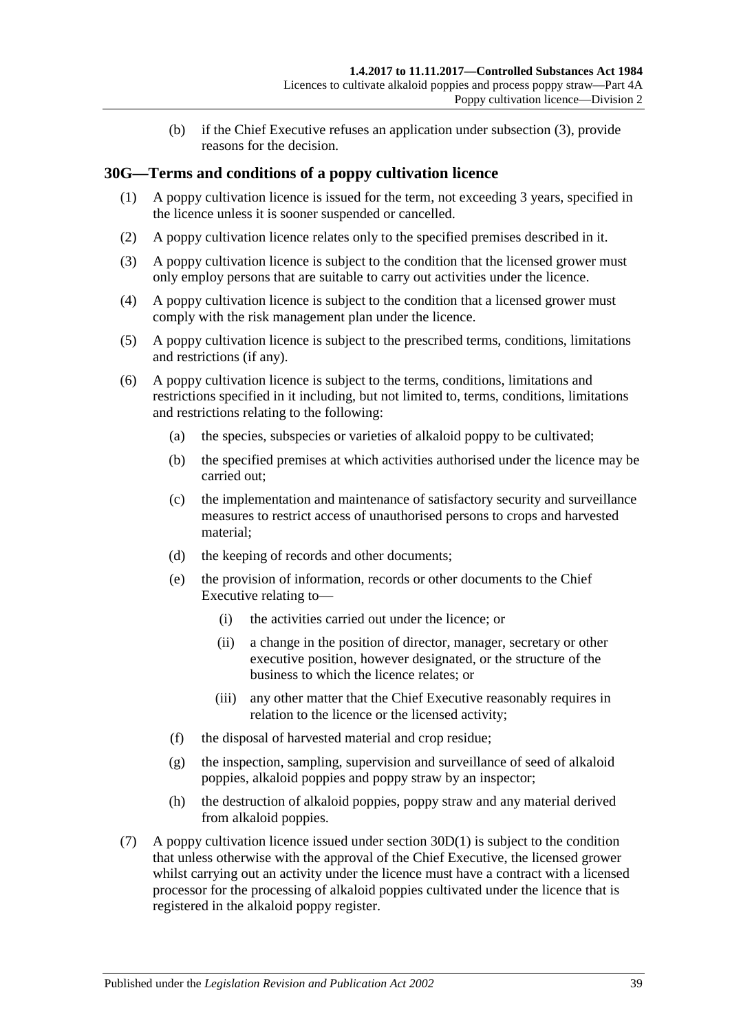(b) if the Chief Executive refuses an application under [subsection](#page-37-3) (3), provide reasons for the decision.

## **30G—Terms and conditions of a poppy cultivation licence**

- (1) A poppy cultivation licence is issued for the term, not exceeding 3 years, specified in the licence unless it is sooner suspended or cancelled.
- (2) A poppy cultivation licence relates only to the specified premises described in it.
- (3) A poppy cultivation licence is subject to the condition that the licensed grower must only employ persons that are suitable to carry out activities under the licence.
- (4) A poppy cultivation licence is subject to the condition that a licensed grower must comply with the risk management plan under the licence.
- (5) A poppy cultivation licence is subject to the prescribed terms, conditions, limitations and restrictions (if any).
- (6) A poppy cultivation licence is subject to the terms, conditions, limitations and restrictions specified in it including, but not limited to, terms, conditions, limitations and restrictions relating to the following:
	- (a) the species, subspecies or varieties of alkaloid poppy to be cultivated;
	- (b) the specified premises at which activities authorised under the licence may be carried out;
	- (c) the implementation and maintenance of satisfactory security and surveillance measures to restrict access of unauthorised persons to crops and harvested material;
	- (d) the keeping of records and other documents;
	- (e) the provision of information, records or other documents to the Chief Executive relating to—
		- (i) the activities carried out under the licence; or
		- (ii) a change in the position of director, manager, secretary or other executive position, however designated, or the structure of the business to which the licence relates; or
		- (iii) any other matter that the Chief Executive reasonably requires in relation to the licence or the licensed activity;
	- (f) the disposal of harvested material and crop residue;
	- (g) the inspection, sampling, supervision and surveillance of seed of alkaloid poppies, alkaloid poppies and poppy straw by an inspector;
	- (h) the destruction of alkaloid poppies, poppy straw and any material derived from alkaloid poppies.
- (7) A poppy cultivation licence issued under [section](#page-36-0) 30D(1) is subject to the condition that unless otherwise with the approval of the Chief Executive, the licensed grower whilst carrying out an activity under the licence must have a contract with a licensed processor for the processing of alkaloid poppies cultivated under the licence that is registered in the alkaloid poppy register.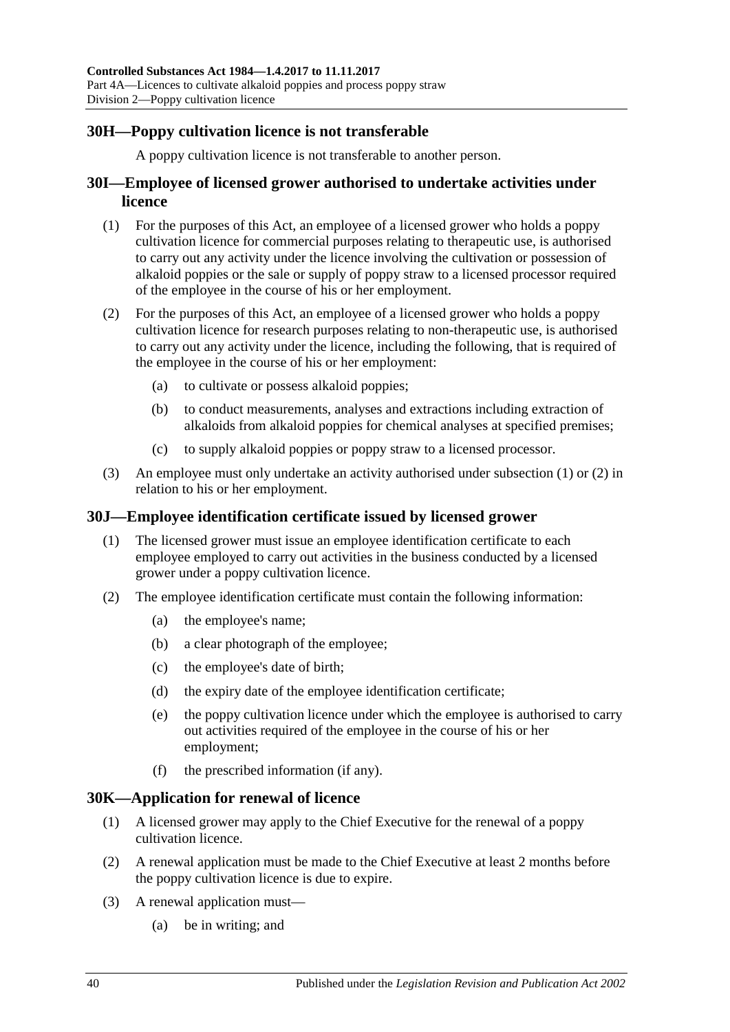## **30H—Poppy cultivation licence is not transferable**

A poppy cultivation licence is not transferable to another person.

### **30I—Employee of licensed grower authorised to undertake activities under licence**

- <span id="page-39-0"></span>(1) For the purposes of this Act, an employee of a licensed grower who holds a poppy cultivation licence for commercial purposes relating to therapeutic use, is authorised to carry out any activity under the licence involving the cultivation or possession of alkaloid poppies or the sale or supply of poppy straw to a licensed processor required of the employee in the course of his or her employment.
- <span id="page-39-1"></span>(2) For the purposes of this Act, an employee of a licensed grower who holds a poppy cultivation licence for research purposes relating to non-therapeutic use, is authorised to carry out any activity under the licence, including the following, that is required of the employee in the course of his or her employment:
	- (a) to cultivate or possess alkaloid poppies;
	- (b) to conduct measurements, analyses and extractions including extraction of alkaloids from alkaloid poppies for chemical analyses at specified premises;
	- (c) to supply alkaloid poppies or poppy straw to a licensed processor.
- (3) An employee must only undertake an activity authorised under [subsection](#page-39-0) (1) or [\(2\)](#page-39-1) in relation to his or her employment.

### **30J—Employee identification certificate issued by licensed grower**

- (1) The licensed grower must issue an employee identification certificate to each employee employed to carry out activities in the business conducted by a licensed grower under a poppy cultivation licence.
- <span id="page-39-3"></span>(2) The employee identification certificate must contain the following information:
	- (a) the employee's name;
	- (b) a clear photograph of the employee;
	- (c) the employee's date of birth;
	- (d) the expiry date of the employee identification certificate;
	- (e) the poppy cultivation licence under which the employee is authorised to carry out activities required of the employee in the course of his or her employment;
	- (f) the prescribed information (if any).

#### <span id="page-39-2"></span>**30K—Application for renewal of licence**

- (1) A licensed grower may apply to the Chief Executive for the renewal of a poppy cultivation licence.
- (2) A renewal application must be made to the Chief Executive at least 2 months before the poppy cultivation licence is due to expire.
- (3) A renewal application must—
	- (a) be in writing; and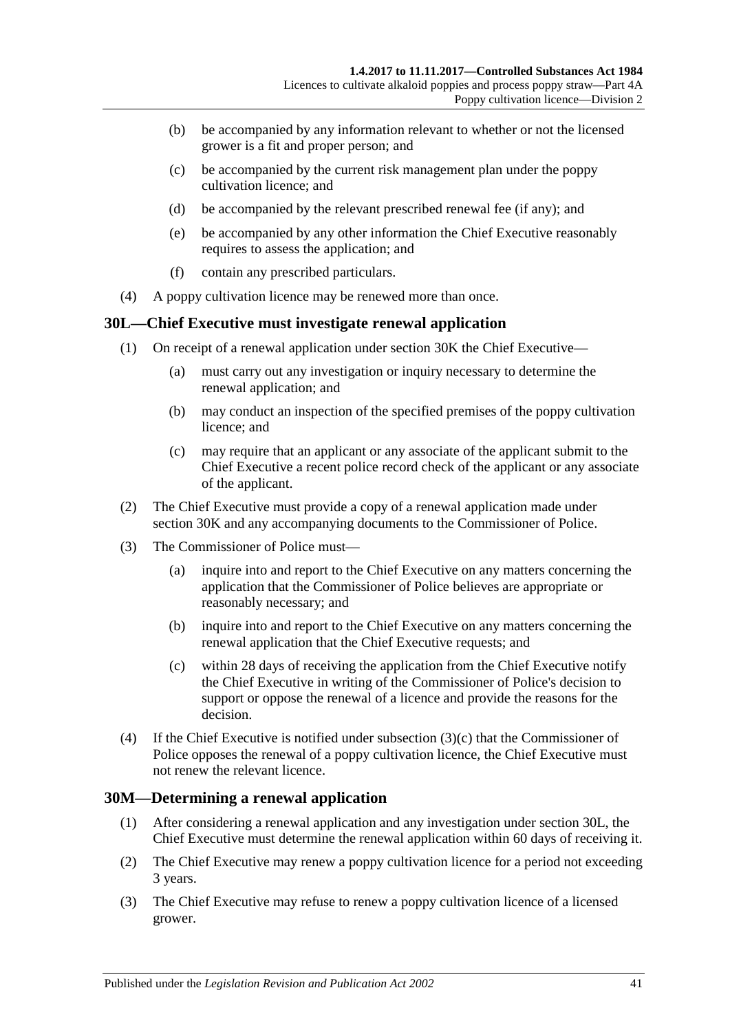- (b) be accompanied by any information relevant to whether or not the licensed grower is a fit and proper person; and
- (c) be accompanied by the current risk management plan under the poppy cultivation licence; and
- (d) be accompanied by the relevant prescribed renewal fee (if any); and
- (e) be accompanied by any other information the Chief Executive reasonably requires to assess the application; and
- (f) contain any prescribed particulars.
- (4) A poppy cultivation licence may be renewed more than once.

#### <span id="page-40-1"></span>**30L—Chief Executive must investigate renewal application**

- (1) On receipt of a renewal application under [section](#page-39-2) 30K the Chief Executive—
	- (a) must carry out any investigation or inquiry necessary to determine the renewal application; and
	- (b) may conduct an inspection of the specified premises of the poppy cultivation licence; and
	- (c) may require that an applicant or any associate of the applicant submit to the Chief Executive a recent police record check of the applicant or any associate of the applicant.
- (2) The Chief Executive must provide a copy of a renewal application made under [section](#page-39-2) 30K and any accompanying documents to the Commissioner of Police.
- (3) The Commissioner of Police must—
	- (a) inquire into and report to the Chief Executive on any matters concerning the application that the Commissioner of Police believes are appropriate or reasonably necessary; and
	- (b) inquire into and report to the Chief Executive on any matters concerning the renewal application that the Chief Executive requests; and
	- (c) within 28 days of receiving the application from the Chief Executive notify the Chief Executive in writing of the Commissioner of Police's decision to support or oppose the renewal of a licence and provide the reasons for the decision.
- <span id="page-40-0"></span>(4) If the Chief Executive is notified under [subsection](#page-40-0)  $(3)(c)$  that the Commissioner of Police opposes the renewal of a poppy cultivation licence, the Chief Executive must not renew the relevant licence.

#### **30M—Determining a renewal application**

- (1) After considering a renewal application and any investigation under [section](#page-40-1) 30L, the Chief Executive must determine the renewal application within 60 days of receiving it.
- <span id="page-40-2"></span>(2) The Chief Executive may renew a poppy cultivation licence for a period not exceeding 3 years.
- <span id="page-40-3"></span>(3) The Chief Executive may refuse to renew a poppy cultivation licence of a licensed grower.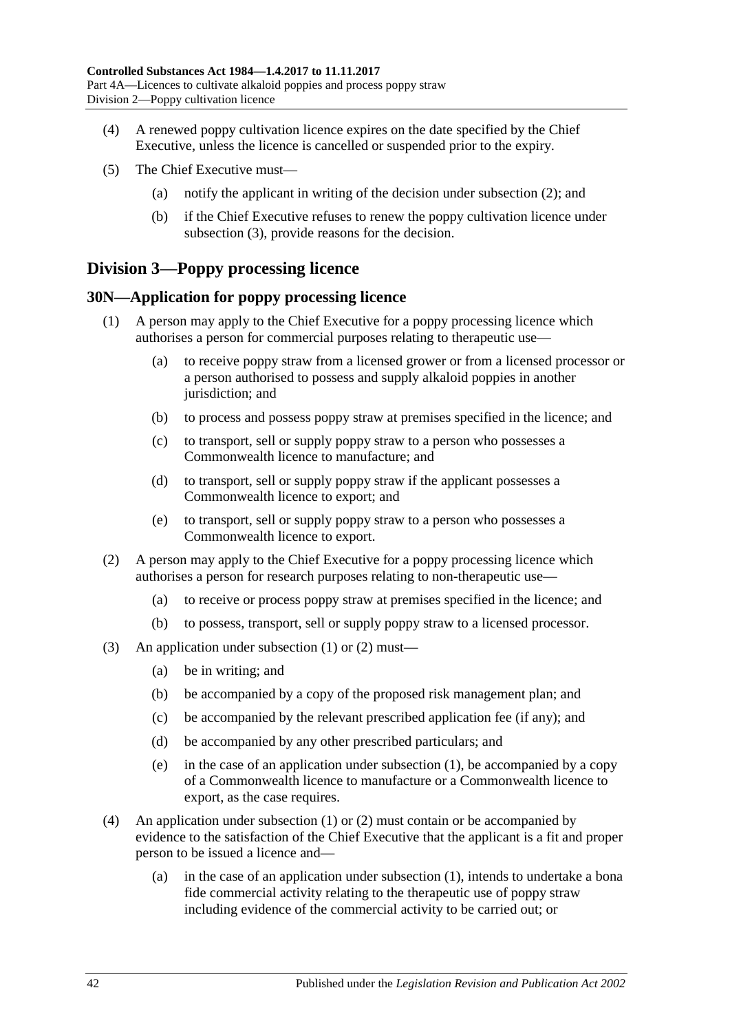- (4) A renewed poppy cultivation licence expires on the date specified by the Chief Executive, unless the licence is cancelled or suspended prior to the expiry.
- (5) The Chief Executive must—
	- (a) notify the applicant in writing of the decision under [subsection](#page-40-2) (2); and
	- (b) if the Chief Executive refuses to renew the poppy cultivation licence under [subsection](#page-40-3) (3), provide reasons for the decision.

## **Division 3—Poppy processing licence**

#### <span id="page-41-2"></span><span id="page-41-0"></span>**30N—Application for poppy processing licence**

- (1) A person may apply to the Chief Executive for a poppy processing licence which authorises a person for commercial purposes relating to therapeutic use—
	- (a) to receive poppy straw from a licensed grower or from a licensed processor or a person authorised to possess and supply alkaloid poppies in another jurisdiction; and
	- (b) to process and possess poppy straw at premises specified in the licence; and
	- (c) to transport, sell or supply poppy straw to a person who possesses a Commonwealth licence to manufacture; and
	- (d) to transport, sell or supply poppy straw if the applicant possesses a Commonwealth licence to export; and
	- (e) to transport, sell or supply poppy straw to a person who possesses a Commonwealth licence to export.
- <span id="page-41-1"></span>(2) A person may apply to the Chief Executive for a poppy processing licence which authorises a person for research purposes relating to non-therapeutic use—
	- (a) to receive or process poppy straw at premises specified in the licence; and
	- (b) to possess, transport, sell or supply poppy straw to a licensed processor.
- (3) An application under [subsection](#page-41-0) (1) or [\(2\)](#page-41-1) must—
	- (a) be in writing; and
	- (b) be accompanied by a copy of the proposed risk management plan; and
	- (c) be accompanied by the relevant prescribed application fee (if any); and
	- (d) be accompanied by any other prescribed particulars; and
	- (e) in the case of an application under [subsection](#page-41-0) (1), be accompanied by a copy of a Commonwealth licence to manufacture or a Commonwealth licence to export, as the case requires.
- (4) An application under [subsection](#page-41-0) (1) or [\(2\)](#page-41-1) must contain or be accompanied by evidence to the satisfaction of the Chief Executive that the applicant is a fit and proper person to be issued a licence and—
	- (a) in the case of an application under [subsection](#page-41-0) (1), intends to undertake a bona fide commercial activity relating to the therapeutic use of poppy straw including evidence of the commercial activity to be carried out; or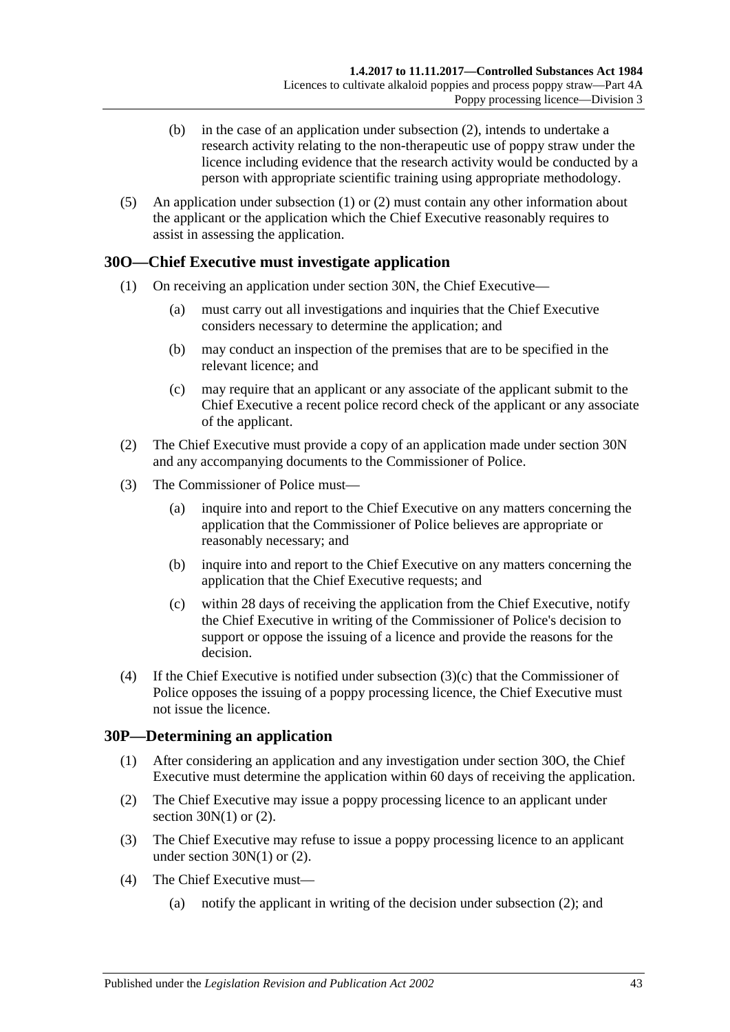- (b) in the case of an application under [subsection](#page-41-1) (2), intends to undertake a research activity relating to the non-therapeutic use of poppy straw under the licence including evidence that the research activity would be conducted by a person with appropriate scientific training using appropriate methodology.
- (5) An application under [subsection](#page-41-0) (1) or [\(2\)](#page-41-1) must contain any other information about the applicant or the application which the Chief Executive reasonably requires to assist in assessing the application.

### <span id="page-42-1"></span>**30O—Chief Executive must investigate application**

- (1) On receiving an application under [section](#page-41-2) 30N, the Chief Executive—
	- (a) must carry out all investigations and inquiries that the Chief Executive considers necessary to determine the application; and
	- (b) may conduct an inspection of the premises that are to be specified in the relevant licence; and
	- (c) may require that an applicant or any associate of the applicant submit to the Chief Executive a recent police record check of the applicant or any associate of the applicant.
- (2) The Chief Executive must provide a copy of an application made under [section](#page-41-2) 30N and any accompanying documents to the Commissioner of Police.
- (3) The Commissioner of Police must—
	- (a) inquire into and report to the Chief Executive on any matters concerning the application that the Commissioner of Police believes are appropriate or reasonably necessary; and
	- (b) inquire into and report to the Chief Executive on any matters concerning the application that the Chief Executive requests; and
	- (c) within 28 days of receiving the application from the Chief Executive, notify the Chief Executive in writing of the Commissioner of Police's decision to support or oppose the issuing of a licence and provide the reasons for the decision.
- <span id="page-42-0"></span>(4) If the Chief Executive is notified under [subsection](#page-42-0) (3)(c) that the Commissioner of Police opposes the issuing of a poppy processing licence, the Chief Executive must not issue the licence.

### **30P—Determining an application**

- (1) After considering an application and any investigation under [section](#page-42-1) 30O, the Chief Executive must determine the application within 60 days of receiving the application.
- <span id="page-42-2"></span>(2) The Chief Executive may issue a poppy processing licence to an applicant under section  $30N(1)$  or  $(2)$ .
- <span id="page-42-3"></span>(3) The Chief Executive may refuse to issue a poppy processing licence to an applicant under [section](#page-41-0)  $30N(1)$  or  $(2)$ .
- (4) The Chief Executive must—
	- (a) notify the applicant in writing of the decision under [subsection](#page-42-2) (2); and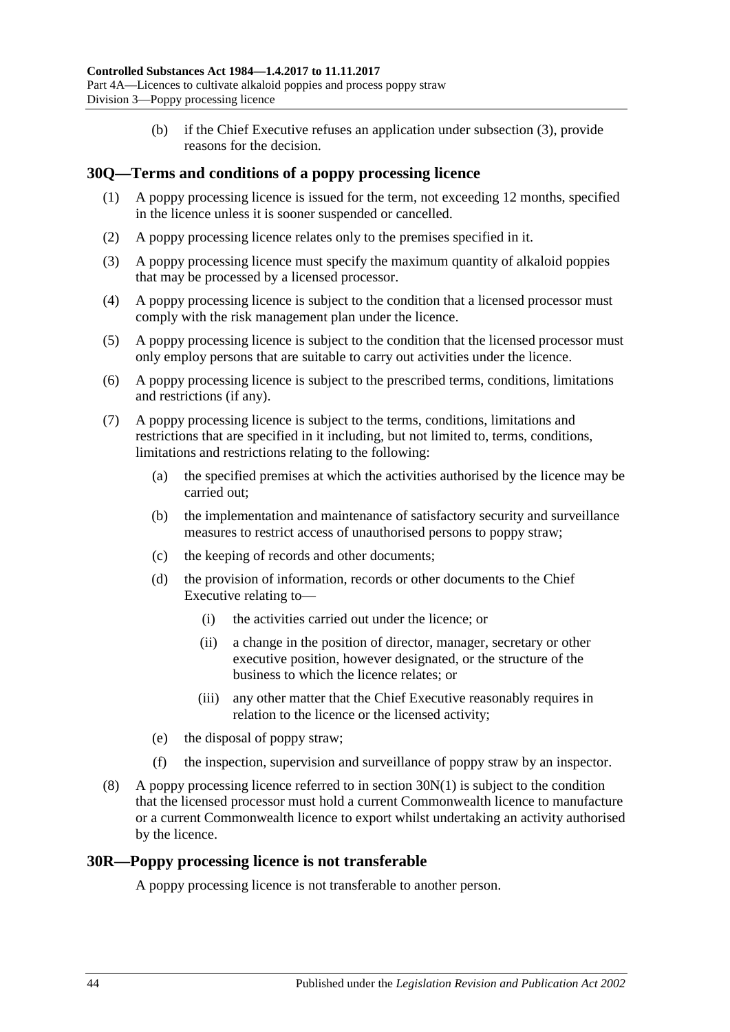(b) if the Chief Executive refuses an application under [subsection](#page-42-3) (3), provide reasons for the decision.

## **30Q—Terms and conditions of a poppy processing licence**

- (1) A poppy processing licence is issued for the term, not exceeding 12 months, specified in the licence unless it is sooner suspended or cancelled.
- (2) A poppy processing licence relates only to the premises specified in it.
- (3) A poppy processing licence must specify the maximum quantity of alkaloid poppies that may be processed by a licensed processor.
- (4) A poppy processing licence is subject to the condition that a licensed processor must comply with the risk management plan under the licence.
- (5) A poppy processing licence is subject to the condition that the licensed processor must only employ persons that are suitable to carry out activities under the licence.
- (6) A poppy processing licence is subject to the prescribed terms, conditions, limitations and restrictions (if any).
- (7) A poppy processing licence is subject to the terms, conditions, limitations and restrictions that are specified in it including, but not limited to, terms, conditions, limitations and restrictions relating to the following:
	- (a) the specified premises at which the activities authorised by the licence may be carried out;
	- (b) the implementation and maintenance of satisfactory security and surveillance measures to restrict access of unauthorised persons to poppy straw;
	- (c) the keeping of records and other documents;
	- (d) the provision of information, records or other documents to the Chief Executive relating to—
		- (i) the activities carried out under the licence; or
		- (ii) a change in the position of director, manager, secretary or other executive position, however designated, or the structure of the business to which the licence relates; or
		- (iii) any other matter that the Chief Executive reasonably requires in relation to the licence or the licensed activity;
	- (e) the disposal of poppy straw;
	- (f) the inspection, supervision and surveillance of poppy straw by an inspector.
- (8) A poppy processing licence referred to in [section](#page-41-0) 30N(1) is subject to the condition that the licensed processor must hold a current Commonwealth licence to manufacture or a current Commonwealth licence to export whilst undertaking an activity authorised by the licence.

#### **30R—Poppy processing licence is not transferable**

A poppy processing licence is not transferable to another person.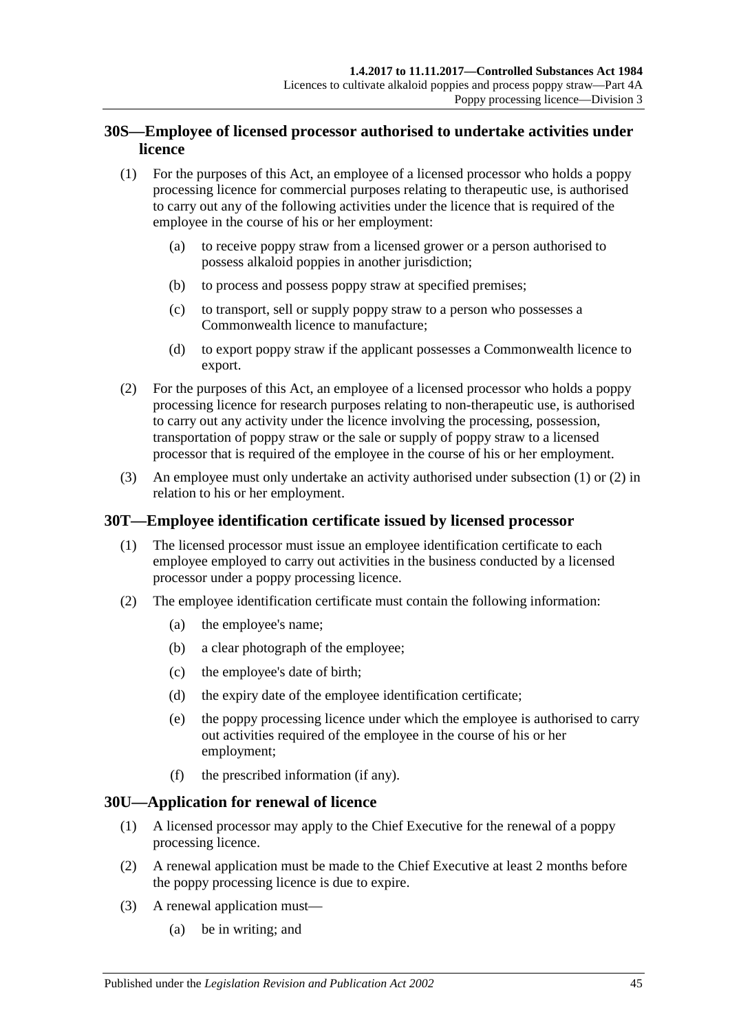## **30S—Employee of licensed processor authorised to undertake activities under licence**

- <span id="page-44-0"></span>(1) For the purposes of this Act, an employee of a licensed processor who holds a poppy processing licence for commercial purposes relating to therapeutic use, is authorised to carry out any of the following activities under the licence that is required of the employee in the course of his or her employment:
	- (a) to receive poppy straw from a licensed grower or a person authorised to possess alkaloid poppies in another jurisdiction;
	- (b) to process and possess poppy straw at specified premises;
	- (c) to transport, sell or supply poppy straw to a person who possesses a Commonwealth licence to manufacture;
	- (d) to export poppy straw if the applicant possesses a Commonwealth licence to export.
- <span id="page-44-1"></span>(2) For the purposes of this Act, an employee of a licensed processor who holds a poppy processing licence for research purposes relating to non-therapeutic use, is authorised to carry out any activity under the licence involving the processing, possession, transportation of poppy straw or the sale or supply of poppy straw to a licensed processor that is required of the employee in the course of his or her employment.
- (3) An employee must only undertake an activity authorised under [subsection](#page-44-0) (1) or [\(2\)](#page-44-1) in relation to his or her employment.

### **30T—Employee identification certificate issued by licensed processor**

- (1) The licensed processor must issue an employee identification certificate to each employee employed to carry out activities in the business conducted by a licensed processor under a poppy processing licence.
- <span id="page-44-3"></span>(2) The employee identification certificate must contain the following information:
	- (a) the employee's name;
	- (b) a clear photograph of the employee;
	- (c) the employee's date of birth;
	- (d) the expiry date of the employee identification certificate;
	- (e) the poppy processing licence under which the employee is authorised to carry out activities required of the employee in the course of his or her employment;
	- (f) the prescribed information (if any).

#### <span id="page-44-2"></span>**30U—Application for renewal of licence**

- (1) A licensed processor may apply to the Chief Executive for the renewal of a poppy processing licence.
- (2) A renewal application must be made to the Chief Executive at least 2 months before the poppy processing licence is due to expire.
- (3) A renewal application must—
	- (a) be in writing; and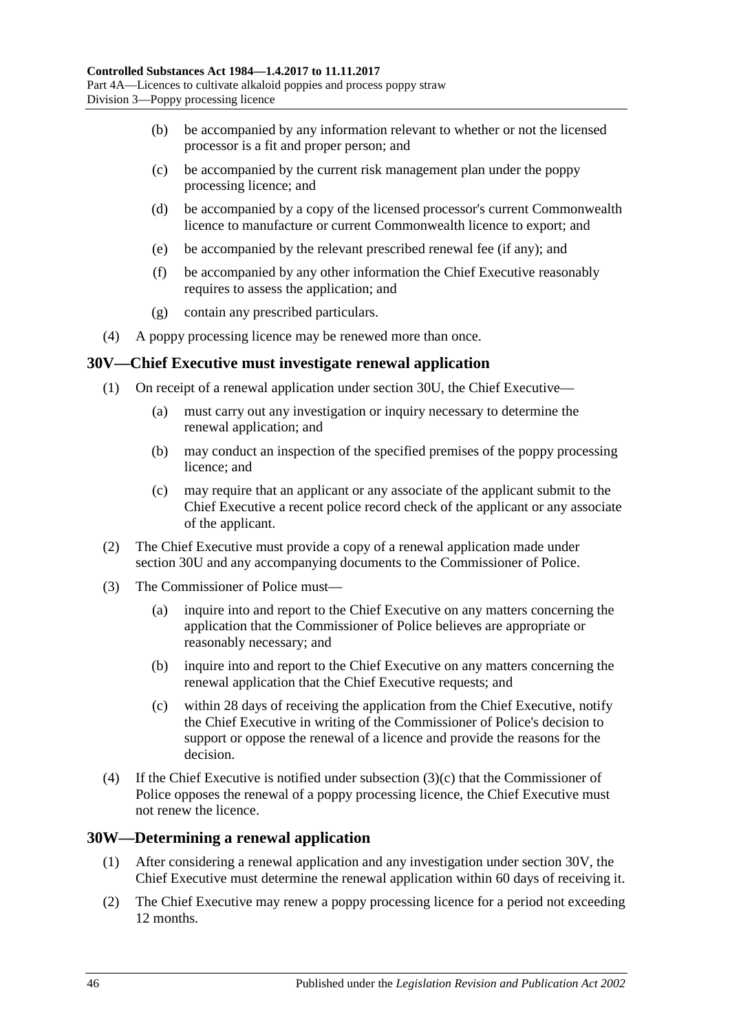- (b) be accompanied by any information relevant to whether or not the licensed processor is a fit and proper person; and
- (c) be accompanied by the current risk management plan under the poppy processing licence; and
- (d) be accompanied by a copy of the licensed processor's current Commonwealth licence to manufacture or current Commonwealth licence to export; and
- (e) be accompanied by the relevant prescribed renewal fee (if any); and
- (f) be accompanied by any other information the Chief Executive reasonably requires to assess the application; and
- (g) contain any prescribed particulars.
- (4) A poppy processing licence may be renewed more than once.

#### <span id="page-45-1"></span>**30V—Chief Executive must investigate renewal application**

- (1) On receipt of a renewal application under [section](#page-44-2) 30U, the Chief Executive—
	- (a) must carry out any investigation or inquiry necessary to determine the renewal application; and
	- (b) may conduct an inspection of the specified premises of the poppy processing licence; and
	- (c) may require that an applicant or any associate of the applicant submit to the Chief Executive a recent police record check of the applicant or any associate of the applicant.
- (2) The Chief Executive must provide a copy of a renewal application made under [section](#page-44-2) 30U and any accompanying documents to the Commissioner of Police.
- (3) The Commissioner of Police must—
	- (a) inquire into and report to the Chief Executive on any matters concerning the application that the Commissioner of Police believes are appropriate or reasonably necessary; and
	- (b) inquire into and report to the Chief Executive on any matters concerning the renewal application that the Chief Executive requests; and
	- (c) within 28 days of receiving the application from the Chief Executive, notify the Chief Executive in writing of the Commissioner of Police's decision to support or oppose the renewal of a licence and provide the reasons for the decision.
- <span id="page-45-0"></span>(4) If the Chief Executive is notified under [subsection](#page-45-0)  $(3)(c)$  that the Commissioner of Police opposes the renewal of a poppy processing licence, the Chief Executive must not renew the licence.

#### **30W—Determining a renewal application**

- (1) After considering a renewal application and any investigation under [section](#page-45-1) 30V, the Chief Executive must determine the renewal application within 60 days of receiving it.
- <span id="page-45-2"></span>(2) The Chief Executive may renew a poppy processing licence for a period not exceeding 12 months.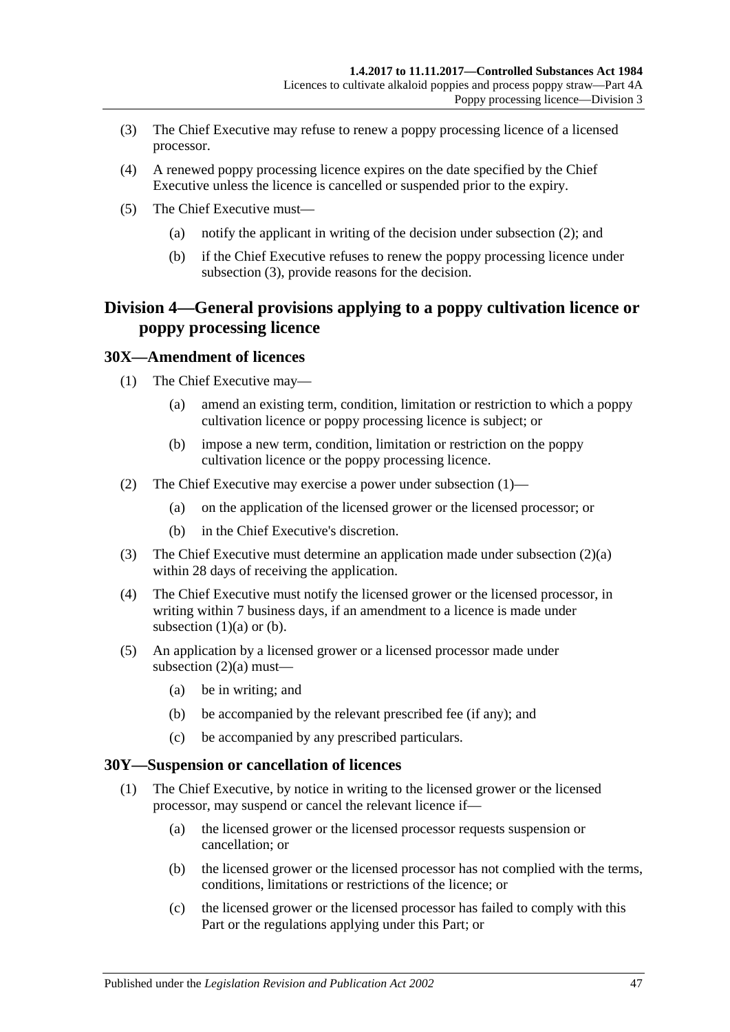- <span id="page-46-0"></span>(3) The Chief Executive may refuse to renew a poppy processing licence of a licensed processor.
- (4) A renewed poppy processing licence expires on the date specified by the Chief Executive unless the licence is cancelled or suspended prior to the expiry.
- (5) The Chief Executive must—
	- (a) notify the applicant in writing of the decision under [subsection](#page-45-2) (2); and
	- (b) if the Chief Executive refuses to renew the poppy processing licence under [subsection](#page-46-0) (3), provide reasons for the decision.

## **Division 4—General provisions applying to a poppy cultivation licence or poppy processing licence**

#### <span id="page-46-1"></span>**30X—Amendment of licences**

- <span id="page-46-3"></span>(1) The Chief Executive may—
	- (a) amend an existing term, condition, limitation or restriction to which a poppy cultivation licence or poppy processing licence is subject; or
	- (b) impose a new term, condition, limitation or restriction on the poppy cultivation licence or the poppy processing licence.
- <span id="page-46-4"></span><span id="page-46-2"></span>(2) The Chief Executive may exercise a power under [subsection](#page-46-1) (1)—
	- (a) on the application of the licensed grower or the licensed processor; or
	- (b) in the Chief Executive's discretion.
- (3) The Chief Executive must determine an application made under [subsection](#page-46-2) (2)(a) within 28 days of receiving the application.
- (4) The Chief Executive must notify the licensed grower or the licensed processor, in writing within 7 business days, if an amendment to a licence is made under [subsection](#page-46-3)  $(1)(a)$  or  $(b)$ .
- (5) An application by a licensed grower or a licensed processor made under [subsection](#page-46-2)  $(2)(a)$  must—
	- (a) be in writing; and
	- (b) be accompanied by the relevant prescribed fee (if any); and
	- (c) be accompanied by any prescribed particulars.

#### <span id="page-46-6"></span><span id="page-46-5"></span>**30Y—Suspension or cancellation of licences**

- (1) The Chief Executive, by notice in writing to the licensed grower or the licensed processor, may suspend or cancel the relevant licence if—
	- (a) the licensed grower or the licensed processor requests suspension or cancellation; or
	- (b) the licensed grower or the licensed processor has not complied with the terms, conditions, limitations or restrictions of the licence; or
	- (c) the licensed grower or the licensed processor has failed to comply with this Part or the regulations applying under this Part; or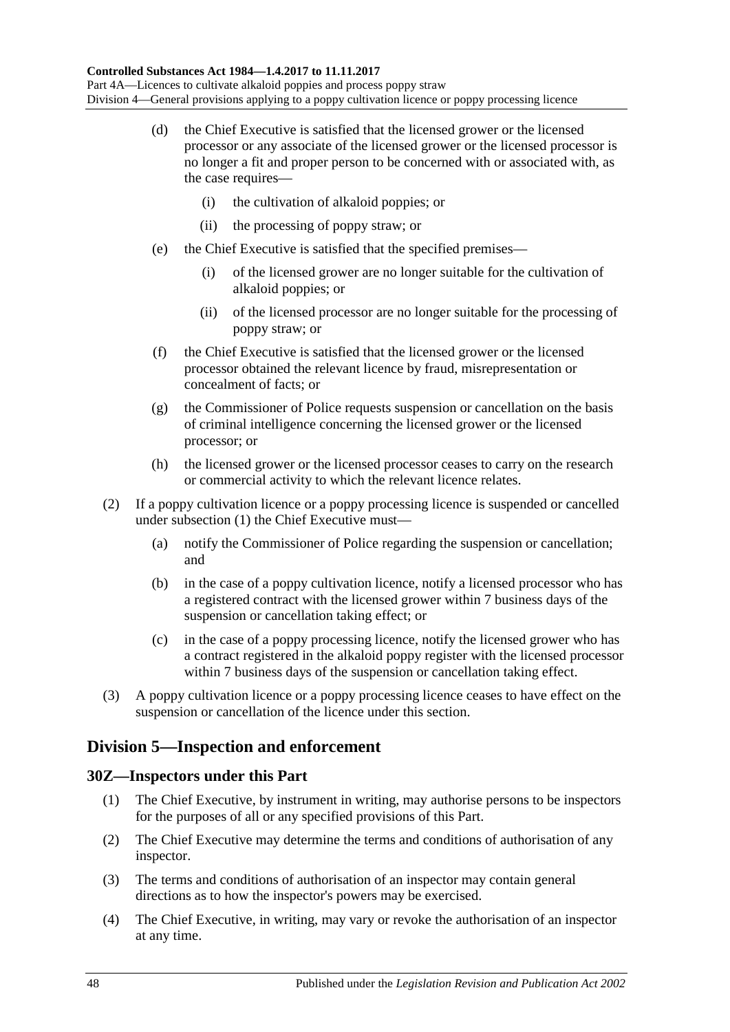- (d) the Chief Executive is satisfied that the licensed grower or the licensed processor or any associate of the licensed grower or the licensed processor is no longer a fit and proper person to be concerned with or associated with, as the case requires—
	- (i) the cultivation of alkaloid poppies; or
	- (ii) the processing of poppy straw; or
- (e) the Chief Executive is satisfied that the specified premises—
	- (i) of the licensed grower are no longer suitable for the cultivation of alkaloid poppies; or
	- (ii) of the licensed processor are no longer suitable for the processing of poppy straw; or
- (f) the Chief Executive is satisfied that the licensed grower or the licensed processor obtained the relevant licence by fraud, misrepresentation or concealment of facts; or
- (g) the Commissioner of Police requests suspension or cancellation on the basis of criminal intelligence concerning the licensed grower or the licensed processor; or
- (h) the licensed grower or the licensed processor ceases to carry on the research or commercial activity to which the relevant licence relates.
- (2) If a poppy cultivation licence or a poppy processing licence is suspended or cancelled under [subsection](#page-46-5) (1) the Chief Executive must—
	- (a) notify the Commissioner of Police regarding the suspension or cancellation; and
	- (b) in the case of a poppy cultivation licence, notify a licensed processor who has a registered contract with the licensed grower within 7 business days of the suspension or cancellation taking effect; or
	- (c) in the case of a poppy processing licence, notify the licensed grower who has a contract registered in the alkaloid poppy register with the licensed processor within 7 business days of the suspension or cancellation taking effect.
- (3) A poppy cultivation licence or a poppy processing licence ceases to have effect on the suspension or cancellation of the licence under this section.

## **Division 5—Inspection and enforcement**

### **30Z—Inspectors under this Part**

- (1) The Chief Executive, by instrument in writing, may authorise persons to be inspectors for the purposes of all or any specified provisions of this Part.
- (2) The Chief Executive may determine the terms and conditions of authorisation of any inspector.
- (3) The terms and conditions of authorisation of an inspector may contain general directions as to how the inspector's powers may be exercised.
- (4) The Chief Executive, in writing, may vary or revoke the authorisation of an inspector at any time.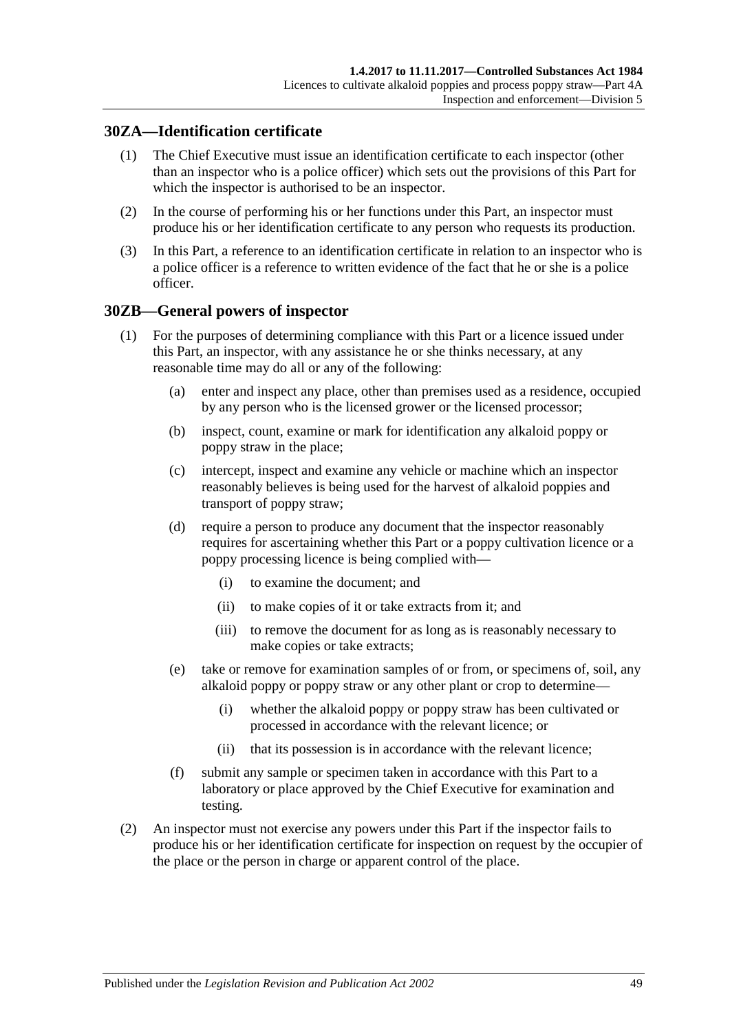### **30ZA—Identification certificate**

- (1) The Chief Executive must issue an identification certificate to each inspector (other than an inspector who is a police officer) which sets out the provisions of this Part for which the inspector is authorised to be an inspector.
- (2) In the course of performing his or her functions under this Part, an inspector must produce his or her identification certificate to any person who requests its production.
- (3) In this Part, a reference to an identification certificate in relation to an inspector who is a police officer is a reference to written evidence of the fact that he or she is a police officer.

### <span id="page-48-1"></span>**30ZB—General powers of inspector**

- (1) For the purposes of determining compliance with this Part or a licence issued under this Part, an inspector, with any assistance he or she thinks necessary, at any reasonable time may do all or any of the following:
	- (a) enter and inspect any place, other than premises used as a residence, occupied by any person who is the licensed grower or the licensed processor;
	- (b) inspect, count, examine or mark for identification any alkaloid poppy or poppy straw in the place;
	- (c) intercept, inspect and examine any vehicle or machine which an inspector reasonably believes is being used for the harvest of alkaloid poppies and transport of poppy straw;
	- (d) require a person to produce any document that the inspector reasonably requires for ascertaining whether this Part or a poppy cultivation licence or a poppy processing licence is being complied with—
		- (i) to examine the document; and
		- (ii) to make copies of it or take extracts from it; and
		- (iii) to remove the document for as long as is reasonably necessary to make copies or take extracts;
	- (e) take or remove for examination samples of or from, or specimens of, soil, any alkaloid poppy or poppy straw or any other plant or crop to determine—
		- (i) whether the alkaloid poppy or poppy straw has been cultivated or processed in accordance with the relevant licence; or
		- (ii) that its possession is in accordance with the relevant licence;
	- (f) submit any sample or specimen taken in accordance with this Part to a laboratory or place approved by the Chief Executive for examination and testing.
- <span id="page-48-0"></span>(2) An inspector must not exercise any powers under this Part if the inspector fails to produce his or her identification certificate for inspection on request by the occupier of the place or the person in charge or apparent control of the place.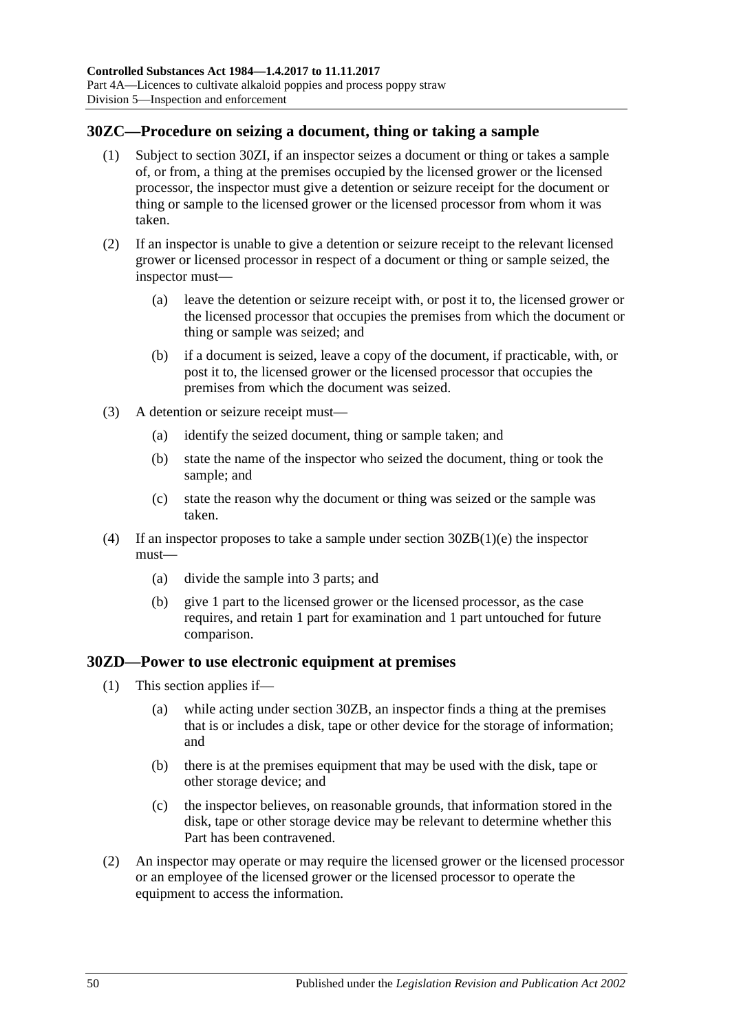## **30ZC—Procedure on seizing a document, thing or taking a sample**

- (1) Subject to [section](#page-50-0) 30ZI, if an inspector seizes a document or thing or takes a sample of, or from, a thing at the premises occupied by the licensed grower or the licensed processor, the inspector must give a detention or seizure receipt for the document or thing or sample to the licensed grower or the licensed processor from whom it was taken.
- (2) If an inspector is unable to give a detention or seizure receipt to the relevant licensed grower or licensed processor in respect of a document or thing or sample seized, the inspector must—
	- (a) leave the detention or seizure receipt with, or post it to, the licensed grower or the licensed processor that occupies the premises from which the document or thing or sample was seized; and
	- (b) if a document is seized, leave a copy of the document, if practicable, with, or post it to, the licensed grower or the licensed processor that occupies the premises from which the document was seized.
- (3) A detention or seizure receipt must—
	- (a) identify the seized document, thing or sample taken; and
	- (b) state the name of the inspector who seized the document, thing or took the sample; and
	- (c) state the reason why the document or thing was seized or the sample was taken.
- (4) If an inspector proposes to take a sample under section [30ZB\(1\)\(e\)](#page-48-0) the inspector must—
	- (a) divide the sample into 3 parts; and
	- (b) give 1 part to the licensed grower or the licensed processor, as the case requires, and retain 1 part for examination and 1 part untouched for future comparison.

### <span id="page-49-0"></span>**30ZD—Power to use electronic equipment at premises**

- (1) This section applies if—
	- (a) while acting under [section](#page-48-1) 30ZB, an inspector finds a thing at the premises that is or includes a disk, tape or other device for the storage of information; and
	- (b) there is at the premises equipment that may be used with the disk, tape or other storage device; and
	- (c) the inspector believes, on reasonable grounds, that information stored in the disk, tape or other storage device may be relevant to determine whether this Part has been contravened.
- (2) An inspector may operate or may require the licensed grower or the licensed processor or an employee of the licensed grower or the licensed processor to operate the equipment to access the information.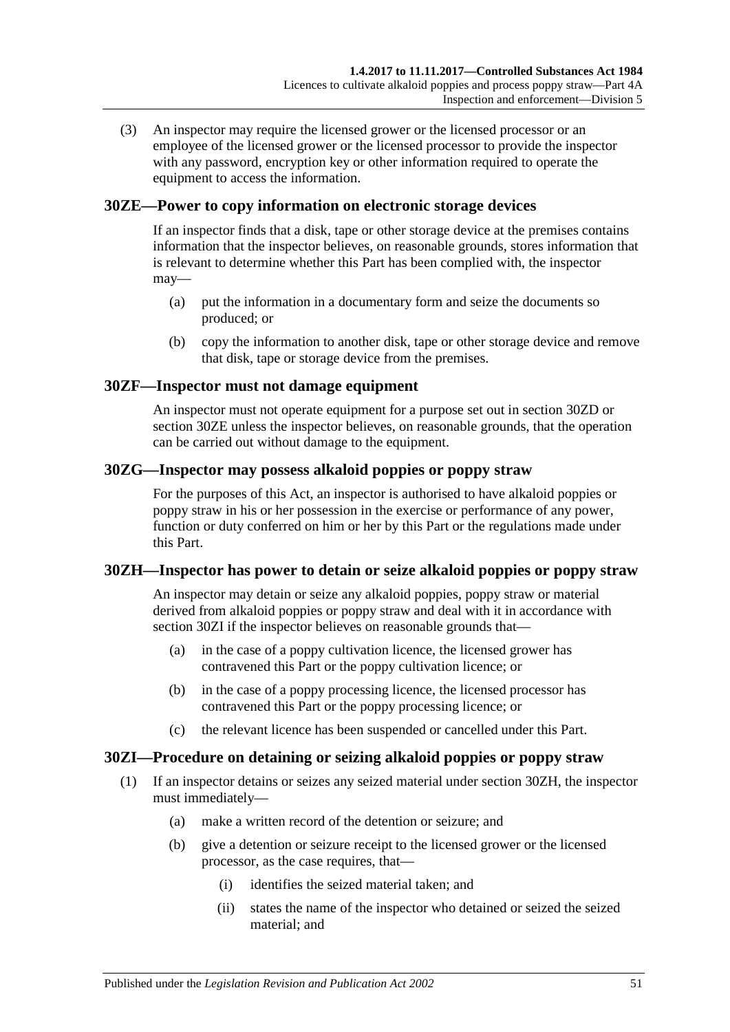(3) An inspector may require the licensed grower or the licensed processor or an employee of the licensed grower or the licensed processor to provide the inspector with any password, encryption key or other information required to operate the equipment to access the information.

## <span id="page-50-1"></span>**30ZE—Power to copy information on electronic storage devices**

If an inspector finds that a disk, tape or other storage device at the premises contains information that the inspector believes, on reasonable grounds, stores information that is relevant to determine whether this Part has been complied with, the inspector may—

- (a) put the information in a documentary form and seize the documents so produced; or
- (b) copy the information to another disk, tape or other storage device and remove that disk, tape or storage device from the premises.

## **30ZF—Inspector must not damage equipment**

An inspector must not operate equipment for a purpose set out in [section](#page-49-0) 30ZD or [section](#page-50-1) 30ZE unless the inspector believes, on reasonable grounds, that the operation can be carried out without damage to the equipment.

### **30ZG—Inspector may possess alkaloid poppies or poppy straw**

For the purposes of this Act, an inspector is authorised to have alkaloid poppies or poppy straw in his or her possession in the exercise or performance of any power, function or duty conferred on him or her by this Part or the regulations made under this Part.

### <span id="page-50-2"></span>**30ZH—Inspector has power to detain or seize alkaloid poppies or poppy straw**

An inspector may detain or seize any alkaloid poppies, poppy straw or material derived from alkaloid poppies or poppy straw and deal with it in accordance with [section](#page-50-0) 30ZI if the inspector believes on reasonable grounds that—

- (a) in the case of a poppy cultivation licence, the licensed grower has contravened this Part or the poppy cultivation licence; or
- (b) in the case of a poppy processing licence, the licensed processor has contravened this Part or the poppy processing licence; or
- (c) the relevant licence has been suspended or cancelled under this Part.

## <span id="page-50-0"></span>**30ZI—Procedure on detaining or seizing alkaloid poppies or poppy straw**

- (1) If an inspector detains or seizes any seized material under [section](#page-50-2) 30ZH, the inspector must immediately—
	- (a) make a written record of the detention or seizure; and
	- (b) give a detention or seizure receipt to the licensed grower or the licensed processor, as the case requires, that—
		- (i) identifies the seized material taken; and
		- (ii) states the name of the inspector who detained or seized the seized material; and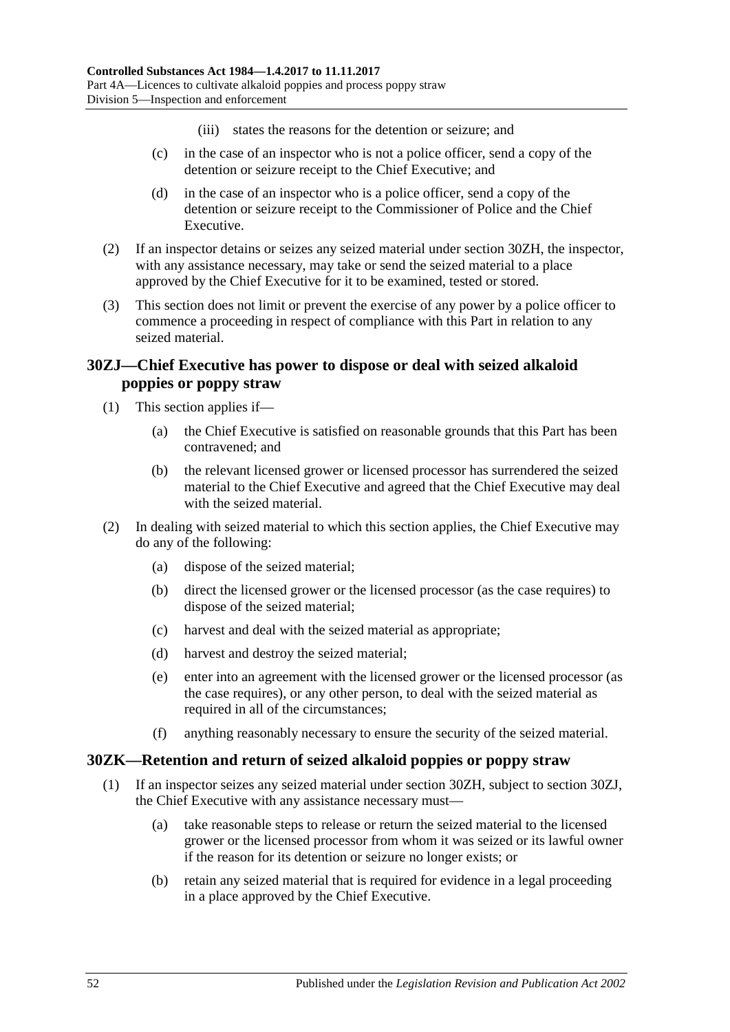- (iii) states the reasons for the detention or seizure; and
- (c) in the case of an inspector who is not a police officer, send a copy of the detention or seizure receipt to the Chief Executive; and
- (d) in the case of an inspector who is a police officer, send a copy of the detention or seizure receipt to the Commissioner of Police and the Chief Executive.
- (2) If an inspector detains or seizes any seized material under [section](#page-50-2) 30ZH, the inspector, with any assistance necessary, may take or send the seized material to a place approved by the Chief Executive for it to be examined, tested or stored.
- (3) This section does not limit or prevent the exercise of any power by a police officer to commence a proceeding in respect of compliance with this Part in relation to any seized material.

## <span id="page-51-0"></span>**30ZJ—Chief Executive has power to dispose or deal with seized alkaloid poppies or poppy straw**

- (1) This section applies if—
	- (a) the Chief Executive is satisfied on reasonable grounds that this Part has been contravened; and
	- (b) the relevant licensed grower or licensed processor has surrendered the seized material to the Chief Executive and agreed that the Chief Executive may deal with the seized material.
- (2) In dealing with seized material to which this section applies, the Chief Executive may do any of the following:
	- (a) dispose of the seized material;
	- (b) direct the licensed grower or the licensed processor (as the case requires) to dispose of the seized material;
	- (c) harvest and deal with the seized material as appropriate;
	- (d) harvest and destroy the seized material;
	- (e) enter into an agreement with the licensed grower or the licensed processor (as the case requires), or any other person, to deal with the seized material as required in all of the circumstances;
	- (f) anything reasonably necessary to ensure the security of the seized material.

### **30ZK—Retention and return of seized alkaloid poppies or poppy straw**

- (1) If an inspector seizes any seized material under [section](#page-50-2) 30ZH, subject to [section](#page-51-0) 30ZJ, the Chief Executive with any assistance necessary must—
	- (a) take reasonable steps to release or return the seized material to the licensed grower or the licensed processor from whom it was seized or its lawful owner if the reason for its detention or seizure no longer exists; or
	- (b) retain any seized material that is required for evidence in a legal proceeding in a place approved by the Chief Executive.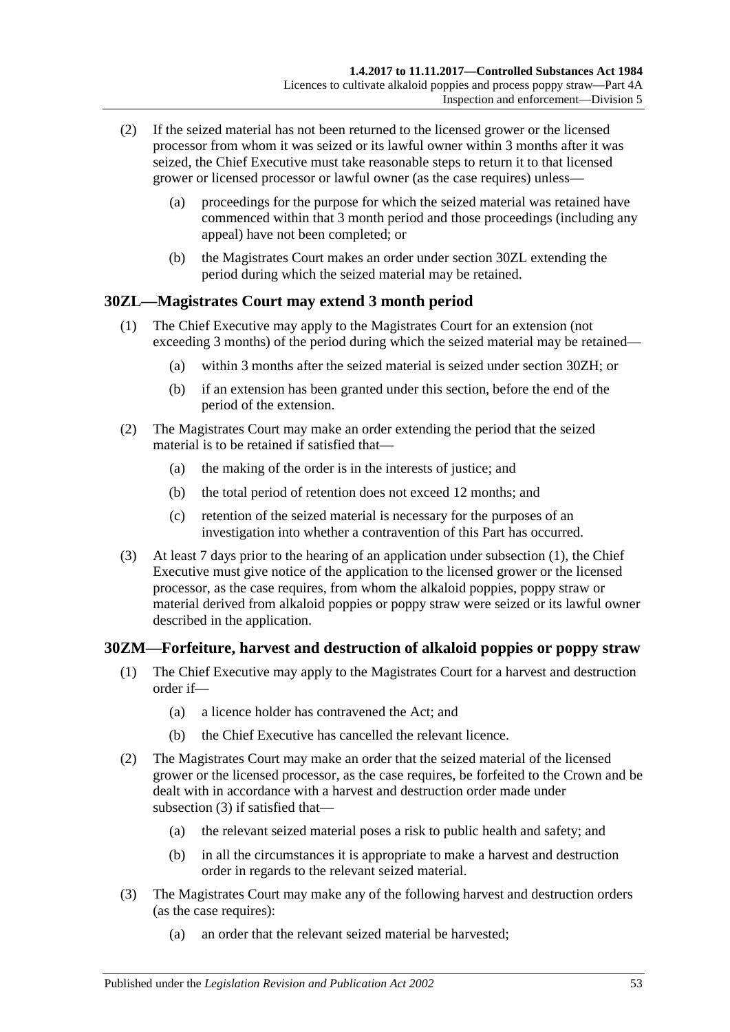- (2) If the seized material has not been returned to the licensed grower or the licensed processor from whom it was seized or its lawful owner within 3 months after it was seized, the Chief Executive must take reasonable steps to return it to that licensed grower or licensed processor or lawful owner (as the case requires) unless—
	- (a) proceedings for the purpose for which the seized material was retained have commenced within that 3 month period and those proceedings (including any appeal) have not been completed; or
	- (b) the Magistrates Court makes an order under [section](#page-52-0) 30ZL extending the period during which the seized material may be retained.

## <span id="page-52-1"></span><span id="page-52-0"></span>**30ZL—Magistrates Court may extend 3 month period**

- (1) The Chief Executive may apply to the Magistrates Court for an extension (not exceeding 3 months) of the period during which the seized material may be retained—
	- (a) within 3 months after the seized material is seized under [section](#page-50-2) 30ZH; or
	- (b) if an extension has been granted under this section, before the end of the period of the extension.
- (2) The Magistrates Court may make an order extending the period that the seized material is to be retained if satisfied that—
	- (a) the making of the order is in the interests of justice; and
	- (b) the total period of retention does not exceed 12 months; and
	- (c) retention of the seized material is necessary for the purposes of an investigation into whether a contravention of this Part has occurred.
- (3) At least 7 days prior to the hearing of an application under [subsection](#page-52-1) (1), the Chief Executive must give notice of the application to the licensed grower or the licensed processor, as the case requires, from whom the alkaloid poppies, poppy straw or material derived from alkaloid poppies or poppy straw were seized or its lawful owner described in the application.

### **30ZM—Forfeiture, harvest and destruction of alkaloid poppies or poppy straw**

- (1) The Chief Executive may apply to the Magistrates Court for a harvest and destruction order if—
	- (a) a licence holder has contravened the Act; and
	- (b) the Chief Executive has cancelled the relevant licence.
- (2) The Magistrates Court may make an order that the seized material of the licensed grower or the licensed processor, as the case requires, be forfeited to the Crown and be dealt with in accordance with a harvest and destruction order made under [subsection](#page-52-2) (3) if satisfied that—
	- (a) the relevant seized material poses a risk to public health and safety; and
	- (b) in all the circumstances it is appropriate to make a harvest and destruction order in regards to the relevant seized material.
- <span id="page-52-2"></span>(3) The Magistrates Court may make any of the following harvest and destruction orders (as the case requires):
	- (a) an order that the relevant seized material be harvested;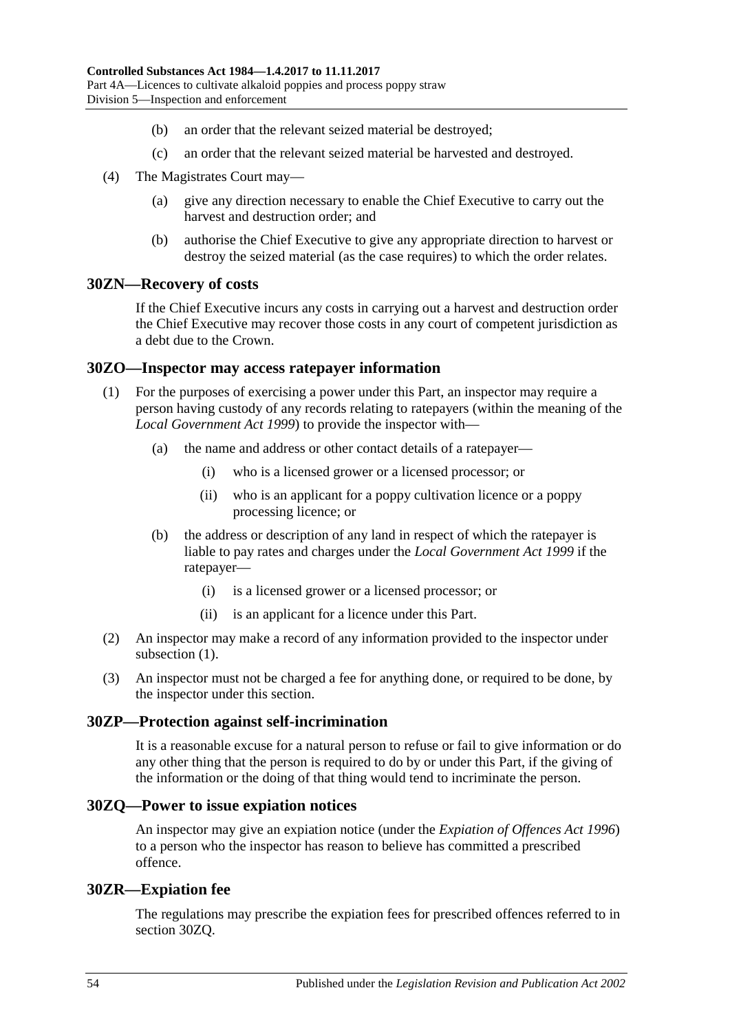- (b) an order that the relevant seized material be destroyed;
- (c) an order that the relevant seized material be harvested and destroyed.
- (4) The Magistrates Court may—
	- (a) give any direction necessary to enable the Chief Executive to carry out the harvest and destruction order; and
	- (b) authorise the Chief Executive to give any appropriate direction to harvest or destroy the seized material (as the case requires) to which the order relates.

### **30ZN—Recovery of costs**

If the Chief Executive incurs any costs in carrying out a harvest and destruction order the Chief Executive may recover those costs in any court of competent jurisdiction as a debt due to the Crown.

#### <span id="page-53-0"></span>**30ZO—Inspector may access ratepayer information**

- (1) For the purposes of exercising a power under this Part, an inspector may require a person having custody of any records relating to ratepayers (within the meaning of the *[Local Government Act](http://www.legislation.sa.gov.au/index.aspx?action=legref&type=act&legtitle=Local%20Government%20Act%201999) 1999*) to provide the inspector with—
	- (a) the name and address or other contact details of a ratepayer—
		- (i) who is a licensed grower or a licensed processor; or
		- (ii) who is an applicant for a poppy cultivation licence or a poppy processing licence; or
	- (b) the address or description of any land in respect of which the ratepayer is liable to pay rates and charges under the *[Local Government Act](http://www.legislation.sa.gov.au/index.aspx?action=legref&type=act&legtitle=Local%20Government%20Act%201999) 1999* if the ratepayer—
		- (i) is a licensed grower or a licensed processor; or
		- (ii) is an applicant for a licence under this Part.
- (2) An inspector may make a record of any information provided to the inspector under [subsection](#page-53-0)  $(1)$ .
- (3) An inspector must not be charged a fee for anything done, or required to be done, by the inspector under this section.

#### **30ZP—Protection against self-incrimination**

It is a reasonable excuse for a natural person to refuse or fail to give information or do any other thing that the person is required to do by or under this Part, if the giving of the information or the doing of that thing would tend to incriminate the person.

#### <span id="page-53-1"></span>**30ZQ—Power to issue expiation notices**

An inspector may give an expiation notice (under the *[Expiation of Offences Act](http://www.legislation.sa.gov.au/index.aspx?action=legref&type=act&legtitle=Expiation%20of%20Offences%20Act%201996) 1996*) to a person who the inspector has reason to believe has committed a prescribed offence.

#### **30ZR—Expiation fee**

The regulations may prescribe the expiation fees for prescribed offences referred to in [section](#page-53-1) 30ZQ.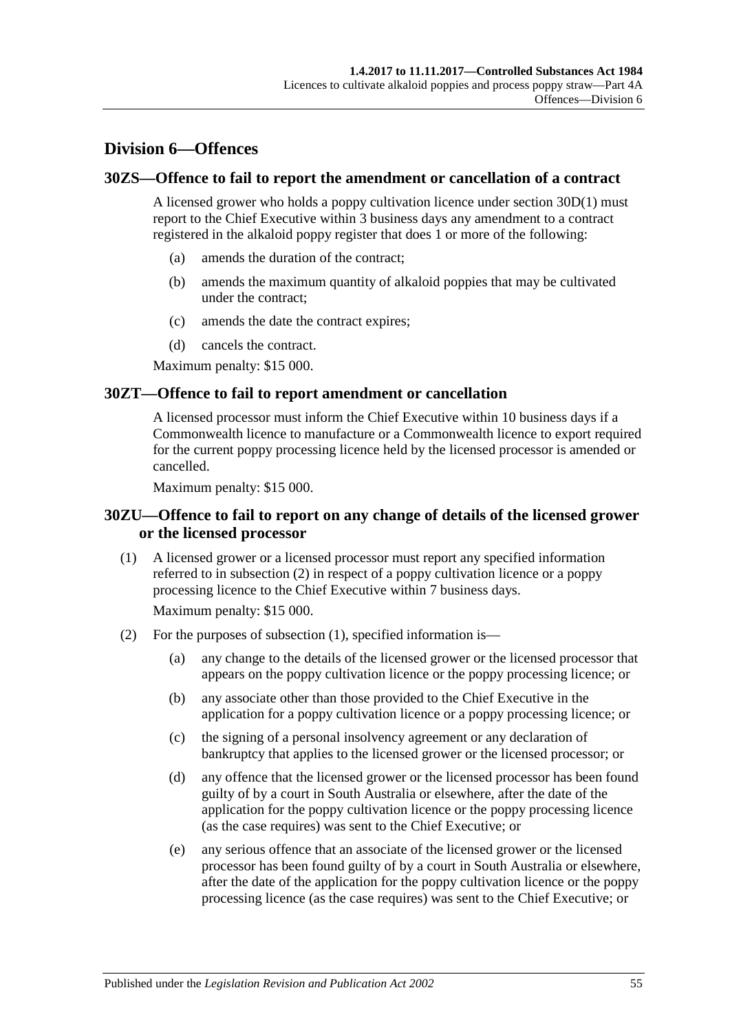## **Division 6—Offences**

#### **30ZS—Offence to fail to report the amendment or cancellation of a contract**

A licensed grower who holds a poppy cultivation licence under [section](#page-36-0) 30D(1) must report to the Chief Executive within 3 business days any amendment to a contract registered in the alkaloid poppy register that does 1 or more of the following:

- (a) amends the duration of the contract;
- (b) amends the maximum quantity of alkaloid poppies that may be cultivated under the contract;
- (c) amends the date the contract expires;
- (d) cancels the contract.

Maximum penalty: \$15 000.

#### **30ZT—Offence to fail to report amendment or cancellation**

A licensed processor must inform the Chief Executive within 10 business days if a Commonwealth licence to manufacture or a Commonwealth licence to export required for the current poppy processing licence held by the licensed processor is amended or cancelled.

Maximum penalty: \$15 000.

#### **30ZU—Offence to fail to report on any change of details of the licensed grower or the licensed processor**

<span id="page-54-1"></span>(1) A licensed grower or a licensed processor must report any specified information referred to in [subsection](#page-54-0) (2) in respect of a poppy cultivation licence or a poppy processing licence to the Chief Executive within 7 business days.

Maximum penalty: \$15 000.

- <span id="page-54-0"></span>(2) For the purposes of [subsection](#page-54-1) (1), specified information is—
	- (a) any change to the details of the licensed grower or the licensed processor that appears on the poppy cultivation licence or the poppy processing licence; or
	- (b) any associate other than those provided to the Chief Executive in the application for a poppy cultivation licence or a poppy processing licence; or
	- (c) the signing of a personal insolvency agreement or any declaration of bankruptcy that applies to the licensed grower or the licensed processor; or
	- (d) any offence that the licensed grower or the licensed processor has been found guilty of by a court in South Australia or elsewhere, after the date of the application for the poppy cultivation licence or the poppy processing licence (as the case requires) was sent to the Chief Executive; or
	- (e) any serious offence that an associate of the licensed grower or the licensed processor has been found guilty of by a court in South Australia or elsewhere, after the date of the application for the poppy cultivation licence or the poppy processing licence (as the case requires) was sent to the Chief Executive; or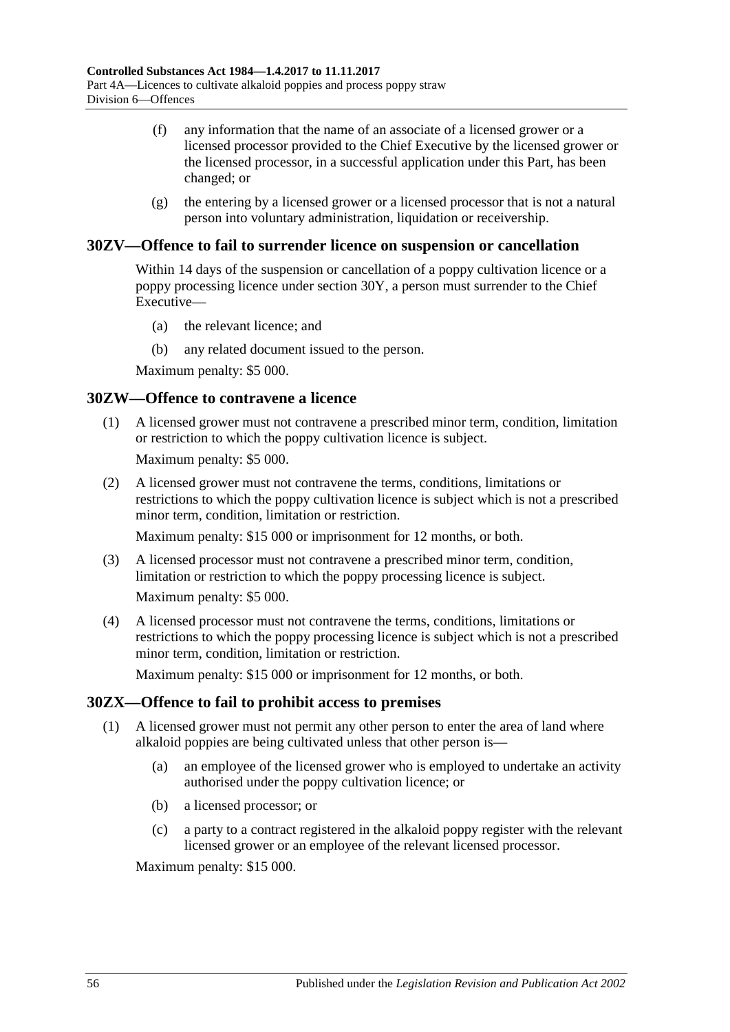- (f) any information that the name of an associate of a licensed grower or a licensed processor provided to the Chief Executive by the licensed grower or the licensed processor, in a successful application under this Part, has been changed; or
- (g) the entering by a licensed grower or a licensed processor that is not a natural person into voluntary administration, liquidation or receivership.

#### **30ZV—Offence to fail to surrender licence on suspension or cancellation**

Within 14 days of the suspension or cancellation of a poppy cultivation licence or a poppy processing licence under [section](#page-46-6) 30Y, a person must surrender to the Chief Executive—

- (a) the relevant licence; and
- (b) any related document issued to the person.

Maximum penalty: \$5 000.

#### **30ZW—Offence to contravene a licence**

(1) A licensed grower must not contravene a prescribed minor term, condition, limitation or restriction to which the poppy cultivation licence is subject.

Maximum penalty: \$5 000.

(2) A licensed grower must not contravene the terms, conditions, limitations or restrictions to which the poppy cultivation licence is subject which is not a prescribed minor term, condition, limitation or restriction.

Maximum penalty: \$15 000 or imprisonment for 12 months, or both.

- (3) A licensed processor must not contravene a prescribed minor term, condition, limitation or restriction to which the poppy processing licence is subject. Maximum penalty: \$5 000.
- (4) A licensed processor must not contravene the terms, conditions, limitations or restrictions to which the poppy processing licence is subject which is not a prescribed minor term, condition, limitation or restriction.

Maximum penalty: \$15 000 or imprisonment for 12 months, or both.

### **30ZX—Offence to fail to prohibit access to premises**

- (1) A licensed grower must not permit any other person to enter the area of land where alkaloid poppies are being cultivated unless that other person is—
	- (a) an employee of the licensed grower who is employed to undertake an activity authorised under the poppy cultivation licence; or
	- (b) a licensed processor; or
	- (c) a party to a contract registered in the alkaloid poppy register with the relevant licensed grower or an employee of the relevant licensed processor.

Maximum penalty: \$15 000.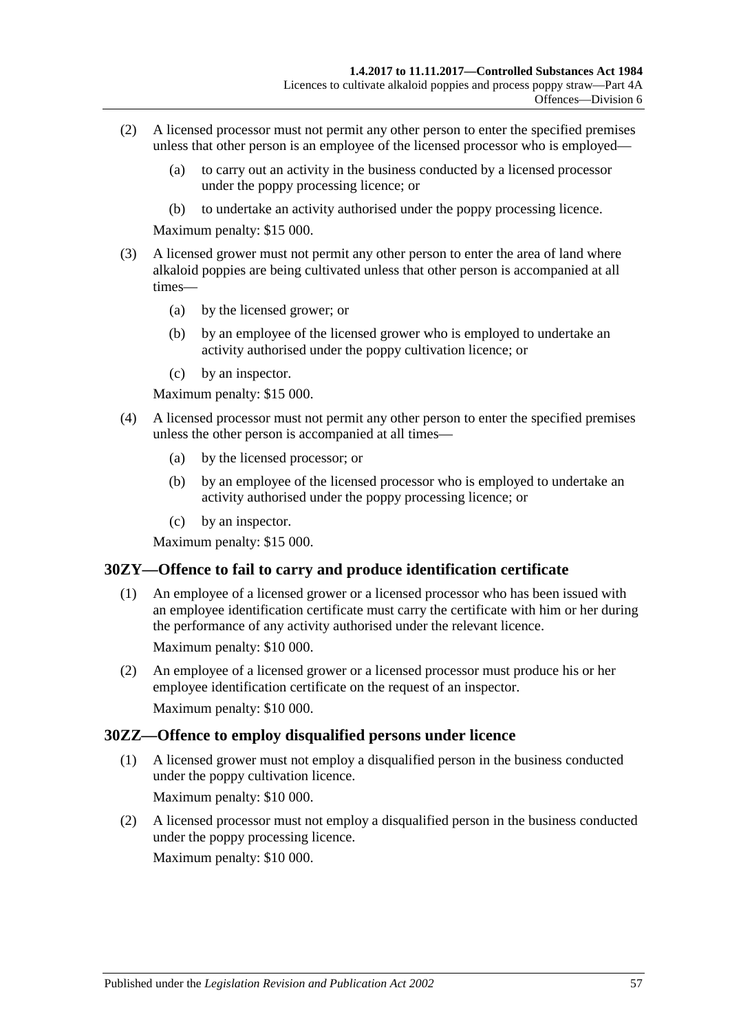- (2) A licensed processor must not permit any other person to enter the specified premises unless that other person is an employee of the licensed processor who is employed—
	- (a) to carry out an activity in the business conducted by a licensed processor under the poppy processing licence; or
	- (b) to undertake an activity authorised under the poppy processing licence.

Maximum penalty: \$15 000.

- (3) A licensed grower must not permit any other person to enter the area of land where alkaloid poppies are being cultivated unless that other person is accompanied at all times—
	- (a) by the licensed grower; or
	- (b) by an employee of the licensed grower who is employed to undertake an activity authorised under the poppy cultivation licence; or
	- (c) by an inspector.

Maximum penalty: \$15 000.

- (4) A licensed processor must not permit any other person to enter the specified premises unless the other person is accompanied at all times—
	- (a) by the licensed processor; or
	- (b) by an employee of the licensed processor who is employed to undertake an activity authorised under the poppy processing licence; or
	- (c) by an inspector.

Maximum penalty: \$15 000.

#### **30ZY—Offence to fail to carry and produce identification certificate**

(1) An employee of a licensed grower or a licensed processor who has been issued with an employee identification certificate must carry the certificate with him or her during the performance of any activity authorised under the relevant licence.

Maximum penalty: \$10 000.

(2) An employee of a licensed grower or a licensed processor must produce his or her employee identification certificate on the request of an inspector. Maximum penalty: \$10 000.

### **30ZZ—Offence to employ disqualified persons under licence**

- (1) A licensed grower must not employ a disqualified person in the business conducted under the poppy cultivation licence. Maximum penalty: \$10 000.
- (2) A licensed processor must not employ a disqualified person in the business conducted under the poppy processing licence. Maximum penalty: \$10 000.

Published under the *Legislation Revision and Publication Act 2002* 57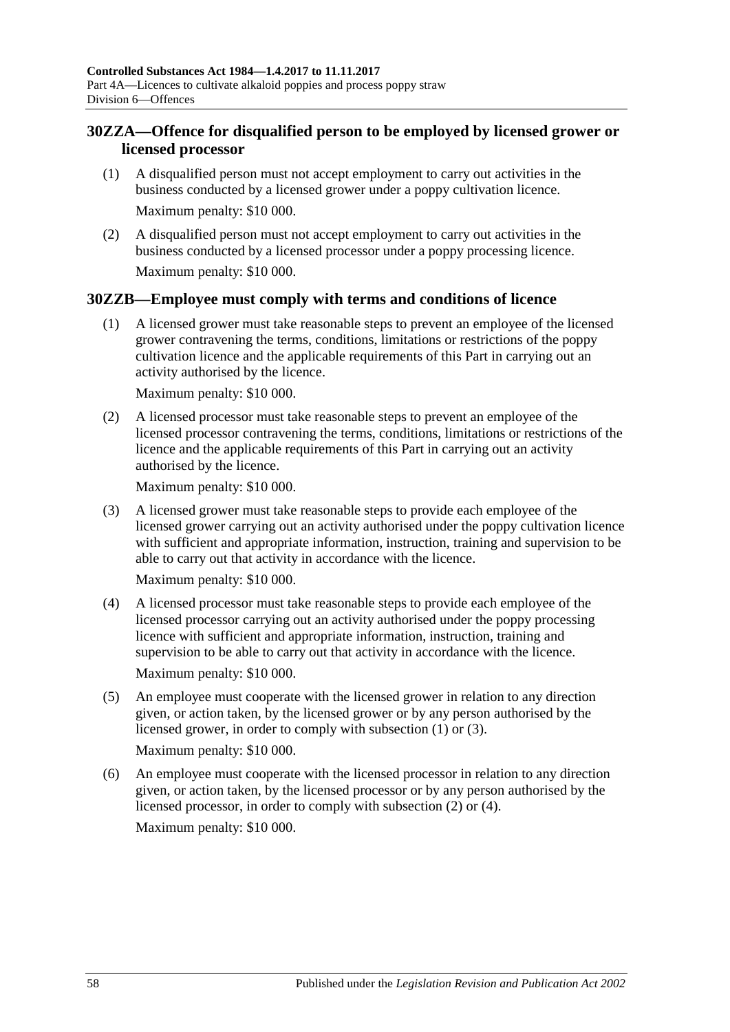## **30ZZA—Offence for disqualified person to be employed by licensed grower or licensed processor**

- (1) A disqualified person must not accept employment to carry out activities in the business conducted by a licensed grower under a poppy cultivation licence. Maximum penalty: \$10 000.
- (2) A disqualified person must not accept employment to carry out activities in the business conducted by a licensed processor under a poppy processing licence. Maximum penalty: \$10 000.

### <span id="page-57-0"></span>**30ZZB—Employee must comply with terms and conditions of licence**

(1) A licensed grower must take reasonable steps to prevent an employee of the licensed grower contravening the terms, conditions, limitations or restrictions of the poppy cultivation licence and the applicable requirements of this Part in carrying out an activity authorised by the licence.

Maximum penalty: \$10 000.

<span id="page-57-2"></span>(2) A licensed processor must take reasonable steps to prevent an employee of the licensed processor contravening the terms, conditions, limitations or restrictions of the licence and the applicable requirements of this Part in carrying out an activity authorised by the licence.

Maximum penalty: \$10 000.

<span id="page-57-1"></span>(3) A licensed grower must take reasonable steps to provide each employee of the licensed grower carrying out an activity authorised under the poppy cultivation licence with sufficient and appropriate information, instruction, training and supervision to be able to carry out that activity in accordance with the licence.

Maximum penalty: \$10 000.

- <span id="page-57-3"></span>(4) A licensed processor must take reasonable steps to provide each employee of the licensed processor carrying out an activity authorised under the poppy processing licence with sufficient and appropriate information, instruction, training and supervision to be able to carry out that activity in accordance with the licence. Maximum penalty: \$10 000.
- (5) An employee must cooperate with the licensed grower in relation to any direction given, or action taken, by the licensed grower or by any person authorised by the licensed grower, in order to comply with [subsection](#page-57-0) (1) or [\(3\).](#page-57-1)

Maximum penalty: \$10 000.

(6) An employee must cooperate with the licensed processor in relation to any direction given, or action taken, by the licensed processor or by any person authorised by the licensed processor, in order to comply with [subsection](#page-57-2) (2) or [\(4\).](#page-57-3) Maximum penalty: \$10 000.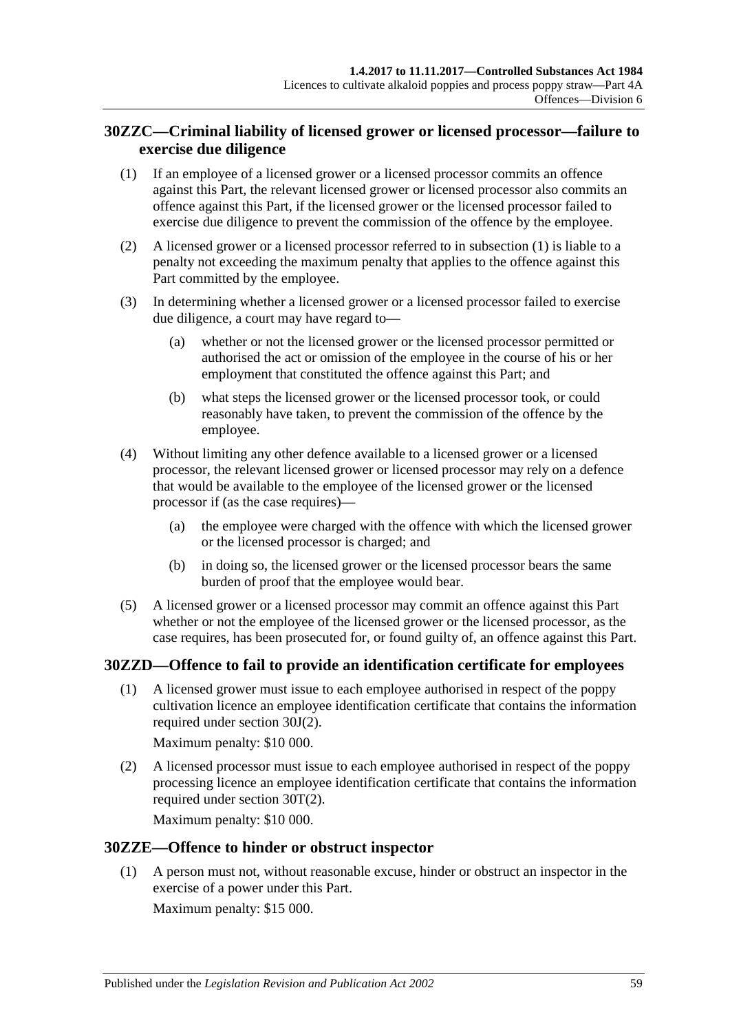## **30ZZC—Criminal liability of licensed grower or licensed processor—failure to exercise due diligence**

- <span id="page-58-0"></span>(1) If an employee of a licensed grower or a licensed processor commits an offence against this Part, the relevant licensed grower or licensed processor also commits an offence against this Part, if the licensed grower or the licensed processor failed to exercise due diligence to prevent the commission of the offence by the employee.
- (2) A licensed grower or a licensed processor referred to in [subsection](#page-58-0) (1) is liable to a penalty not exceeding the maximum penalty that applies to the offence against this Part committed by the employee.
- (3) In determining whether a licensed grower or a licensed processor failed to exercise due diligence, a court may have regard to—
	- (a) whether or not the licensed grower or the licensed processor permitted or authorised the act or omission of the employee in the course of his or her employment that constituted the offence against this Part; and
	- (b) what steps the licensed grower or the licensed processor took, or could reasonably have taken, to prevent the commission of the offence by the employee.
- (4) Without limiting any other defence available to a licensed grower or a licensed processor, the relevant licensed grower or licensed processor may rely on a defence that would be available to the employee of the licensed grower or the licensed processor if (as the case requires)—
	- (a) the employee were charged with the offence with which the licensed grower or the licensed processor is charged; and
	- (b) in doing so, the licensed grower or the licensed processor bears the same burden of proof that the employee would bear.
- (5) A licensed grower or a licensed processor may commit an offence against this Part whether or not the employee of the licensed grower or the licensed processor, as the case requires, has been prosecuted for, or found guilty of, an offence against this Part.

### **30ZZD—Offence to fail to provide an identification certificate for employees**

(1) A licensed grower must issue to each employee authorised in respect of the poppy cultivation licence an employee identification certificate that contains the information required under [section](#page-39-3) 30J(2).

Maximum penalty: \$10 000.

(2) A licensed processor must issue to each employee authorised in respect of the poppy processing licence an employee identification certificate that contains the information required under [section](#page-44-3) 30T(2).

Maximum penalty: \$10 000.

### **30ZZE—Offence to hinder or obstruct inspector**

(1) A person must not, without reasonable excuse, hinder or obstruct an inspector in the exercise of a power under this Part.

Maximum penalty: \$15 000.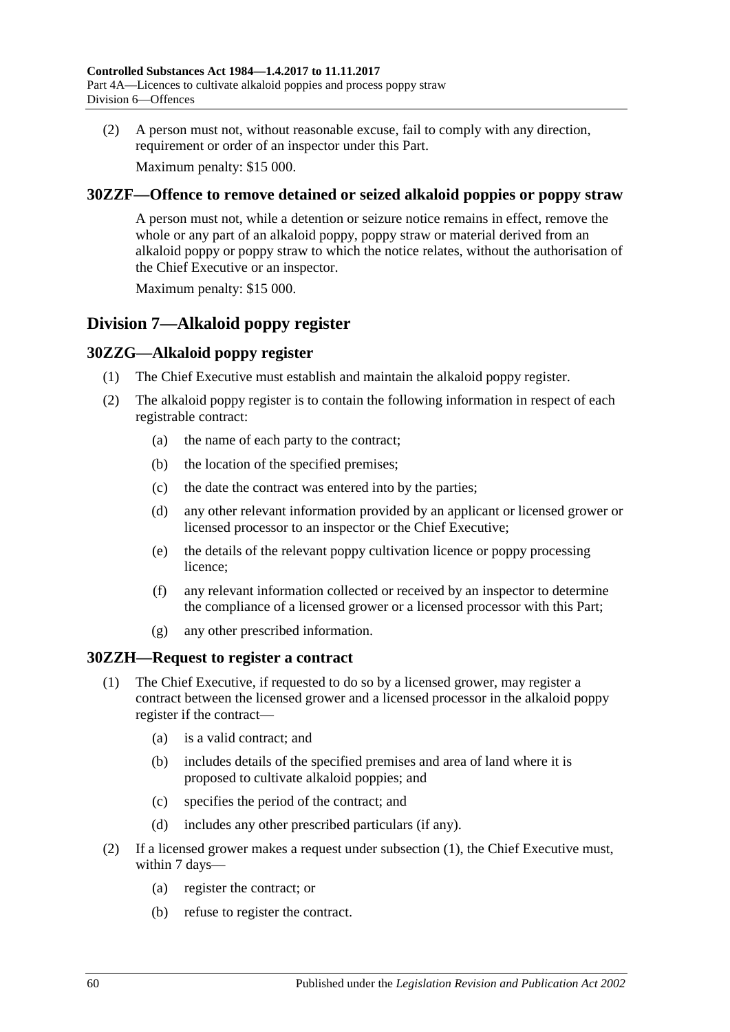(2) A person must not, without reasonable excuse, fail to comply with any direction, requirement or order of an inspector under this Part.

Maximum penalty: \$15 000.

### **30ZZF—Offence to remove detained or seized alkaloid poppies or poppy straw**

A person must not, while a detention or seizure notice remains in effect, remove the whole or any part of an alkaloid poppy, poppy straw or material derived from an alkaloid poppy or poppy straw to which the notice relates, without the authorisation of the Chief Executive or an inspector.

Maximum penalty: \$15 000.

## **Division 7—Alkaloid poppy register**

### **30ZZG—Alkaloid poppy register**

- (1) The Chief Executive must establish and maintain the alkaloid poppy register.
- (2) The alkaloid poppy register is to contain the following information in respect of each registrable contract:
	- (a) the name of each party to the contract;
	- (b) the location of the specified premises;
	- (c) the date the contract was entered into by the parties;
	- (d) any other relevant information provided by an applicant or licensed grower or licensed processor to an inspector or the Chief Executive;
	- (e) the details of the relevant poppy cultivation licence or poppy processing licence;
	- (f) any relevant information collected or received by an inspector to determine the compliance of a licensed grower or a licensed processor with this Part;
	- (g) any other prescribed information.

### <span id="page-59-0"></span>**30ZZH—Request to register a contract**

- (1) The Chief Executive, if requested to do so by a licensed grower, may register a contract between the licensed grower and a licensed processor in the alkaloid poppy register if the contract—
	- (a) is a valid contract; and
	- (b) includes details of the specified premises and area of land where it is proposed to cultivate alkaloid poppies; and
	- (c) specifies the period of the contract; and
	- (d) includes any other prescribed particulars (if any).
- <span id="page-59-2"></span><span id="page-59-1"></span>(2) If a licensed grower makes a request under [subsection](#page-59-0) (1), the Chief Executive must, within 7 days—
	- (a) register the contract; or
	- (b) refuse to register the contract.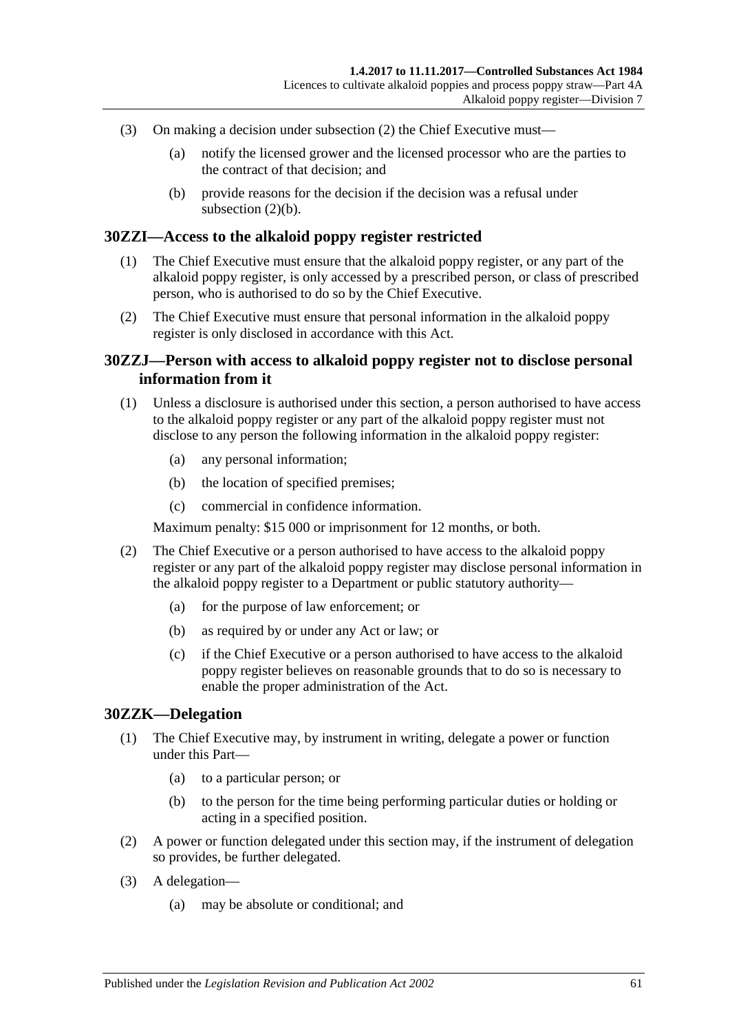- (3) On making a decision under [subsection](#page-59-1) (2) the Chief Executive must—
	- (a) notify the licensed grower and the licensed processor who are the parties to the contract of that decision; and
	- (b) provide reasons for the decision if the decision was a refusal under [subsection](#page-59-2)  $(2)(b)$ .

#### **30ZZI—Access to the alkaloid poppy register restricted**

- (1) The Chief Executive must ensure that the alkaloid poppy register, or any part of the alkaloid poppy register, is only accessed by a prescribed person, or class of prescribed person, who is authorised to do so by the Chief Executive.
- (2) The Chief Executive must ensure that personal information in the alkaloid poppy register is only disclosed in accordance with this Act.

#### **30ZZJ—Person with access to alkaloid poppy register not to disclose personal information from it**

- (1) Unless a disclosure is authorised under this section, a person authorised to have access to the alkaloid poppy register or any part of the alkaloid poppy register must not disclose to any person the following information in the alkaloid poppy register:
	- (a) any personal information;
	- (b) the location of specified premises;
	- (c) commercial in confidence information.

Maximum penalty: \$15 000 or imprisonment for 12 months, or both.

- (2) The Chief Executive or a person authorised to have access to the alkaloid poppy register or any part of the alkaloid poppy register may disclose personal information in the alkaloid poppy register to a Department or public statutory authority—
	- (a) for the purpose of law enforcement; or
	- (b) as required by or under any Act or law; or
	- (c) if the Chief Executive or a person authorised to have access to the alkaloid poppy register believes on reasonable grounds that to do so is necessary to enable the proper administration of the Act.

#### **30ZZK—Delegation**

- (1) The Chief Executive may, by instrument in writing, delegate a power or function under this Part—
	- (a) to a particular person; or
	- (b) to the person for the time being performing particular duties or holding or acting in a specified position.
- (2) A power or function delegated under this section may, if the instrument of delegation so provides, be further delegated.
- (3) A delegation—
	- (a) may be absolute or conditional; and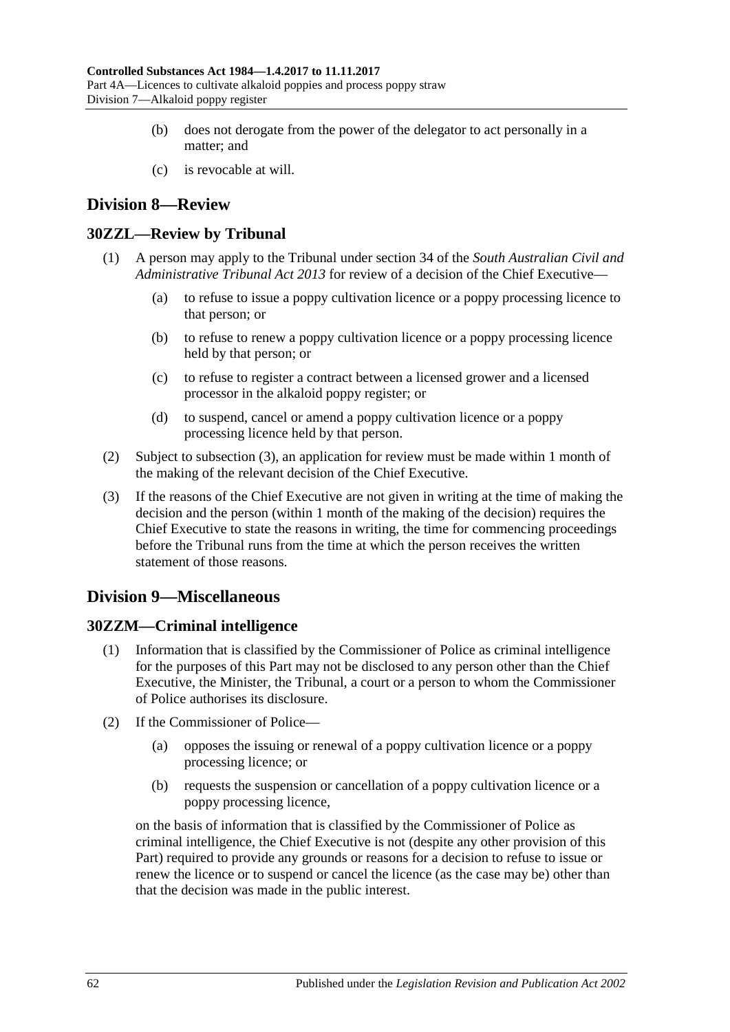- (b) does not derogate from the power of the delegator to act personally in a matter; and
- (c) is revocable at will.

## **Division 8—Review**

### **30ZZL—Review by Tribunal**

- (1) A person may apply to the Tribunal under section 34 of the *[South Australian Civil and](http://www.legislation.sa.gov.au/index.aspx?action=legref&type=act&legtitle=South%20Australian%20Civil%20and%20Administrative%20Tribunal%20Act%202013)  [Administrative Tribunal Act](http://www.legislation.sa.gov.au/index.aspx?action=legref&type=act&legtitle=South%20Australian%20Civil%20and%20Administrative%20Tribunal%20Act%202013) 2013* for review of a decision of the Chief Executive—
	- (a) to refuse to issue a poppy cultivation licence or a poppy processing licence to that person; or
	- (b) to refuse to renew a poppy cultivation licence or a poppy processing licence held by that person; or
	- (c) to refuse to register a contract between a licensed grower and a licensed processor in the alkaloid poppy register; or
	- (d) to suspend, cancel or amend a poppy cultivation licence or a poppy processing licence held by that person.
- (2) Subject to [subsection](#page-61-0) (3), an application for review must be made within 1 month of the making of the relevant decision of the Chief Executive.
- <span id="page-61-0"></span>(3) If the reasons of the Chief Executive are not given in writing at the time of making the decision and the person (within 1 month of the making of the decision) requires the Chief Executive to state the reasons in writing, the time for commencing proceedings before the Tribunal runs from the time at which the person receives the written statement of those reasons.

## **Division 9—Miscellaneous**

### **30ZZM—Criminal intelligence**

- Information that is classified by the Commissioner of Police as criminal intelligence for the purposes of this Part may not be disclosed to any person other than the Chief Executive, the Minister, the Tribunal, a court or a person to whom the Commissioner of Police authorises its disclosure.
- (2) If the Commissioner of Police—
	- (a) opposes the issuing or renewal of a poppy cultivation licence or a poppy processing licence; or
	- (b) requests the suspension or cancellation of a poppy cultivation licence or a poppy processing licence,

on the basis of information that is classified by the Commissioner of Police as criminal intelligence, the Chief Executive is not (despite any other provision of this Part) required to provide any grounds or reasons for a decision to refuse to issue or renew the licence or to suspend or cancel the licence (as the case may be) other than that the decision was made in the public interest.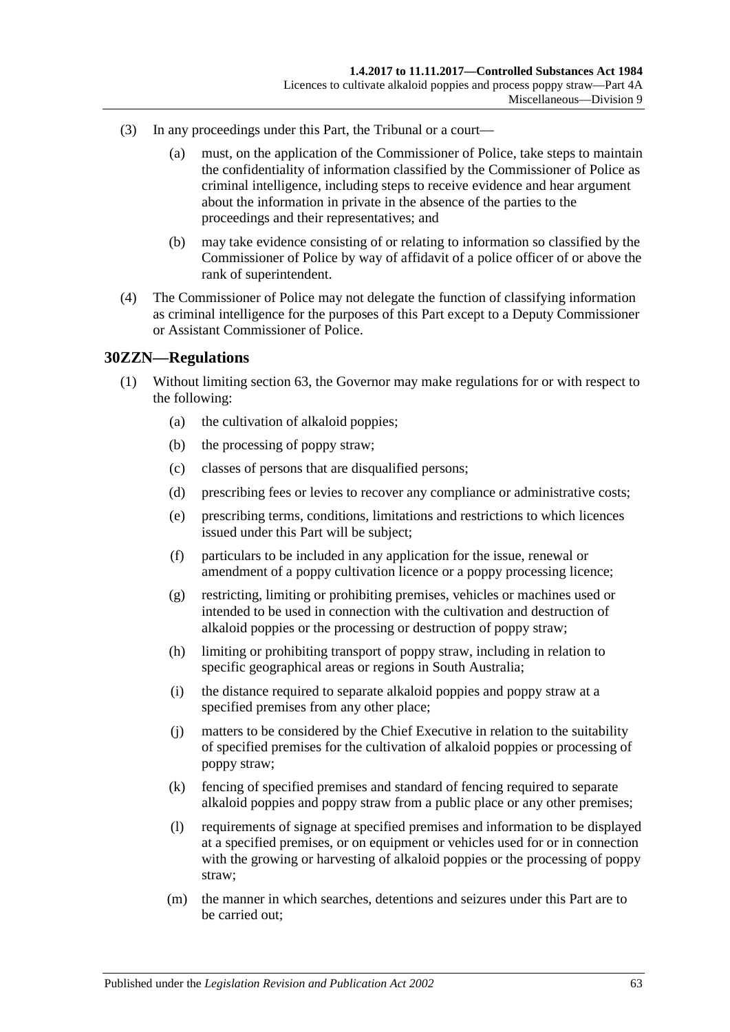- (3) In any proceedings under this Part, the Tribunal or a court—
	- (a) must, on the application of the Commissioner of Police, take steps to maintain the confidentiality of information classified by the Commissioner of Police as criminal intelligence, including steps to receive evidence and hear argument about the information in private in the absence of the parties to the proceedings and their representatives; and
	- (b) may take evidence consisting of or relating to information so classified by the Commissioner of Police by way of affidavit of a police officer of or above the rank of superintendent.
- (4) The Commissioner of Police may not delegate the function of classifying information as criminal intelligence for the purposes of this Part except to a Deputy Commissioner or Assistant Commissioner of Police.

#### **30ZZN—Regulations**

- (1) Without limiting section 63, the Governor may make regulations for or with respect to the following:
	- (a) the cultivation of alkaloid poppies;
	- (b) the processing of poppy straw;
	- (c) classes of persons that are disqualified persons;
	- (d) prescribing fees or levies to recover any compliance or administrative costs;
	- (e) prescribing terms, conditions, limitations and restrictions to which licences issued under this Part will be subject;
	- (f) particulars to be included in any application for the issue, renewal or amendment of a poppy cultivation licence or a poppy processing licence;
	- (g) restricting, limiting or prohibiting premises, vehicles or machines used or intended to be used in connection with the cultivation and destruction of alkaloid poppies or the processing or destruction of poppy straw;
	- (h) limiting or prohibiting transport of poppy straw, including in relation to specific geographical areas or regions in South Australia;
	- (i) the distance required to separate alkaloid poppies and poppy straw at a specified premises from any other place;
	- (j) matters to be considered by the Chief Executive in relation to the suitability of specified premises for the cultivation of alkaloid poppies or processing of poppy straw;
	- (k) fencing of specified premises and standard of fencing required to separate alkaloid poppies and poppy straw from a public place or any other premises;
	- (l) requirements of signage at specified premises and information to be displayed at a specified premises, or on equipment or vehicles used for or in connection with the growing or harvesting of alkaloid poppies or the processing of poppy straw;
	- (m) the manner in which searches, detentions and seizures under this Part are to be carried out;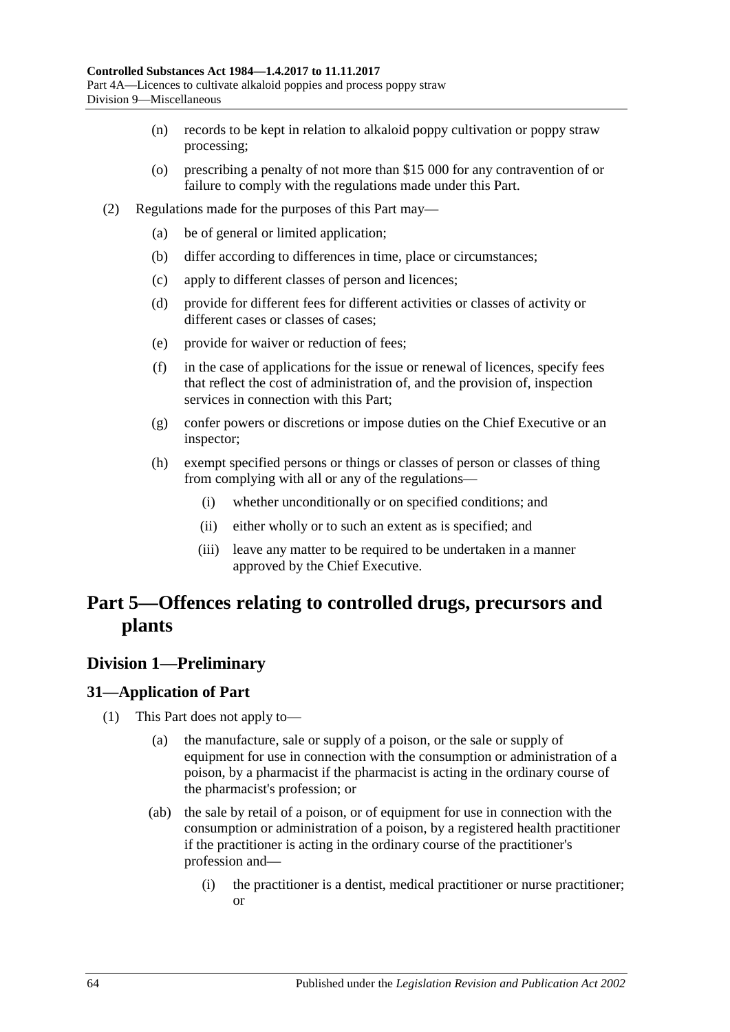- (n) records to be kept in relation to alkaloid poppy cultivation or poppy straw processing;
- (o) prescribing a penalty of not more than \$15 000 for any contravention of or failure to comply with the regulations made under this Part.
- (2) Regulations made for the purposes of this Part may—
	- (a) be of general or limited application;
	- (b) differ according to differences in time, place or circumstances;
	- (c) apply to different classes of person and licences;
	- (d) provide for different fees for different activities or classes of activity or different cases or classes of cases;
	- (e) provide for waiver or reduction of fees;
	- (f) in the case of applications for the issue or renewal of licences, specify fees that reflect the cost of administration of, and the provision of, inspection services in connection with this Part;
	- (g) confer powers or discretions or impose duties on the Chief Executive or an inspector;
	- (h) exempt specified persons or things or classes of person or classes of thing from complying with all or any of the regulations—
		- (i) whether unconditionally or on specified conditions; and
		- (ii) either wholly or to such an extent as is specified; and
		- (iii) leave any matter to be required to be undertaken in a manner approved by the Chief Executive.

# **Part 5—Offences relating to controlled drugs, precursors and plants**

## **Division 1—Preliminary**

### <span id="page-63-0"></span>**31—Application of Part**

- (1) This Part does not apply to—
	- (a) the manufacture, sale or supply of a poison, or the sale or supply of equipment for use in connection with the consumption or administration of a poison, by a pharmacist if the pharmacist is acting in the ordinary course of the pharmacist's profession; or
	- (ab) the sale by retail of a poison, or of equipment for use in connection with the consumption or administration of a poison, by a registered health practitioner if the practitioner is acting in the ordinary course of the practitioner's profession and—
		- (i) the practitioner is a dentist, medical practitioner or nurse practitioner; or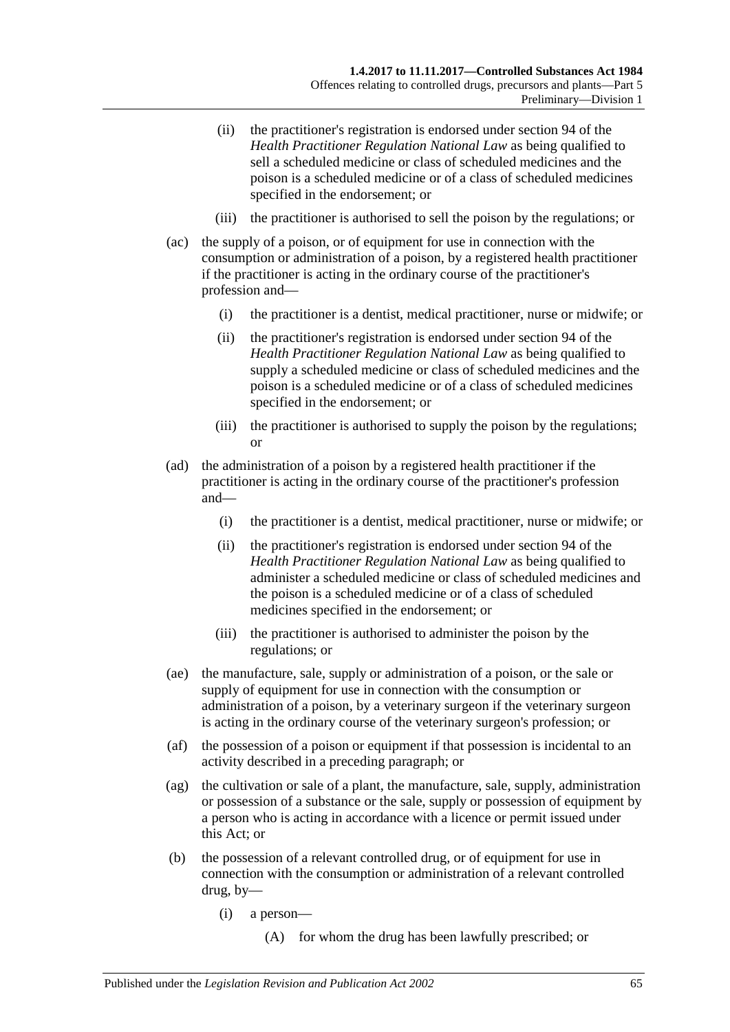- (ii) the practitioner's registration is endorsed under section 94 of the *Health Practitioner Regulation National Law* as being qualified to sell a scheduled medicine or class of scheduled medicines and the poison is a scheduled medicine or of a class of scheduled medicines specified in the endorsement; or
- (iii) the practitioner is authorised to sell the poison by the regulations; or
- (ac) the supply of a poison, or of equipment for use in connection with the consumption or administration of a poison, by a registered health practitioner if the practitioner is acting in the ordinary course of the practitioner's profession and—
	- (i) the practitioner is a dentist, medical practitioner, nurse or midwife; or
	- (ii) the practitioner's registration is endorsed under section 94 of the *Health Practitioner Regulation National Law* as being qualified to supply a scheduled medicine or class of scheduled medicines and the poison is a scheduled medicine or of a class of scheduled medicines specified in the endorsement; or
	- (iii) the practitioner is authorised to supply the poison by the regulations; or
- (ad) the administration of a poison by a registered health practitioner if the practitioner is acting in the ordinary course of the practitioner's profession and—
	- (i) the practitioner is a dentist, medical practitioner, nurse or midwife; or
	- (ii) the practitioner's registration is endorsed under section 94 of the *Health Practitioner Regulation National Law* as being qualified to administer a scheduled medicine or class of scheduled medicines and the poison is a scheduled medicine or of a class of scheduled medicines specified in the endorsement; or
	- (iii) the practitioner is authorised to administer the poison by the regulations; or
- (ae) the manufacture, sale, supply or administration of a poison, or the sale or supply of equipment for use in connection with the consumption or administration of a poison, by a veterinary surgeon if the veterinary surgeon is acting in the ordinary course of the veterinary surgeon's profession; or
- (af) the possession of a poison or equipment if that possession is incidental to an activity described in a preceding paragraph; or
- (ag) the cultivation or sale of a plant, the manufacture, sale, supply, administration or possession of a substance or the sale, supply or possession of equipment by a person who is acting in accordance with a licence or permit issued under this Act; or
- <span id="page-64-0"></span>(b) the possession of a relevant controlled drug, or of equipment for use in connection with the consumption or administration of a relevant controlled drug, by—
	- (i) a person—
		- (A) for whom the drug has been lawfully prescribed; or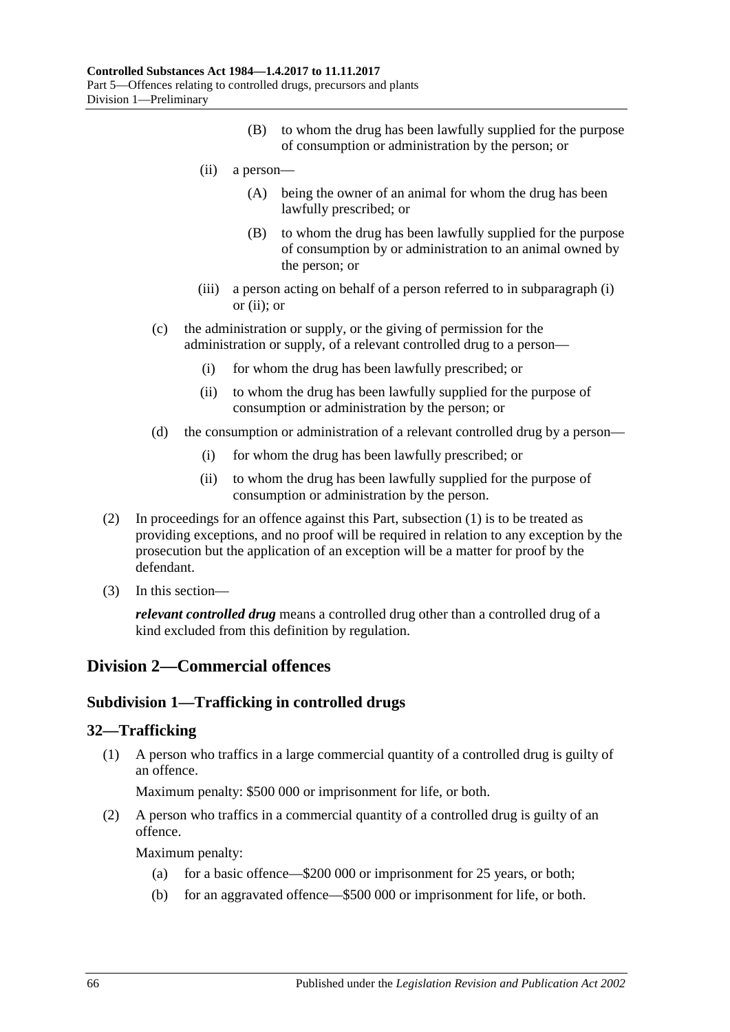- (B) to whom the drug has been lawfully supplied for the purpose of consumption or administration by the person; or
- <span id="page-65-0"></span>(ii) a person—
	- (A) being the owner of an animal for whom the drug has been lawfully prescribed; or
	- (B) to whom the drug has been lawfully supplied for the purpose of consumption by or administration to an animal owned by the person; or
- (iii) a person acting on behalf of a person referred to in [subparagraph](#page-64-0) (i) or [\(ii\);](#page-65-0) or
- (c) the administration or supply, or the giving of permission for the administration or supply, of a relevant controlled drug to a person—
	- (i) for whom the drug has been lawfully prescribed; or
	- (ii) to whom the drug has been lawfully supplied for the purpose of consumption or administration by the person; or
- (d) the consumption or administration of a relevant controlled drug by a person—
	- (i) for whom the drug has been lawfully prescribed; or
	- (ii) to whom the drug has been lawfully supplied for the purpose of consumption or administration by the person.
- (2) In proceedings for an offence against this Part, [subsection](#page-63-0) (1) is to be treated as providing exceptions, and no proof will be required in relation to any exception by the prosecution but the application of an exception will be a matter for proof by the defendant.
- (3) In this section—

*relevant controlled drug* means a controlled drug other than a controlled drug of a kind excluded from this definition by regulation.

## **Division 2—Commercial offences**

### **Subdivision 1—Trafficking in controlled drugs**

#### <span id="page-65-1"></span>**32—Trafficking**

(1) A person who traffics in a large commercial quantity of a controlled drug is guilty of an offence.

Maximum penalty: \$500 000 or imprisonment for life, or both.

<span id="page-65-2"></span>(2) A person who traffics in a commercial quantity of a controlled drug is guilty of an offence.

Maximum penalty:

- (a) for a basic offence—\$200 000 or imprisonment for 25 years, or both;
- (b) for an aggravated offence—\$500 000 or imprisonment for life, or both.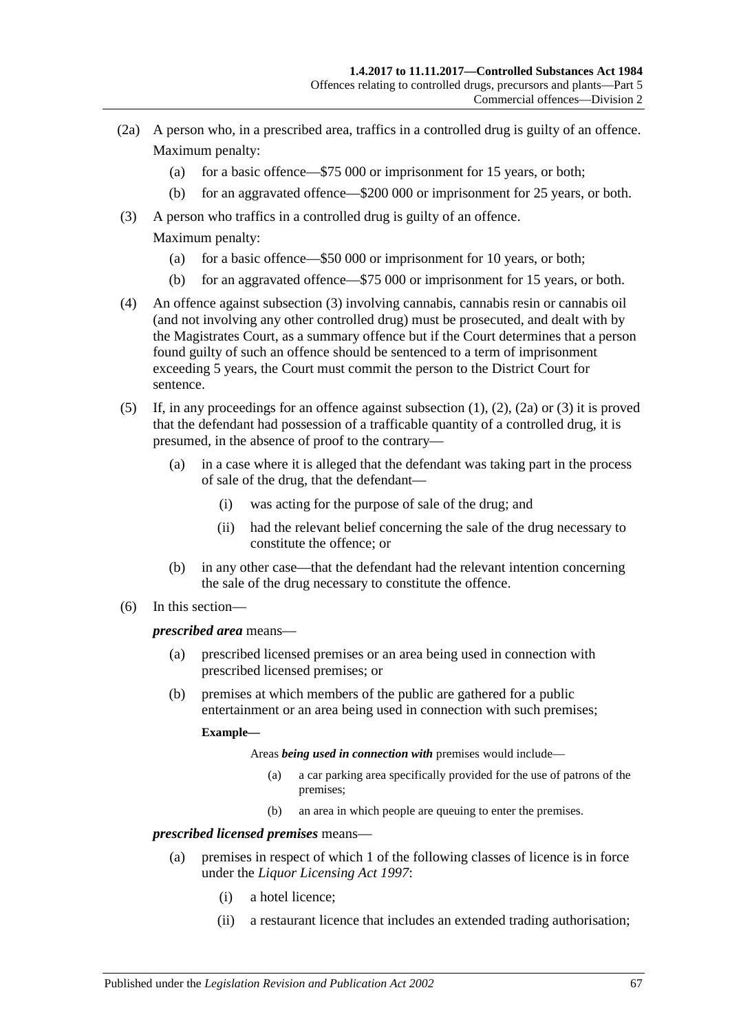- <span id="page-66-1"></span>(2a) A person who, in a prescribed area, traffics in a controlled drug is guilty of an offence. Maximum penalty:
	- (a) for a basic offence—\$75 000 or imprisonment for 15 years, or both;
	- (b) for an aggravated offence—\$200 000 or imprisonment for 25 years, or both.
- <span id="page-66-0"></span>(3) A person who traffics in a controlled drug is guilty of an offence. Maximum penalty:
	- (a) for a basic offence—\$50 000 or imprisonment for 10 years, or both;
	- (b) for an aggravated offence—\$75 000 or imprisonment for 15 years, or both.
- (4) An offence against [subsection](#page-66-0) (3) involving cannabis, cannabis resin or cannabis oil (and not involving any other controlled drug) must be prosecuted, and dealt with by the Magistrates Court, as a summary offence but if the Court determines that a person found guilty of such an offence should be sentenced to a term of imprisonment exceeding 5 years, the Court must commit the person to the District Court for sentence.
- (5) If, in any proceedings for an offence against [subsection](#page-65-1) (1), [\(2\),](#page-65-2) [\(2a\)](#page-66-1) or [\(3\)](#page-66-0) it is proved that the defendant had possession of a trafficable quantity of a controlled drug, it is presumed, in the absence of proof to the contrary—
	- (a) in a case where it is alleged that the defendant was taking part in the process of sale of the drug, that the defendant—
		- (i) was acting for the purpose of sale of the drug; and
		- (ii) had the relevant belief concerning the sale of the drug necessary to constitute the offence; or
	- (b) in any other case—that the defendant had the relevant intention concerning the sale of the drug necessary to constitute the offence.
- (6) In this section—

#### *prescribed area* means—

- (a) prescribed licensed premises or an area being used in connection with prescribed licensed premises; or
- (b) premises at which members of the public are gathered for a public entertainment or an area being used in connection with such premises;

#### **Example—**

Areas *being used in connection with* premises would include—

- (a) a car parking area specifically provided for the use of patrons of the premises;
- (b) an area in which people are queuing to enter the premises.

## *prescribed licensed premises* means—

- (a) premises in respect of which 1 of the following classes of licence is in force under the *[Liquor Licensing Act](http://www.legislation.sa.gov.au/index.aspx?action=legref&type=act&legtitle=Liquor%20Licensing%20Act%201997) 1997*:
	- (i) a hotel licence;
	- (ii) a restaurant licence that includes an extended trading authorisation;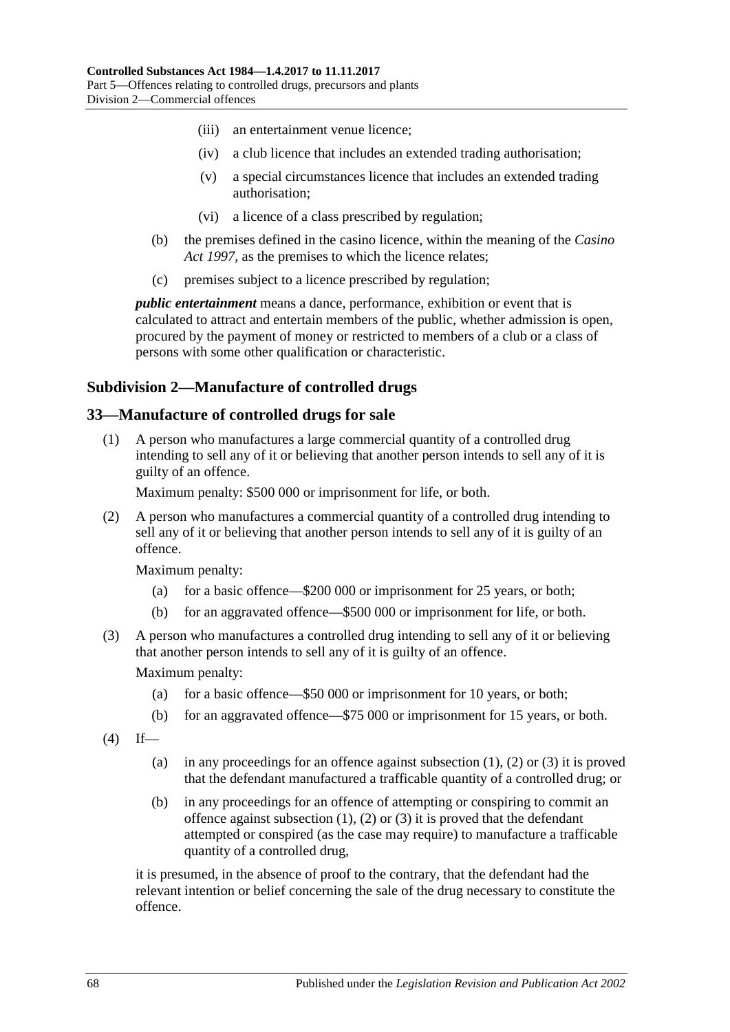- (iii) an entertainment venue licence;
- (iv) a club licence that includes an extended trading authorisation;
- (v) a special circumstances licence that includes an extended trading authorisation;
- (vi) a licence of a class prescribed by regulation;
- (b) the premises defined in the casino licence, within the meaning of the *[Casino](http://www.legislation.sa.gov.au/index.aspx?action=legref&type=act&legtitle=Casino%20Act%201997)  Act [1997](http://www.legislation.sa.gov.au/index.aspx?action=legref&type=act&legtitle=Casino%20Act%201997)*, as the premises to which the licence relates;
- (c) premises subject to a licence prescribed by regulation;

*public entertainment* means a dance, performance, exhibition or event that is calculated to attract and entertain members of the public, whether admission is open, procured by the payment of money or restricted to members of a club or a class of persons with some other qualification or characteristic.

### **Subdivision 2—Manufacture of controlled drugs**

#### <span id="page-67-0"></span>**33—Manufacture of controlled drugs for sale**

(1) A person who manufactures a large commercial quantity of a controlled drug intending to sell any of it or believing that another person intends to sell any of it is guilty of an offence.

Maximum penalty: \$500 000 or imprisonment for life, or both.

<span id="page-67-1"></span>(2) A person who manufactures a commercial quantity of a controlled drug intending to sell any of it or believing that another person intends to sell any of it is guilty of an offence.

Maximum penalty:

- (a) for a basic offence—\$200 000 or imprisonment for 25 years, or both;
- (b) for an aggravated offence—\$500 000 or imprisonment for life, or both.
- <span id="page-67-2"></span>(3) A person who manufactures a controlled drug intending to sell any of it or believing that another person intends to sell any of it is guilty of an offence.

Maximum penalty:

- (a) for a basic offence—\$50 000 or imprisonment for 10 years, or both;
- (b) for an aggravated offence—\$75 000 or imprisonment for 15 years, or both.
- $(4)$  If
	- (a) in any proceedings for an offence against [subsection](#page-67-0)  $(1)$ ,  $(2)$  or  $(3)$  it is proved that the defendant manufactured a trafficable quantity of a controlled drug; or
	- (b) in any proceedings for an offence of attempting or conspiring to commit an offence against [subsection](#page-67-0)  $(1)$ ,  $(2)$  or  $(3)$  it is proved that the defendant attempted or conspired (as the case may require) to manufacture a trafficable quantity of a controlled drug,

it is presumed, in the absence of proof to the contrary, that the defendant had the relevant intention or belief concerning the sale of the drug necessary to constitute the offence.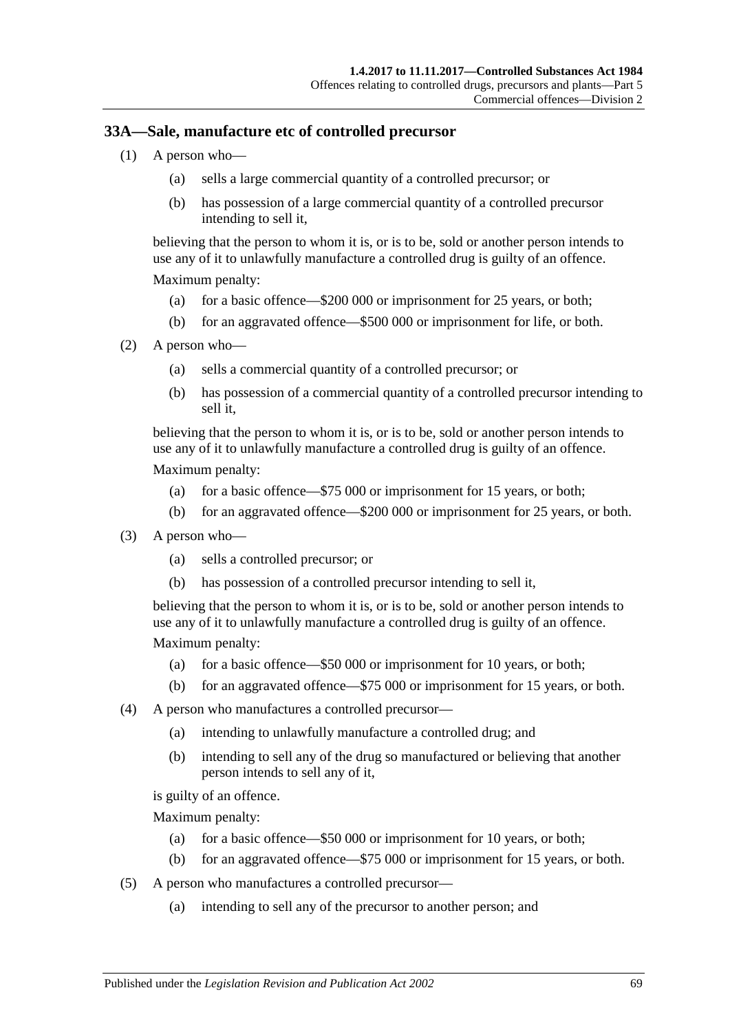## **33A—Sale, manufacture etc of controlled precursor**

- (1) A person who—
	- (a) sells a large commercial quantity of a controlled precursor; or
	- (b) has possession of a large commercial quantity of a controlled precursor intending to sell it,

believing that the person to whom it is, or is to be, sold or another person intends to use any of it to unlawfully manufacture a controlled drug is guilty of an offence. Maximum penalty:

- (a) for a basic offence—\$200 000 or imprisonment for 25 years, or both;
- (b) for an aggravated offence—\$500 000 or imprisonment for life, or both.
- (2) A person who—
	- (a) sells a commercial quantity of a controlled precursor; or
	- (b) has possession of a commercial quantity of a controlled precursor intending to sell it,

believing that the person to whom it is, or is to be, sold or another person intends to use any of it to unlawfully manufacture a controlled drug is guilty of an offence.

Maximum penalty:

- (a) for a basic offence—\$75 000 or imprisonment for 15 years, or both;
- (b) for an aggravated offence—\$200 000 or imprisonment for 25 years, or both.
- (3) A person who—
	- (a) sells a controlled precursor; or
	- (b) has possession of a controlled precursor intending to sell it,

believing that the person to whom it is, or is to be, sold or another person intends to use any of it to unlawfully manufacture a controlled drug is guilty of an offence.

Maximum penalty:

- (a) for a basic offence—\$50 000 or imprisonment for 10 years, or both;
- (b) for an aggravated offence—\$75 000 or imprisonment for 15 years, or both.
- (4) A person who manufactures a controlled precursor—
	- (a) intending to unlawfully manufacture a controlled drug; and
	- (b) intending to sell any of the drug so manufactured or believing that another person intends to sell any of it,

is guilty of an offence.

Maximum penalty:

- (a) for a basic offence—\$50 000 or imprisonment for 10 years, or both;
- (b) for an aggravated offence—\$75 000 or imprisonment for 15 years, or both.
- (5) A person who manufactures a controlled precursor—
	- (a) intending to sell any of the precursor to another person; and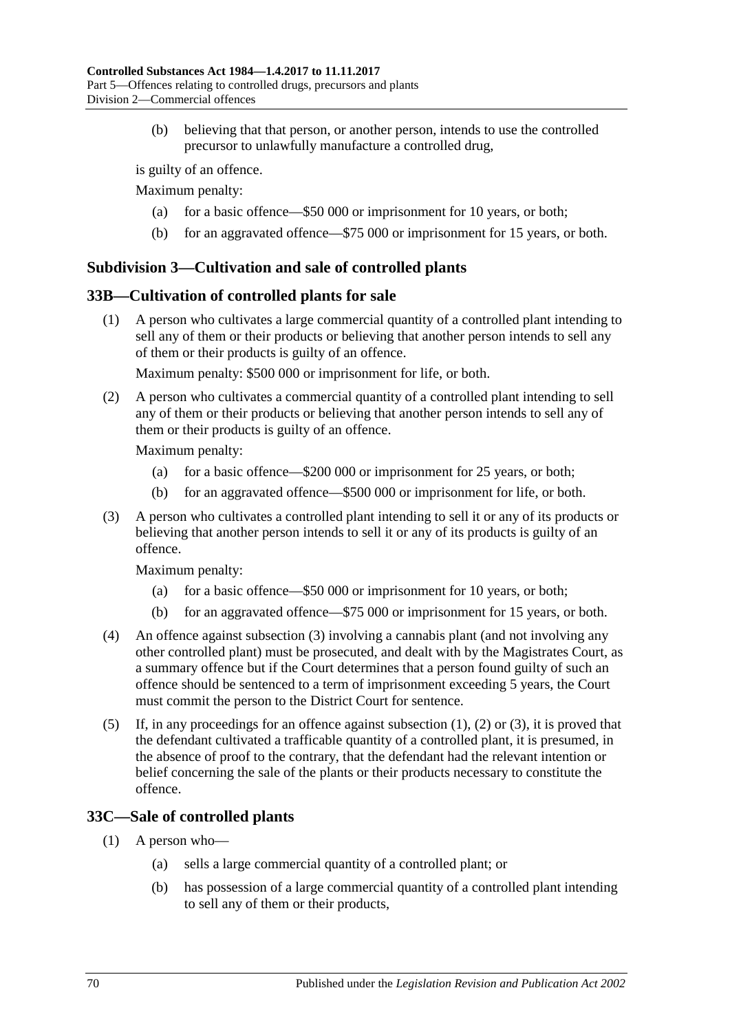(b) believing that that person, or another person, intends to use the controlled precursor to unlawfully manufacture a controlled drug,

is guilty of an offence.

Maximum penalty:

- (a) for a basic offence—\$50 000 or imprisonment for 10 years, or both;
- (b) for an aggravated offence—\$75 000 or imprisonment for 15 years, or both.

## **Subdivision 3—Cultivation and sale of controlled plants**

### <span id="page-69-1"></span>**33B—Cultivation of controlled plants for sale**

(1) A person who cultivates a large commercial quantity of a controlled plant intending to sell any of them or their products or believing that another person intends to sell any of them or their products is guilty of an offence.

Maximum penalty: \$500 000 or imprisonment for life, or both.

<span id="page-69-2"></span>(2) A person who cultivates a commercial quantity of a controlled plant intending to sell any of them or their products or believing that another person intends to sell any of them or their products is guilty of an offence.

Maximum penalty:

- (a) for a basic offence—\$200 000 or imprisonment for 25 years, or both;
- (b) for an aggravated offence—\$500 000 or imprisonment for life, or both.
- <span id="page-69-0"></span>(3) A person who cultivates a controlled plant intending to sell it or any of its products or believing that another person intends to sell it or any of its products is guilty of an offence.

Maximum penalty:

- (a) for a basic offence—\$50 000 or imprisonment for 10 years, or both;
- (b) for an aggravated offence—\$75 000 or imprisonment for 15 years, or both.
- (4) An offence against [subsection](#page-69-0) (3) involving a cannabis plant (and not involving any other controlled plant) must be prosecuted, and dealt with by the Magistrates Court, as a summary offence but if the Court determines that a person found guilty of such an offence should be sentenced to a term of imprisonment exceeding 5 years, the Court must commit the person to the District Court for sentence.
- (5) If, in any proceedings for an offence against [subsection](#page-69-1) (1), [\(2\)](#page-69-2) or [\(3\),](#page-69-0) it is proved that the defendant cultivated a trafficable quantity of a controlled plant, it is presumed, in the absence of proof to the contrary, that the defendant had the relevant intention or belief concerning the sale of the plants or their products necessary to constitute the offence.

## <span id="page-69-3"></span>**33C—Sale of controlled plants**

- (1) A person who—
	- (a) sells a large commercial quantity of a controlled plant; or
	- (b) has possession of a large commercial quantity of a controlled plant intending to sell any of them or their products,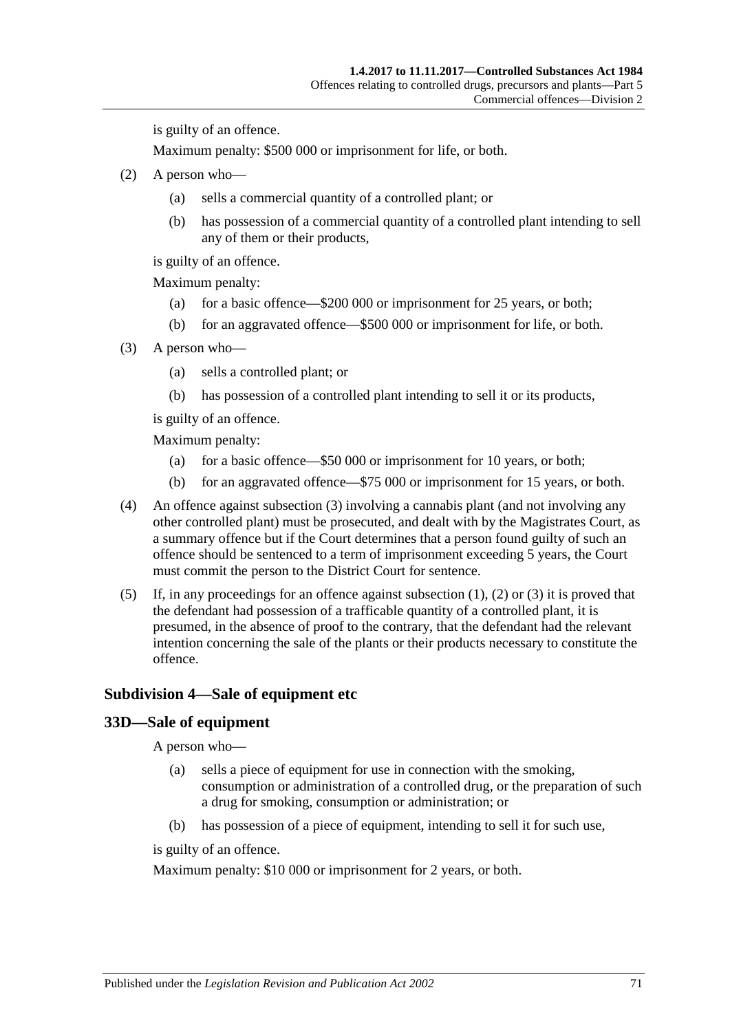is guilty of an offence.

Maximum penalty: \$500 000 or imprisonment for life, or both.

- <span id="page-70-1"></span>(2) A person who—
	- (a) sells a commercial quantity of a controlled plant; or
	- (b) has possession of a commercial quantity of a controlled plant intending to sell any of them or their products,

is guilty of an offence.

Maximum penalty:

- (a) for a basic offence—\$200 000 or imprisonment for 25 years, or both;
- (b) for an aggravated offence—\$500 000 or imprisonment for life, or both.
- <span id="page-70-0"></span>(3) A person who—
	- (a) sells a controlled plant; or
	- (b) has possession of a controlled plant intending to sell it or its products,

is guilty of an offence.

Maximum penalty:

- (a) for a basic offence—\$50 000 or imprisonment for 10 years, or both;
- (b) for an aggravated offence—\$75 000 or imprisonment for 15 years, or both.
- (4) An offence against [subsection](#page-70-0) (3) involving a cannabis plant (and not involving any other controlled plant) must be prosecuted, and dealt with by the Magistrates Court, as a summary offence but if the Court determines that a person found guilty of such an offence should be sentenced to a term of imprisonment exceeding 5 years, the Court must commit the person to the District Court for sentence.
- (5) If, in any proceedings for an offence against [subsection](#page-69-3)  $(1)$ ,  $(2)$  or  $(3)$  it is proved that the defendant had possession of a trafficable quantity of a controlled plant, it is presumed, in the absence of proof to the contrary, that the defendant had the relevant intention concerning the sale of the plants or their products necessary to constitute the offence.

#### **Subdivision 4—Sale of equipment etc**

#### **33D—Sale of equipment**

A person who—

- (a) sells a piece of equipment for use in connection with the smoking, consumption or administration of a controlled drug, or the preparation of such a drug for smoking, consumption or administration; or
- (b) has possession of a piece of equipment, intending to sell it for such use,

is guilty of an offence.

Maximum penalty: \$10 000 or imprisonment for 2 years, or both.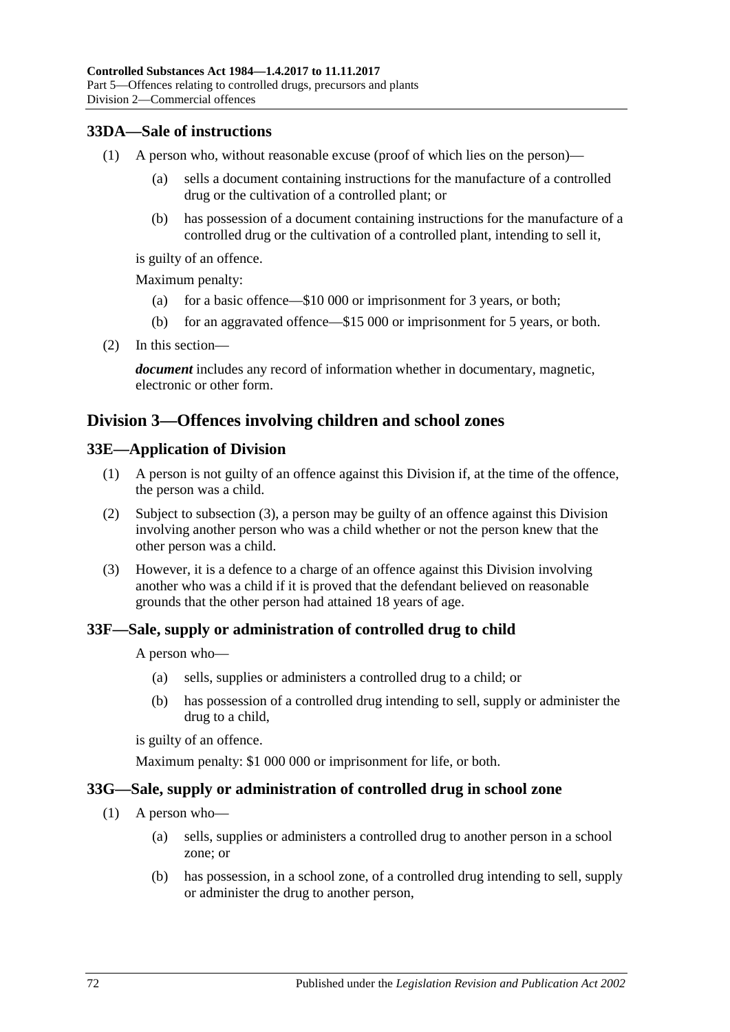## **33DA—Sale of instructions**

- (1) A person who, without reasonable excuse (proof of which lies on the person)—
	- (a) sells a document containing instructions for the manufacture of a controlled drug or the cultivation of a controlled plant; or
	- (b) has possession of a document containing instructions for the manufacture of a controlled drug or the cultivation of a controlled plant, intending to sell it,

is guilty of an offence.

Maximum penalty:

- (a) for a basic offence—\$10 000 or imprisonment for 3 years, or both;
- (b) for an aggravated offence—\$15 000 or imprisonment for 5 years, or both.
- (2) In this section—

*document* includes any record of information whether in documentary, magnetic, electronic or other form.

## **Division 3—Offences involving children and school zones**

#### **33E—Application of Division**

- (1) A person is not guilty of an offence against this Division if, at the time of the offence, the person was a child.
- (2) Subject to [subsection](#page-71-0) (3), a person may be guilty of an offence against this Division involving another person who was a child whether or not the person knew that the other person was a child.
- <span id="page-71-0"></span>(3) However, it is a defence to a charge of an offence against this Division involving another who was a child if it is proved that the defendant believed on reasonable grounds that the other person had attained 18 years of age.

### **33F—Sale, supply or administration of controlled drug to child**

A person who—

- (a) sells, supplies or administers a controlled drug to a child; or
- (b) has possession of a controlled drug intending to sell, supply or administer the drug to a child,

is guilty of an offence.

Maximum penalty: \$1 000 000 or imprisonment for life, or both.

### **33G—Sale, supply or administration of controlled drug in school zone**

- (1) A person who—
	- (a) sells, supplies or administers a controlled drug to another person in a school zone; or
	- (b) has possession, in a school zone, of a controlled drug intending to sell, supply or administer the drug to another person,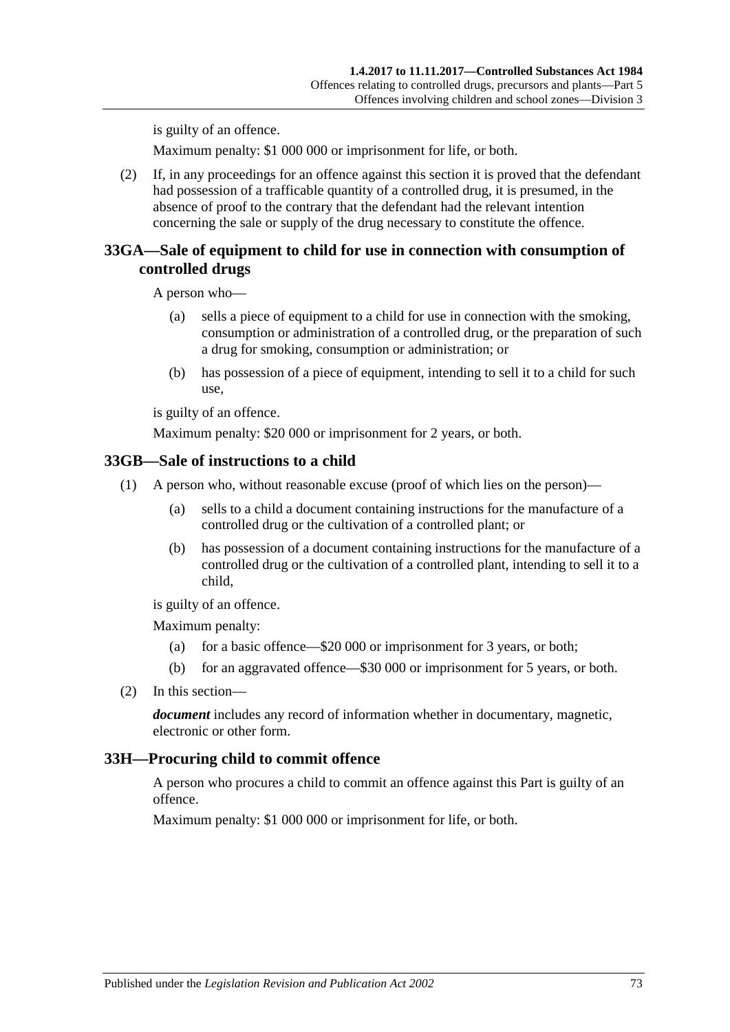is guilty of an offence.

Maximum penalty: \$1 000 000 or imprisonment for life, or both.

(2) If, in any proceedings for an offence against this section it is proved that the defendant had possession of a trafficable quantity of a controlled drug, it is presumed, in the absence of proof to the contrary that the defendant had the relevant intention concerning the sale or supply of the drug necessary to constitute the offence.

#### **33GA—Sale of equipment to child for use in connection with consumption of controlled drugs**

A person who—

- (a) sells a piece of equipment to a child for use in connection with the smoking, consumption or administration of a controlled drug, or the preparation of such a drug for smoking, consumption or administration; or
- (b) has possession of a piece of equipment, intending to sell it to a child for such use,

is guilty of an offence.

Maximum penalty: \$20 000 or imprisonment for 2 years, or both.

#### **33GB—Sale of instructions to a child**

- (1) A person who, without reasonable excuse (proof of which lies on the person)—
	- (a) sells to a child a document containing instructions for the manufacture of a controlled drug or the cultivation of a controlled plant; or
	- (b) has possession of a document containing instructions for the manufacture of a controlled drug or the cultivation of a controlled plant, intending to sell it to a child,

is guilty of an offence.

Maximum penalty:

- (a) for a basic offence—\$20 000 or imprisonment for 3 years, or both;
- (b) for an aggravated offence—\$30 000 or imprisonment for 5 years, or both.
- (2) In this section—

*document* includes any record of information whether in documentary, magnetic, electronic or other form.

#### <span id="page-72-0"></span>**33H—Procuring child to commit offence**

A person who procures a child to commit an offence against this Part is guilty of an offence.

Maximum penalty: \$1 000 000 or imprisonment for life, or both.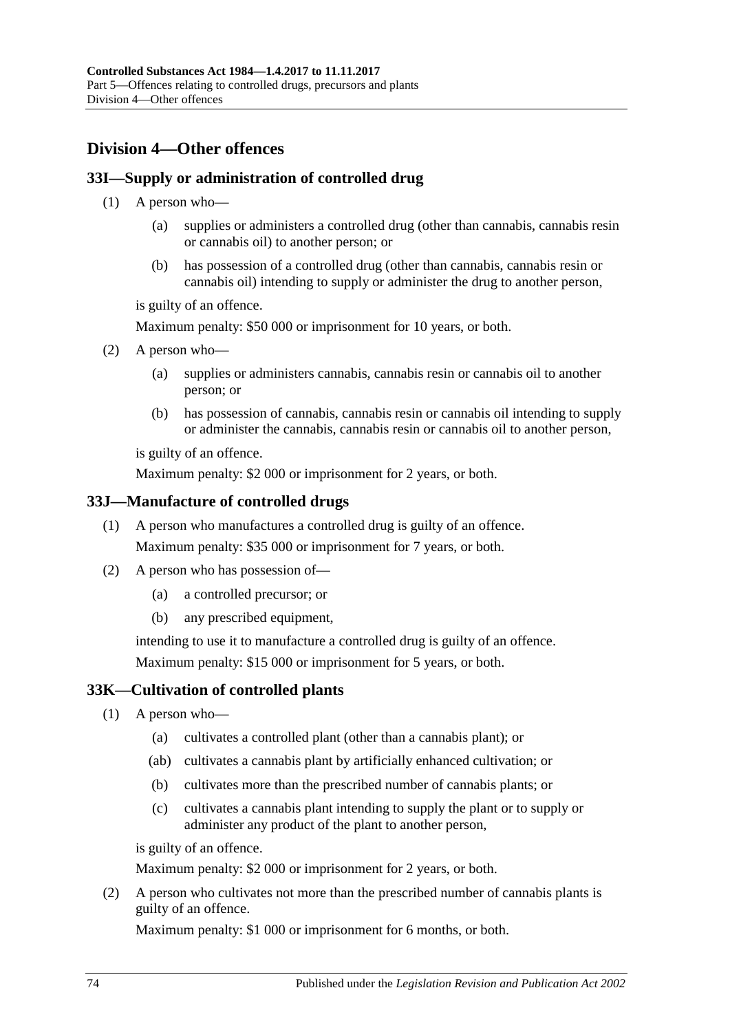# <span id="page-73-1"></span>**Division 4—Other offences**

## <span id="page-73-4"></span>**33I—Supply or administration of controlled drug**

- (1) A person who—
	- (a) supplies or administers a controlled drug (other than cannabis, cannabis resin or cannabis oil) to another person; or
	- (b) has possession of a controlled drug (other than cannabis, cannabis resin or cannabis oil) intending to supply or administer the drug to another person,

is guilty of an offence.

Maximum penalty: \$50 000 or imprisonment for 10 years, or both.

- <span id="page-73-2"></span>(2) A person who—
	- (a) supplies or administers cannabis, cannabis resin or cannabis oil to another person; or
	- (b) has possession of cannabis, cannabis resin or cannabis oil intending to supply or administer the cannabis, cannabis resin or cannabis oil to another person,

is guilty of an offence.

Maximum penalty: \$2 000 or imprisonment for 2 years, or both.

#### **33J—Manufacture of controlled drugs**

- (1) A person who manufactures a controlled drug is guilty of an offence. Maximum penalty: \$35 000 or imprisonment for 7 years, or both.
- (2) A person who has possession of—
	- (a) a controlled precursor; or
	- (b) any prescribed equipment,

intending to use it to manufacture a controlled drug is guilty of an offence. Maximum penalty: \$15 000 or imprisonment for 5 years, or both.

#### <span id="page-73-3"></span>**33K—Cultivation of controlled plants**

- (1) A person who—
	- (a) cultivates a controlled plant (other than a cannabis plant); or
	- (ab) cultivates a cannabis plant by artificially enhanced cultivation; or
	- (b) cultivates more than the prescribed number of cannabis plants; or
	- (c) cultivates a cannabis plant intending to supply the plant or to supply or administer any product of the plant to another person,

is guilty of an offence.

Maximum penalty: \$2 000 or imprisonment for 2 years, or both.

<span id="page-73-0"></span>(2) A person who cultivates not more than the prescribed number of cannabis plants is guilty of an offence.

Maximum penalty: \$1 000 or imprisonment for 6 months, or both.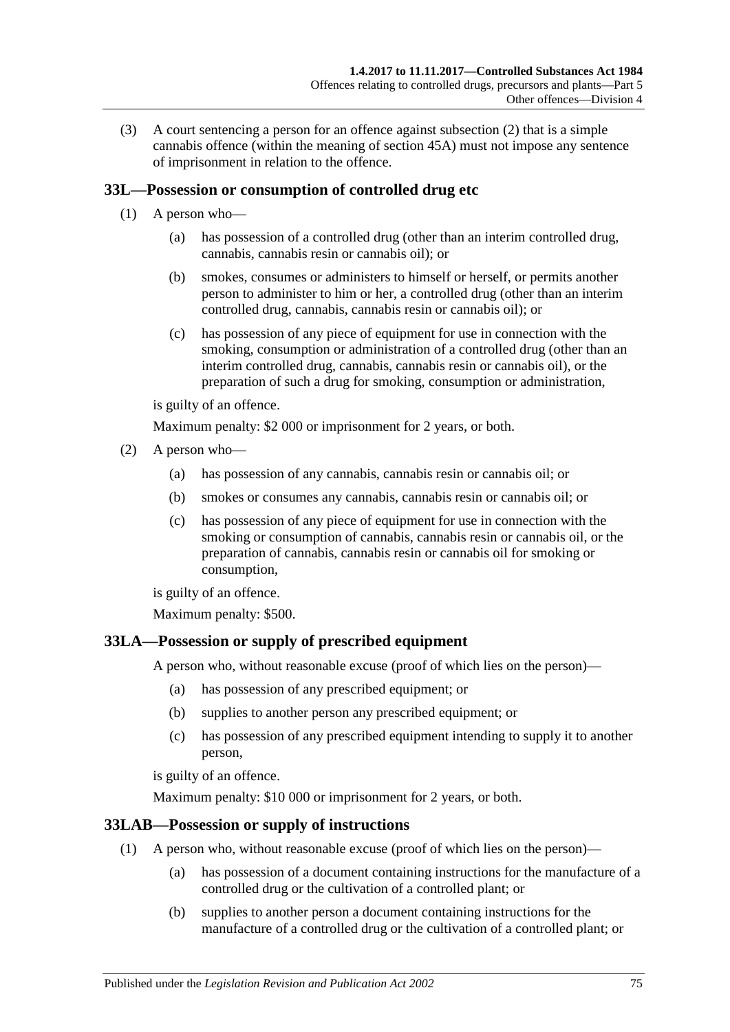(3) A court sentencing a person for an offence against [subsection](#page-73-0) (2) that is a simple cannabis offence (within the meaning of [section](#page-87-0) 45A) must not impose any sentence of imprisonment in relation to the offence.

# <span id="page-74-0"></span>**33L—Possession or consumption of controlled drug etc**

- (1) A person who—
	- (a) has possession of a controlled drug (other than an interim controlled drug, cannabis, cannabis resin or cannabis oil); or
	- (b) smokes, consumes or administers to himself or herself, or permits another person to administer to him or her, a controlled drug (other than an interim controlled drug, cannabis, cannabis resin or cannabis oil); or
	- (c) has possession of any piece of equipment for use in connection with the smoking, consumption or administration of a controlled drug (other than an interim controlled drug, cannabis, cannabis resin or cannabis oil), or the preparation of such a drug for smoking, consumption or administration,

is guilty of an offence.

Maximum penalty: \$2 000 or imprisonment for 2 years, or both.

- <span id="page-74-3"></span><span id="page-74-2"></span><span id="page-74-1"></span>(2) A person who—
	- (a) has possession of any cannabis, cannabis resin or cannabis oil; or
	- (b) smokes or consumes any cannabis, cannabis resin or cannabis oil; or
	- (c) has possession of any piece of equipment for use in connection with the smoking or consumption of cannabis, cannabis resin or cannabis oil, or the preparation of cannabis, cannabis resin or cannabis oil for smoking or consumption,

is guilty of an offence.

Maximum penalty: \$500.

#### <span id="page-74-4"></span>**33LA—Possession or supply of prescribed equipment**

A person who, without reasonable excuse (proof of which lies on the person)—

- (a) has possession of any prescribed equipment; or
- (b) supplies to another person any prescribed equipment; or
- (c) has possession of any prescribed equipment intending to supply it to another person,

is guilty of an offence.

Maximum penalty: \$10 000 or imprisonment for 2 years, or both.

#### **33LAB—Possession or supply of instructions**

- (1) A person who, without reasonable excuse (proof of which lies on the person)—
	- (a) has possession of a document containing instructions for the manufacture of a controlled drug or the cultivation of a controlled plant; or
	- (b) supplies to another person a document containing instructions for the manufacture of a controlled drug or the cultivation of a controlled plant; or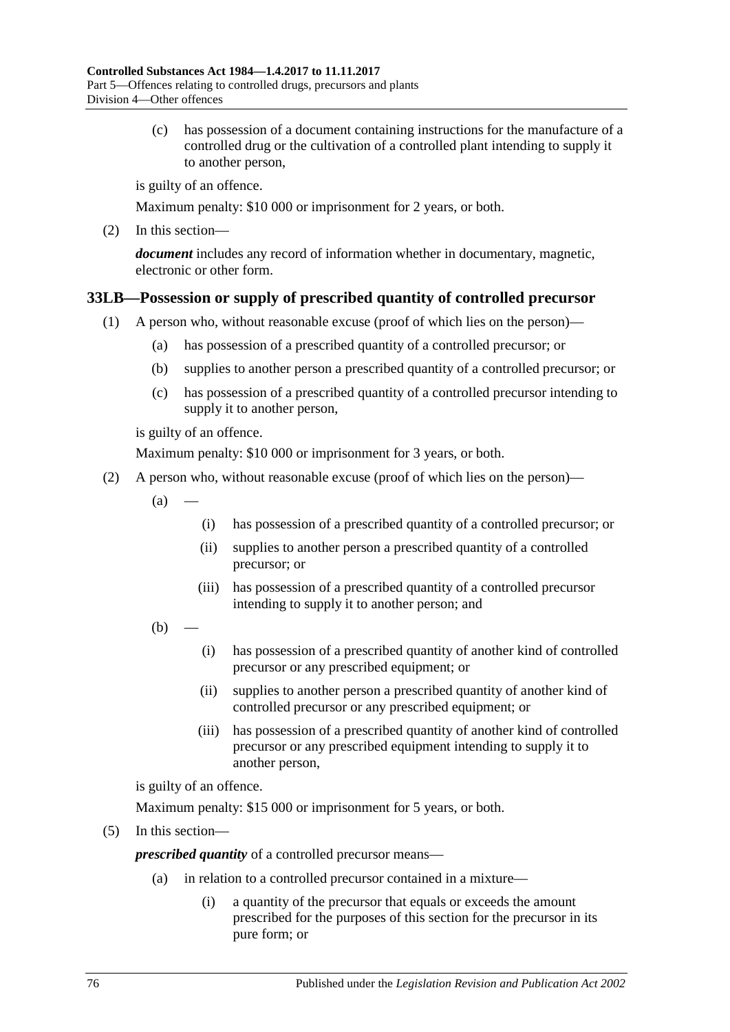(c) has possession of a document containing instructions for the manufacture of a controlled drug or the cultivation of a controlled plant intending to supply it to another person,

is guilty of an offence.

Maximum penalty: \$10 000 or imprisonment for 2 years, or both.

(2) In this section—

*document* includes any record of information whether in documentary, magnetic, electronic or other form.

# <span id="page-75-0"></span>**33LB—Possession or supply of prescribed quantity of controlled precursor**

- (1) A person who, without reasonable excuse (proof of which lies on the person)—
	- (a) has possession of a prescribed quantity of a controlled precursor; or
	- (b) supplies to another person a prescribed quantity of a controlled precursor; or
	- (c) has possession of a prescribed quantity of a controlled precursor intending to supply it to another person,

is guilty of an offence.

Maximum penalty: \$10 000 or imprisonment for 3 years, or both.

- (2) A person who, without reasonable excuse (proof of which lies on the person)—
	- $(a)$ 
		- (i) has possession of a prescribed quantity of a controlled precursor; or
		- (ii) supplies to another person a prescribed quantity of a controlled precursor; or
		- (iii) has possession of a prescribed quantity of a controlled precursor intending to supply it to another person; and
	- $(b)$ 
		- (i) has possession of a prescribed quantity of another kind of controlled precursor or any prescribed equipment; or
		- (ii) supplies to another person a prescribed quantity of another kind of controlled precursor or any prescribed equipment; or
		- (iii) has possession of a prescribed quantity of another kind of controlled precursor or any prescribed equipment intending to supply it to another person,

is guilty of an offence.

Maximum penalty: \$15 000 or imprisonment for 5 years, or both.

(5) In this section—

*prescribed quantity* of a controlled precursor means—

- (a) in relation to a controlled precursor contained in a mixture—
	- (i) a quantity of the precursor that equals or exceeds the amount prescribed for the purposes of this section for the precursor in its pure form; or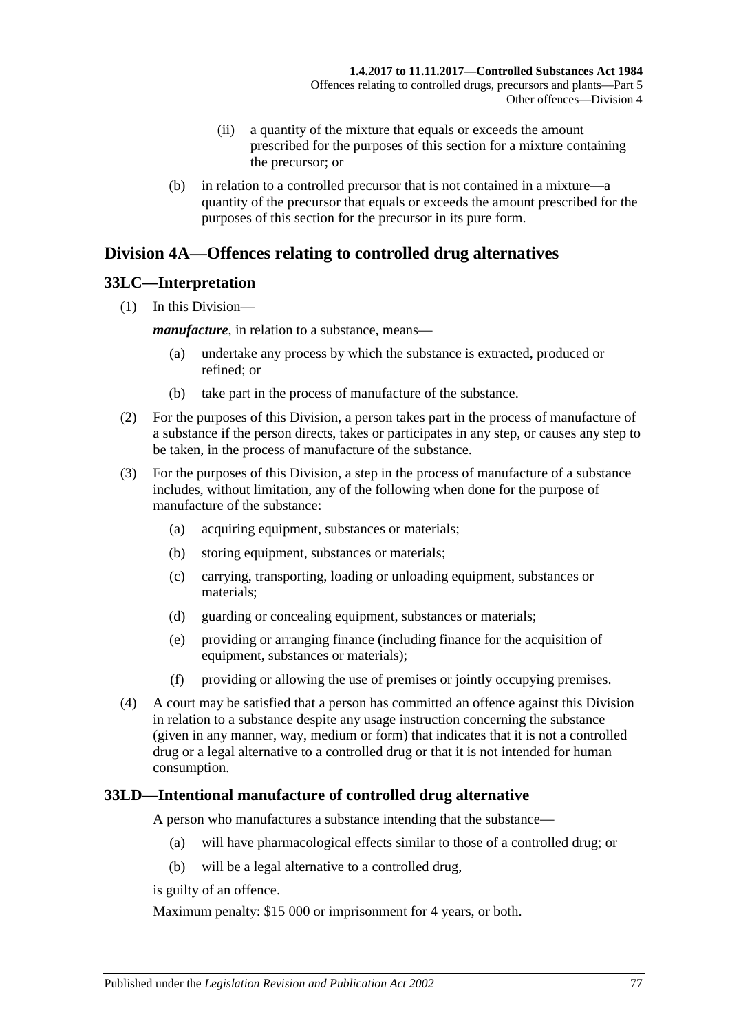- (ii) a quantity of the mixture that equals or exceeds the amount prescribed for the purposes of this section for a mixture containing the precursor; or
- (b) in relation to a controlled precursor that is not contained in a mixture—a quantity of the precursor that equals or exceeds the amount prescribed for the purposes of this section for the precursor in its pure form.

# <span id="page-76-1"></span>**Division 4A—Offences relating to controlled drug alternatives**

## **33LC—Interpretation**

(1) In this Division—

*manufacture*, in relation to a substance, means—

- (a) undertake any process by which the substance is extracted, produced or refined; or
- (b) take part in the process of manufacture of the substance.
- (2) For the purposes of this Division, a person takes part in the process of manufacture of a substance if the person directs, takes or participates in any step, or causes any step to be taken, in the process of manufacture of the substance.
- (3) For the purposes of this Division, a step in the process of manufacture of a substance includes, without limitation, any of the following when done for the purpose of manufacture of the substance:
	- (a) acquiring equipment, substances or materials;
	- (b) storing equipment, substances or materials;
	- (c) carrying, transporting, loading or unloading equipment, substances or materials;
	- (d) guarding or concealing equipment, substances or materials;
	- (e) providing or arranging finance (including finance for the acquisition of equipment, substances or materials);
	- (f) providing or allowing the use of premises or jointly occupying premises.
- (4) A court may be satisfied that a person has committed an offence against this Division in relation to a substance despite any usage instruction concerning the substance (given in any manner, way, medium or form) that indicates that it is not a controlled drug or a legal alternative to a controlled drug or that it is not intended for human consumption.

# <span id="page-76-0"></span>**33LD—Intentional manufacture of controlled drug alternative**

A person who manufactures a substance intending that the substance—

- (a) will have pharmacological effects similar to those of a controlled drug; or
- (b) will be a legal alternative to a controlled drug,

is guilty of an offence.

Maximum penalty: \$15 000 or imprisonment for 4 years, or both.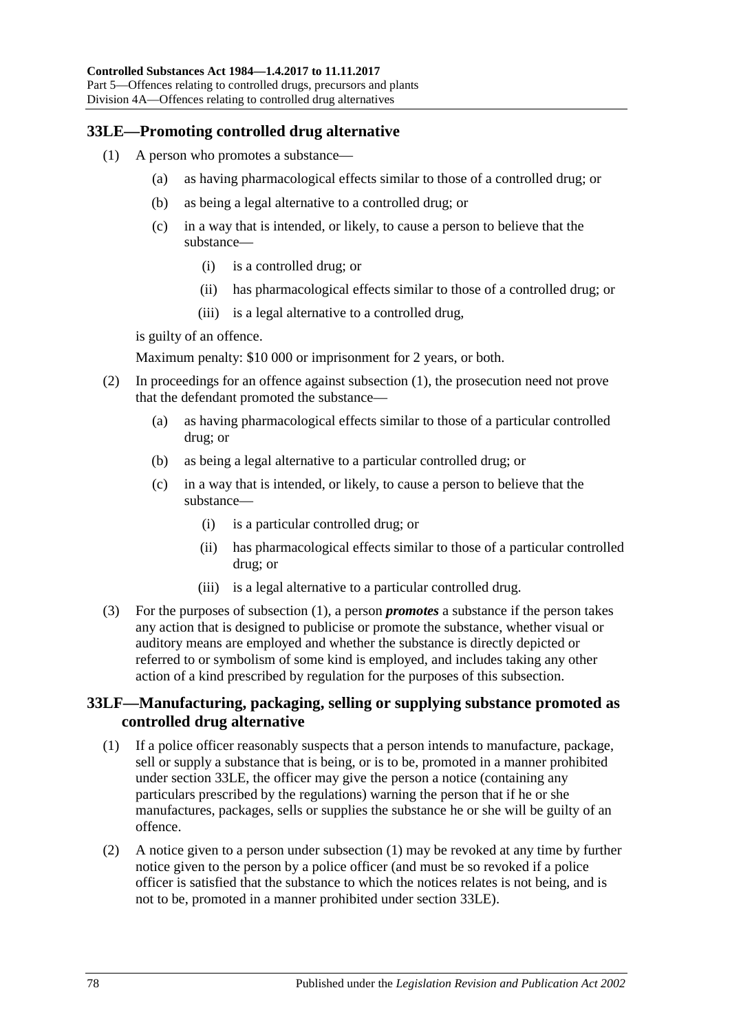# <span id="page-77-1"></span><span id="page-77-0"></span>**33LE—Promoting controlled drug alternative**

- (1) A person who promotes a substance—
	- (a) as having pharmacological effects similar to those of a controlled drug; or
	- (b) as being a legal alternative to a controlled drug; or
	- (c) in a way that is intended, or likely, to cause a person to believe that the substance—
		- (i) is a controlled drug; or
		- (ii) has pharmacological effects similar to those of a controlled drug; or
		- (iii) is a legal alternative to a controlled drug,

is guilty of an offence.

Maximum penalty: \$10 000 or imprisonment for 2 years, or both.

- (2) In proceedings for an offence against [subsection](#page-77-0) (1), the prosecution need not prove that the defendant promoted the substance—
	- (a) as having pharmacological effects similar to those of a particular controlled drug; or
	- (b) as being a legal alternative to a particular controlled drug; or
	- (c) in a way that is intended, or likely, to cause a person to believe that the substance—
		- (i) is a particular controlled drug; or
		- (ii) has pharmacological effects similar to those of a particular controlled drug; or
		- (iii) is a legal alternative to a particular controlled drug.
- (3) For the purposes of [subsection](#page-77-0) (1), a person *promotes* a substance if the person takes any action that is designed to publicise or promote the substance, whether visual or auditory means are employed and whether the substance is directly depicted or referred to or symbolism of some kind is employed, and includes taking any other action of a kind prescribed by regulation for the purposes of this subsection.

#### **33LF—Manufacturing, packaging, selling or supplying substance promoted as controlled drug alternative**

- <span id="page-77-2"></span>(1) If a police officer reasonably suspects that a person intends to manufacture, package, sell or supply a substance that is being, or is to be, promoted in a manner prohibited under [section](#page-77-1) 33LE, the officer may give the person a notice (containing any particulars prescribed by the regulations) warning the person that if he or she manufactures, packages, sells or supplies the substance he or she will be guilty of an offence.
- <span id="page-77-3"></span>(2) A notice given to a person under [subsection](#page-77-2) (1) may be revoked at any time by further notice given to the person by a police officer (and must be so revoked if a police officer is satisfied that the substance to which the notices relates is not being, and is not to be, promoted in a manner prohibited under [section](#page-77-1) 33LE).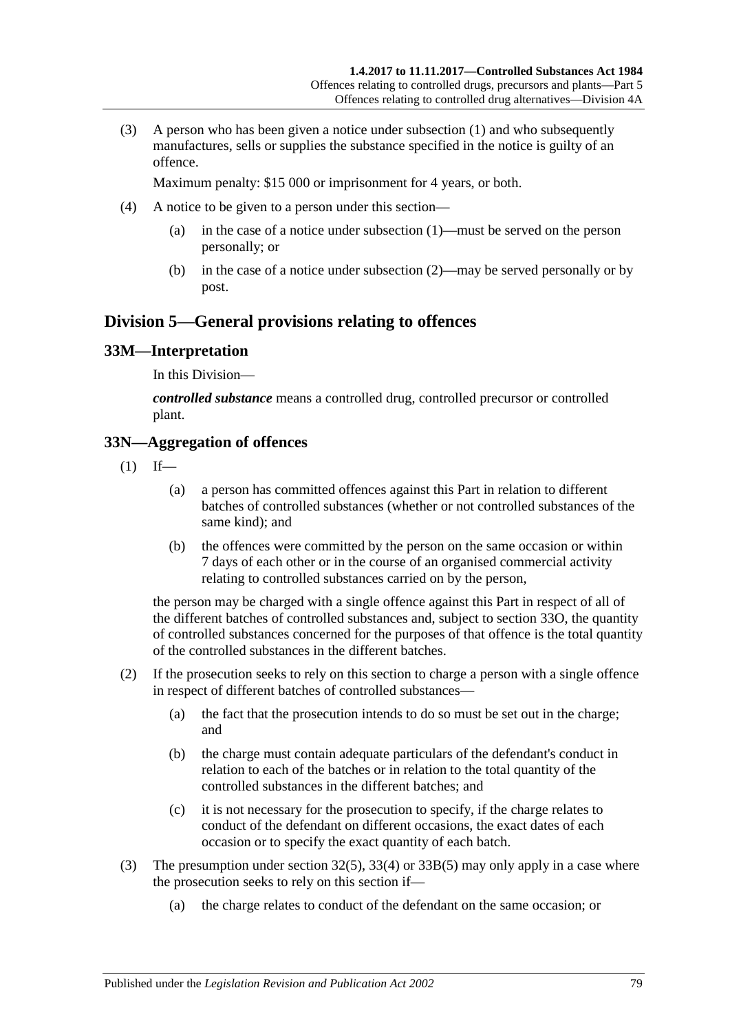(3) A person who has been given a notice under [subsection](#page-77-2) (1) and who subsequently manufactures, sells or supplies the substance specified in the notice is guilty of an offence.

Maximum penalty: \$15 000 or imprisonment for 4 years, or both.

- (4) A notice to be given to a person under this section—
	- (a) in the case of a notice under [subsection](#page-77-2) (1)—must be served on the person personally; or
	- (b) in the case of a notice under [subsection](#page-77-3) (2)—may be served personally or by post.

# **Division 5—General provisions relating to offences**

#### **33M—Interpretation**

In this Division—

*controlled substance* means a controlled drug, controlled precursor or controlled plant.

#### **33N—Aggregation of offences**

- $(1)$  If—
	- (a) a person has committed offences against this Part in relation to different batches of controlled substances (whether or not controlled substances of the same kind); and
	- (b) the offences were committed by the person on the same occasion or within 7 days of each other or in the course of an organised commercial activity relating to controlled substances carried on by the person,

the person may be charged with a single offence against this Part in respect of all of the different batches of controlled substances and, subject to [section](#page-79-0) 33O, the quantity of controlled substances concerned for the purposes of that offence is the total quantity of the controlled substances in the different batches.

- (2) If the prosecution seeks to rely on this section to charge a person with a single offence in respect of different batches of controlled substances—
	- (a) the fact that the prosecution intends to do so must be set out in the charge; and
	- (b) the charge must contain adequate particulars of the defendant's conduct in relation to each of the batches or in relation to the total quantity of the controlled substances in the different batches; and
	- (c) it is not necessary for the prosecution to specify, if the charge relates to conduct of the defendant on different occasions, the exact dates of each occasion or to specify the exact quantity of each batch.
- (3) The presumption under [section](#page-66-0) 32(5), [33\(4\)](#page-67-0) or [33B\(5\)](#page-69-0) may only apply in a case where the prosecution seeks to rely on this section if—
	- (a) the charge relates to conduct of the defendant on the same occasion; or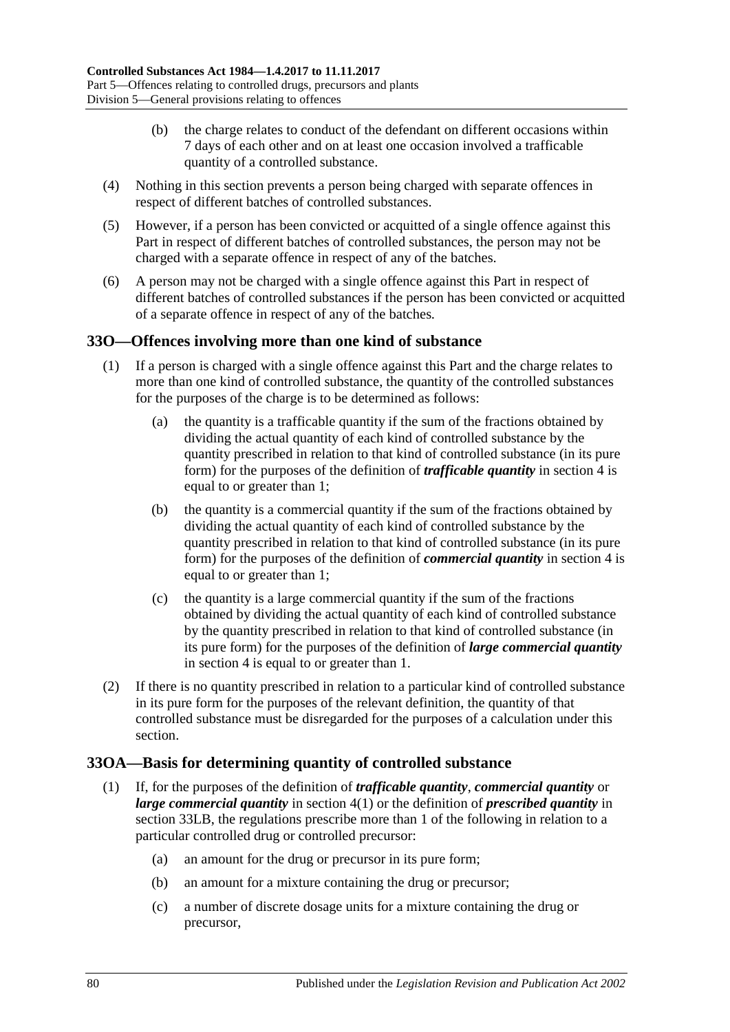- (b) the charge relates to conduct of the defendant on different occasions within 7 days of each other and on at least one occasion involved a trafficable quantity of a controlled substance.
- (4) Nothing in this section prevents a person being charged with separate offences in respect of different batches of controlled substances.
- (5) However, if a person has been convicted or acquitted of a single offence against this Part in respect of different batches of controlled substances, the person may not be charged with a separate offence in respect of any of the batches.
- (6) A person may not be charged with a single offence against this Part in respect of different batches of controlled substances if the person has been convicted or acquitted of a separate offence in respect of any of the batches.

## <span id="page-79-0"></span>**33O—Offences involving more than one kind of substance**

- (1) If a person is charged with a single offence against this Part and the charge relates to more than one kind of controlled substance, the quantity of the controlled substances for the purposes of the charge is to be determined as follows:
	- (a) the quantity is a trafficable quantity if the sum of the fractions obtained by dividing the actual quantity of each kind of controlled substance by the quantity prescribed in relation to that kind of controlled substance (in its pure form) for the purposes of the definition of *trafficable quantity* in [section](#page-5-0) 4 is equal to or greater than 1;
	- (b) the quantity is a commercial quantity if the sum of the fractions obtained by dividing the actual quantity of each kind of controlled substance by the quantity prescribed in relation to that kind of controlled substance (in its pure form) for the purposes of the definition of *commercial quantity* in [section](#page-5-0) 4 is equal to or greater than 1;
	- (c) the quantity is a large commercial quantity if the sum of the fractions obtained by dividing the actual quantity of each kind of controlled substance by the quantity prescribed in relation to that kind of controlled substance (in its pure form) for the purposes of the definition of *large commercial quantity* in [section](#page-5-0) 4 is equal to or greater than 1.
- (2) If there is no quantity prescribed in relation to a particular kind of controlled substance in its pure form for the purposes of the relevant definition, the quantity of that controlled substance must be disregarded for the purposes of a calculation under this section.

#### **33OA—Basis for determining quantity of controlled substance**

- (1) If, for the purposes of the definition of *trafficable quantity*, *commercial quantity* or *large commercial quantity* in [section](#page-5-1) 4(1) or the definition of *prescribed quantity* in [section](#page-75-0) 33LB, the regulations prescribe more than 1 of the following in relation to a particular controlled drug or controlled precursor:
	- (a) an amount for the drug or precursor in its pure form;
	- (b) an amount for a mixture containing the drug or precursor;
	- (c) a number of discrete dosage units for a mixture containing the drug or precursor,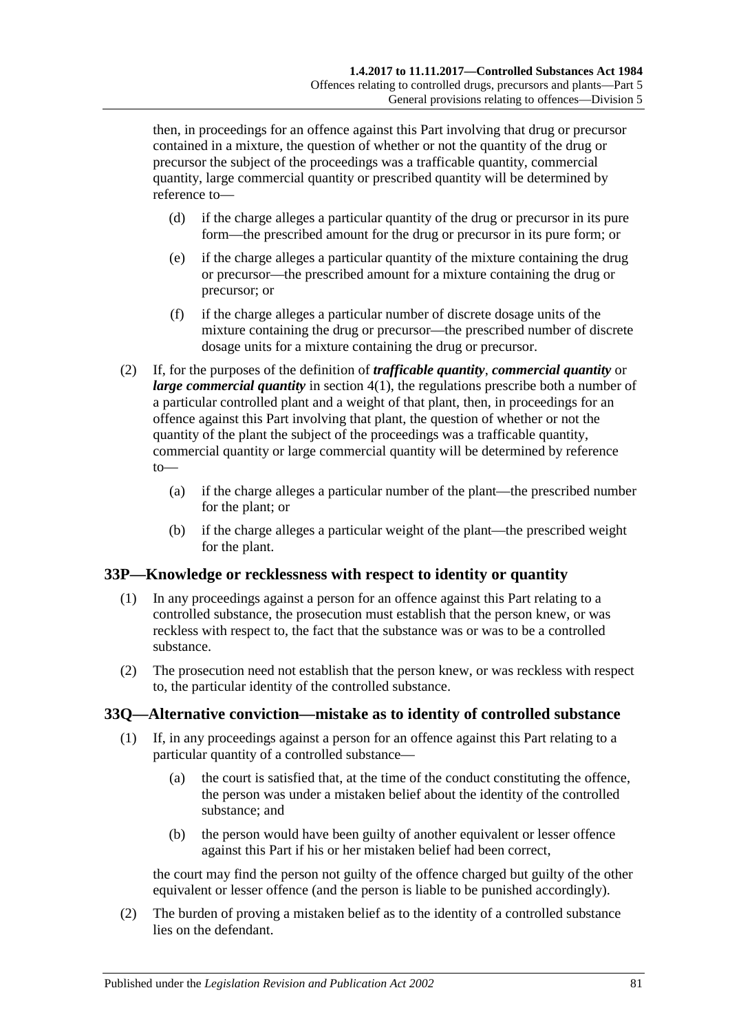then, in proceedings for an offence against this Part involving that drug or precursor contained in a mixture, the question of whether or not the quantity of the drug or precursor the subject of the proceedings was a trafficable quantity, commercial quantity, large commercial quantity or prescribed quantity will be determined by reference to—

- (d) if the charge alleges a particular quantity of the drug or precursor in its pure form—the prescribed amount for the drug or precursor in its pure form; or
- (e) if the charge alleges a particular quantity of the mixture containing the drug or precursor—the prescribed amount for a mixture containing the drug or precursor; or
- (f) if the charge alleges a particular number of discrete dosage units of the mixture containing the drug or precursor—the prescribed number of discrete dosage units for a mixture containing the drug or precursor.
- (2) If, for the purposes of the definition of *trafficable quantity*, *commercial quantity* or *large commercial quantity* in [section](#page-5-1) 4(1), the regulations prescribe both a number of a particular controlled plant and a weight of that plant, then, in proceedings for an offence against this Part involving that plant, the question of whether or not the quantity of the plant the subject of the proceedings was a trafficable quantity, commercial quantity or large commercial quantity will be determined by reference to—
	- (a) if the charge alleges a particular number of the plant—the prescribed number for the plant; or
	- (b) if the charge alleges a particular weight of the plant—the prescribed weight for the plant.

# **33P—Knowledge or recklessness with respect to identity or quantity**

- (1) In any proceedings against a person for an offence against this Part relating to a controlled substance, the prosecution must establish that the person knew, or was reckless with respect to, the fact that the substance was or was to be a controlled substance.
- (2) The prosecution need not establish that the person knew, or was reckless with respect to, the particular identity of the controlled substance.

# **33Q—Alternative conviction—mistake as to identity of controlled substance**

- (1) If, in any proceedings against a person for an offence against this Part relating to a particular quantity of a controlled substance—
	- (a) the court is satisfied that, at the time of the conduct constituting the offence, the person was under a mistaken belief about the identity of the controlled substance; and
	- (b) the person would have been guilty of another equivalent or lesser offence against this Part if his or her mistaken belief had been correct,

the court may find the person not guilty of the offence charged but guilty of the other equivalent or lesser offence (and the person is liable to be punished accordingly).

(2) The burden of proving a mistaken belief as to the identity of a controlled substance lies on the defendant.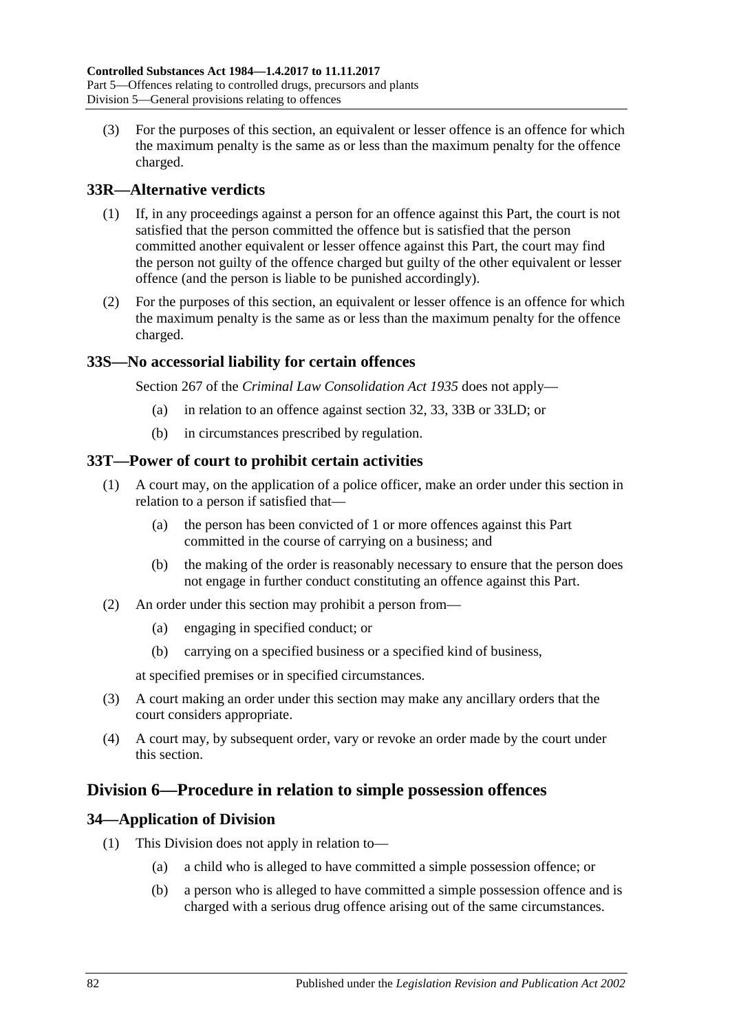(3) For the purposes of this section, an equivalent or lesser offence is an offence for which the maximum penalty is the same as or less than the maximum penalty for the offence charged.

# **33R—Alternative verdicts**

- (1) If, in any proceedings against a person for an offence against this Part, the court is not satisfied that the person committed the offence but is satisfied that the person committed another equivalent or lesser offence against this Part, the court may find the person not guilty of the offence charged but guilty of the other equivalent or lesser offence (and the person is liable to be punished accordingly).
- (2) For the purposes of this section, an equivalent or lesser offence is an offence for which the maximum penalty is the same as or less than the maximum penalty for the offence charged.

#### **33S—No accessorial liability for certain offences**

Section 267 of the *[Criminal Law Consolidation Act](http://www.legislation.sa.gov.au/index.aspx?action=legref&type=act&legtitle=Criminal%20Law%20Consolidation%20Act%201935) 1935* does not apply—

- (a) in relation to an offence against [section](#page-65-0) 32, [33,](#page-67-1) [33B](#page-69-1) or [33LD;](#page-76-0) or
- (b) in circumstances prescribed by regulation.

## **33T—Power of court to prohibit certain activities**

- (1) A court may, on the application of a police officer, make an order under this section in relation to a person if satisfied that—
	- (a) the person has been convicted of 1 or more offences against this Part committed in the course of carrying on a business; and
	- (b) the making of the order is reasonably necessary to ensure that the person does not engage in further conduct constituting an offence against this Part.
- (2) An order under this section may prohibit a person from—
	- (a) engaging in specified conduct; or
	- (b) carrying on a specified business or a specified kind of business,

at specified premises or in specified circumstances.

- (3) A court making an order under this section may make any ancillary orders that the court considers appropriate.
- (4) A court may, by subsequent order, vary or revoke an order made by the court under this section.

# **Division 6—Procedure in relation to simple possession offences**

# **34—Application of Division**

- (1) This Division does not apply in relation to—
	- (a) a child who is alleged to have committed a simple possession offence; or
	- (b) a person who is alleged to have committed a simple possession offence and is charged with a serious drug offence arising out of the same circumstances.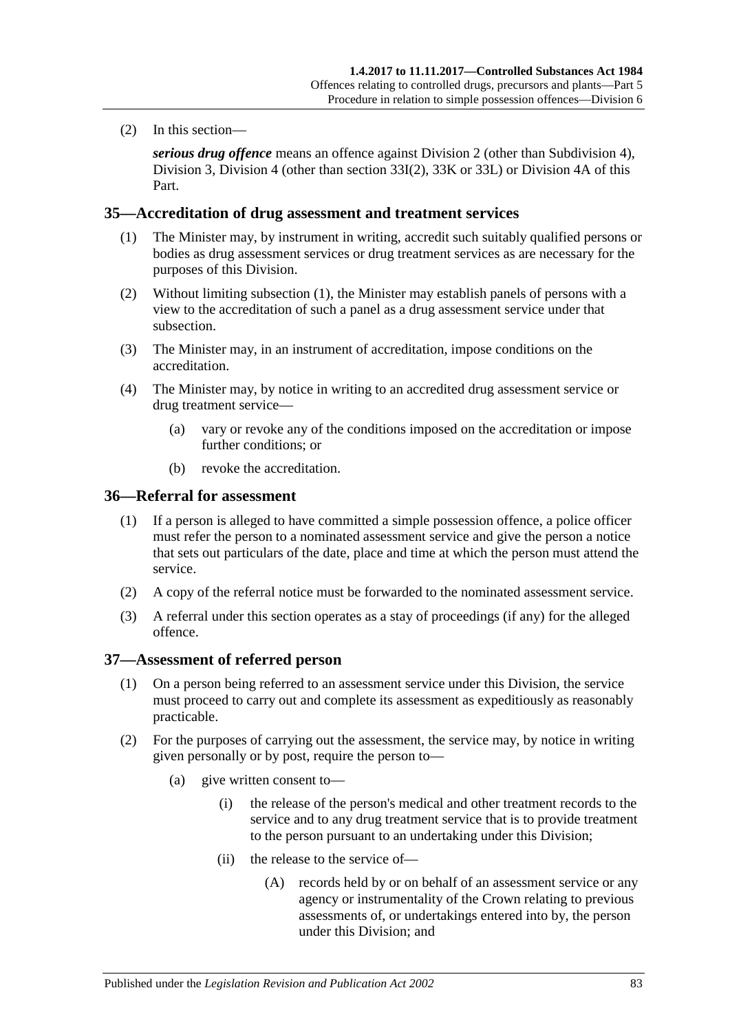(2) In this section—

*serious drug offence* means an offence against [Division 2](#page-65-1) (other than [Subdivision 4\)](#page-70-0), [Division 3,](#page-71-0) [Division 4](#page-73-1) (other than [section](#page-73-2) 33I(2), [33K](#page-73-3) or [33L\)](#page-74-0) or [Division 4A](#page-76-1) of this Part.

#### <span id="page-82-0"></span>**35—Accreditation of drug assessment and treatment services**

- (1) The Minister may, by instrument in writing, accredit such suitably qualified persons or bodies as drug assessment services or drug treatment services as are necessary for the purposes of this Division.
- (2) Without limiting [subsection](#page-82-0) (1), the Minister may establish panels of persons with a view to the accreditation of such a panel as a drug assessment service under that subsection.
- (3) The Minister may, in an instrument of accreditation, impose conditions on the accreditation.
- (4) The Minister may, by notice in writing to an accredited drug assessment service or drug treatment service—
	- (a) vary or revoke any of the conditions imposed on the accreditation or impose further conditions; or
	- (b) revoke the accreditation.

#### **36—Referral for assessment**

- (1) If a person is alleged to have committed a simple possession offence, a police officer must refer the person to a nominated assessment service and give the person a notice that sets out particulars of the date, place and time at which the person must attend the service.
- (2) A copy of the referral notice must be forwarded to the nominated assessment service.
- (3) A referral under this section operates as a stay of proceedings (if any) for the alleged offence.

#### **37—Assessment of referred person**

- (1) On a person being referred to an assessment service under this Division, the service must proceed to carry out and complete its assessment as expeditiously as reasonably practicable.
- (2) For the purposes of carrying out the assessment, the service may, by notice in writing given personally or by post, require the person to—
	- (a) give written consent to—
		- (i) the release of the person's medical and other treatment records to the service and to any drug treatment service that is to provide treatment to the person pursuant to an undertaking under this Division;
		- (ii) the release to the service of—
			- (A) records held by or on behalf of an assessment service or any agency or instrumentality of the Crown relating to previous assessments of, or undertakings entered into by, the person under this Division; and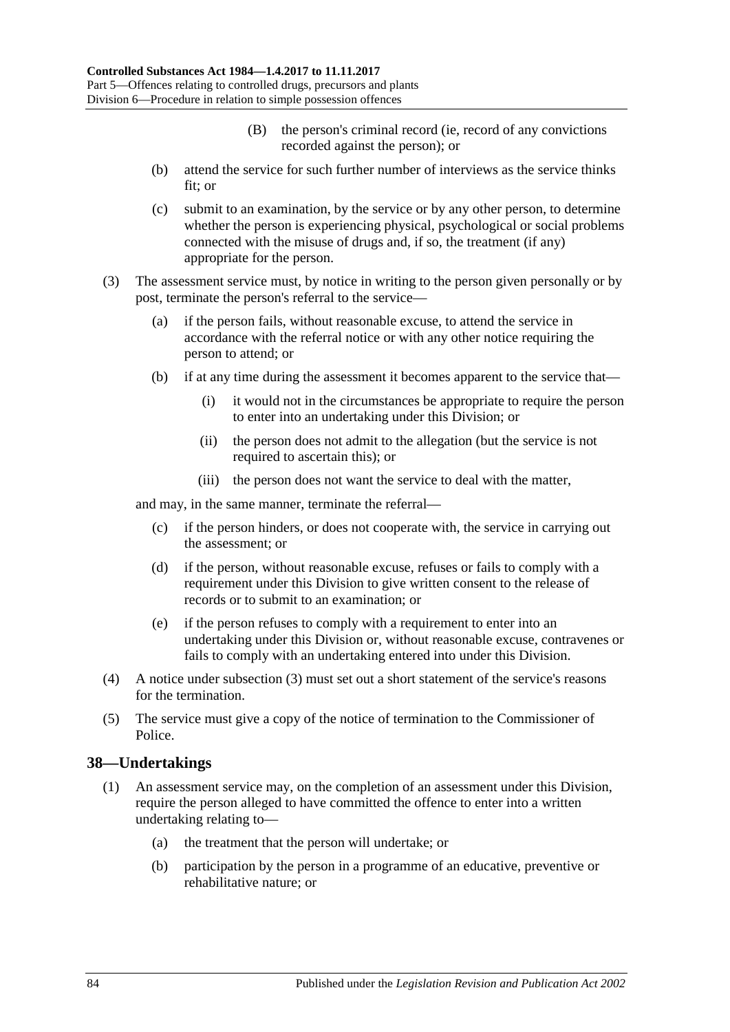- (B) the person's criminal record (ie, record of any convictions recorded against the person); or
- (b) attend the service for such further number of interviews as the service thinks fit; or
- (c) submit to an examination, by the service or by any other person, to determine whether the person is experiencing physical, psychological or social problems connected with the misuse of drugs and, if so, the treatment (if any) appropriate for the person.
- <span id="page-83-0"></span>(3) The assessment service must, by notice in writing to the person given personally or by post, terminate the person's referral to the service—
	- (a) if the person fails, without reasonable excuse, to attend the service in accordance with the referral notice or with any other notice requiring the person to attend; or
	- (b) if at any time during the assessment it becomes apparent to the service that—
		- (i) it would not in the circumstances be appropriate to require the person to enter into an undertaking under this Division; or
		- (ii) the person does not admit to the allegation (but the service is not required to ascertain this); or
		- (iii) the person does not want the service to deal with the matter,

and may, in the same manner, terminate the referral—

- (c) if the person hinders, or does not cooperate with, the service in carrying out the assessment; or
- (d) if the person, without reasonable excuse, refuses or fails to comply with a requirement under this Division to give written consent to the release of records or to submit to an examination; or
- (e) if the person refuses to comply with a requirement to enter into an undertaking under this Division or, without reasonable excuse, contravenes or fails to comply with an undertaking entered into under this Division.
- (4) A notice under [subsection](#page-83-0) (3) must set out a short statement of the service's reasons for the termination.
- (5) The service must give a copy of the notice of termination to the Commissioner of Police.

#### **38—Undertakings**

- (1) An assessment service may, on the completion of an assessment under this Division, require the person alleged to have committed the offence to enter into a written undertaking relating to—
	- (a) the treatment that the person will undertake; or
	- (b) participation by the person in a programme of an educative, preventive or rehabilitative nature; or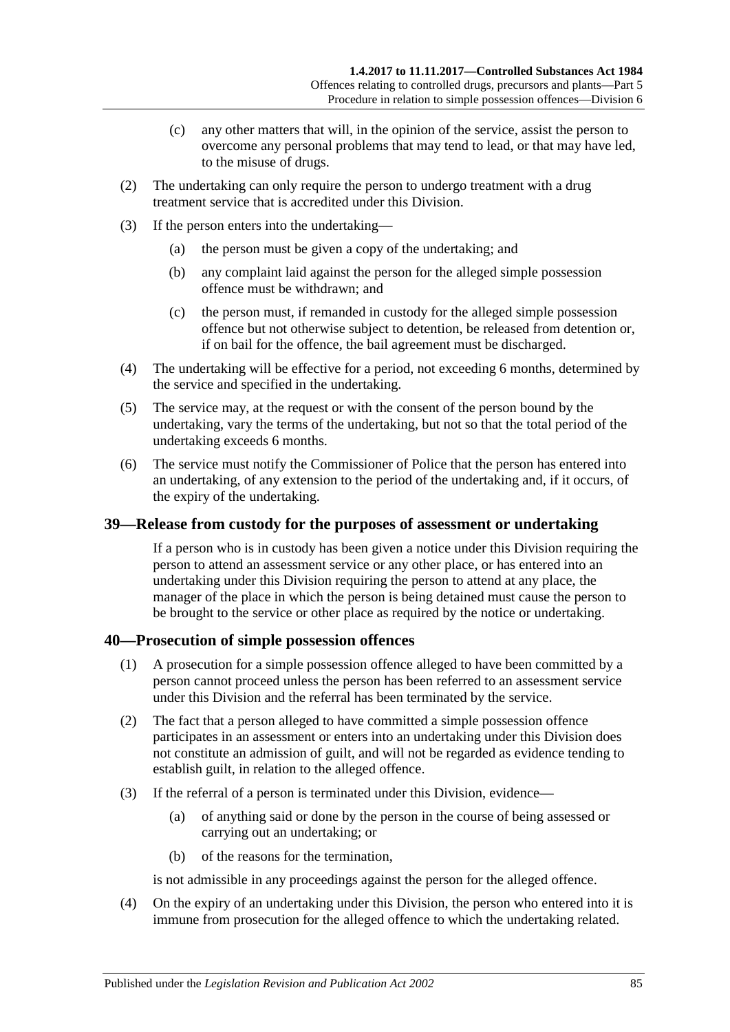- (c) any other matters that will, in the opinion of the service, assist the person to overcome any personal problems that may tend to lead, or that may have led, to the misuse of drugs.
- (2) The undertaking can only require the person to undergo treatment with a drug treatment service that is accredited under this Division.
- (3) If the person enters into the undertaking—
	- (a) the person must be given a copy of the undertaking; and
	- (b) any complaint laid against the person for the alleged simple possession offence must be withdrawn; and
	- (c) the person must, if remanded in custody for the alleged simple possession offence but not otherwise subject to detention, be released from detention or, if on bail for the offence, the bail agreement must be discharged.
- (4) The undertaking will be effective for a period, not exceeding 6 months, determined by the service and specified in the undertaking.
- (5) The service may, at the request or with the consent of the person bound by the undertaking, vary the terms of the undertaking, but not so that the total period of the undertaking exceeds 6 months.
- (6) The service must notify the Commissioner of Police that the person has entered into an undertaking, of any extension to the period of the undertaking and, if it occurs, of the expiry of the undertaking.

#### **39—Release from custody for the purposes of assessment or undertaking**

If a person who is in custody has been given a notice under this Division requiring the person to attend an assessment service or any other place, or has entered into an undertaking under this Division requiring the person to attend at any place, the manager of the place in which the person is being detained must cause the person to be brought to the service or other place as required by the notice or undertaking.

#### **40—Prosecution of simple possession offences**

- (1) A prosecution for a simple possession offence alleged to have been committed by a person cannot proceed unless the person has been referred to an assessment service under this Division and the referral has been terminated by the service.
- (2) The fact that a person alleged to have committed a simple possession offence participates in an assessment or enters into an undertaking under this Division does not constitute an admission of guilt, and will not be regarded as evidence tending to establish guilt, in relation to the alleged offence.
- (3) If the referral of a person is terminated under this Division, evidence—
	- (a) of anything said or done by the person in the course of being assessed or carrying out an undertaking; or
	- (b) of the reasons for the termination,

is not admissible in any proceedings against the person for the alleged offence.

(4) On the expiry of an undertaking under this Division, the person who entered into it is immune from prosecution for the alleged offence to which the undertaking related.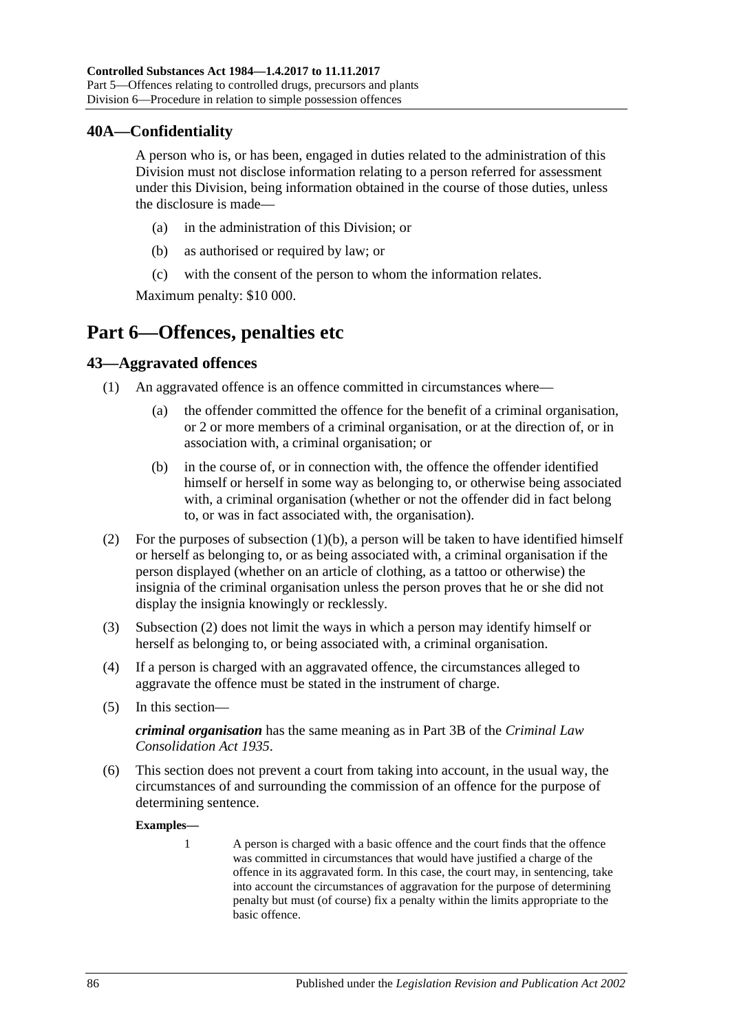### **40A—Confidentiality**

A person who is, or has been, engaged in duties related to the administration of this Division must not disclose information relating to a person referred for assessment under this Division, being information obtained in the course of those duties, unless the disclosure is made—

- (a) in the administration of this Division; or
- (b) as authorised or required by law; or
- (c) with the consent of the person to whom the information relates.

Maximum penalty: \$10 000.

# **Part 6—Offences, penalties etc**

#### **43—Aggravated offences**

- <span id="page-85-0"></span>(1) An aggravated offence is an offence committed in circumstances where—
	- (a) the offender committed the offence for the benefit of a criminal organisation, or 2 or more members of a criminal organisation, or at the direction of, or in association with, a criminal organisation; or
	- (b) in the course of, or in connection with, the offence the offender identified himself or herself in some way as belonging to, or otherwise being associated with, a criminal organisation (whether or not the offender did in fact belong to, or was in fact associated with, the organisation).
- <span id="page-85-1"></span>(2) For the purposes of [subsection](#page-85-0)  $(1)(b)$ , a person will be taken to have identified himself or herself as belonging to, or as being associated with, a criminal organisation if the person displayed (whether on an article of clothing, as a tattoo or otherwise) the insignia of the criminal organisation unless the person proves that he or she did not display the insignia knowingly or recklessly.
- (3) [Subsection](#page-85-1) (2) does not limit the ways in which a person may identify himself or herself as belonging to, or being associated with, a criminal organisation.
- (4) If a person is charged with an aggravated offence, the circumstances alleged to aggravate the offence must be stated in the instrument of charge.
- (5) In this section—

*criminal organisation* has the same meaning as in Part 3B of the *[Criminal Law](http://www.legislation.sa.gov.au/index.aspx?action=legref&type=act&legtitle=Criminal%20Law%20Consolidation%20Act%201935)  [Consolidation Act](http://www.legislation.sa.gov.au/index.aspx?action=legref&type=act&legtitle=Criminal%20Law%20Consolidation%20Act%201935) 1935*.

(6) This section does not prevent a court from taking into account, in the usual way, the circumstances of and surrounding the commission of an offence for the purpose of determining sentence.

**Examples—**

1 A person is charged with a basic offence and the court finds that the offence was committed in circumstances that would have justified a charge of the offence in its aggravated form. In this case, the court may, in sentencing, take into account the circumstances of aggravation for the purpose of determining penalty but must (of course) fix a penalty within the limits appropriate to the basic offence.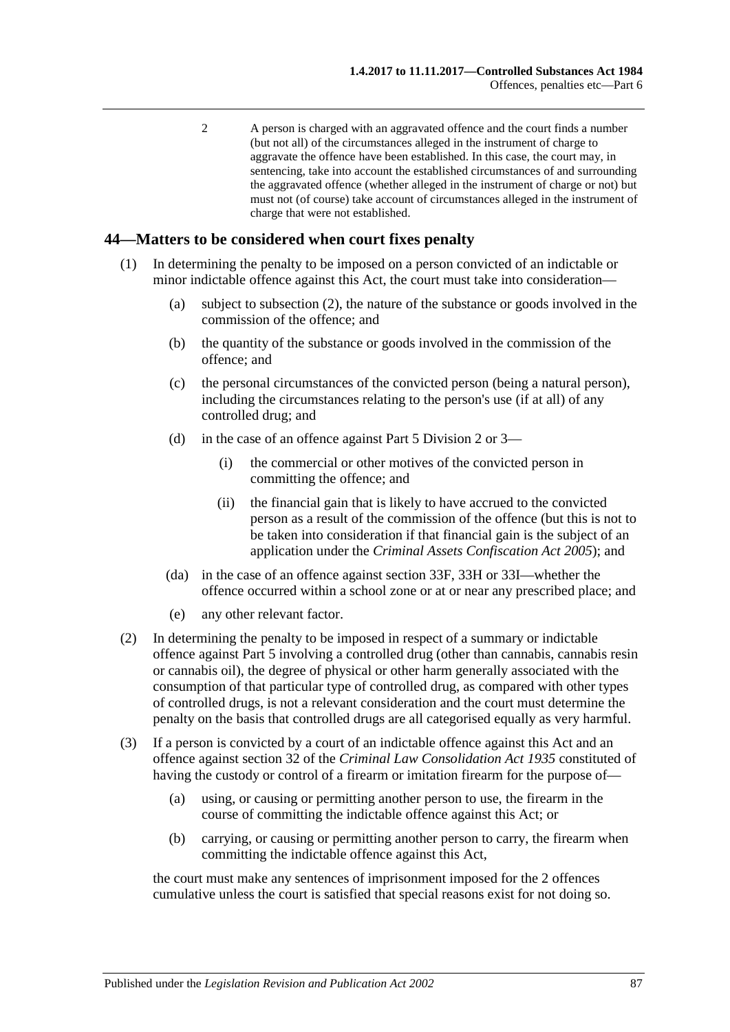2 A person is charged with an aggravated offence and the court finds a number (but not all) of the circumstances alleged in the instrument of charge to aggravate the offence have been established. In this case, the court may, in sentencing, take into account the established circumstances of and surrounding the aggravated offence (whether alleged in the instrument of charge or not) but must not (of course) take account of circumstances alleged in the instrument of charge that were not established.

#### **44—Matters to be considered when court fixes penalty**

- (1) In determining the penalty to be imposed on a person convicted of an indictable or minor indictable offence against this Act, the court must take into consideration—
	- (a) subject to [subsection](#page-86-0) (2), the nature of the substance or goods involved in the commission of the offence; and
	- (b) the quantity of the substance or goods involved in the commission of the offence; and
	- (c) the personal circumstances of the convicted person (being a natural person), including the circumstances relating to the person's use (if at all) of any controlled drug; and
	- (d) in the case of an offence against [Part 5 Division 2](#page-65-1) or [3—](#page-71-0)
		- (i) the commercial or other motives of the convicted person in committing the offence; and
		- (ii) the financial gain that is likely to have accrued to the convicted person as a result of the commission of the offence (but this is not to be taken into consideration if that financial gain is the subject of an application under the *[Criminal Assets Confiscation Act](http://www.legislation.sa.gov.au/index.aspx?action=legref&type=act&legtitle=Criminal%20Assets%20Confiscation%20Act%202005) 2005*); and
	- (da) in the case of an offence against [section](#page-71-1) 33F, [33H](#page-72-0) or [33I—](#page-73-4)whether the offence occurred within a school zone or at or near any prescribed place; and
	- (e) any other relevant factor.
- <span id="page-86-0"></span>(2) In determining the penalty to be imposed in respect of a summary or indictable offence against [Part 5](#page-63-0) involving a controlled drug (other than cannabis, cannabis resin or cannabis oil), the degree of physical or other harm generally associated with the consumption of that particular type of controlled drug, as compared with other types of controlled drugs, is not a relevant consideration and the court must determine the penalty on the basis that controlled drugs are all categorised equally as very harmful.
- (3) If a person is convicted by a court of an indictable offence against this Act and an offence against section 32 of the *[Criminal Law Consolidation Act](http://www.legislation.sa.gov.au/index.aspx?action=legref&type=act&legtitle=Criminal%20Law%20Consolidation%20Act%201935) 1935* constituted of having the custody or control of a firearm or imitation firearm for the purpose of—
	- (a) using, or causing or permitting another person to use, the firearm in the course of committing the indictable offence against this Act; or
	- (b) carrying, or causing or permitting another person to carry, the firearm when committing the indictable offence against this Act,

the court must make any sentences of imprisonment imposed for the 2 offences cumulative unless the court is satisfied that special reasons exist for not doing so.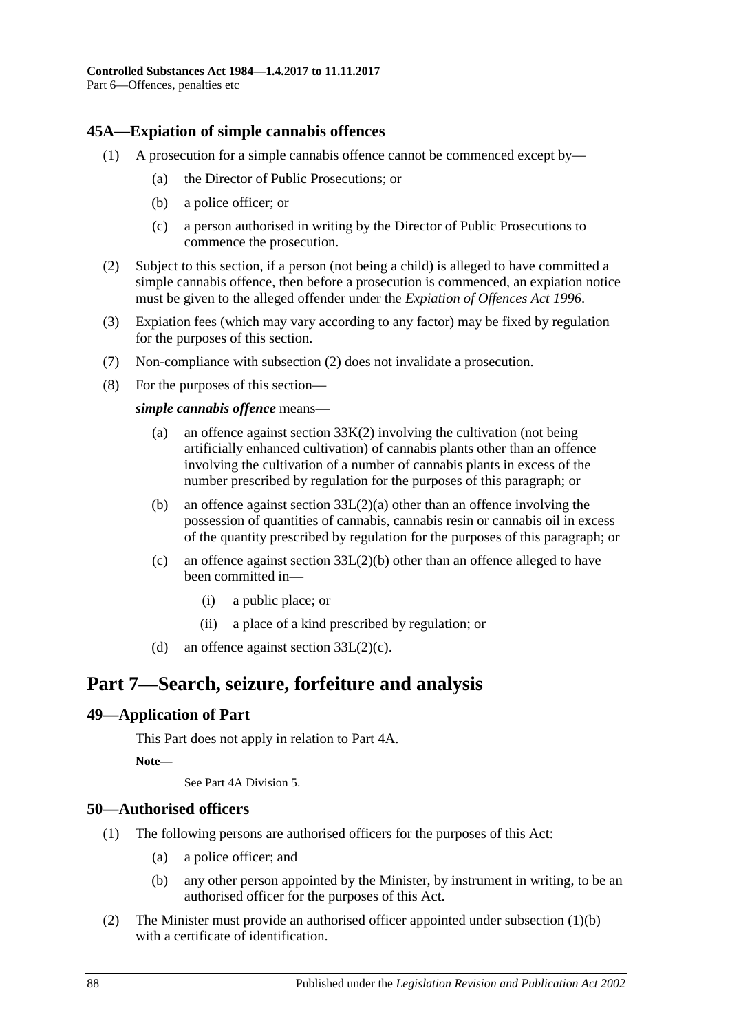#### <span id="page-87-0"></span>**45A—Expiation of simple cannabis offences**

- (1) A prosecution for a simple cannabis offence cannot be commenced except by—
	- (a) the Director of Public Prosecutions; or
	- (b) a police officer; or
	- (c) a person authorised in writing by the Director of Public Prosecutions to commence the prosecution.
- <span id="page-87-1"></span>(2) Subject to this section, if a person (not being a child) is alleged to have committed a simple cannabis offence, then before a prosecution is commenced, an expiation notice must be given to the alleged offender under the *[Expiation of Offences Act](http://www.legislation.sa.gov.au/index.aspx?action=legref&type=act&legtitle=Expiation%20of%20Offences%20Act%201996) 1996*.
- (3) Expiation fees (which may vary according to any factor) may be fixed by regulation for the purposes of this section.
- (7) Non-compliance with [subsection](#page-87-1) (2) does not invalidate a prosecution.
- (8) For the purposes of this section—

*simple cannabis offence* means—

- (a) an offence against [section](#page-73-0)  $33K(2)$  involving the cultivation (not being artificially enhanced cultivation) of cannabis plants other than an offence involving the cultivation of a number of cannabis plants in excess of the number prescribed by regulation for the purposes of this paragraph; or
- (b) an offence against section [33L\(2\)\(a\)](#page-74-1) other than an offence involving the possession of quantities of cannabis, cannabis resin or cannabis oil in excess of the quantity prescribed by regulation for the purposes of this paragraph; or
- (c) an offence against section [33L\(2\)\(b\)](#page-74-2) other than an offence alleged to have been committed in—
	- (i) a public place; or
	- (ii) a place of a kind prescribed by regulation; or
- (d) an offence against section  $33L(2)(c)$ .

# **Part 7—Search, seizure, forfeiture and analysis**

#### **49—Application of Part**

This Part does not apply in relation to Part 4A.

**Note—**

See Part 4A Division 5.

#### **50—Authorised officers**

- <span id="page-87-2"></span>(1) The following persons are authorised officers for the purposes of this Act:
	- (a) a police officer; and
	- (b) any other person appointed by the Minister, by instrument in writing, to be an authorised officer for the purposes of this Act.
- (2) The Minister must provide an authorised officer appointed under [subsection](#page-87-2) (1)(b) with a certificate of identification.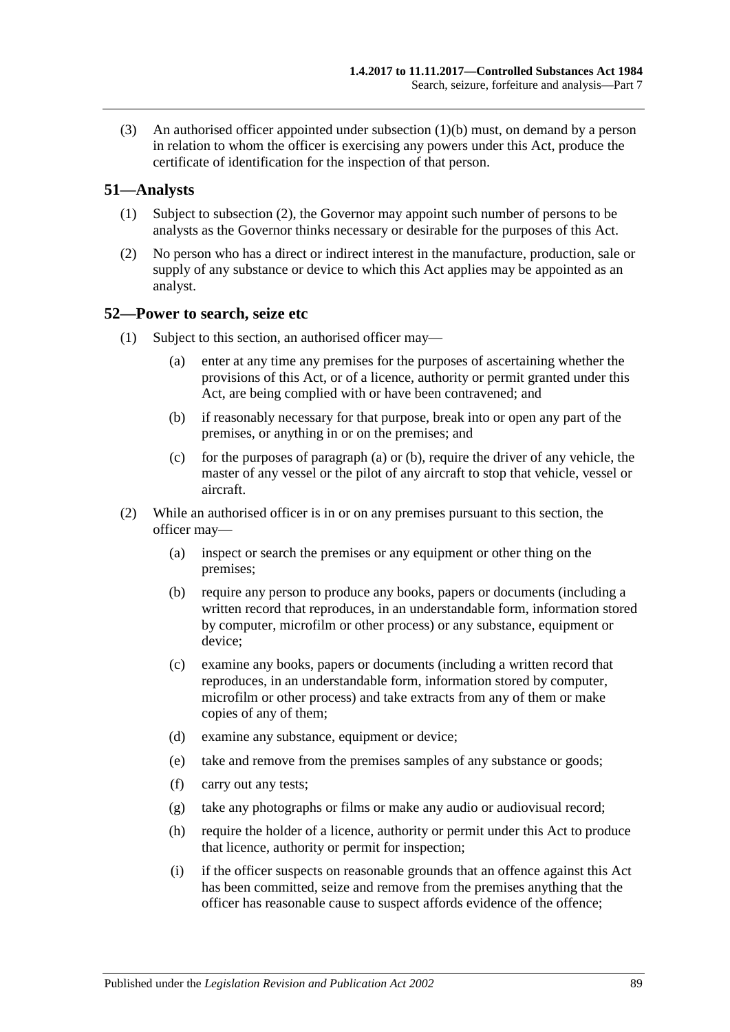(3) An authorised officer appointed under [subsection](#page-87-2) (1)(b) must, on demand by a person in relation to whom the officer is exercising any powers under this Act, produce the certificate of identification for the inspection of that person.

#### **51—Analysts**

- (1) Subject to [subsection](#page-88-0) (2), the Governor may appoint such number of persons to be analysts as the Governor thinks necessary or desirable for the purposes of this Act.
- <span id="page-88-0"></span>(2) No person who has a direct or indirect interest in the manufacture, production, sale or supply of any substance or device to which this Act applies may be appointed as an analyst.

#### <span id="page-88-3"></span>**52—Power to search, seize etc**

- <span id="page-88-2"></span><span id="page-88-1"></span>(1) Subject to this section, an authorised officer may—
	- (a) enter at any time any premises for the purposes of ascertaining whether the provisions of this Act, or of a licence, authority or permit granted under this Act, are being complied with or have been contravened; and
	- (b) if reasonably necessary for that purpose, break into or open any part of the premises, or anything in or on the premises; and
	- (c) for the purposes of [paragraph](#page-88-1) (a) or [\(b\),](#page-88-2) require the driver of any vehicle, the master of any vessel or the pilot of any aircraft to stop that vehicle, vessel or aircraft.
- (2) While an authorised officer is in or on any premises pursuant to this section, the officer may—
	- (a) inspect or search the premises or any equipment or other thing on the premises;
	- (b) require any person to produce any books, papers or documents (including a written record that reproduces, in an understandable form, information stored by computer, microfilm or other process) or any substance, equipment or device;
	- (c) examine any books, papers or documents (including a written record that reproduces, in an understandable form, information stored by computer, microfilm or other process) and take extracts from any of them or make copies of any of them;
	- (d) examine any substance, equipment or device;
	- (e) take and remove from the premises samples of any substance or goods;
	- (f) carry out any tests;
	- (g) take any photographs or films or make any audio or audiovisual record;
	- (h) require the holder of a licence, authority or permit under this Act to produce that licence, authority or permit for inspection;
	- (i) if the officer suspects on reasonable grounds that an offence against this Act has been committed, seize and remove from the premises anything that the officer has reasonable cause to suspect affords evidence of the offence;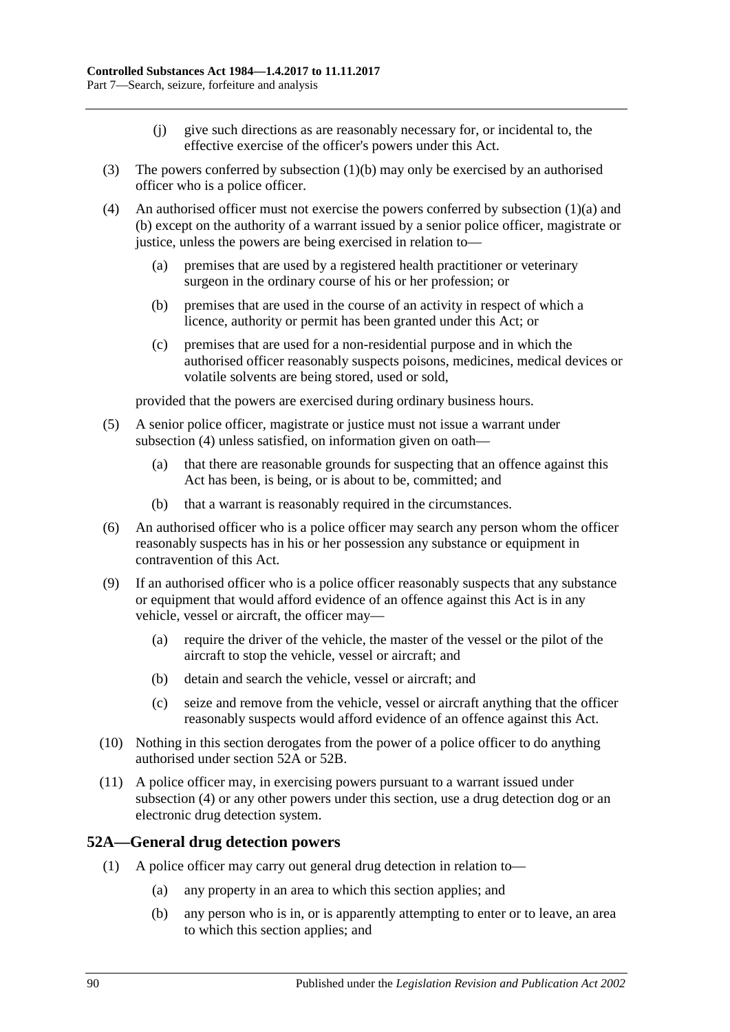- (j) give such directions as are reasonably necessary for, or incidental to, the effective exercise of the officer's powers under this Act.
- (3) The powers conferred b[y subsection](#page-88-2) (1)(b) may only be exercised by an authorised officer who is a police officer.
- <span id="page-89-0"></span>(4) An authorised officer must not exercise the powers conferred by [subsection](#page-88-1) (1)(a) and [\(b\)](#page-88-2) except on the authority of a warrant issued by a senior police officer, magistrate or justice, unless the powers are being exercised in relation to—
	- (a) premises that are used by a registered health practitioner or veterinary surgeon in the ordinary course of his or her profession; or
	- (b) premises that are used in the course of an activity in respect of which a licence, authority or permit has been granted under this Act; or
	- (c) premises that are used for a non-residential purpose and in which the authorised officer reasonably suspects poisons, medicines, medical devices or volatile solvents are being stored, used or sold,

provided that the powers are exercised during ordinary business hours.

- (5) A senior police officer, magistrate or justice must not issue a warrant under [subsection](#page-89-0) (4) unless satisfied, on information given on oath—
	- (a) that there are reasonable grounds for suspecting that an offence against this Act has been, is being, or is about to be, committed; and
	- (b) that a warrant is reasonably required in the circumstances.
- (6) An authorised officer who is a police officer may search any person whom the officer reasonably suspects has in his or her possession any substance or equipment in contravention of this Act.
- (9) If an authorised officer who is a police officer reasonably suspects that any substance or equipment that would afford evidence of an offence against this Act is in any vehicle, vessel or aircraft, the officer may—
	- (a) require the driver of the vehicle, the master of the vessel or the pilot of the aircraft to stop the vehicle, vessel or aircraft; and
	- (b) detain and search the vehicle, vessel or aircraft; and
	- (c) seize and remove from the vehicle, vessel or aircraft anything that the officer reasonably suspects would afford evidence of an offence against this Act.
- (10) Nothing in this section derogates from the power of a police officer to do anything authorised under [section](#page-89-1) 52A or [52B.](#page-91-0)
- (11) A police officer may, in exercising powers pursuant to a warrant issued under [subsection](#page-89-0) (4) or any other powers under this section, use a drug detection dog or an electronic drug detection system.

#### <span id="page-89-1"></span>**52A—General drug detection powers**

- (1) A police officer may carry out general drug detection in relation to—
	- (a) any property in an area to which this section applies; and
	- (b) any person who is in, or is apparently attempting to enter or to leave, an area to which this section applies; and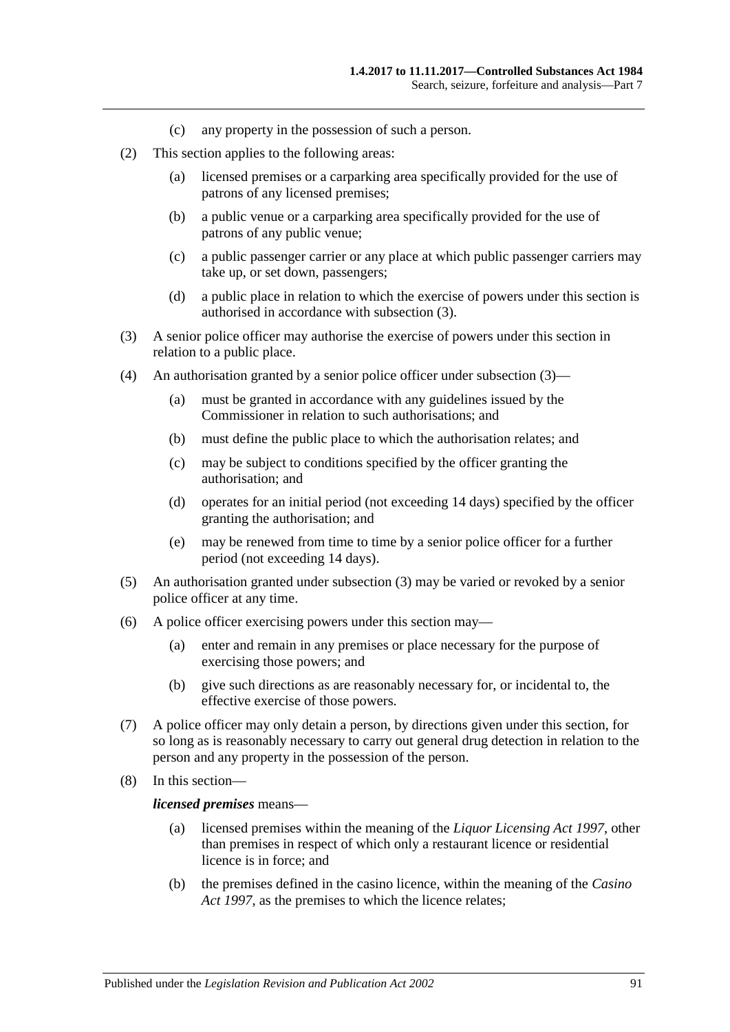- (c) any property in the possession of such a person.
- (2) This section applies to the following areas:
	- (a) licensed premises or a carparking area specifically provided for the use of patrons of any licensed premises;
	- (b) a public venue or a carparking area specifically provided for the use of patrons of any public venue;
	- (c) a public passenger carrier or any place at which public passenger carriers may take up, or set down, passengers;
	- (d) a public place in relation to which the exercise of powers under this section is authorised in accordance with [subsection](#page-90-0) (3).
- <span id="page-90-0"></span>(3) A senior police officer may authorise the exercise of powers under this section in relation to a public place.
- (4) An authorisation granted by a senior police officer under [subsection](#page-90-0) (3)—
	- (a) must be granted in accordance with any guidelines issued by the Commissioner in relation to such authorisations; and
	- (b) must define the public place to which the authorisation relates; and
	- (c) may be subject to conditions specified by the officer granting the authorisation; and
	- (d) operates for an initial period (not exceeding 14 days) specified by the officer granting the authorisation; and
	- (e) may be renewed from time to time by a senior police officer for a further period (not exceeding 14 days).
- (5) An authorisation granted under [subsection](#page-90-0) (3) may be varied or revoked by a senior police officer at any time.
- (6) A police officer exercising powers under this section may—
	- (a) enter and remain in any premises or place necessary for the purpose of exercising those powers; and
	- (b) give such directions as are reasonably necessary for, or incidental to, the effective exercise of those powers.
- (7) A police officer may only detain a person, by directions given under this section, for so long as is reasonably necessary to carry out general drug detection in relation to the person and any property in the possession of the person.
- (8) In this section—

#### *licensed premises* means—

- (a) licensed premises within the meaning of the *[Liquor Licensing Act](http://www.legislation.sa.gov.au/index.aspx?action=legref&type=act&legtitle=Liquor%20Licensing%20Act%201997) 1997*, other than premises in respect of which only a restaurant licence or residential licence is in force; and
- (b) the premises defined in the casino licence, within the meaning of the *[Casino](http://www.legislation.sa.gov.au/index.aspx?action=legref&type=act&legtitle=Casino%20Act%201997)  Act [1997](http://www.legislation.sa.gov.au/index.aspx?action=legref&type=act&legtitle=Casino%20Act%201997)*, as the premises to which the licence relates;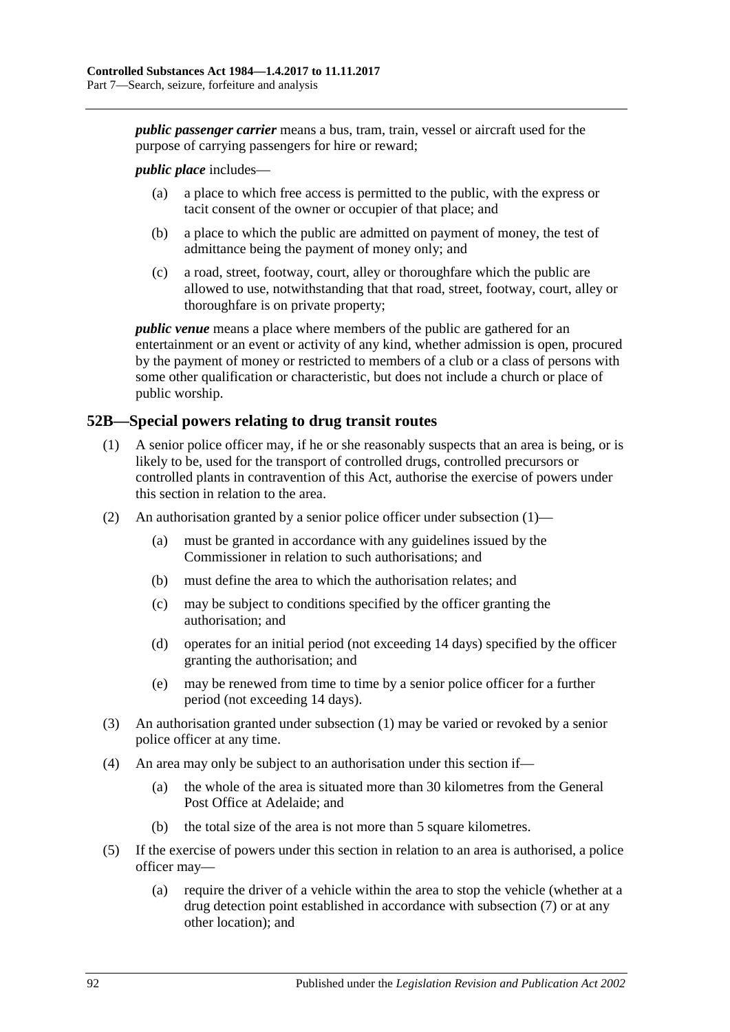*public passenger carrier* means a bus, tram, train, vessel or aircraft used for the purpose of carrying passengers for hire or reward;

*public place* includes—

- (a) a place to which free access is permitted to the public, with the express or tacit consent of the owner or occupier of that place; and
- (b) a place to which the public are admitted on payment of money, the test of admittance being the payment of money only; and
- (c) a road, street, footway, court, alley or thoroughfare which the public are allowed to use, notwithstanding that that road, street, footway, court, alley or thoroughfare is on private property;

*public venue* means a place where members of the public are gathered for an entertainment or an event or activity of any kind, whether admission is open, procured by the payment of money or restricted to members of a club or a class of persons with some other qualification or characteristic, but does not include a church or place of public worship.

#### <span id="page-91-1"></span><span id="page-91-0"></span>**52B—Special powers relating to drug transit routes**

- (1) A senior police officer may, if he or she reasonably suspects that an area is being, or is likely to be, used for the transport of controlled drugs, controlled precursors or controlled plants in contravention of this Act, authorise the exercise of powers under this section in relation to the area.
- (2) An authorisation granted by a senior police officer under [subsection](#page-91-1) (1)—
	- (a) must be granted in accordance with any guidelines issued by the Commissioner in relation to such authorisations; and
	- (b) must define the area to which the authorisation relates; and
	- (c) may be subject to conditions specified by the officer granting the authorisation; and
	- (d) operates for an initial period (not exceeding 14 days) specified by the officer granting the authorisation; and
	- (e) may be renewed from time to time by a senior police officer for a further period (not exceeding 14 days).
- (3) An authorisation granted under [subsection](#page-91-1) (1) may be varied or revoked by a senior police officer at any time.
- (4) An area may only be subject to an authorisation under this section if—
	- (a) the whole of the area is situated more than 30 kilometres from the General Post Office at Adelaide; and
	- (b) the total size of the area is not more than 5 square kilometres.
- (5) If the exercise of powers under this section in relation to an area is authorised, a police officer may—
	- (a) require the driver of a vehicle within the area to stop the vehicle (whether at a drug detection point established in accordance with [subsection](#page-92-0) (7) or at any other location); and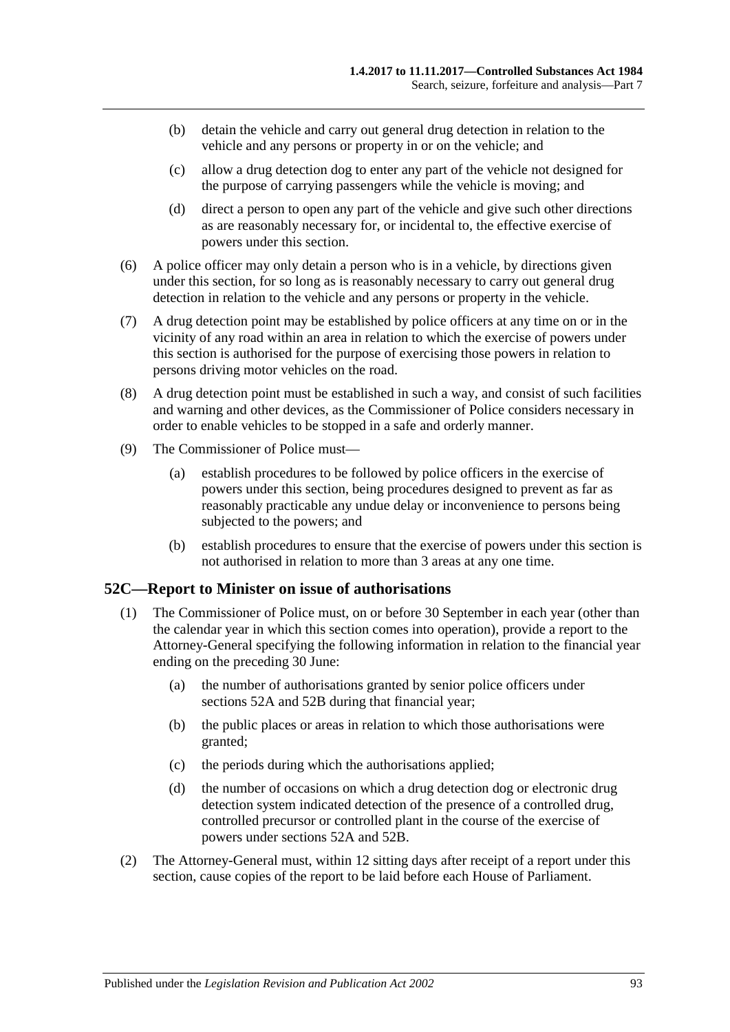- (b) detain the vehicle and carry out general drug detection in relation to the vehicle and any persons or property in or on the vehicle; and
- (c) allow a drug detection dog to enter any part of the vehicle not designed for the purpose of carrying passengers while the vehicle is moving; and
- (d) direct a person to open any part of the vehicle and give such other directions as are reasonably necessary for, or incidental to, the effective exercise of powers under this section.
- (6) A police officer may only detain a person who is in a vehicle, by directions given under this section, for so long as is reasonably necessary to carry out general drug detection in relation to the vehicle and any persons or property in the vehicle.
- <span id="page-92-0"></span>(7) A drug detection point may be established by police officers at any time on or in the vicinity of any road within an area in relation to which the exercise of powers under this section is authorised for the purpose of exercising those powers in relation to persons driving motor vehicles on the road.
- (8) A drug detection point must be established in such a way, and consist of such facilities and warning and other devices, as the Commissioner of Police considers necessary in order to enable vehicles to be stopped in a safe and orderly manner.
- (9) The Commissioner of Police must—
	- (a) establish procedures to be followed by police officers in the exercise of powers under this section, being procedures designed to prevent as far as reasonably practicable any undue delay or inconvenience to persons being subjected to the powers; and
	- (b) establish procedures to ensure that the exercise of powers under this section is not authorised in relation to more than 3 areas at any one time.

#### **52C—Report to Minister on issue of authorisations**

- (1) The Commissioner of Police must, on or before 30 September in each year (other than the calendar year in which this section comes into operation), provide a report to the Attorney-General specifying the following information in relation to the financial year ending on the preceding 30 June:
	- (a) the number of authorisations granted by senior police officers under [sections](#page-89-1) 52A and [52B](#page-91-0) during that financial year;
	- (b) the public places or areas in relation to which those authorisations were granted;
	- (c) the periods during which the authorisations applied;
	- (d) the number of occasions on which a drug detection dog or electronic drug detection system indicated detection of the presence of a controlled drug, controlled precursor or controlled plant in the course of the exercise of powers under [sections](#page-89-1) 52A and [52B.](#page-91-0)
- (2) The Attorney-General must, within 12 sitting days after receipt of a report under this section, cause copies of the report to be laid before each House of Parliament.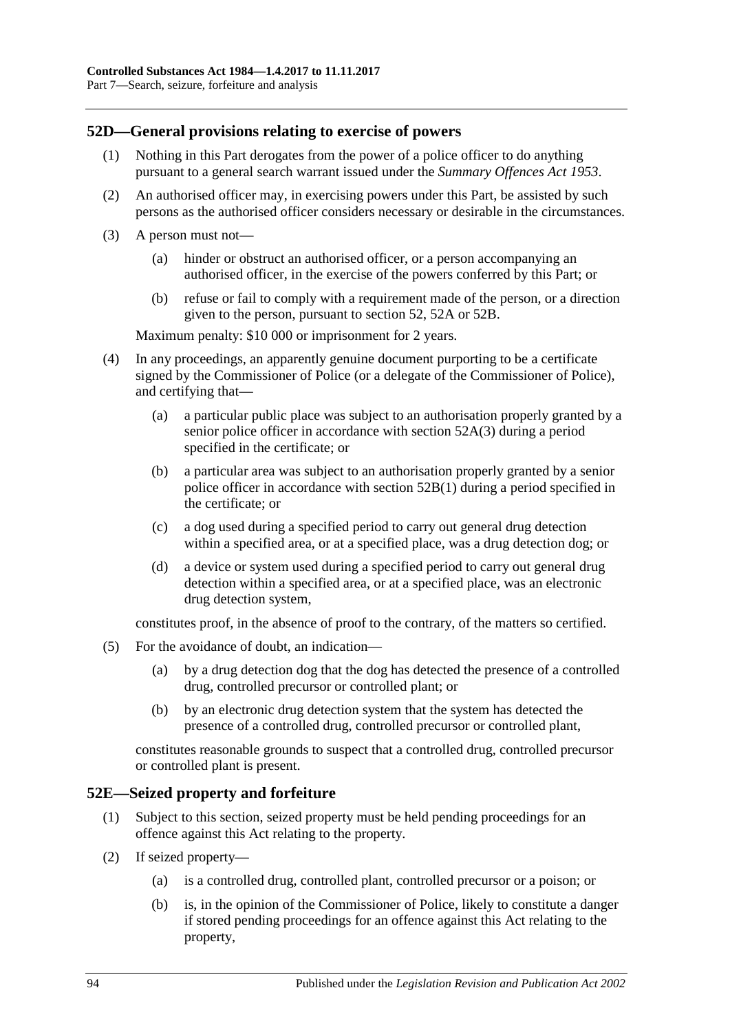## **52D—General provisions relating to exercise of powers**

- (1) Nothing in this Part derogates from the power of a police officer to do anything pursuant to a general search warrant issued under the *[Summary Offences Act](http://www.legislation.sa.gov.au/index.aspx?action=legref&type=act&legtitle=Summary%20Offences%20Act%201953) 1953*.
- (2) An authorised officer may, in exercising powers under this Part, be assisted by such persons as the authorised officer considers necessary or desirable in the circumstances.
- (3) A person must not—
	- (a) hinder or obstruct an authorised officer, or a person accompanying an authorised officer, in the exercise of the powers conferred by this Part; or
	- (b) refuse or fail to comply with a requirement made of the person, or a direction given to the person, pursuant to [section](#page-88-3) 52, [52A](#page-89-1) or [52B.](#page-91-0)

Maximum penalty: \$10 000 or imprisonment for 2 years.

- (4) In any proceedings, an apparently genuine document purporting to be a certificate signed by the Commissioner of Police (or a delegate of the Commissioner of Police), and certifying that—
	- (a) a particular public place was subject to an authorisation properly granted by a senior police officer in accordance with [section](#page-90-0) 52A(3) during a period specified in the certificate; or
	- (b) a particular area was subject to an authorisation properly granted by a senior police officer in accordance with [section](#page-91-1) 52B(1) during a period specified in the certificate; or
	- (c) a dog used during a specified period to carry out general drug detection within a specified area, or at a specified place, was a drug detection dog; or
	- (d) a device or system used during a specified period to carry out general drug detection within a specified area, or at a specified place, was an electronic drug detection system,

constitutes proof, in the absence of proof to the contrary, of the matters so certified.

- (5) For the avoidance of doubt, an indication—
	- (a) by a drug detection dog that the dog has detected the presence of a controlled drug, controlled precursor or controlled plant; or
	- (b) by an electronic drug detection system that the system has detected the presence of a controlled drug, controlled precursor or controlled plant,

constitutes reasonable grounds to suspect that a controlled drug, controlled precursor or controlled plant is present.

#### **52E—Seized property and forfeiture**

- (1) Subject to this section, seized property must be held pending proceedings for an offence against this Act relating to the property.
- <span id="page-93-0"></span>(2) If seized property—
	- (a) is a controlled drug, controlled plant, controlled precursor or a poison; or
	- (b) is, in the opinion of the Commissioner of Police, likely to constitute a danger if stored pending proceedings for an offence against this Act relating to the property,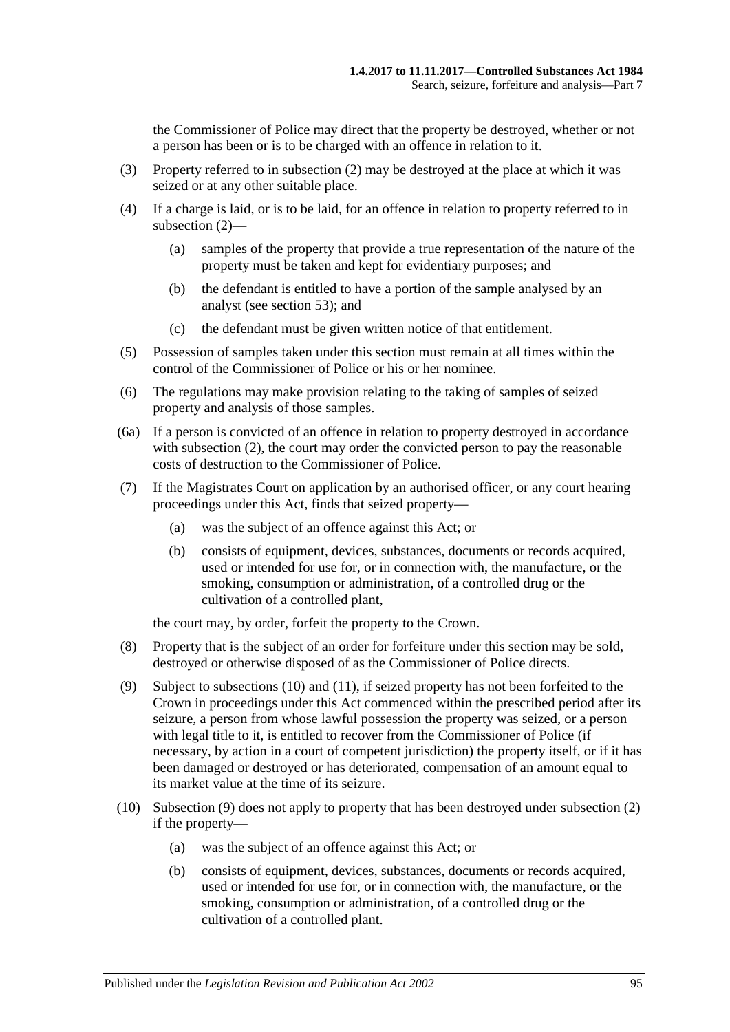the Commissioner of Police may direct that the property be destroyed, whether or not a person has been or is to be charged with an offence in relation to it.

- (3) Property referred to in [subsection](#page-93-0) (2) may be destroyed at the place at which it was seized or at any other suitable place.
- (4) If a charge is laid, or is to be laid, for an offence in relation to property referred to in [subsection](#page-93-0) (2)—
	- (a) samples of the property that provide a true representation of the nature of the property must be taken and kept for evidentiary purposes; and
	- (b) the defendant is entitled to have a portion of the sample analysed by an analyst (see [section](#page-95-0) 53); and
	- (c) the defendant must be given written notice of that entitlement.
- (5) Possession of samples taken under this section must remain at all times within the control of the Commissioner of Police or his or her nominee.
- (6) The regulations may make provision relating to the taking of samples of seized property and analysis of those samples.
- (6a) If a person is convicted of an offence in relation to property destroyed in accordance with [subsection](#page-93-0) (2), the court may order the convicted person to pay the reasonable costs of destruction to the Commissioner of Police.
- <span id="page-94-2"></span>(7) If the Magistrates Court on application by an authorised officer, or any court hearing proceedings under this Act, finds that seized property—
	- (a) was the subject of an offence against this Act; or
	- (b) consists of equipment, devices, substances, documents or records acquired, used or intended for use for, or in connection with, the manufacture, or the smoking, consumption or administration, of a controlled drug or the cultivation of a controlled plant,

the court may, by order, forfeit the property to the Crown.

- (8) Property that is the subject of an order for forfeiture under this section may be sold, destroyed or otherwise disposed of as the Commissioner of Police directs.
- <span id="page-94-1"></span>(9) Subject to [subsections](#page-94-0) (10) and [\(11\),](#page-95-1) if seized property has not been forfeited to the Crown in proceedings under this Act commenced within the prescribed period after its seizure, a person from whose lawful possession the property was seized, or a person with legal title to it, is entitled to recover from the Commissioner of Police (if necessary, by action in a court of competent jurisdiction) the property itself, or if it has been damaged or destroyed or has deteriorated, compensation of an amount equal to its market value at the time of its seizure.
- <span id="page-94-0"></span>(10) [Subsection](#page-94-1) (9) does not apply to property that has been destroyed under [subsection](#page-93-0) (2) if the property—
	- (a) was the subject of an offence against this Act; or
	- (b) consists of equipment, devices, substances, documents or records acquired, used or intended for use for, or in connection with, the manufacture, or the smoking, consumption or administration, of a controlled drug or the cultivation of a controlled plant.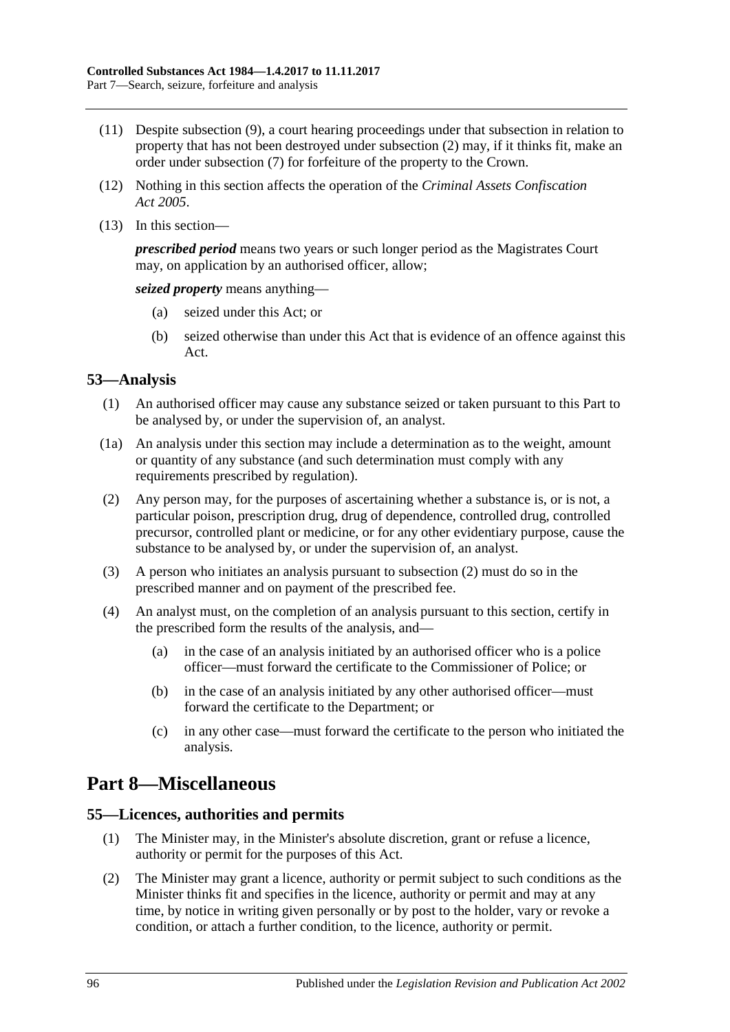- <span id="page-95-1"></span>(11) Despite [subsection](#page-94-1) (9), a court hearing proceedings under that subsection in relation to property that has not been destroyed under [subsection](#page-93-0) (2) may, if it thinks fit, make an order under [subsection](#page-94-2) (7) for forfeiture of the property to the Crown.
- (12) Nothing in this section affects the operation of the *[Criminal Assets Confiscation](http://www.legislation.sa.gov.au/index.aspx?action=legref&type=act&legtitle=Criminal%20Assets%20Confiscation%20Act%202005)  Act [2005](http://www.legislation.sa.gov.au/index.aspx?action=legref&type=act&legtitle=Criminal%20Assets%20Confiscation%20Act%202005)*.
- (13) In this section—

*prescribed period* means two years or such longer period as the Magistrates Court may, on application by an authorised officer, allow;

*seized property* means anything—

- (a) seized under this Act; or
- (b) seized otherwise than under this Act that is evidence of an offence against this Act.

# <span id="page-95-0"></span>**53—Analysis**

- (1) An authorised officer may cause any substance seized or taken pursuant to this Part to be analysed by, or under the supervision of, an analyst.
- (1a) An analysis under this section may include a determination as to the weight, amount or quantity of any substance (and such determination must comply with any requirements prescribed by regulation).
- <span id="page-95-2"></span>(2) Any person may, for the purposes of ascertaining whether a substance is, or is not, a particular poison, prescription drug, drug of dependence, controlled drug, controlled precursor, controlled plant or medicine, or for any other evidentiary purpose, cause the substance to be analysed by, or under the supervision of, an analyst.
- (3) A person who initiates an analysis pursuant to [subsection](#page-95-2) (2) must do so in the prescribed manner and on payment of the prescribed fee.
- (4) An analyst must, on the completion of an analysis pursuant to this section, certify in the prescribed form the results of the analysis, and—
	- (a) in the case of an analysis initiated by an authorised officer who is a police officer—must forward the certificate to the Commissioner of Police; or
	- (b) in the case of an analysis initiated by any other authorised officer—must forward the certificate to the Department; or
	- (c) in any other case—must forward the certificate to the person who initiated the analysis.

# **Part 8—Miscellaneous**

#### **55—Licences, authorities and permits**

- (1) The Minister may, in the Minister's absolute discretion, grant or refuse a licence, authority or permit for the purposes of this Act.
- (2) The Minister may grant a licence, authority or permit subject to such conditions as the Minister thinks fit and specifies in the licence, authority or permit and may at any time, by notice in writing given personally or by post to the holder, vary or revoke a condition, or attach a further condition, to the licence, authority or permit.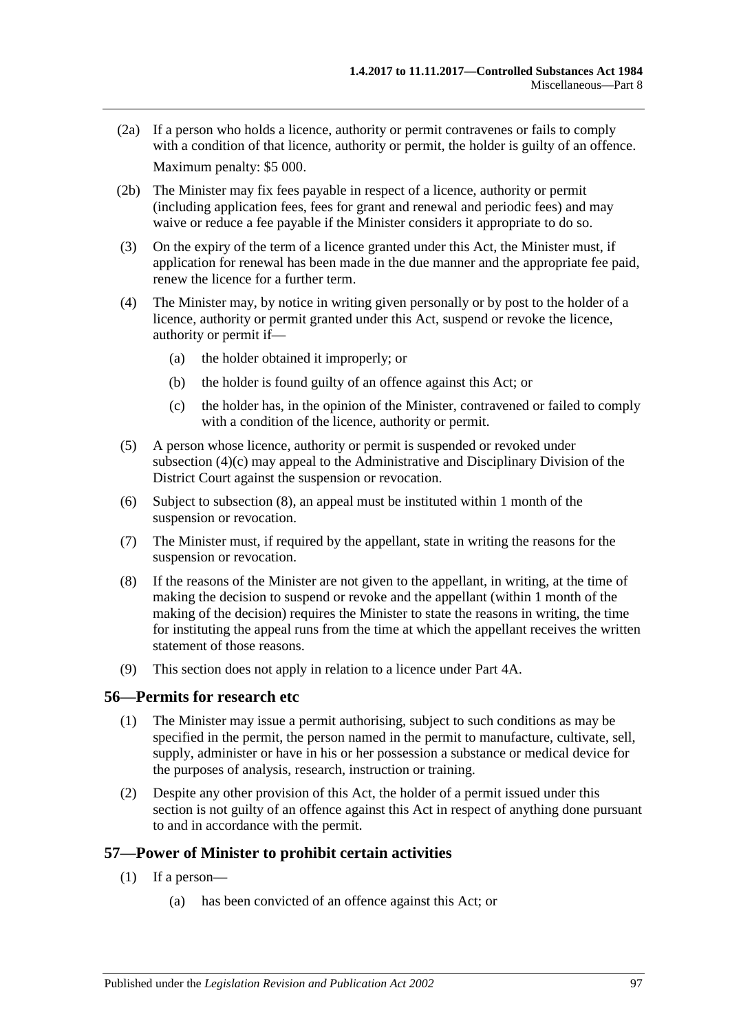- (2a) If a person who holds a licence, authority or permit contravenes or fails to comply with a condition of that licence, authority or permit, the holder is guilty of an offence. Maximum penalty: \$5 000.
- (2b) The Minister may fix fees payable in respect of a licence, authority or permit (including application fees, fees for grant and renewal and periodic fees) and may waive or reduce a fee payable if the Minister considers it appropriate to do so.
- (3) On the expiry of the term of a licence granted under this Act, the Minister must, if application for renewal has been made in the due manner and the appropriate fee paid, renew the licence for a further term.
- (4) The Minister may, by notice in writing given personally or by post to the holder of a licence, authority or permit granted under this Act, suspend or revoke the licence, authority or permit if—
	- (a) the holder obtained it improperly; or
	- (b) the holder is found guilty of an offence against this Act; or
	- (c) the holder has, in the opinion of the Minister, contravened or failed to comply with a condition of the licence, authority or permit.
- <span id="page-96-0"></span>(5) A person whose licence, authority or permit is suspended or revoked under [subsection](#page-96-0) (4)(c) may appeal to the Administrative and Disciplinary Division of the District Court against the suspension or revocation.
- (6) Subject to [subsection](#page-96-1) (8), an appeal must be instituted within 1 month of the suspension or revocation.
- (7) The Minister must, if required by the appellant, state in writing the reasons for the suspension or revocation.
- <span id="page-96-1"></span>(8) If the reasons of the Minister are not given to the appellant, in writing, at the time of making the decision to suspend or revoke and the appellant (within 1 month of the making of the decision) requires the Minister to state the reasons in writing, the time for instituting the appeal runs from the time at which the appellant receives the written statement of those reasons.
- (9) This section does not apply in relation to a licence under Part 4A.

#### **56—Permits for research etc**

- (1) The Minister may issue a permit authorising, subject to such conditions as may be specified in the permit, the person named in the permit to manufacture, cultivate, sell, supply, administer or have in his or her possession a substance or medical device for the purposes of analysis, research, instruction or training.
- (2) Despite any other provision of this Act, the holder of a permit issued under this section is not guilty of an offence against this Act in respect of anything done pursuant to and in accordance with the permit.

#### <span id="page-96-2"></span>**57—Power of Minister to prohibit certain activities**

- (1) If a person—
	- (a) has been convicted of an offence against this Act; or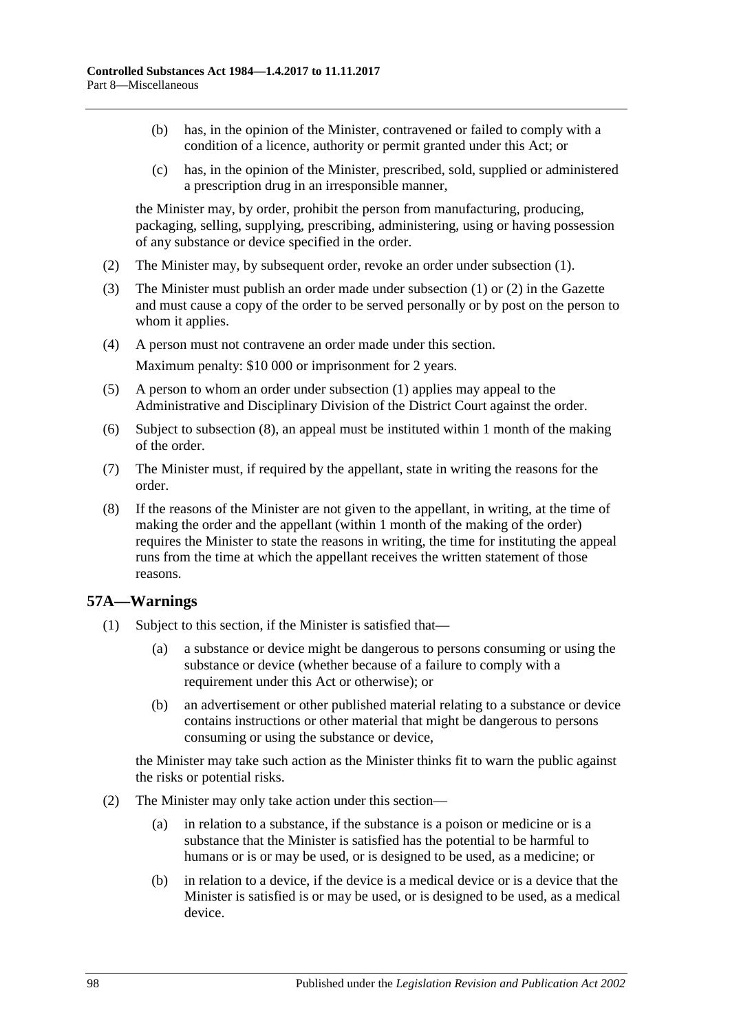- (b) has, in the opinion of the Minister, contravened or failed to comply with a condition of a licence, authority or permit granted under this Act; or
- (c) has, in the opinion of the Minister, prescribed, sold, supplied or administered a prescription drug in an irresponsible manner,

the Minister may, by order, prohibit the person from manufacturing, producing, packaging, selling, supplying, prescribing, administering, using or having possession of any substance or device specified in the order.

- <span id="page-97-0"></span>(2) The Minister may, by subsequent order, revoke an order under [subsection](#page-96-2) (1).
- (3) The Minister must publish an order made under [subsection](#page-96-2) (1) or [\(2\)](#page-97-0) in the Gazette and must cause a copy of the order to be served personally or by post on the person to whom it applies.
- (4) A person must not contravene an order made under this section. Maximum penalty: \$10 000 or imprisonment for 2 years.
- (5) A person to whom an order under [subsection](#page-96-2) (1) applies may appeal to the Administrative and Disciplinary Division of the District Court against the order.
- (6) Subject to [subsection](#page-97-1) (8), an appeal must be instituted within 1 month of the making of the order.
- (7) The Minister must, if required by the appellant, state in writing the reasons for the order.
- <span id="page-97-1"></span>(8) If the reasons of the Minister are not given to the appellant, in writing, at the time of making the order and the appellant (within 1 month of the making of the order) requires the Minister to state the reasons in writing, the time for instituting the appeal runs from the time at which the appellant receives the written statement of those reasons.

#### <span id="page-97-2"></span>**57A—Warnings**

- (1) Subject to this section, if the Minister is satisfied that—
	- (a) a substance or device might be dangerous to persons consuming or using the substance or device (whether because of a failure to comply with a requirement under this Act or otherwise); or
	- (b) an advertisement or other published material relating to a substance or device contains instructions or other material that might be dangerous to persons consuming or using the substance or device,

the Minister may take such action as the Minister thinks fit to warn the public against the risks or potential risks.

- (2) The Minister may only take action under this section—
	- (a) in relation to a substance, if the substance is a poison or medicine or is a substance that the Minister is satisfied has the potential to be harmful to humans or is or may be used, or is designed to be used, as a medicine; or
	- (b) in relation to a device, if the device is a medical device or is a device that the Minister is satisfied is or may be used, or is designed to be used, as a medical device.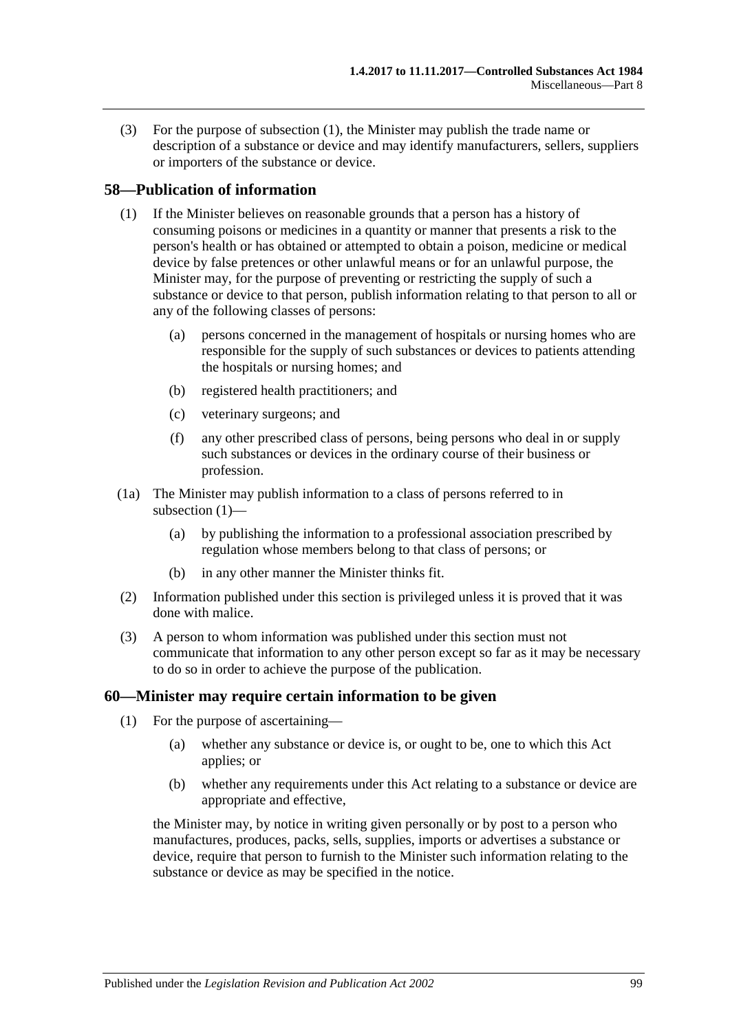(3) For the purpose of [subsection](#page-97-2) (1), the Minister may publish the trade name or description of a substance or device and may identify manufacturers, sellers, suppliers or importers of the substance or device.

#### <span id="page-98-0"></span>**58—Publication of information**

- (1) If the Minister believes on reasonable grounds that a person has a history of consuming poisons or medicines in a quantity or manner that presents a risk to the person's health or has obtained or attempted to obtain a poison, medicine or medical device by false pretences or other unlawful means or for an unlawful purpose, the Minister may, for the purpose of preventing or restricting the supply of such a substance or device to that person, publish information relating to that person to all or any of the following classes of persons:
	- (a) persons concerned in the management of hospitals or nursing homes who are responsible for the supply of such substances or devices to patients attending the hospitals or nursing homes; and
	- (b) registered health practitioners; and
	- (c) veterinary surgeons; and
	- (f) any other prescribed class of persons, being persons who deal in or supply such substances or devices in the ordinary course of their business or profession.
- (1a) The Minister may publish information to a class of persons referred to in [subsection](#page-98-0) (1)—
	- (a) by publishing the information to a professional association prescribed by regulation whose members belong to that class of persons; or
	- (b) in any other manner the Minister thinks fit.
- (2) Information published under this section is privileged unless it is proved that it was done with malice.
- (3) A person to whom information was published under this section must not communicate that information to any other person except so far as it may be necessary to do so in order to achieve the purpose of the publication.

#### **60—Minister may require certain information to be given**

- (1) For the purpose of ascertaining—
	- (a) whether any substance or device is, or ought to be, one to which this Act applies; or
	- (b) whether any requirements under this Act relating to a substance or device are appropriate and effective,

the Minister may, by notice in writing given personally or by post to a person who manufactures, produces, packs, sells, supplies, imports or advertises a substance or device, require that person to furnish to the Minister such information relating to the substance or device as may be specified in the notice.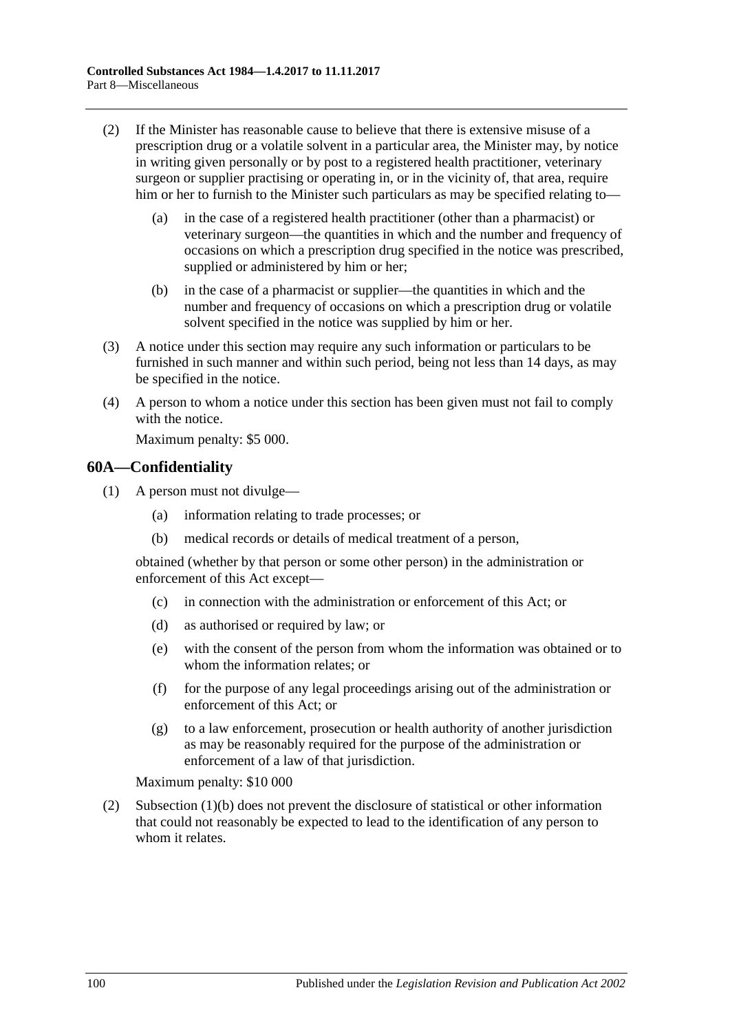- (2) If the Minister has reasonable cause to believe that there is extensive misuse of a prescription drug or a volatile solvent in a particular area, the Minister may, by notice in writing given personally or by post to a registered health practitioner, veterinary surgeon or supplier practising or operating in, or in the vicinity of, that area, require him or her to furnish to the Minister such particulars as may be specified relating to—
	- (a) in the case of a registered health practitioner (other than a pharmacist) or veterinary surgeon—the quantities in which and the number and frequency of occasions on which a prescription drug specified in the notice was prescribed, supplied or administered by him or her;
	- (b) in the case of a pharmacist or supplier—the quantities in which and the number and frequency of occasions on which a prescription drug or volatile solvent specified in the notice was supplied by him or her.
- (3) A notice under this section may require any such information or particulars to be furnished in such manner and within such period, being not less than 14 days, as may be specified in the notice.
- (4) A person to whom a notice under this section has been given must not fail to comply with the notice.

Maximum penalty: \$5 000.

#### **60A—Confidentiality**

- <span id="page-99-0"></span>(1) A person must not divulge—
	- (a) information relating to trade processes; or
	- (b) medical records or details of medical treatment of a person,

obtained (whether by that person or some other person) in the administration or enforcement of this Act except—

- (c) in connection with the administration or enforcement of this Act; or
- (d) as authorised or required by law; or
- (e) with the consent of the person from whom the information was obtained or to whom the information relates; or
- (f) for the purpose of any legal proceedings arising out of the administration or enforcement of this Act; or
- (g) to a law enforcement, prosecution or health authority of another jurisdiction as may be reasonably required for the purpose of the administration or enforcement of a law of that jurisdiction.

Maximum penalty: \$10 000

(2) [Subsection](#page-99-0) (1)(b) does not prevent the disclosure of statistical or other information that could not reasonably be expected to lead to the identification of any person to whom it relates.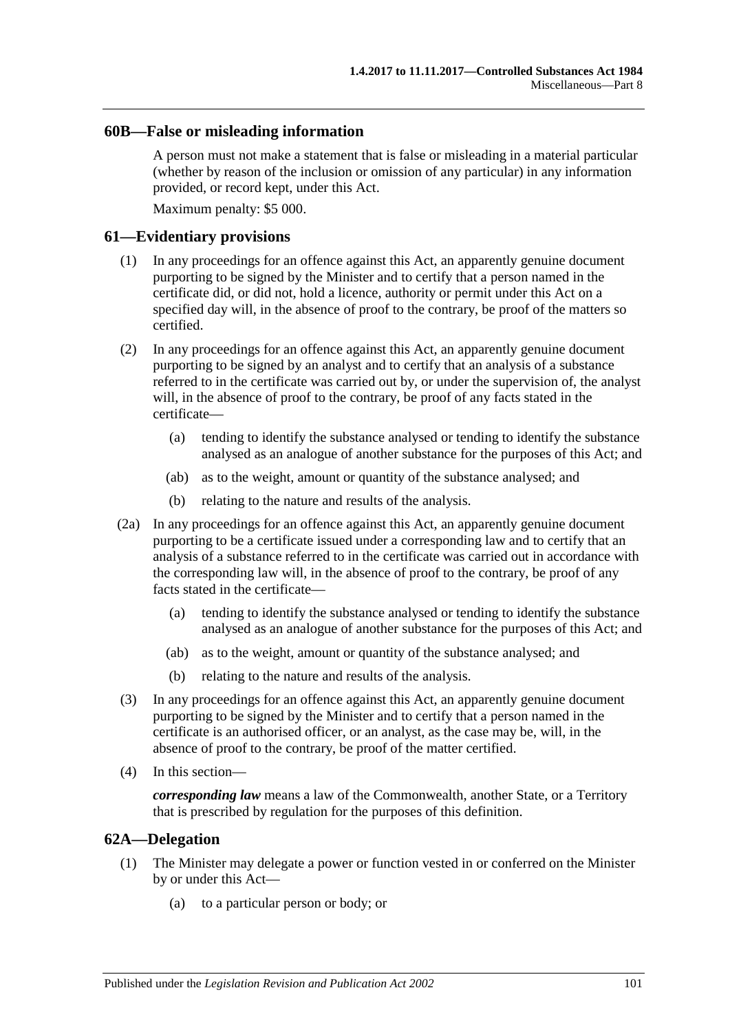#### **60B—False or misleading information**

A person must not make a statement that is false or misleading in a material particular (whether by reason of the inclusion or omission of any particular) in any information provided, or record kept, under this Act.

Maximum penalty: \$5 000.

#### **61—Evidentiary provisions**

- (1) In any proceedings for an offence against this Act, an apparently genuine document purporting to be signed by the Minister and to certify that a person named in the certificate did, or did not, hold a licence, authority or permit under this Act on a specified day will, in the absence of proof to the contrary, be proof of the matters so certified.
- (2) In any proceedings for an offence against this Act, an apparently genuine document purporting to be signed by an analyst and to certify that an analysis of a substance referred to in the certificate was carried out by, or under the supervision of, the analyst will, in the absence of proof to the contrary, be proof of any facts stated in the certificate—
	- (a) tending to identify the substance analysed or tending to identify the substance analysed as an analogue of another substance for the purposes of this Act; and
	- (ab) as to the weight, amount or quantity of the substance analysed; and
	- (b) relating to the nature and results of the analysis.
- (2a) In any proceedings for an offence against this Act, an apparently genuine document purporting to be a certificate issued under a corresponding law and to certify that an analysis of a substance referred to in the certificate was carried out in accordance with the corresponding law will, in the absence of proof to the contrary, be proof of any facts stated in the certificate—
	- (a) tending to identify the substance analysed or tending to identify the substance analysed as an analogue of another substance for the purposes of this Act; and
	- (ab) as to the weight, amount or quantity of the substance analysed; and
	- (b) relating to the nature and results of the analysis.
- (3) In any proceedings for an offence against this Act, an apparently genuine document purporting to be signed by the Minister and to certify that a person named in the certificate is an authorised officer, or an analyst, as the case may be, will, in the absence of proof to the contrary, be proof of the matter certified.
- (4) In this section—

*corresponding law* means a law of the Commonwealth, another State, or a Territory that is prescribed by regulation for the purposes of this definition.

#### **62A—Delegation**

- (1) The Minister may delegate a power or function vested in or conferred on the Minister by or under this Act—
	- (a) to a particular person or body; or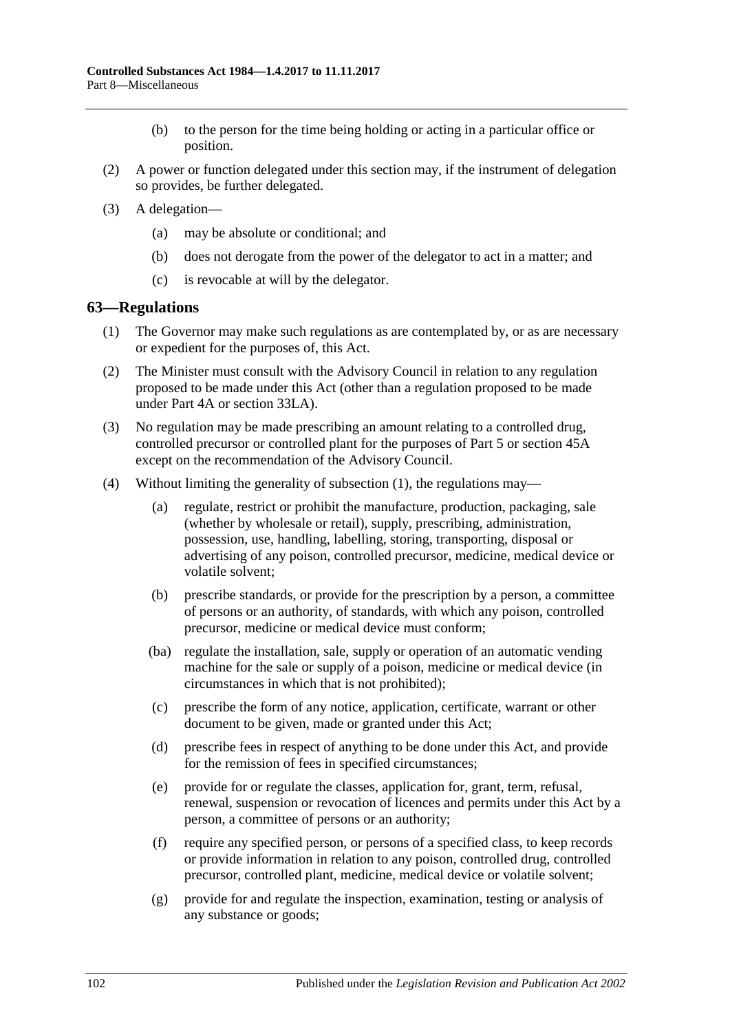- (b) to the person for the time being holding or acting in a particular office or position.
- (2) A power or function delegated under this section may, if the instrument of delegation so provides, be further delegated.
- (3) A delegation—
	- (a) may be absolute or conditional; and
	- (b) does not derogate from the power of the delegator to act in a matter; and
	- (c) is revocable at will by the delegator.

#### <span id="page-101-0"></span>**63—Regulations**

- (1) The Governor may make such regulations as are contemplated by, or as are necessary or expedient for the purposes of, this Act.
- (2) The Minister must consult with the Advisory Council in relation to any regulation proposed to be made under this Act (other than a regulation proposed to be made under [Part 4A](#page-31-0) or [section](#page-74-4) 33LA).
- (3) No regulation may be made prescribing an amount relating to a controlled drug, controlled precursor or controlled plant for the purposes of [Part 5](#page-63-0) or [section](#page-87-0) 45A except on the recommendation of the Advisory Council.
- (4) Without limiting the generality of [subsection](#page-101-0) (1), the regulations may—
	- (a) regulate, restrict or prohibit the manufacture, production, packaging, sale (whether by wholesale or retail), supply, prescribing, administration, possession, use, handling, labelling, storing, transporting, disposal or advertising of any poison, controlled precursor, medicine, medical device or volatile solvent;
	- (b) prescribe standards, or provide for the prescription by a person, a committee of persons or an authority, of standards, with which any poison, controlled precursor, medicine or medical device must conform;
	- (ba) regulate the installation, sale, supply or operation of an automatic vending machine for the sale or supply of a poison, medicine or medical device (in circumstances in which that is not prohibited);
	- (c) prescribe the form of any notice, application, certificate, warrant or other document to be given, made or granted under this Act;
	- (d) prescribe fees in respect of anything to be done under this Act, and provide for the remission of fees in specified circumstances;
	- (e) provide for or regulate the classes, application for, grant, term, refusal, renewal, suspension or revocation of licences and permits under this Act by a person, a committee of persons or an authority;
	- (f) require any specified person, or persons of a specified class, to keep records or provide information in relation to any poison, controlled drug, controlled precursor, controlled plant, medicine, medical device or volatile solvent;
	- (g) provide for and regulate the inspection, examination, testing or analysis of any substance or goods;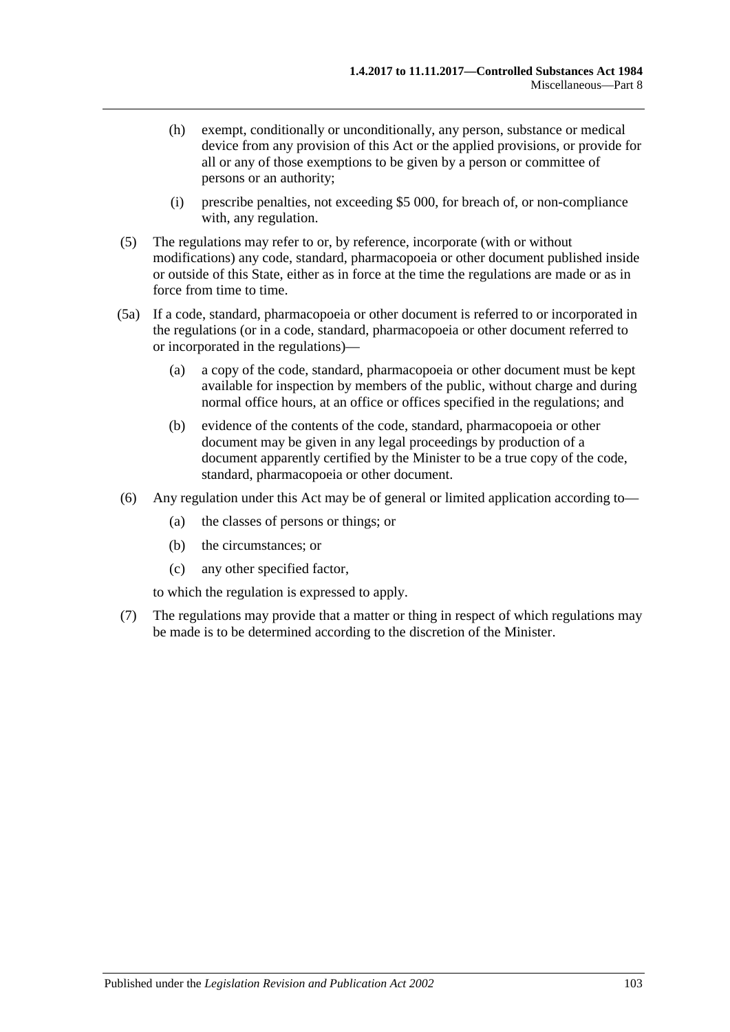- (h) exempt, conditionally or unconditionally, any person, substance or medical device from any provision of this Act or the applied provisions, or provide for all or any of those exemptions to be given by a person or committee of persons or an authority;
- (i) prescribe penalties, not exceeding \$5 000, for breach of, or non-compliance with, any regulation.
- (5) The regulations may refer to or, by reference, incorporate (with or without modifications) any code, standard, pharmacopoeia or other document published inside or outside of this State, either as in force at the time the regulations are made or as in force from time to time.
- (5a) If a code, standard, pharmacopoeia or other document is referred to or incorporated in the regulations (or in a code, standard, pharmacopoeia or other document referred to or incorporated in the regulations)—
	- (a) a copy of the code, standard, pharmacopoeia or other document must be kept available for inspection by members of the public, without charge and during normal office hours, at an office or offices specified in the regulations; and
	- (b) evidence of the contents of the code, standard, pharmacopoeia or other document may be given in any legal proceedings by production of a document apparently certified by the Minister to be a true copy of the code, standard, pharmacopoeia or other document.
- (6) Any regulation under this Act may be of general or limited application according to—
	- (a) the classes of persons or things; or
	- (b) the circumstances; or
	- (c) any other specified factor,

to which the regulation is expressed to apply.

(7) The regulations may provide that a matter or thing in respect of which regulations may be made is to be determined according to the discretion of the Minister.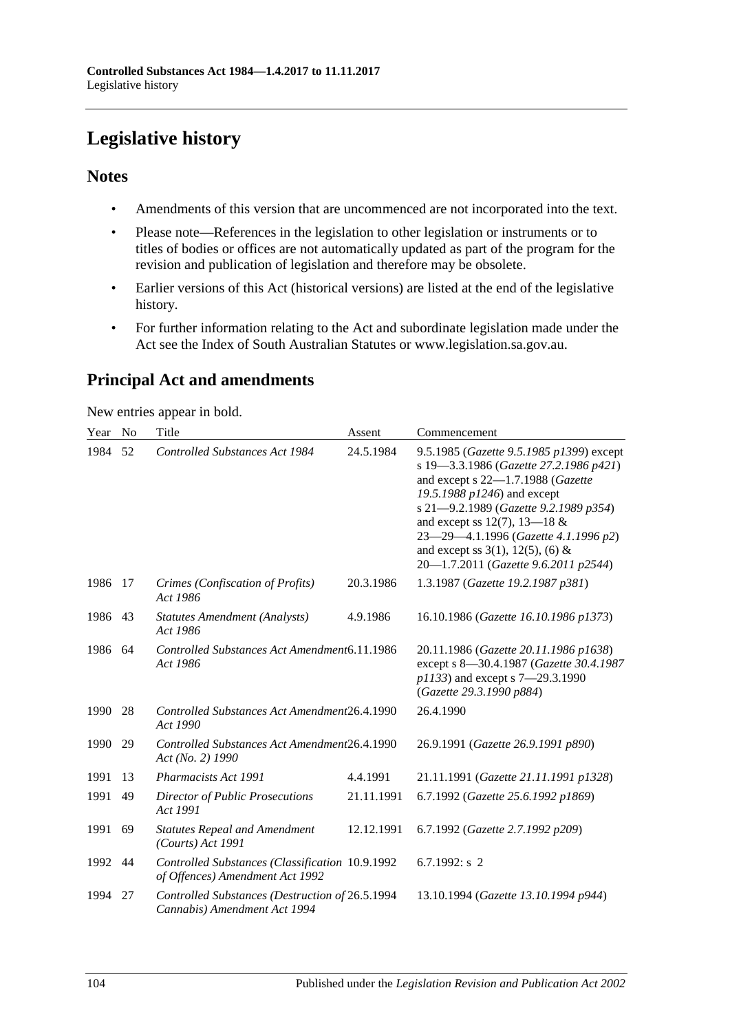# **Legislative history**

# **Notes**

- Amendments of this version that are uncommenced are not incorporated into the text.
- Please note—References in the legislation to other legislation or instruments or to titles of bodies or offices are not automatically updated as part of the program for the revision and publication of legislation and therefore may be obsolete.
- Earlier versions of this Act (historical versions) are listed at the end of the legislative history.
- For further information relating to the Act and subordinate legislation made under the Act see the Index of South Australian Statutes or www.legislation.sa.gov.au.

# **Principal Act and amendments**

New entries appear in bold.

| Year    | N <sub>o</sub> | Title                                                                              | Assent     | Commencement                                                                                                                                                                                                                                                                                                                                                  |
|---------|----------------|------------------------------------------------------------------------------------|------------|---------------------------------------------------------------------------------------------------------------------------------------------------------------------------------------------------------------------------------------------------------------------------------------------------------------------------------------------------------------|
| 1984    | 52             | <b>Controlled Substances Act 1984</b>                                              | 24.5.1984  | 9.5.1985 (Gazette 9.5.1985 p1399) except<br>s 19-3.3.1986 (Gazette 27.2.1986 p421)<br>and except s 22-1.7.1988 (Gazette<br>19.5.1988 p1246) and except<br>s 21-9.2.1989 (Gazette 9.2.1989 p354)<br>and except ss 12(7), 13-18 $&$<br>23-29-4.1.1996 (Gazette 4.1.1996 p2)<br>and except ss $3(1)$ , $12(5)$ , $(6)$ &<br>20-1.7.2011 (Gazette 9.6.2011 p2544) |
| 1986    | 17             | Crimes (Confiscation of Profits)<br>Act 1986                                       | 20.3.1986  | 1.3.1987 (Gazette 19.2.1987 p381)                                                                                                                                                                                                                                                                                                                             |
| 1986    | 43             | <b>Statutes Amendment (Analysts)</b><br>Act 1986                                   | 4.9.1986   | 16.10.1986 (Gazette 16.10.1986 p1373)                                                                                                                                                                                                                                                                                                                         |
| 1986 64 |                | Controlled Substances Act Amendment6.11.1986<br>Act 1986                           |            | 20.11.1986 (Gazette 20.11.1986 p1638)<br>except s 8-30.4.1987 (Gazette 30.4.1987<br>p1133) and except s 7-29.3.1990<br>(Gazette 29.3.1990 p884)                                                                                                                                                                                                               |
| 1990    | 28             | Controlled Substances Act Amendment26.4.1990<br>Act 1990                           |            | 26.4.1990                                                                                                                                                                                                                                                                                                                                                     |
| 1990    | 29             | Controlled Substances Act Amendment26.4.1990<br>Act (No. 2) 1990                   |            | 26.9.1991 (Gazette 26.9.1991 p890)                                                                                                                                                                                                                                                                                                                            |
| 1991    | 13             | <b>Pharmacists Act 1991</b>                                                        | 4.4.1991   | 21.11.1991 (Gazette 21.11.1991 p1328)                                                                                                                                                                                                                                                                                                                         |
| 1991    | 49             | <b>Director of Public Prosecutions</b><br>Act 1991                                 | 21.11.1991 | 6.7.1992 (Gazette 25.6.1992 p1869)                                                                                                                                                                                                                                                                                                                            |
| 1991    | 69             | <b>Statutes Repeal and Amendment</b><br>$(Courts)$ Act 1991                        | 12.12.1991 | 6.7.1992 (Gazette 2.7.1992 p209)                                                                                                                                                                                                                                                                                                                              |
| 1992    | 44             | Controlled Substances (Classification 10.9.1992<br>of Offences) Amendment Act 1992 |            | 6.7.1992: $s$ 2                                                                                                                                                                                                                                                                                                                                               |
| 1994    | 27             | Controlled Substances (Destruction of 26.5.1994<br>Cannabis) Amendment Act 1994    |            | 13.10.1994 (Gazette 13.10.1994 p944)                                                                                                                                                                                                                                                                                                                          |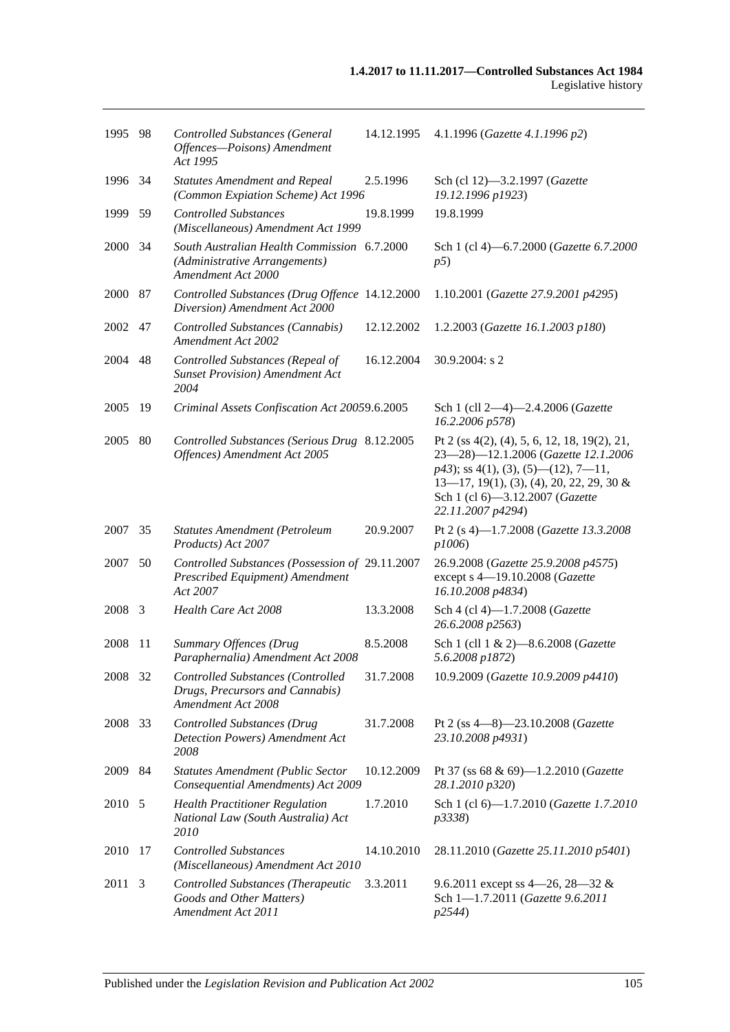| 1995 98 |      | <b>Controlled Substances (General</b><br>Offences-Poisons) Amendment<br>Act 1995                   | 14.12.1995 | 4.1.1996 (Gazette 4.1.1996 p2)                                                                                                                                                                                                         |
|---------|------|----------------------------------------------------------------------------------------------------|------------|----------------------------------------------------------------------------------------------------------------------------------------------------------------------------------------------------------------------------------------|
| 1996 34 |      | <b>Statutes Amendment and Repeal</b><br>(Common Expiation Scheme) Act 1996                         | 2.5.1996   | Sch (cl 12)-3.2.1997 (Gazette<br>19.12.1996 p1923)                                                                                                                                                                                     |
| 1999 59 |      | <b>Controlled Substances</b><br>(Miscellaneous) Amendment Act 1999                                 | 19.8.1999  | 19.8.1999                                                                                                                                                                                                                              |
| 2000    | - 34 | South Australian Health Commission 6.7.2000<br>(Administrative Arrangements)<br>Amendment Act 2000 |            | Sch 1 (cl 4)-6.7.2000 (Gazette 6.7.2000<br>p5)                                                                                                                                                                                         |
| 2000 87 |      | Controlled Substances (Drug Offence 14.12.2000<br>Diversion) Amendment Act 2000                    |            | 1.10.2001 (Gazette 27.9.2001 p4295)                                                                                                                                                                                                    |
| 2002    | 47   | Controlled Substances (Cannabis)<br><b>Amendment Act 2002</b>                                      | 12.12.2002 | 1.2.2003 (Gazette 16.1.2003 p180)                                                                                                                                                                                                      |
| 2004    | 48   | Controlled Substances (Repeal of<br><b>Sunset Provision</b> ) Amendment Act<br>2004                | 16.12.2004 | 30.9.2004: s 2                                                                                                                                                                                                                         |
| 2005    | -19  | Criminal Assets Confiscation Act 20059.6.2005                                                      |            | Sch 1 (cll 2-4)-2.4.2006 (Gazette<br>16.2.2006 p578)                                                                                                                                                                                   |
| 2005    | 80   | Controlled Substances (Serious Drug 8.12.2005<br>Offences) Amendment Act 2005                      |            | Pt 2 (ss $4(2)$ , (4), 5, 6, 12, 18, 19(2), 21,<br>23-28)-12.1.2006 (Gazette 12.1.2006<br>$p43$ ; ss 4(1), (3), (5)—(12), 7—11,<br>$13-17$ , 19(1), (3), (4), 20, 22, 29, 30 &<br>Sch 1 (cl 6)-3.12.2007 (Gazette<br>22.11.2007 p4294) |
| 2007 35 |      | <b>Statutes Amendment (Petroleum</b><br>Products) Act 2007                                         | 20.9.2007  | Pt 2 (s 4)-1.7.2008 (Gazette 13.3.2008<br>p1006)                                                                                                                                                                                       |
| 2007    | 50   | Controlled Substances (Possession of 29.11.2007<br>Prescribed Equipment) Amendment<br>Act 2007     |            | 26.9.2008 (Gazette 25.9.2008 p4575)<br>except s 4-19.10.2008 (Gazette<br>16.10.2008 p4834)                                                                                                                                             |
| 2008 3  |      | Health Care Act 2008                                                                               | 13.3.2008  | Sch 4 (cl 4)-1.7.2008 (Gazette<br>26.6.2008 p2563)                                                                                                                                                                                     |
| 2008    | -11  | <b>Summary Offences (Drug</b><br>Paraphernalia) Amendment Act 2008                                 | 8.5.2008   | Sch 1 (cll 1 & 2)-8.6.2008 (Gazette<br>5.6.2008 p1872)                                                                                                                                                                                 |
| 2008 32 |      | Controlled Substances (Controlled<br>Drugs, Precursors and Cannabis)<br>Amendment Act 2008         | 31.7.2008  | 10.9.2009 (Gazette 10.9.2009 p4410)                                                                                                                                                                                                    |
| 2008    | 33   | <b>Controlled Substances (Drug</b><br>Detection Powers) Amendment Act<br>2008                      | 31.7.2008  | Pt 2 (ss $4-8$ ) $-23.10.2008$ ( <i>Gazette</i><br>23.10.2008 p4931)                                                                                                                                                                   |
| 2009 84 |      | <b>Statutes Amendment (Public Sector</b><br>Consequential Amendments) Act 2009                     | 10.12.2009 | Pt 37 (ss 68 & 69)-1.2.2010 (Gazette<br>28.1.2010 p320)                                                                                                                                                                                |
| 2010 5  |      | <b>Health Practitioner Regulation</b><br>National Law (South Australia) Act<br>2010                | 1.7.2010   | Sch 1 (cl 6)-1.7.2010 (Gazette 1.7.2010<br>p3338)                                                                                                                                                                                      |
| 2010    | 17   | <b>Controlled Substances</b><br>(Miscellaneous) Amendment Act 2010                                 | 14.10.2010 | 28.11.2010 (Gazette 25.11.2010 p5401)                                                                                                                                                                                                  |
| 2011    | 3    | <b>Controlled Substances (Therapeutic</b><br>Goods and Other Matters)<br>Amendment Act 2011        | 3.3.2011   | 9.6.2011 except ss $4-26$ , $28-32$ &<br>Sch 1-1.7.2011 (Gazette 9.6.2011<br>p2544)                                                                                                                                                    |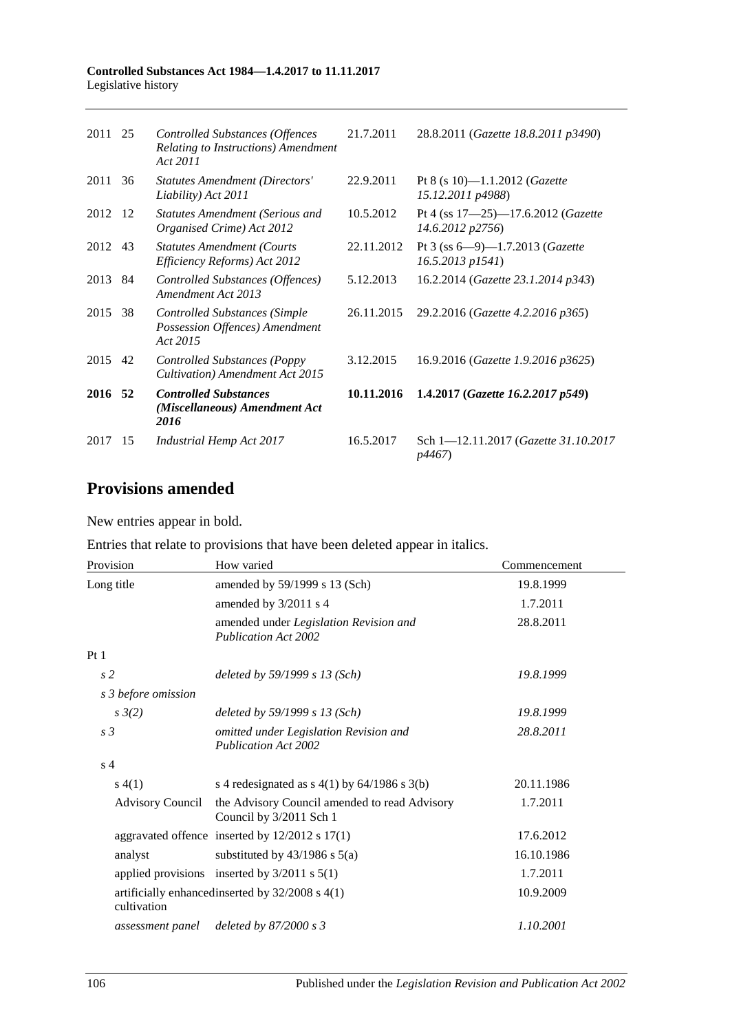#### **Controlled Substances Act 1984—1.4.2017 to 11.11.2017** Legislative history

| 2011 25 |     | Controlled Substances (Offences<br>Relating to Instructions) Amendment<br>Act 2011 | 21.7.2011  | 28.8.2011 (Gazette 18.8.2011 p3490)                                  |
|---------|-----|------------------------------------------------------------------------------------|------------|----------------------------------------------------------------------|
| 2011    | 36  | <b>Statutes Amendment (Directors'</b><br>Liability) Act 2011                       | 22.9.2011  | Pt 8 (s 10)-1.1.2012 ( <i>Gazette</i><br>15.12.2011 p4988)           |
| 2012 12 |     | <b>Statutes Amendment (Serious and</b><br>Organised Crime) Act 2012                | 10.5.2012  | Pt 4 (ss $17 - 25$ ) -17.6.2012 ( <i>Gazette</i><br>14.6.2012 p2756) |
| 2012 43 |     | <b>Statutes Amendment (Courts)</b><br>Efficiency Reforms) Act 2012                 | 22.11.2012 | Pt 3 (ss $6 - 9$ ) -1.7.2013 (Gazette<br>$16.5.2013$ $p1541$ )       |
| 2013    | -84 | Controlled Substances (Offences)<br>Amendment Act 2013                             | 5.12.2013  | 16.2.2014 (Gazette 23.1.2014 p343)                                   |
| 2015    | -38 | <b>Controlled Substances (Simple</b><br>Possession Offences) Amendment<br>Act 2015 | 26.11.2015 | 29.2.2016 (Gazette 4.2.2016 p365)                                    |
| 2015 42 |     | <b>Controlled Substances (Poppy</b><br>Cultivation) Amendment Act 2015             | 3.12.2015  | 16.9.2016 (Gazette 1.9.2016 p3625)                                   |
| 2016 52 |     | <b>Controlled Substances</b><br>(Miscellaneous) Amendment Act<br>2016              | 10.11.2016 | 1.4.2017 (Gazette 16.2.2017 p549)                                    |
| 2017    | -15 | <b>Industrial Hemp Act 2017</b>                                                    | 16.5.2017  | Sch 1-12.11.2017 (Gazette 31.10.2017)<br><i>p4467</i> )              |

# **Provisions amended**

New entries appear in bold.

| Entries that relate to provisions that have been deleted appear in italics. |  |  |  |
|-----------------------------------------------------------------------------|--|--|--|
|-----------------------------------------------------------------------------|--|--|--|

| Provision               | How varied                                                               | Commencement |
|-------------------------|--------------------------------------------------------------------------|--------------|
| Long title              | amended by 59/1999 s 13 (Sch)                                            | 19.8.1999    |
|                         | amended by 3/2011 s 4                                                    | 1.7.2011     |
|                         | amended under Legislation Revision and<br><b>Publication Act 2002</b>    | 28.8.2011    |
| Pt1                     |                                                                          |              |
| s <sub>2</sub>          | deleted by $59/1999 s 13 (Sch)$                                          | 19.8.1999    |
| s 3 before omission     |                                                                          |              |
| $s \frac{3}{2}$         | deleted by $59/1999 s 13 (Sch)$                                          | 19.8.1999    |
| s <sub>3</sub>          | omitted under Legislation Revision and<br><b>Publication Act 2002</b>    | 28.8.2011    |
| s <sub>4</sub>          |                                                                          |              |
| s(4(1))                 | s 4 redesignated as $s$ 4(1) by 64/1986 s 3(b)                           | 20.11.1986   |
| <b>Advisory Council</b> | the Advisory Council amended to read Advisory<br>Council by 3/2011 Sch 1 | 1.7.2011     |
|                         | aggravated offence inserted by $12/2012$ s $17(1)$                       | 17.6.2012    |
| analyst                 | substituted by $43/1986$ s $5(a)$                                        | 16.10.1986   |
|                         | applied provisions inserted by $3/2011$ s $5(1)$                         | 1.7.2011     |
| cultivation             | artificially enhanced inserted by $32/2008$ s $4(1)$                     | 10.9.2009    |
| assessment panel        | deleted by $87/2000 s3$                                                  | 1.10.2001    |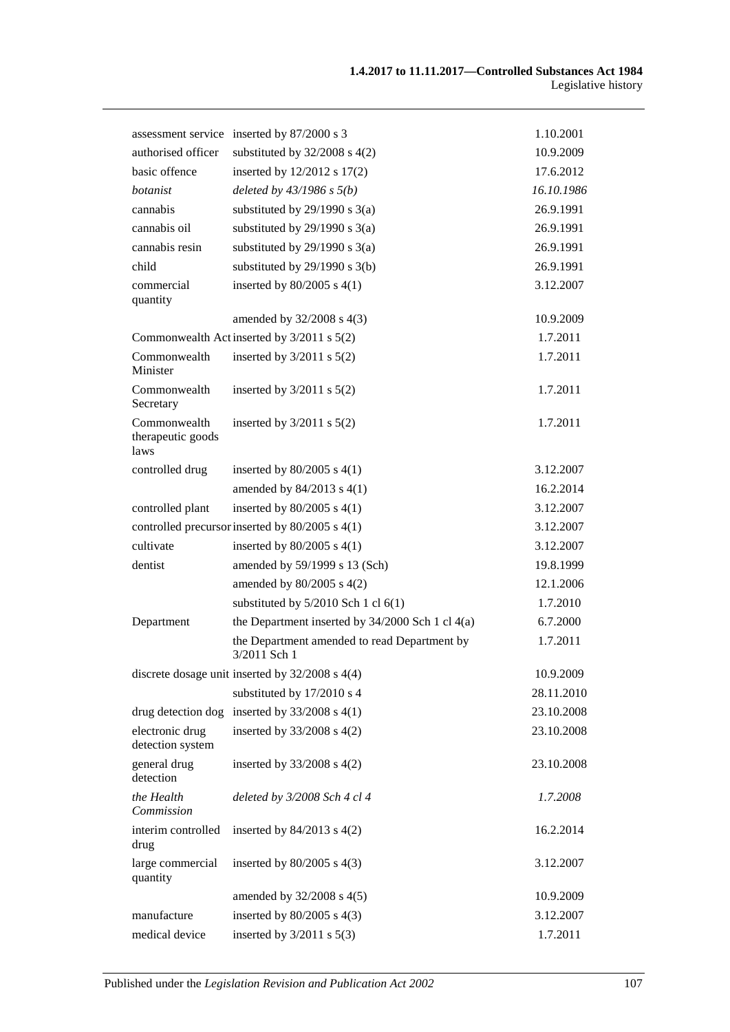|                                           | assessment service inserted by 87/2000 s 3                   | 1.10.2001  |
|-------------------------------------------|--------------------------------------------------------------|------------|
| authorised officer                        | substituted by $32/2008$ s $4(2)$                            | 10.9.2009  |
| basic offence                             | inserted by 12/2012 s 17(2)                                  | 17.6.2012  |
| botanist                                  | deleted by $43/1986$ s $5(b)$                                | 16.10.1986 |
| cannabis                                  | substituted by $29/1990$ s $3(a)$                            | 26.9.1991  |
| cannabis oil                              | substituted by $29/1990$ s $3(a)$                            | 26.9.1991  |
| cannabis resin                            | substituted by $29/1990$ s $3(a)$                            | 26.9.1991  |
| child                                     | substituted by $29/1990$ s $3(b)$                            | 26.9.1991  |
| commercial<br>quantity                    | inserted by $80/2005$ s $4(1)$                               | 3.12.2007  |
|                                           | amended by $32/2008$ s $4(3)$                                | 10.9.2009  |
|                                           | Commonwealth Act inserted by 3/2011 s 5(2)                   | 1.7.2011   |
| Commonwealth<br>Minister                  | inserted by $3/2011$ s $5(2)$                                | 1.7.2011   |
| Commonwealth<br>Secretary                 | inserted by $3/2011$ s $5(2)$                                | 1.7.2011   |
| Commonwealth<br>therapeutic goods<br>laws | inserted by $3/2011$ s $5(2)$                                | 1.7.2011   |
| controlled drug                           | inserted by $80/2005$ s $4(1)$                               | 3.12.2007  |
|                                           | amended by $84/2013$ s $4(1)$                                | 16.2.2014  |
| controlled plant                          | inserted by $80/2005$ s $4(1)$                               | 3.12.2007  |
|                                           | controlled precursor inserted by 80/2005 s 4(1)              | 3.12.2007  |
| cultivate                                 | inserted by $80/2005$ s $4(1)$                               | 3.12.2007  |
| dentist                                   | amended by 59/1999 s 13 (Sch)                                | 19.8.1999  |
|                                           | amended by 80/2005 s 4(2)                                    | 12.1.2006  |
|                                           | substituted by $5/2010$ Sch 1 cl $6(1)$                      | 1.7.2010   |
| Department                                | the Department inserted by $34/2000$ Sch 1 cl $4(a)$         | 6.7.2000   |
|                                           | the Department amended to read Department by<br>3/2011 Sch 1 | 1.7.2011   |
|                                           | discrete dosage unit inserted by $32/2008$ s $4(4)$          | 10.9.2009  |
|                                           | substituted by 17/2010 s 4                                   | 28.11.2010 |
| drug detection dog                        | inserted by $33/2008$ s 4(1)                                 | 23.10.2008 |
| electronic drug<br>detection system       | inserted by 33/2008 s 4(2)                                   | 23.10.2008 |
| general drug<br>detection                 | inserted by $33/2008$ s $4(2)$                               | 23.10.2008 |
| the Health<br>Commission                  | deleted by 3/2008 Sch 4 cl 4                                 | 1.7.2008   |
| interim controlled<br>drug                | inserted by $84/2013$ s $4(2)$                               | 16.2.2014  |
| large commercial<br>quantity              | inserted by $80/2005$ s $4(3)$                               | 3.12.2007  |
|                                           | amended by 32/2008 s 4(5)                                    | 10.9.2009  |
| manufacture                               | inserted by $80/2005$ s $4(3)$                               | 3.12.2007  |
| medical device                            | inserted by $3/2011$ s $5(3)$                                | 1.7.2011   |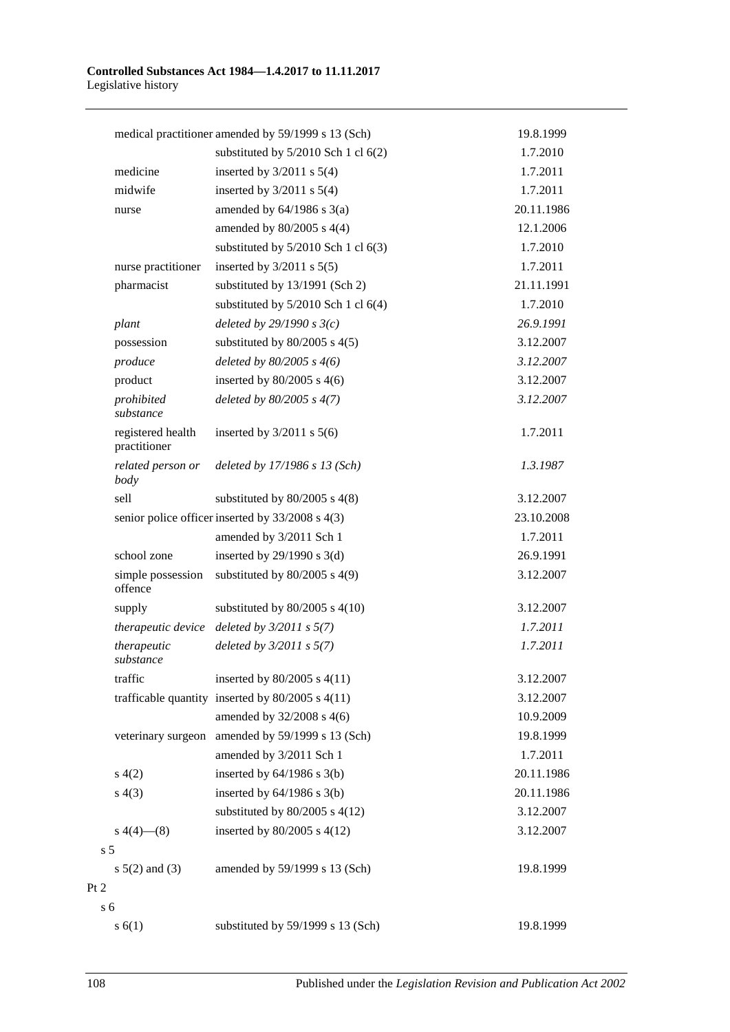|                                   | medical practitioner amended by 59/1999 s 13 (Sch)   | 19.8.1999  |
|-----------------------------------|------------------------------------------------------|------------|
|                                   | substituted by $5/2010$ Sch 1 cl $6(2)$              | 1.7.2010   |
| medicine                          | inserted by $3/2011$ s $5(4)$                        | 1.7.2011   |
| midwife                           | inserted by $3/2011$ s $5(4)$                        | 1.7.2011   |
| nurse                             | amended by $64/1986$ s $3(a)$                        | 20.11.1986 |
|                                   | amended by $80/2005$ s $4(4)$                        | 12.1.2006  |
|                                   | substituted by $5/2010$ Sch 1 cl $6(3)$              | 1.7.2010   |
| nurse practitioner                | inserted by $3/2011$ s $5(5)$                        | 1.7.2011   |
| pharmacist                        | substituted by 13/1991 (Sch 2)                       | 21.11.1991 |
|                                   | substituted by $5/2010$ Sch 1 cl $6(4)$              | 1.7.2010   |
| plant                             | deleted by $29/1990 s3(c)$                           | 26.9.1991  |
| possession                        | substituted by $80/2005$ s $4(5)$                    | 3.12.2007  |
| produce                           | deleted by $80/2005$ s $4(6)$                        | 3.12.2007  |
| product                           | inserted by $80/2005$ s $4(6)$                       | 3.12.2007  |
| prohibited<br>substance           | deleted by $80/2005$ s $4(7)$                        | 3.12.2007  |
| registered health<br>practitioner | inserted by $3/2011$ s $5(6)$                        | 1.7.2011   |
| related person or<br>body         | deleted by $17/1986$ s $13$ (Sch)                    | 1.3.1987   |
| sell                              | substituted by $80/2005$ s $4(8)$                    | 3.12.2007  |
|                                   | senior police officer inserted by 33/2008 s 4(3)     | 23.10.2008 |
|                                   | amended by 3/2011 Sch 1                              | 1.7.2011   |
| school zone                       | inserted by $29/1990$ s $3(d)$                       | 26.9.1991  |
| simple possession<br>offence      | substituted by $80/2005$ s $4(9)$                    | 3.12.2007  |
| supply                            | substituted by $80/2005$ s $4(10)$                   | 3.12.2007  |
| therapeutic device                | deleted by $3/2011$ s $5(7)$                         | 1.7.2011   |
| therapeutic<br>substance          | deleted by $3/2011$ s $5(7)$                         | 1.7.2011   |
| traffic                           | inserted by 80/2005 s 4(11)                          | 3.12.2007  |
|                                   | trafficable quantity inserted by $80/2005$ s $4(11)$ | 3.12.2007  |
|                                   | amended by 32/2008 s 4(6)                            | 10.9.2009  |
|                                   | veterinary surgeon amended by 59/1999 s 13 (Sch)     | 19.8.1999  |
|                                   | amended by 3/2011 Sch 1                              | 1.7.2011   |
| s(4(2)                            | inserted by $64/1986$ s $3(b)$                       | 20.11.1986 |
| s(4(3))                           | inserted by $64/1986$ s $3(b)$                       | 20.11.1986 |
|                                   | substituted by $80/2005$ s $4(12)$                   | 3.12.2007  |
| $s\ 4(4)$ (8)                     | inserted by $80/2005$ s $4(12)$                      | 3.12.2007  |
| s <sub>5</sub>                    |                                                      |            |
| $s 5(2)$ and (3)                  | amended by 59/1999 s 13 (Sch)                        | 19.8.1999  |
|                                   |                                                      |            |
| s <sub>6</sub>                    |                                                      |            |
| s(6(1))                           | substituted by 59/1999 s 13 (Sch)                    | 19.8.1999  |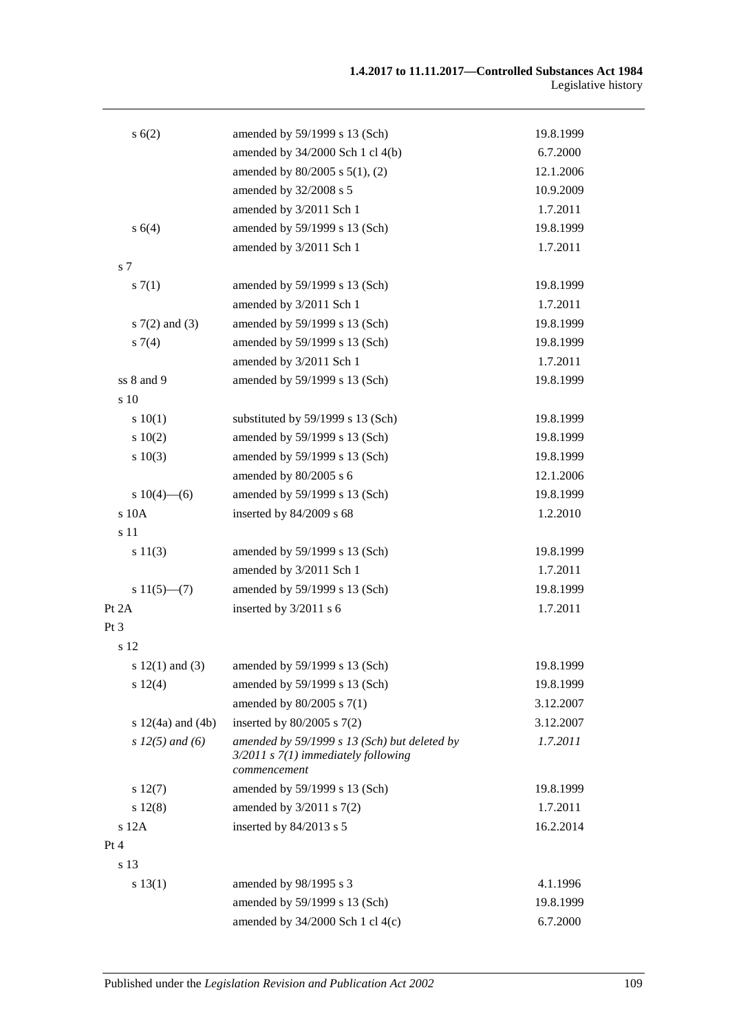| s(6(2))               | amended by 59/1999 s 13 (Sch)                                                                           | 19.8.1999 |
|-----------------------|---------------------------------------------------------------------------------------------------------|-----------|
|                       | amended by 34/2000 Sch 1 cl 4(b)                                                                        | 6.7.2000  |
|                       | amended by 80/2005 s 5(1), (2)                                                                          | 12.1.2006 |
|                       | amended by 32/2008 s 5                                                                                  | 10.9.2009 |
|                       | amended by 3/2011 Sch 1                                                                                 | 1.7.2011  |
| s 6(4)                | amended by 59/1999 s 13 (Sch)                                                                           | 19.8.1999 |
|                       | amended by 3/2011 Sch 1                                                                                 | 1.7.2011  |
| s 7                   |                                                                                                         |           |
| s(7(1))               | amended by 59/1999 s 13 (Sch)                                                                           | 19.8.1999 |
|                       | amended by 3/2011 Sch 1                                                                                 | 1.7.2011  |
| $s \, 7(2)$ and (3)   | amended by 59/1999 s 13 (Sch)                                                                           | 19.8.1999 |
| $s \, 7(4)$           | amended by 59/1999 s 13 (Sch)                                                                           | 19.8.1999 |
|                       | amended by 3/2011 Sch 1                                                                                 | 1.7.2011  |
| ss 8 and 9            | amended by 59/1999 s 13 (Sch)                                                                           | 19.8.1999 |
| s 10                  |                                                                                                         |           |
| 10(1)                 | substituted by 59/1999 s 13 (Sch)                                                                       | 19.8.1999 |
| 10(2)                 | amended by 59/1999 s 13 (Sch)                                                                           | 19.8.1999 |
| s 10(3)               | amended by 59/1999 s 13 (Sch)                                                                           | 19.8.1999 |
|                       | amended by 80/2005 s 6                                                                                  | 12.1.2006 |
| s $10(4)$ —(6)        | amended by 59/1999 s 13 (Sch)                                                                           | 19.8.1999 |
| s 10A                 | inserted by 84/2009 s 68                                                                                | 1.2.2010  |
| s 11                  |                                                                                                         |           |
| s 11(3)               | amended by 59/1999 s 13 (Sch)                                                                           | 19.8.1999 |
|                       | amended by 3/2011 Sch 1                                                                                 | 1.7.2011  |
| $s 11(5)$ —(7)        | amended by 59/1999 s 13 (Sch)                                                                           | 19.8.1999 |
| Pt 2A                 | inserted by 3/2011 s 6                                                                                  | 1.7.2011  |
| Pt 3                  |                                                                                                         |           |
| s 12                  |                                                                                                         |           |
| s $12(1)$ and $(3)$   | amended by $59/1999$ s 13 (Sch)                                                                         | 19.8.1999 |
| s 12(4)               | amended by 59/1999 s 13 (Sch)                                                                           | 19.8.1999 |
|                       | amended by 80/2005 s 7(1)                                                                               | 3.12.2007 |
| s $12(4a)$ and $(4b)$ | inserted by $80/2005$ s $7(2)$                                                                          | 3.12.2007 |
| $s 12(5)$ and (6)     | amended by 59/1999 s 13 (Sch) but deleted by<br>$3/2011$ s $7(1)$ immediately following<br>commencement | 1.7.2011  |
| s 12(7)               | amended by 59/1999 s 13 (Sch)                                                                           | 19.8.1999 |
| s 12(8)               | amended by 3/2011 s 7(2)                                                                                | 1.7.2011  |
| s 12A                 | inserted by 84/2013 s 5                                                                                 | 16.2.2014 |
| Pt 4                  |                                                                                                         |           |
| s 13                  |                                                                                                         |           |
| s 13(1)               | amended by 98/1995 s 3                                                                                  | 4.1.1996  |
|                       | amended by 59/1999 s 13 (Sch)                                                                           | 19.8.1999 |
|                       | amended by 34/2000 Sch 1 cl 4(c)                                                                        | 6.7.2000  |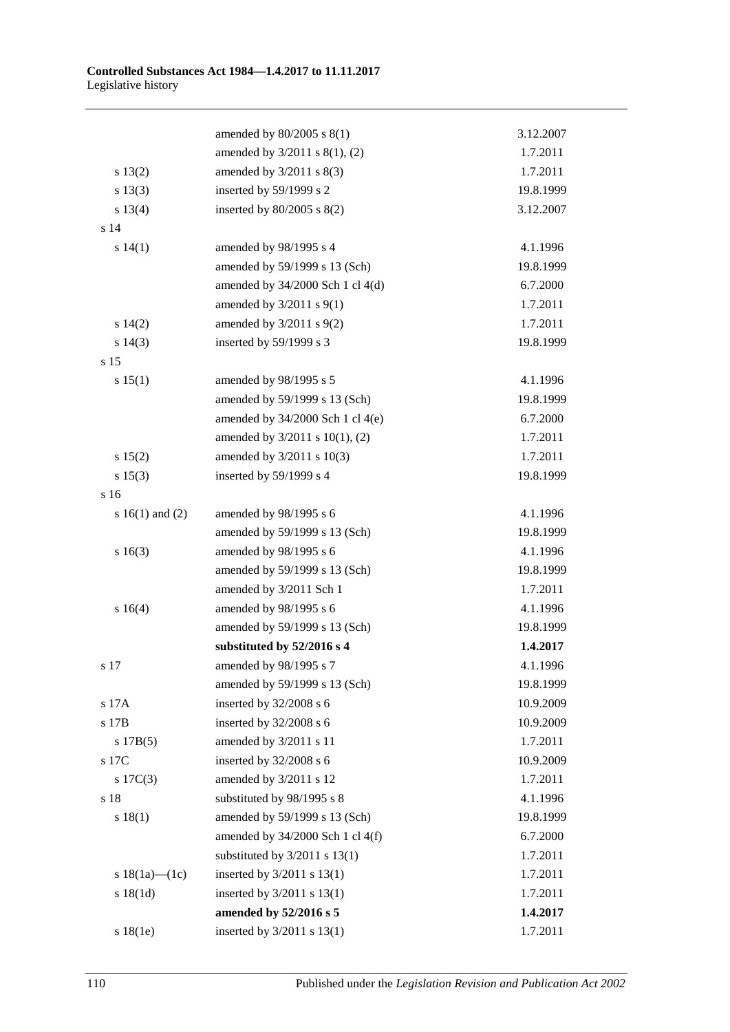|                     | amended by $80/2005$ s $8(1)$        | 3.12.2007 |
|---------------------|--------------------------------------|-----------|
|                     | amended by 3/2011 s 8(1), (2)        | 1.7.2011  |
| s 13(2)             | amended by $3/2011$ s $8(3)$         | 1.7.2011  |
| s 13(3)             | inserted by 59/1999 s 2              | 19.8.1999 |
| s 13(4)             | inserted by $80/2005$ s $8(2)$       | 3.12.2007 |
| s 14                |                                      |           |
| s 14(1)             | amended by 98/1995 s 4               | 4.1.1996  |
|                     | amended by 59/1999 s 13 (Sch)        | 19.8.1999 |
|                     | amended by $34/2000$ Sch 1 cl $4(d)$ | 6.7.2000  |
|                     | amended by $3/2011$ s $9(1)$         | 1.7.2011  |
| $s\ 14(2)$          | amended by $3/2011$ s $9(2)$         | 1.7.2011  |
| $s\ 14(3)$          | inserted by 59/1999 s 3              | 19.8.1999 |
| s 15                |                                      |           |
| s 15(1)             | amended by 98/1995 s 5               | 4.1.1996  |
|                     | amended by 59/1999 s 13 (Sch)        | 19.8.1999 |
|                     | amended by $34/2000$ Sch 1 cl 4(e)   | 6.7.2000  |
|                     | amended by 3/2011 s 10(1), (2)       | 1.7.2011  |
| s 15(2)             | amended by $3/2011$ s $10(3)$        | 1.7.2011  |
| s 15(3)             | inserted by 59/1999 s 4              | 19.8.1999 |
| s 16                |                                      |           |
| s $16(1)$ and $(2)$ | amended by 98/1995 s 6               | 4.1.1996  |
|                     | amended by 59/1999 s 13 (Sch)        | 19.8.1999 |
| s16(3)              | amended by 98/1995 s 6               | 4.1.1996  |
|                     | amended by 59/1999 s 13 (Sch)        | 19.8.1999 |
|                     | amended by 3/2011 Sch 1              | 1.7.2011  |
| s16(4)              | amended by 98/1995 s 6               | 4.1.1996  |
|                     | amended by 59/1999 s 13 (Sch)        | 19.8.1999 |
|                     | substituted by 52/2016 s 4           | 1.4.2017  |
| s 17                | amended by 98/1995 s 7               | 4.1.1996  |
|                     | amended by 59/1999 s 13 (Sch)        | 19.8.1999 |
| s 17A               | inserted by 32/2008 s 6              | 10.9.2009 |
| s 17B               | inserted by 32/2008 s 6              | 10.9.2009 |
| s 17B(5)            | amended by 3/2011 s 11               | 1.7.2011  |
| s 17C               | inserted by 32/2008 s 6              | 10.9.2009 |
| $s \ 17C(3)$        | amended by 3/2011 s 12               | 1.7.2011  |
| s 18                | substituted by 98/1995 s 8           | 4.1.1996  |
| s 18(1)             | amended by 59/1999 s 13 (Sch)        | 19.8.1999 |
|                     | amended by $34/2000$ Sch 1 cl 4(f)   | 6.7.2000  |
|                     | substituted by $3/2011$ s $13(1)$    | 1.7.2011  |
| s $18(1a)$ — $(1c)$ | inserted by $3/2011$ s $13(1)$       | 1.7.2011  |
| s 18(1d)            | inserted by $3/2011$ s $13(1)$       | 1.7.2011  |
|                     | amended by 52/2016 s 5               | 1.4.2017  |
| s18(1e)             | inserted by 3/2011 s 13(1)           | 1.7.2011  |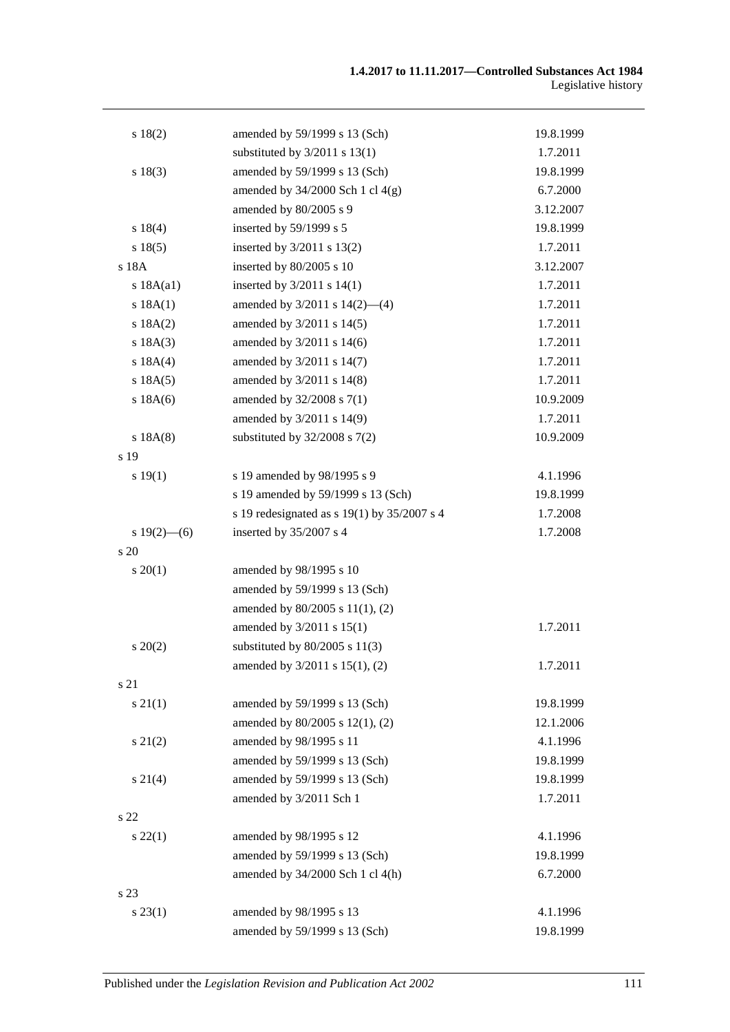| s 18(2)         | amended by 59/1999 s 13 (Sch)                   | 19.8.1999 |
|-----------------|-------------------------------------------------|-----------|
|                 | substituted by $3/2011$ s $13(1)$               | 1.7.2011  |
| s 18(3)         | amended by 59/1999 s 13 (Sch)                   | 19.8.1999 |
|                 | amended by $34/2000$ Sch 1 cl $4(g)$            | 6.7.2000  |
|                 | amended by 80/2005 s 9                          | 3.12.2007 |
| s 18(4)         | inserted by 59/1999 s 5                         | 19.8.1999 |
| s 18(5)         | inserted by 3/2011 s 13(2)                      | 1.7.2011  |
| s 18A           | inserted by 80/2005 s 10                        | 3.12.2007 |
| s 18A(a1)       | inserted by $3/2011$ s $14(1)$                  | 1.7.2011  |
| s 18A(1)        | amended by $3/2011$ s $14(2)$ —(4)              | 1.7.2011  |
| s 18A(2)        | amended by 3/2011 s 14(5)                       | 1.7.2011  |
| s 18A(3)        | amended by 3/2011 s 14(6)                       | 1.7.2011  |
| s 18A(4)        | amended by 3/2011 s 14(7)                       | 1.7.2011  |
| s 18A(5)        | amended by 3/2011 s 14(8)                       | 1.7.2011  |
| s 18A(6)        | amended by 32/2008 s 7(1)                       | 10.9.2009 |
|                 | amended by 3/2011 s 14(9)                       | 1.7.2011  |
| s 18A(8)        | substituted by $32/2008$ s $7(2)$               | 10.9.2009 |
| s 19            |                                                 |           |
| s 19(1)         | s 19 amended by 98/1995 s 9                     | 4.1.1996  |
|                 | s 19 amended by 59/1999 s 13 (Sch)              | 19.8.1999 |
|                 | s 19 redesignated as s $19(1)$ by $35/2007$ s 4 | 1.7.2008  |
| s $19(2)$ - (6) | inserted by 35/2007 s 4                         | 1.7.2008  |
| s 20            |                                                 |           |
| $s \, 20(1)$    | amended by 98/1995 s 10                         |           |
|                 | amended by 59/1999 s 13 (Sch)                   |           |
|                 | amended by 80/2005 s 11(1), (2)                 |           |
|                 | amended by $3/2011$ s $15(1)$                   | 1.7.2011  |
| $s\,20(2)$      | substituted by $80/2005$ s $11(3)$              |           |
|                 | amended by 3/2011 s 15(1), (2)                  | 1.7.2011  |
| s 21            |                                                 |           |
| $s \, 21(1)$    | amended by 59/1999 s 13 (Sch)                   | 19.8.1999 |
|                 | amended by 80/2005 s 12(1), (2)                 | 12.1.2006 |
| $s\ 21(2)$      | amended by 98/1995 s 11                         | 4.1.1996  |
|                 | amended by 59/1999 s 13 (Sch)                   | 19.8.1999 |
| $s \, 21(4)$    | amended by 59/1999 s 13 (Sch)                   | 19.8.1999 |
|                 | amended by 3/2011 Sch 1                         | 1.7.2011  |
| s 22            |                                                 |           |
| $s\,22(1)$      | amended by 98/1995 s 12                         | 4.1.1996  |
|                 | amended by 59/1999 s 13 (Sch)                   | 19.8.1999 |
|                 | amended by 34/2000 Sch 1 cl 4(h)                | 6.7.2000  |
| s 23            |                                                 |           |
| $s\,23(1)$      | amended by 98/1995 s 13                         | 4.1.1996  |
|                 | amended by 59/1999 s 13 (Sch)                   | 19.8.1999 |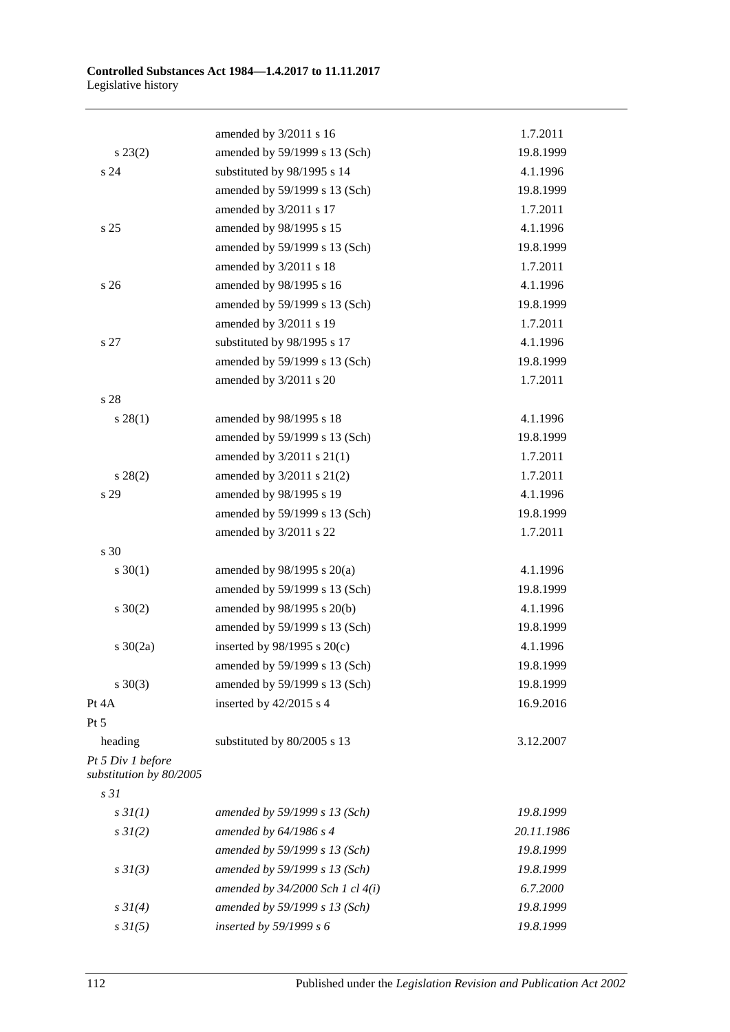|                                              | amended by 3/2011 s 16               | 1.7.2011   |
|----------------------------------------------|--------------------------------------|------------|
| $s\,23(2)$                                   | amended by 59/1999 s 13 (Sch)        | 19.8.1999  |
| s <sub>24</sub>                              | substituted by 98/1995 s 14          | 4.1.1996   |
|                                              | amended by 59/1999 s 13 (Sch)        | 19.8.1999  |
|                                              | amended by 3/2011 s 17               | 1.7.2011   |
| s <sub>25</sub>                              | amended by 98/1995 s 15              | 4.1.1996   |
|                                              | amended by 59/1999 s 13 (Sch)        | 19.8.1999  |
|                                              | amended by 3/2011 s 18               | 1.7.2011   |
| s <sub>26</sub>                              | amended by 98/1995 s 16              | 4.1.1996   |
|                                              | amended by 59/1999 s 13 (Sch)        | 19.8.1999  |
|                                              | amended by 3/2011 s 19               | 1.7.2011   |
| s 27                                         | substituted by 98/1995 s 17          | 4.1.1996   |
|                                              | amended by 59/1999 s 13 (Sch)        | 19.8.1999  |
|                                              | amended by 3/2011 s 20               | 1.7.2011   |
| s 28                                         |                                      |            |
| s 28(1)                                      | amended by 98/1995 s 18              | 4.1.1996   |
|                                              | amended by 59/1999 s 13 (Sch)        | 19.8.1999  |
|                                              | amended by $3/2011$ s $21(1)$        | 1.7.2011   |
| $s\,28(2)$                                   | amended by $3/2011$ s $21(2)$        | 1.7.2011   |
| s 29                                         | amended by 98/1995 s 19              | 4.1.1996   |
|                                              | amended by 59/1999 s 13 (Sch)        | 19.8.1999  |
|                                              | amended by 3/2011 s 22               | 1.7.2011   |
| s 30                                         |                                      |            |
| $s \ 30(1)$                                  | amended by $98/1995$ s $20(a)$       | 4.1.1996   |
|                                              | amended by 59/1999 s 13 (Sch)        | 19.8.1999  |
| $s \ 30(2)$                                  | amended by 98/1995 s 20(b)           | 4.1.1996   |
|                                              | amended by 59/1999 s 13 (Sch)        | 19.8.1999  |
| $s \ 30(2a)$                                 | inserted by $98/1995$ s $20(c)$      | 4.1.1996   |
|                                              | amended by 59/1999 s 13 (Sch)        | 19.8.1999  |
| $s \ 30(3)$                                  | amended by 59/1999 s 13 (Sch)        | 19.8.1999  |
| Pt 4A                                        | inserted by 42/2015 s 4              | 16.9.2016  |
| Pt 5                                         |                                      |            |
| heading                                      | substituted by 80/2005 s 13          | 3.12.2007  |
| Pt 5 Div 1 before<br>substitution by 80/2005 |                                      |            |
| s <sub>31</sub>                              |                                      |            |
| s3I(1)                                       | amended by 59/1999 s 13 (Sch)        | 19.8.1999  |
| $s \, 3I(2)$                                 | amended by $64/1986 s 4$             | 20.11.1986 |
|                                              | amended by 59/1999 s 13 (Sch)        | 19.8.1999  |
| s3I(3)                                       | amended by 59/1999 s 13 (Sch)        | 19.8.1999  |
|                                              | amended by $34/2000$ Sch 1 cl $4(i)$ | 6.7.2000   |
| $s \, 31(4)$                                 | amended by 59/1999 s 13 (Sch)        | 19.8.1999  |
| $s \, 31(5)$                                 | inserted by $59/1999 s 6$            | 19.8.1999  |
|                                              |                                      |            |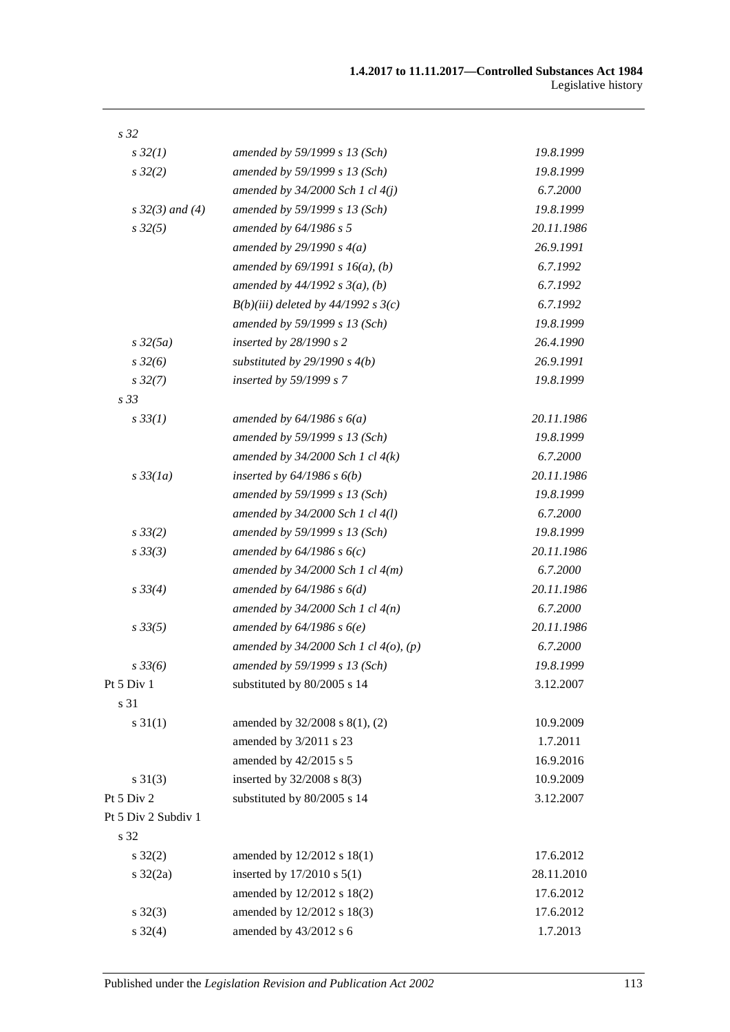| s 32                 |                                            |            |
|----------------------|--------------------------------------------|------------|
| $s\,32(1)$           | amended by 59/1999 s 13 (Sch)              | 19.8.1999  |
| s32(2)               | amended by 59/1999 s 13 (Sch)              | 19.8.1999  |
|                      | amended by $34/2000$ Sch 1 cl $4(j)$       | 6.7.2000   |
| $s \, 32(3)$ and (4) | amended by 59/1999 s 13 (Sch)              | 19.8.1999  |
| $s\,32(5)$           | amended by $64/1986 s 5$                   | 20.11.1986 |
|                      | amended by $29/1990 s 4(a)$                | 26.9.1991  |
|                      | amended by $69/1991 s 16(a)$ , (b)         | 6.7.1992   |
|                      | amended by $44/1992 s 3(a)$ , (b)          | 6.7.1992   |
|                      | $B(b)(iii)$ deleted by 44/1992 s 3(c)      | 6.7.1992   |
|                      | amended by 59/1999 s 13 (Sch)              | 19.8.1999  |
| $s\,32(5a)$          | inserted by $28/1990 s 2$                  | 26.4.1990  |
| $s\,32(6)$           | substituted by $29/1990 s 4(b)$            | 26.9.1991  |
| $s\,32(7)$           | inserted by 59/1999 s 7                    | 19.8.1999  |
| s <sub>33</sub>      |                                            |            |
| $s \, 33(1)$         | amended by $64/1986$ s $6(a)$              | 20.11.1986 |
|                      | amended by 59/1999 s 13 (Sch)              | 19.8.1999  |
|                      | amended by $34/2000$ Sch 1 cl $4(k)$       | 6.7.2000   |
| $s\,33(1a)$          | inserted by $64/1986$ s $6(b)$             | 20.11.1986 |
|                      | amended by 59/1999 s 13 (Sch)              | 19.8.1999  |
|                      | amended by $34/2000$ Sch 1 cl $4(l)$       | 6.7.2000   |
| $s \frac{33}{2}$     | amended by 59/1999 s 13 (Sch)              | 19.8.1999  |
| s33(3)               | amended by $64/1986 s 6(c)$                | 20.11.1986 |
|                      | amended by $34/2000$ Sch 1 cl $4(m)$       | 6.7.2000   |
| $s \, 33(4)$         | amended by $64/1986 s 6(d)$                | 20.11.1986 |
|                      | amended by $34/2000$ Sch 1 cl $4(n)$       | 6.7.2000   |
| $s\,33(5)$           | amended by $64/1986 s 6(e)$                | 20.11.1986 |
|                      | amended by $34/2000$ Sch 1 cl $4(o)$ , (p) | 6.7.2000   |
| $s\,33(6)$           | amended by 59/1999 s 13 (Sch)              | 19.8.1999  |
| Pt 5 Div 1           | substituted by 80/2005 s 14                | 3.12.2007  |
| s 31                 |                                            |            |
| $s \, 31(1)$         | amended by 32/2008 s 8(1), (2)             | 10.9.2009  |
|                      | amended by 3/2011 s 23                     | 1.7.2011   |
|                      | amended by 42/2015 s 5                     | 16.9.2016  |
| $s \, 31(3)$         | inserted by 32/2008 s 8(3)                 | 10.9.2009  |
| Pt 5 Div 2           | substituted by 80/2005 s 14                | 3.12.2007  |
| Pt 5 Div 2 Subdiv 1  |                                            |            |
| s 32                 |                                            |            |
| $s \, 32(2)$         | amended by 12/2012 s 18(1)                 | 17.6.2012  |
| $s \frac{32}{2a}$    | inserted by $17/2010$ s $5(1)$             | 28.11.2010 |
|                      | amended by 12/2012 s 18(2)                 | 17.6.2012  |
| $s \, 32(3)$         | amended by 12/2012 s 18(3)                 | 17.6.2012  |
| $s \, 32(4)$         | amended by 43/2012 s 6                     | 1.7.2013   |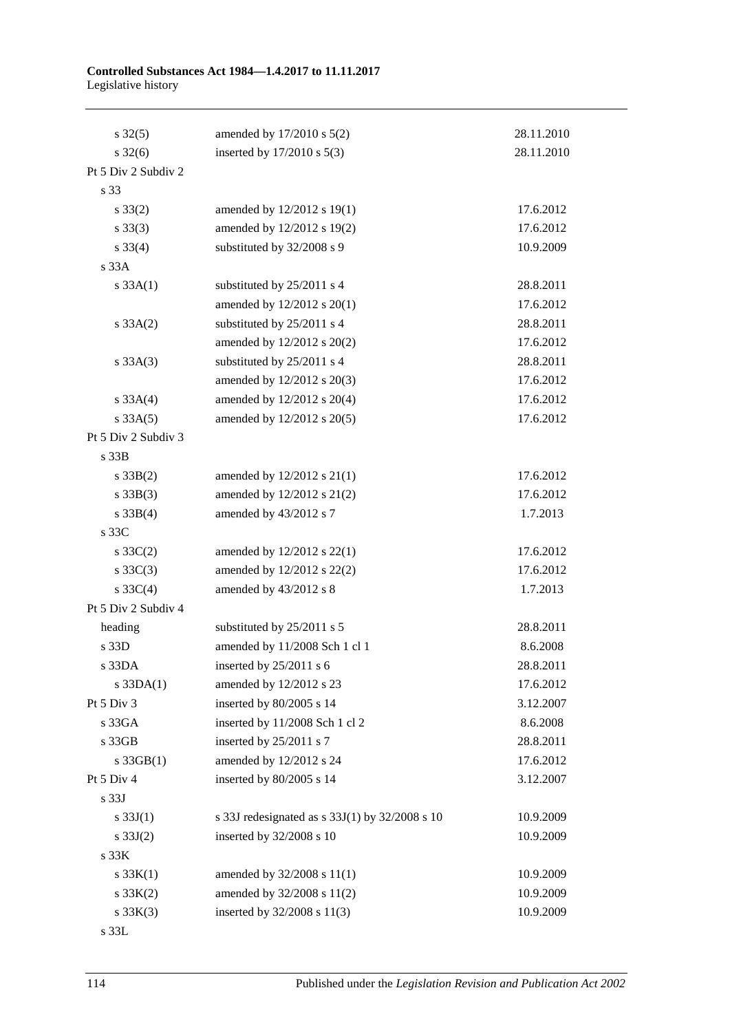#### **Controlled Substances Act 1984—1.4.2017 to 11.11.2017** Legislative history

| $s \, 32(5)$        | amended by 17/2010 s 5(2)                      | 28.11.2010 |
|---------------------|------------------------------------------------|------------|
| $s \, 32(6)$        | inserted by $17/2010$ s $5(3)$                 | 28.11.2010 |
| Pt 5 Div 2 Subdiv 2 |                                                |            |
| s 33                |                                                |            |
| $s \, 33(2)$        | amended by 12/2012 s 19(1)                     | 17.6.2012  |
| $s \, 33(3)$        | amended by 12/2012 s 19(2)                     | 17.6.2012  |
| $s \, 33(4)$        | substituted by 32/2008 s 9                     | 10.9.2009  |
| s 33A               |                                                |            |
| $s \, 33A(1)$       | substituted by 25/2011 s 4                     | 28.8.2011  |
|                     | amended by 12/2012 s 20(1)                     | 17.6.2012  |
| $s \, 33A(2)$       | substituted by 25/2011 s 4                     | 28.8.2011  |
|                     | amended by 12/2012 s 20(2)                     | 17.6.2012  |
| $s \, 33A(3)$       | substituted by 25/2011 s 4                     | 28.8.2011  |
|                     | amended by 12/2012 s 20(3)                     | 17.6.2012  |
| s 33A(4)            | amended by 12/2012 s 20(4)                     | 17.6.2012  |
| s 33A(5)            | amended by 12/2012 s 20(5)                     | 17.6.2012  |
| Pt 5 Div 2 Subdiv 3 |                                                |            |
| s 33B               |                                                |            |
| $s \, 33B(2)$       | amended by $12/2012$ s $21(1)$                 | 17.6.2012  |
| $s \, 33B(3)$       | amended by 12/2012 s 21(2)                     | 17.6.2012  |
| $s \, 33B(4)$       | amended by 43/2012 s 7                         | 1.7.2013   |
| s 33C               |                                                |            |
| $s \, 33C(2)$       | amended by 12/2012 s 22(1)                     | 17.6.2012  |
| $s \, 33C(3)$       | amended by 12/2012 s 22(2)                     | 17.6.2012  |
| $s \, 33C(4)$       | amended by 43/2012 s 8                         | 1.7.2013   |
| Pt 5 Div 2 Subdiv 4 |                                                |            |
| heading             | substituted by 25/2011 s 5                     | 28.8.2011  |
| s 33D               | amended by 11/2008 Sch 1 cl 1                  | 8.6.2008   |
| s33DA               | inserted by $25/2011$ s 6                      | 28.8.2011  |
| $s$ 33DA $(1)$      | amended by 12/2012 s 23                        | 17.6.2012  |
| Pt 5 Div 3          | inserted by 80/2005 s 14                       | 3.12.2007  |
| s 33GA              | inserted by 11/2008 Sch 1 cl 2                 | 8.6.2008   |
| s 33GB              | inserted by 25/2011 s 7                        | 28.8.2011  |
| $s$ 33GB $(1)$      | amended by 12/2012 s 24                        | 17.6.2012  |
| Pt 5 Div 4          | inserted by 80/2005 s 14                       | 3.12.2007  |
| s 33J               |                                                |            |
| s $33J(1)$          | s 33J redesignated as s 33J(1) by 32/2008 s 10 | 10.9.2009  |
| $s \, 33J(2)$       | inserted by 32/2008 s 10                       | 10.9.2009  |
| s 33K               |                                                |            |
| s 33K(1)            | amended by 32/2008 s 11(1)                     | 10.9.2009  |
| s 33K(2)            | amended by 32/2008 s 11(2)                     | 10.9.2009  |
| s 33K(3)            | inserted by 32/2008 s 11(3)                    | 10.9.2009  |
|                     |                                                |            |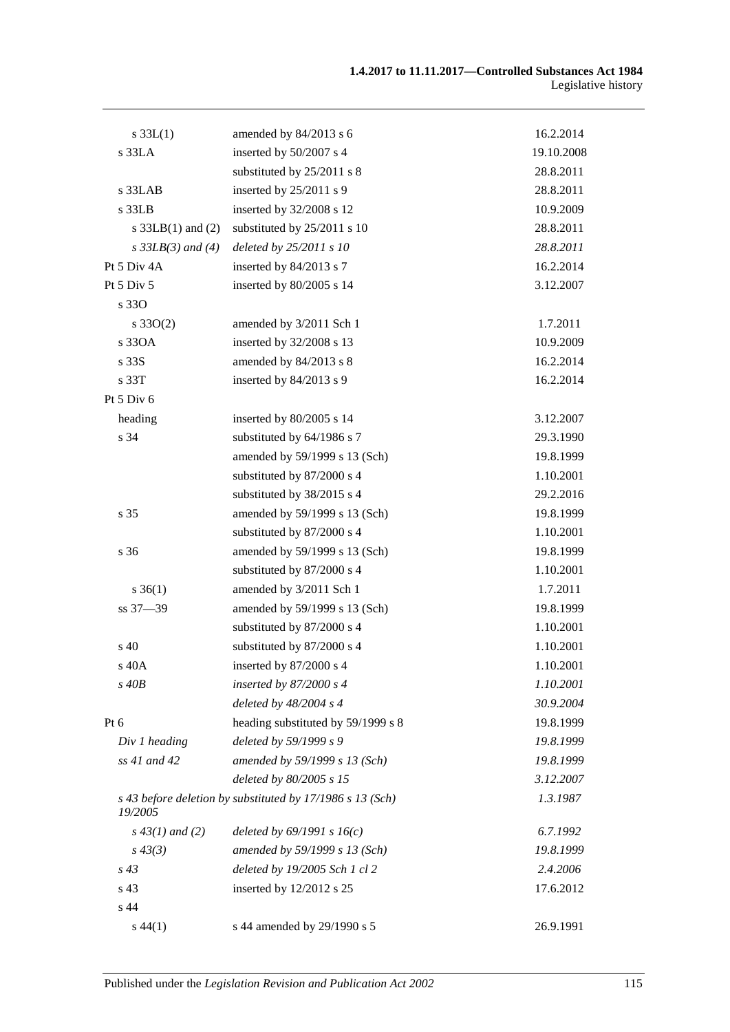| $s \, 33L(1)$         | amended by 84/2013 s 6                                    | 16.2.2014  |
|-----------------------|-----------------------------------------------------------|------------|
| s 33LA                | inserted by 50/2007 s 4                                   | 19.10.2008 |
|                       | substituted by 25/2011 s 8                                | 28.8.2011  |
| s 33LAB               | inserted by $25/2011$ s 9                                 | 28.8.2011  |
| $s$ 33LB              | inserted by 32/2008 s 12                                  | 10.9.2009  |
| s $33LB(1)$ and $(2)$ | substituted by 25/2011 s 10                               | 28.8.2011  |
| $s$ 33LB(3) and (4)   | deleted by 25/2011 s 10                                   | 28.8.2011  |
| Pt 5 Div 4A           | inserted by 84/2013 s 7                                   | 16.2.2014  |
| Pt 5 Div 5            | inserted by 80/2005 s 14                                  | 3.12.2007  |
| s 330                 |                                                           |            |
| $s \, 33O(2)$         | amended by 3/2011 Sch 1                                   | 1.7.2011   |
| s 330A                | inserted by 32/2008 s 13                                  | 10.9.2009  |
| s 33S                 | amended by 84/2013 s 8                                    | 16.2.2014  |
| s 33T                 | inserted by 84/2013 s 9                                   | 16.2.2014  |
| Pt 5 Div 6            |                                                           |            |
| heading               | inserted by 80/2005 s 14                                  | 3.12.2007  |
| s 34                  | substituted by 64/1986 s 7                                | 29.3.1990  |
|                       | amended by 59/1999 s 13 (Sch)                             | 19.8.1999  |
|                       | substituted by 87/2000 s 4                                | 1.10.2001  |
|                       | substituted by 38/2015 s 4                                | 29.2.2016  |
| s 35                  | amended by 59/1999 s 13 (Sch)                             | 19.8.1999  |
|                       | substituted by 87/2000 s 4                                | 1.10.2001  |
| s 36                  | amended by 59/1999 s 13 (Sch)                             | 19.8.1999  |
|                       | substituted by 87/2000 s 4                                | 1.10.2001  |
| $s \, 36(1)$          | amended by 3/2011 Sch 1                                   | 1.7.2011   |
| ss 37-39              | amended by 59/1999 s 13 (Sch)                             | 19.8.1999  |
|                       | substituted by 87/2000 s 4                                | 1.10.2001  |
| s 40                  | substituted by 87/2000 s 4                                | 1.10.2001  |
| s 40A                 | inserted by 87/2000 s 4                                   | 1.10.2001  |
| $s$ 40 $B$            | inserted by $87/2000 s4$                                  | 1.10.2001  |
|                       | deleted by $48/2004$ s 4                                  | 30.9.2004  |
| Pt 6                  | heading substituted by 59/1999 s 8                        | 19.8.1999  |
| Div 1 heading         | deleted by 59/1999 s 9                                    | 19.8.1999  |
| ss 41 and 42          | amended by 59/1999 s 13 (Sch)                             | 19.8.1999  |
|                       | deleted by 80/2005 s 15                                   | 3.12.2007  |
| 19/2005               | s 43 before deletion by substituted by 17/1986 s 13 (Sch) | 1.3.1987   |
| $s\,43(1)$ and (2)    | deleted by $69/1991 s 16(c)$                              | 6.7.1992   |
| $s\,43(3)$            | amended by 59/1999 s 13 (Sch)                             | 19.8.1999  |
| $s\,43$               | deleted by 19/2005 Sch 1 cl 2                             | 2.4.2006   |
| s 43                  | inserted by 12/2012 s 25                                  | 17.6.2012  |
| s 44                  |                                                           |            |
| $s\,44(1)$            | s 44 amended by 29/1990 s 5                               | 26.9.1991  |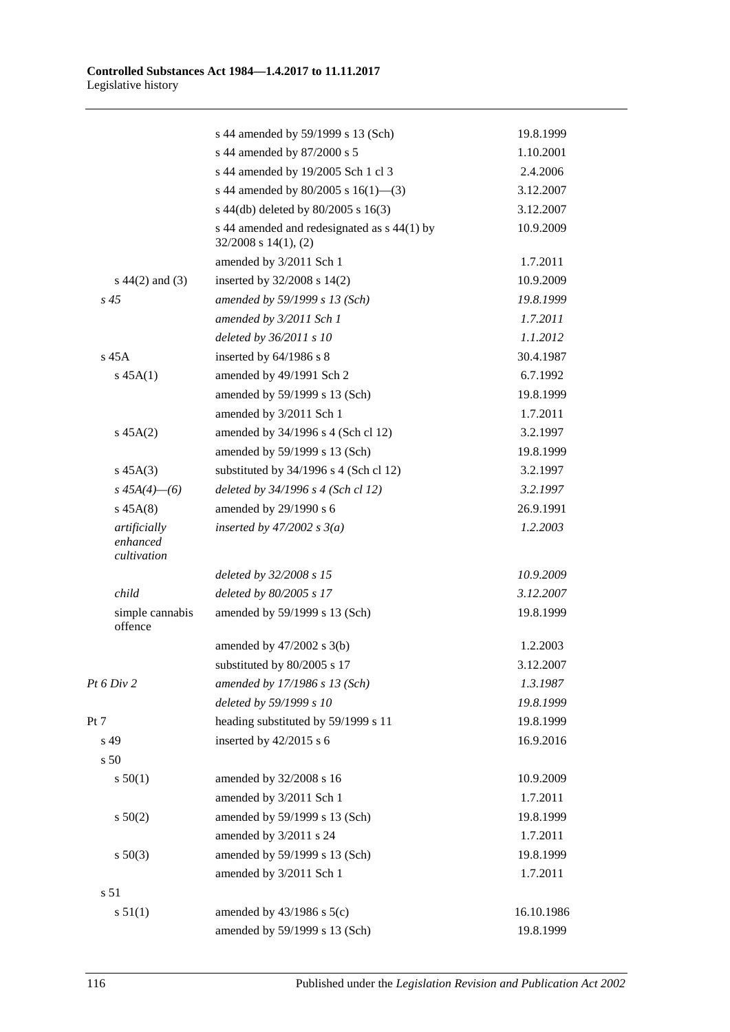|                                         | s 44 amended by 59/1999 s 13 (Sch)                                       | 19.8.1999  |
|-----------------------------------------|--------------------------------------------------------------------------|------------|
|                                         | s 44 amended by 87/2000 s 5                                              | 1.10.2001  |
|                                         | s 44 amended by 19/2005 Sch 1 cl 3                                       | 2.4.2006   |
|                                         | s 44 amended by 80/2005 s $16(1)$ —(3)                                   | 3.12.2007  |
|                                         | s 44(db) deleted by 80/2005 s 16(3)                                      | 3.12.2007  |
|                                         | s 44 amended and redesignated as s 44(1) by<br>$32/2008$ s $14(1)$ , (2) | 10.9.2009  |
|                                         | amended by 3/2011 Sch 1                                                  | 1.7.2011   |
| $s\ 44(2)$ and (3)                      | inserted by $32/2008$ s $14(2)$                                          | 10.9.2009  |
| $s\,45$                                 | amended by 59/1999 s 13 (Sch)                                            | 19.8.1999  |
|                                         | amended by 3/2011 Sch 1                                                  | 1.7.2011   |
|                                         | deleted by 36/2011 s 10                                                  | 1.1.2012   |
| $s$ 45 $A$                              | inserted by $64/1986$ s 8                                                | 30.4.1987  |
| $s\,45A(1)$                             | amended by 49/1991 Sch 2                                                 | 6.7.1992   |
|                                         | amended by 59/1999 s 13 (Sch)                                            | 19.8.1999  |
|                                         | amended by 3/2011 Sch 1                                                  | 1.7.2011   |
| $s\,45A(2)$                             | amended by 34/1996 s 4 (Sch cl 12)                                       | 3.2.1997   |
|                                         | amended by 59/1999 s 13 (Sch)                                            | 19.8.1999  |
| $s\,45A(3)$                             | substituted by $34/1996$ s 4 (Sch cl 12)                                 | 3.2.1997   |
| $s\,45A(4)$ - (6)                       | deleted by 34/1996 s 4 (Sch cl 12)                                       | 3.2.1997   |
| $s\,45A(8)$                             | amended by 29/1990 s 6                                                   | 26.9.1991  |
| artificially<br>enhanced<br>cultivation | inserted by $47/2002$ s $3(a)$                                           | 1.2.2003   |
|                                         | deleted by 32/2008 s 15                                                  | 10.9.2009  |
| child                                   | deleted by 80/2005 s 17                                                  | 3.12.2007  |
| simple cannabis<br>offence              | amended by 59/1999 s 13 (Sch)                                            | 19.8.1999  |
|                                         | amended by $47/2002$ s $3(b)$                                            | 1.2.2003   |
|                                         | substituted by 80/2005 s 17                                              | 3.12.2007  |
| Pt 6 Div 2                              | amended by 17/1986 s 13 (Sch)                                            | 1.3.1987   |
|                                         | deleted by 59/1999 s 10                                                  | 19.8.1999  |
| Pt 7                                    | heading substituted by 59/1999 s 11                                      | 19.8.1999  |
| s 49                                    | inserted by $42/2015$ s 6                                                | 16.9.2016  |
| s 50                                    |                                                                          |            |
| s 50(1)                                 | amended by 32/2008 s 16                                                  | 10.9.2009  |
|                                         | amended by 3/2011 Sch 1                                                  | 1.7.2011   |
| s 50(2)                                 | amended by 59/1999 s 13 (Sch)                                            | 19.8.1999  |
|                                         | amended by 3/2011 s 24                                                   | 1.7.2011   |
| s 50(3)                                 | amended by 59/1999 s 13 (Sch)                                            | 19.8.1999  |
|                                         | amended by 3/2011 Sch 1                                                  | 1.7.2011   |
| s <sub>51</sub>                         |                                                                          |            |
| s 51(1)                                 | amended by $43/1986$ s $5(c)$                                            | 16.10.1986 |
|                                         | amended by 59/1999 s 13 (Sch)                                            | 19.8.1999  |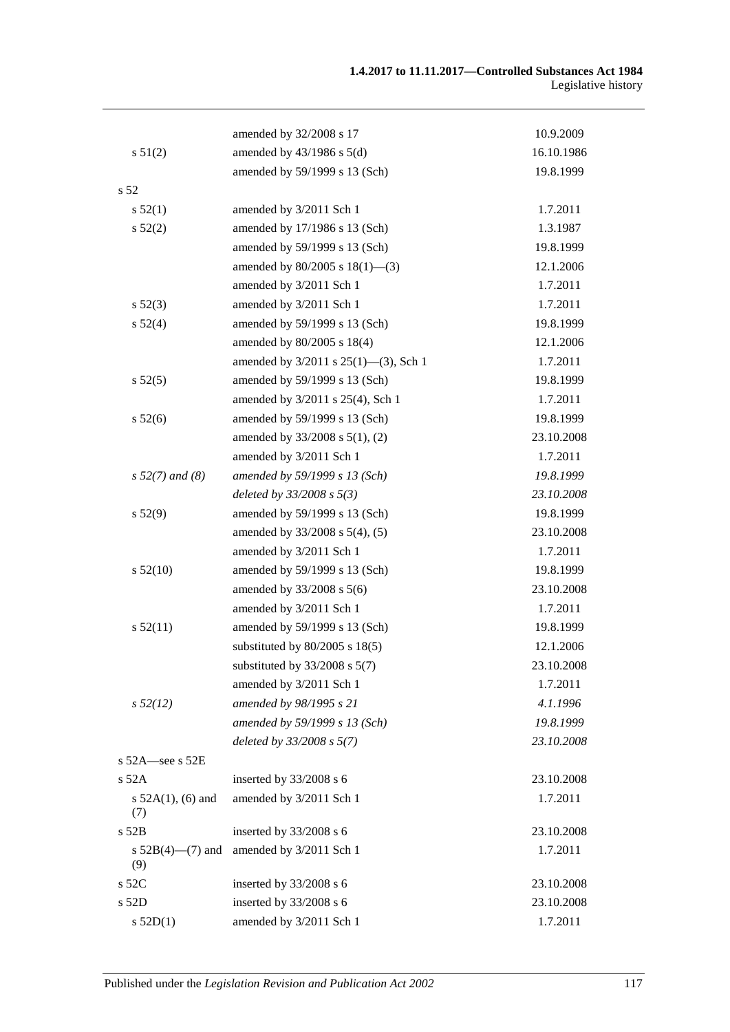|                               | amended by 32/2008 s 17              | 10.9.2009  |
|-------------------------------|--------------------------------------|------------|
| s 51(2)                       | amended by $43/1986$ s $5(d)$        | 16.10.1986 |
|                               | amended by 59/1999 s 13 (Sch)        | 19.8.1999  |
| s <sub>52</sub>               |                                      |            |
| s 52(1)                       | amended by 3/2011 Sch 1              | 1.7.2011   |
| s 52(2)                       | amended by 17/1986 s 13 (Sch)        | 1.3.1987   |
|                               | amended by 59/1999 s 13 (Sch)        | 19.8.1999  |
|                               | amended by $80/2005$ s $18(1)$ —(3)  | 12.1.2006  |
|                               | amended by 3/2011 Sch 1              | 1.7.2011   |
| $s\,52(3)$                    | amended by 3/2011 Sch 1              | 1.7.2011   |
| s 52(4)                       | amended by 59/1999 s 13 (Sch)        | 19.8.1999  |
|                               | amended by 80/2005 s 18(4)           | 12.1.2006  |
|                               | amended by 3/2011 s 25(1)-(3), Sch 1 | 1.7.2011   |
| $s\,52(5)$                    | amended by 59/1999 s 13 (Sch)        | 19.8.1999  |
|                               | amended by 3/2011 s 25(4), Sch 1     | 1.7.2011   |
| s 52(6)                       | amended by 59/1999 s 13 (Sch)        | 19.8.1999  |
|                               | amended by 33/2008 s 5(1), (2)       | 23.10.2008 |
|                               | amended by 3/2011 Sch 1              | 1.7.2011   |
| $s 52(7)$ and (8)             | amended by 59/1999 s 13 (Sch)        | 19.8.1999  |
|                               | deleted by $33/2008$ s $5(3)$        | 23.10.2008 |
| s 52(9)                       | amended by 59/1999 s 13 (Sch)        | 19.8.1999  |
|                               | amended by 33/2008 s 5(4), (5)       | 23.10.2008 |
|                               | amended by 3/2011 Sch 1              | 1.7.2011   |
| s 52(10)                      | amended by 59/1999 s 13 (Sch)        | 19.8.1999  |
|                               | amended by 33/2008 s 5(6)            | 23.10.2008 |
|                               | amended by 3/2011 Sch 1              | 1.7.2011   |
| s 52(11)                      | amended by 59/1999 s 13 (Sch)        | 19.8.1999  |
|                               | substituted by $80/2005$ s $18(5)$   | 12.1.2006  |
|                               | substituted by $33/2008$ s $5(7)$    | 23.10.2008 |
|                               | amended by 3/2011 Sch 1              | 1.7.2011   |
| $s\,52(12)$                   | amended by 98/1995 s 21              | 4.1.1996   |
|                               | amended by 59/1999 s 13 (Sch)        | 19.8.1999  |
|                               | deleted by 33/2008 s 5(7)            | 23.10.2008 |
| s $52A$ -see s $52E$          |                                      |            |
| $s$ 52A                       | inserted by 33/2008 s 6              | 23.10.2008 |
| s $52A(1)$ , (6) and<br>(7)   | amended by 3/2011 Sch 1              | 1.7.2011   |
| $s$ 52B                       | inserted by 33/2008 s 6              | 23.10.2008 |
| s $52B(4)$ — $(7)$ and<br>(9) | amended by 3/2011 Sch 1              | 1.7.2011   |
| $s$ 52 $C$                    | inserted by 33/2008 s 6              | 23.10.2008 |
| s 52D                         | inserted by 33/2008 s 6              | 23.10.2008 |
| s 52D(1)                      | amended by 3/2011 Sch 1              | 1.7.2011   |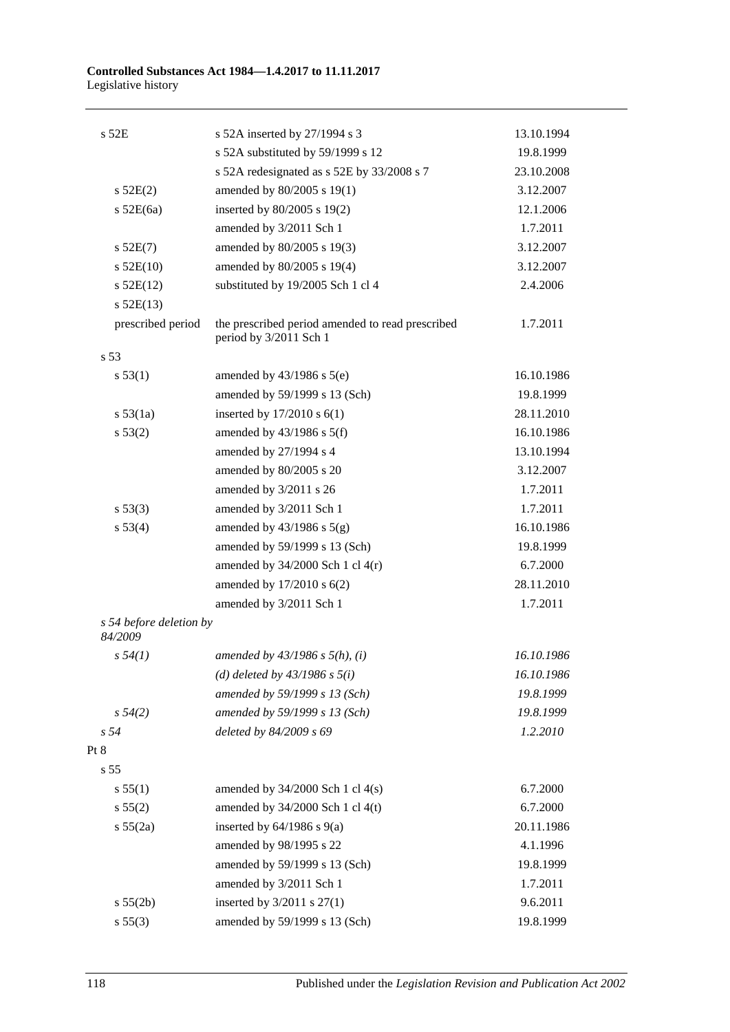| s 52E                              | s 52A inserted by 27/1994 s 3                                              | 13.10.1994 |
|------------------------------------|----------------------------------------------------------------------------|------------|
|                                    | s 52A substituted by 59/1999 s 12                                          | 19.8.1999  |
|                                    | s 52A redesignated as s 52E by 33/2008 s 7                                 | 23.10.2008 |
| s 52E(2)                           | amended by 80/2005 s 19(1)                                                 | 3.12.2007  |
| $s$ 52E(6a)                        | inserted by 80/2005 s 19(2)                                                | 12.1.2006  |
|                                    | amended by 3/2011 Sch 1                                                    | 1.7.2011   |
| $s$ 52E(7)                         | amended by 80/2005 s 19(3)                                                 | 3.12.2007  |
| $s$ 52E(10)                        | amended by 80/2005 s 19(4)                                                 | 3.12.2007  |
| $s$ 52E(12)                        | substituted by 19/2005 Sch 1 cl 4                                          | 2.4.2006   |
| $s$ 52E(13)                        |                                                                            |            |
| prescribed period                  | the prescribed period amended to read prescribed<br>period by 3/2011 Sch 1 | 1.7.2011   |
| s 53                               |                                                                            |            |
| s 53(1)                            | amended by $43/1986$ s $5(e)$                                              | 16.10.1986 |
|                                    | amended by 59/1999 s 13 (Sch)                                              | 19.8.1999  |
| s 53(1a)                           | inserted by $17/2010$ s $6(1)$                                             | 28.11.2010 |
| s 53(2)                            | amended by $43/1986$ s $5(f)$                                              | 16.10.1986 |
|                                    | amended by 27/1994 s 4                                                     | 13.10.1994 |
|                                    | amended by 80/2005 s 20                                                    | 3.12.2007  |
|                                    | amended by 3/2011 s 26                                                     | 1.7.2011   |
| s 53(3)                            | amended by 3/2011 Sch 1                                                    | 1.7.2011   |
| s 53(4)                            | amended by $43/1986$ s $5(g)$                                              | 16.10.1986 |
|                                    | amended by 59/1999 s 13 (Sch)                                              | 19.8.1999  |
|                                    | amended by $34/2000$ Sch 1 cl $4(r)$                                       | 6.7.2000   |
|                                    | amended by 17/2010 s 6(2)                                                  | 28.11.2010 |
|                                    | amended by 3/2011 Sch 1                                                    | 1.7.2011   |
| s 54 before deletion by<br>84/2009 |                                                                            |            |
| s 54(1)                            | amended by $43/1986$ s $5(h)$ , (i)                                        | 16.10.1986 |
|                                    | (d) deleted by $43/1986$ s $5(i)$                                          | 16.10.1986 |
|                                    | amended by 59/1999 s 13 (Sch)                                              | 19.8.1999  |
| $s\,54(2)$                         | amended by 59/1999 s 13 (Sch)                                              | 19.8.1999  |
| s <sub>54</sub>                    | deleted by 84/2009 s 69                                                    | 1.2.2010   |
| Pt 8                               |                                                                            |            |
| s 55                               |                                                                            |            |
| s 55(1)                            | amended by $34/2000$ Sch 1 cl $4(s)$                                       | 6.7.2000   |
| s 55(2)                            | amended by 34/2000 Sch 1 cl 4(t)                                           | 6.7.2000   |
| s 55(2a)                           | inserted by $64/1986$ s $9(a)$                                             | 20.11.1986 |
|                                    | amended by 98/1995 s 22                                                    | 4.1.1996   |
|                                    | amended by 59/1999 s 13 (Sch)                                              | 19.8.1999  |
|                                    | amended by 3/2011 Sch 1                                                    | 1.7.2011   |
| s 55(2b)                           | inserted by 3/2011 s 27(1)                                                 | 9.6.2011   |
| s 55(3)                            | amended by 59/1999 s 13 (Sch)                                              | 19.8.1999  |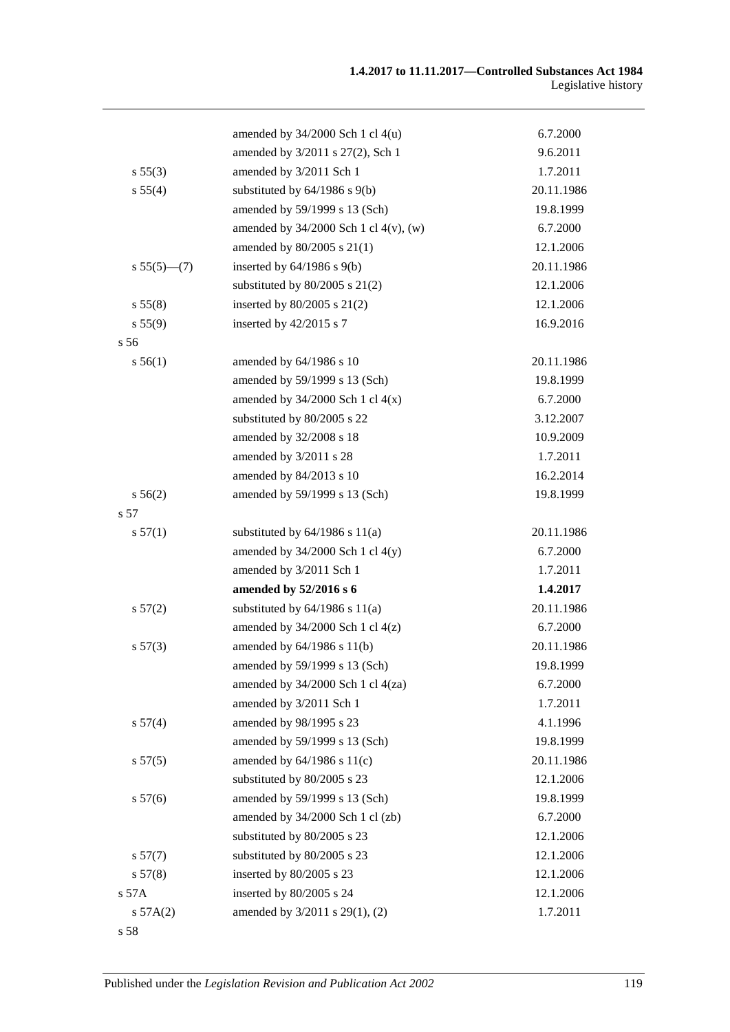|                 | amended by $34/2000$ Sch 1 cl $4(u)$       | 6.7.2000   |
|-----------------|--------------------------------------------|------------|
|                 | amended by 3/2011 s 27(2), Sch 1           | 9.6.2011   |
| s 55(3)         | amended by 3/2011 Sch 1                    | 1.7.2011   |
| s 55(4)         | substituted by $64/1986$ s $9(b)$          | 20.11.1986 |
|                 | amended by 59/1999 s 13 (Sch)              | 19.8.1999  |
|                 | amended by $34/2000$ Sch 1 cl $4(v)$ , (w) | 6.7.2000   |
|                 | amended by 80/2005 s 21(1)                 | 12.1.2006  |
| $s 55(5)$ (7)   | inserted by $64/1986$ s $9(b)$             | 20.11.1986 |
|                 | substituted by $80/2005$ s $21(2)$         | 12.1.2006  |
| s 55(8)         | inserted by $80/2005$ s $21(2)$            | 12.1.2006  |
| s 55(9)         | inserted by $42/2015$ s 7                  | 16.9.2016  |
| s <sub>56</sub> |                                            |            |
| s 56(1)         | amended by 64/1986 s 10                    | 20.11.1986 |
|                 | amended by 59/1999 s 13 (Sch)              | 19.8.1999  |
|                 | amended by $34/2000$ Sch 1 cl $4(x)$       | 6.7.2000   |
|                 | substituted by 80/2005 s 22                | 3.12.2007  |
|                 | amended by 32/2008 s 18                    | 10.9.2009  |
|                 | amended by 3/2011 s 28                     | 1.7.2011   |
|                 | amended by 84/2013 s 10                    | 16.2.2014  |
| s 56(2)         | amended by 59/1999 s 13 (Sch)              | 19.8.1999  |
| s 57            |                                            |            |
| s 57(1)         | substituted by $64/1986$ s $11(a)$         | 20.11.1986 |
|                 | amended by $34/2000$ Sch 1 cl $4(y)$       | 6.7.2000   |
|                 | amended by 3/2011 Sch 1                    | 1.7.2011   |
|                 | amended by 52/2016 s 6                     | 1.4.2017   |
| s 57(2)         | substituted by $64/1986$ s $11(a)$         | 20.11.1986 |
|                 | amended by $34/2000$ Sch 1 cl $4(z)$       | 6.7.2000   |
| s 57(3)         | amended by 64/1986 s 11(b)                 | 20.11.1986 |
|                 | amended by 59/1999 s 13 (Sch)              | 19.8.1999  |
|                 | amended by $34/2000$ Sch 1 cl $4(za)$      | 6.7.2000   |
|                 | amended by 3/2011 Sch 1                    | 1.7.2011   |
| s 57(4)         | amended by 98/1995 s 23                    | 4.1.1996   |
|                 | amended by 59/1999 s 13 (Sch)              | 19.8.1999  |
| s 57(5)         | amended by $64/1986$ s $11(c)$             | 20.11.1986 |
|                 | substituted by 80/2005 s 23                | 12.1.2006  |
| s 57(6)         | amended by 59/1999 s 13 (Sch)              | 19.8.1999  |
|                 | amended by 34/2000 Sch 1 cl (zb)           | 6.7.2000   |
|                 | substituted by 80/2005 s 23                | 12.1.2006  |
| s 57(7)         | substituted by 80/2005 s 23                | 12.1.2006  |
| s 57(8)         | inserted by 80/2005 s 23                   | 12.1.2006  |
| s 57A           | inserted by 80/2005 s 24                   | 12.1.2006  |
| s 57A(2)        | amended by 3/2011 s 29(1), (2)             | 1.7.2011   |
| s 58            |                                            |            |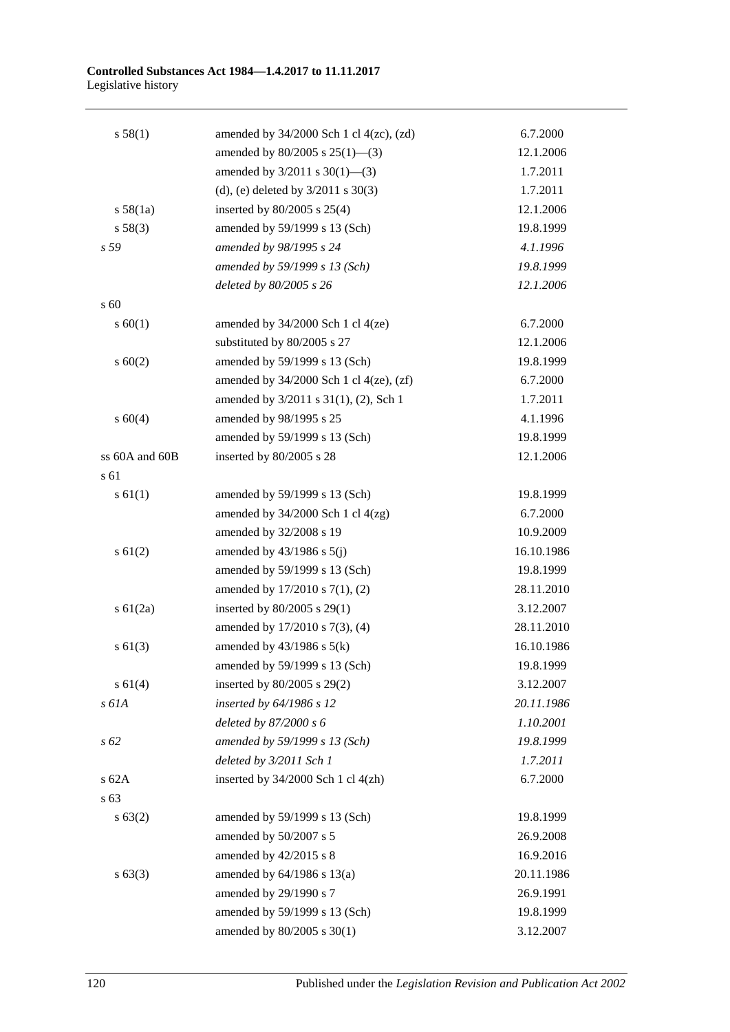#### **Controlled Substances Act 1984—1.4.2017 to 11.11.2017** Legislative history

| s 58(1)        | amended by $34/2000$ Sch 1 cl $4(zc)$ , $(zd)$ | 6.7.2000   |
|----------------|------------------------------------------------|------------|
|                | amended by $80/2005$ s $25(1)$ —(3)            | 12.1.2006  |
|                | amended by $3/2011$ s $30(1)$ —(3)             | 1.7.2011   |
|                | (d), (e) deleted by $3/2011$ s $30(3)$         | 1.7.2011   |
| s 58(1a)       | inserted by $80/2005$ s $25(4)$                | 12.1.2006  |
| s 58(3)        | amended by 59/1999 s 13 (Sch)                  | 19.8.1999  |
| s 59           | amended by 98/1995 s 24                        | 4.1.1996   |
|                | amended by 59/1999 s 13 (Sch)                  | 19.8.1999  |
|                | deleted by 80/2005 s 26                        | 12.1.2006  |
| s 60           |                                                |            |
| s 60(1)        | amended by $34/2000$ Sch 1 cl $4(ze)$          | 6.7.2000   |
|                | substituted by 80/2005 s 27                    | 12.1.2006  |
| s 60(2)        | amended by 59/1999 s 13 (Sch)                  | 19.8.1999  |
|                | amended by $34/2000$ Sch 1 cl $4(ze)$ , $(zf)$ | 6.7.2000   |
|                | amended by 3/2011 s 31(1), (2), Sch 1          | 1.7.2011   |
| s 60(4)        | amended by 98/1995 s 25                        | 4.1.1996   |
|                | amended by 59/1999 s 13 (Sch)                  | 19.8.1999  |
| ss 60A and 60B | inserted by 80/2005 s 28                       | 12.1.2006  |
| s 61           |                                                |            |
| s 61(1)        | amended by 59/1999 s 13 (Sch)                  | 19.8.1999  |
|                | amended by $34/2000$ Sch 1 cl $4(zg)$          | 6.7.2000   |
|                | amended by 32/2008 s 19                        | 10.9.2009  |
| $s \, 61(2)$   | amended by $43/1986$ s $5(j)$                  | 16.10.1986 |
|                | amended by 59/1999 s 13 (Sch)                  | 19.8.1999  |
|                | amended by 17/2010 s 7(1), (2)                 | 28.11.2010 |
| $s \, 61(2a)$  | inserted by 80/2005 s 29(1)                    | 3.12.2007  |
|                | amended by 17/2010 s 7(3), (4)                 | 28.11.2010 |
| $s \ 61(3)$    | amended by $43/1986$ s $5(k)$                  | 16.10.1986 |
|                | amended by 59/1999 s 13 (Sch)                  | 19.8.1999  |
| s 61(4)        | inserted by $80/2005$ s $29(2)$                | 3.12.2007  |
| s 61A          | inserted by 64/1986 s 12                       | 20.11.1986 |
|                | deleted by $87/2000 s 6$                       | 1.10.2001  |
| s 62           | amended by 59/1999 s 13 (Sch)                  | 19.8.1999  |
|                | deleted by 3/2011 Sch 1                        | 1.7.2011   |
| $s$ 62A        | inserted by 34/2000 Sch 1 cl 4(zh)             | 6.7.2000   |
| s 63           |                                                |            |
| s 63(2)        | amended by 59/1999 s 13 (Sch)                  | 19.8.1999  |
|                | amended by 50/2007 s 5                         | 26.9.2008  |
|                | amended by 42/2015 s 8                         | 16.9.2016  |
| s 63(3)        | amended by 64/1986 s 13(a)                     | 20.11.1986 |
|                | amended by 29/1990 s 7                         | 26.9.1991  |
|                | amended by 59/1999 s 13 (Sch)                  | 19.8.1999  |
|                | amended by 80/2005 s 30(1)                     | 3.12.2007  |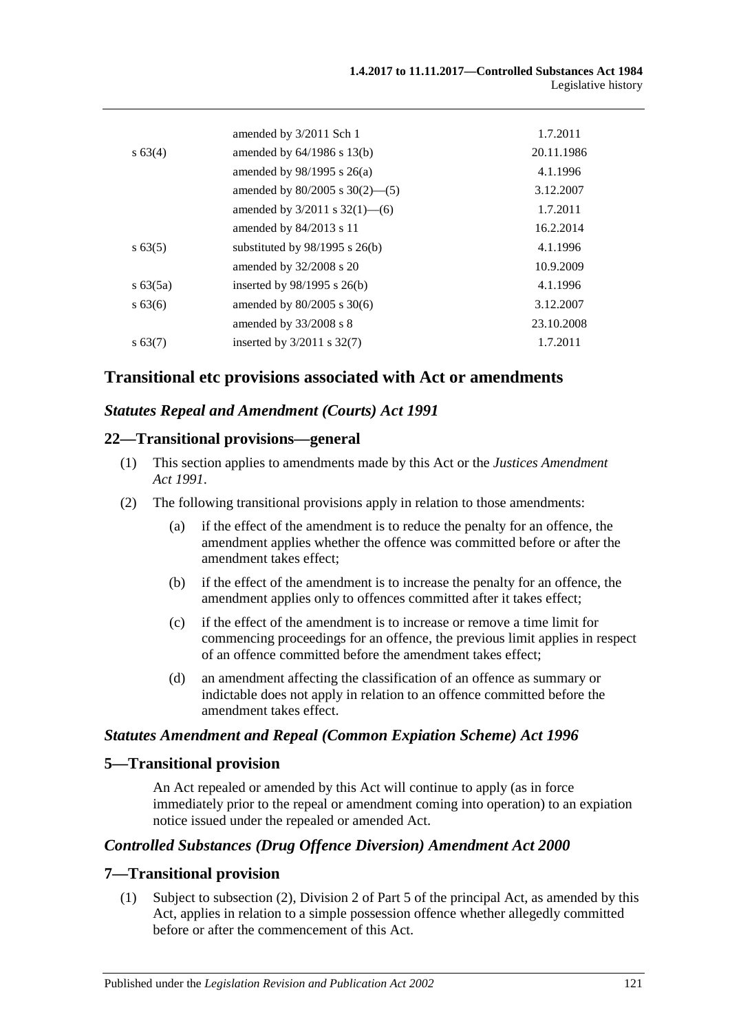|               | amended by 3/2011 Sch 1             | 1.7.2011   |
|---------------|-------------------------------------|------------|
| s 63(4)       | amended by $64/1986$ s $13(b)$      | 20.11.1986 |
|               | amended by $98/1995$ s $26(a)$      | 4.1.1996   |
|               | amended by $80/2005$ s $30(2)$ —(5) | 3.12.2007  |
|               | amended by $3/2011$ s $32(1)$ —(6)  | 1.7.2011   |
|               | amended by $84/2013$ s 11           | 16.2.2014  |
| $s\,63(5)$    | substituted by $98/1995$ s $26(b)$  | 4.1.1996   |
|               | amended by $32/2008$ s 20           | 10.9.2009  |
| $s \, 63(5a)$ | inserted by $98/1995$ s $26(b)$     | 4.1.1996   |
| $s\,63(6)$    | amended by $80/2005$ s $30(6)$      | 3.12.2007  |
|               | amended by $33/2008$ s 8            | 23.10.2008 |
| $s\,63(7)$    | inserted by $3/2011$ s $32(7)$      | 1.7.2011   |
|               |                                     |            |

# **Transitional etc provisions associated with Act or amendments**

### *Statutes Repeal and Amendment (Courts) Act 1991*

### **22—Transitional provisions—general**

- (1) This section applies to amendments made by this Act or the *[Justices Amendment](http://www.legislation.sa.gov.au/index.aspx?action=legref&type=act&legtitle=Justices%20Amendment%20Act%201991)  Act [1991](http://www.legislation.sa.gov.au/index.aspx?action=legref&type=act&legtitle=Justices%20Amendment%20Act%201991)*.
- (2) The following transitional provisions apply in relation to those amendments:
	- (a) if the effect of the amendment is to reduce the penalty for an offence, the amendment applies whether the offence was committed before or after the amendment takes effect;
	- (b) if the effect of the amendment is to increase the penalty for an offence, the amendment applies only to offences committed after it takes effect;
	- (c) if the effect of the amendment is to increase or remove a time limit for commencing proceedings for an offence, the previous limit applies in respect of an offence committed before the amendment takes effect;
	- (d) an amendment affecting the classification of an offence as summary or indictable does not apply in relation to an offence committed before the amendment takes effect.

### *Statutes Amendment and Repeal (Common Expiation Scheme) Act 1996*

### **5—Transitional provision**

An Act repealed or amended by this Act will continue to apply (as in force immediately prior to the repeal or amendment coming into operation) to an expiation notice issued under the repealed or amended Act.

### *Controlled Substances (Drug Offence Diversion) Amendment Act 2000*

### **7—Transitional provision**

(1) Subject to subsection (2), Division 2 of Part 5 of the principal Act, as amended by this Act, applies in relation to a simple possession offence whether allegedly committed before or after the commencement of this Act.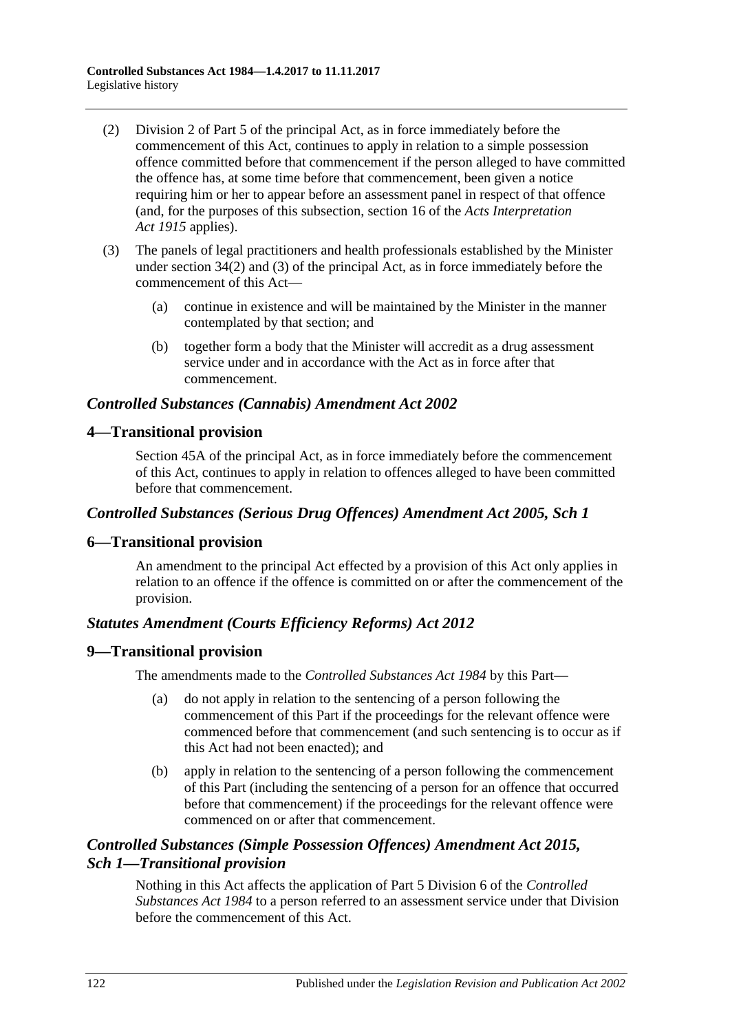- (2) Division 2 of Part 5 of the principal Act, as in force immediately before the commencement of this Act, continues to apply in relation to a simple possession offence committed before that commencement if the person alleged to have committed the offence has, at some time before that commencement, been given a notice requiring him or her to appear before an assessment panel in respect of that offence (and, for the purposes of this subsection, section 16 of the *[Acts Interpretation](http://www.legislation.sa.gov.au/index.aspx?action=legref&type=act&legtitle=Acts%20Interpretation%20Act%201915)  Act [1915](http://www.legislation.sa.gov.au/index.aspx?action=legref&type=act&legtitle=Acts%20Interpretation%20Act%201915)* applies).
- (3) The panels of legal practitioners and health professionals established by the Minister under section 34(2) and (3) of the principal Act, as in force immediately before the commencement of this Act—
	- (a) continue in existence and will be maintained by the Minister in the manner contemplated by that section; and
	- (b) together form a body that the Minister will accredit as a drug assessment service under and in accordance with the Act as in force after that commencement.

### *Controlled Substances (Cannabis) Amendment Act 2002*

# **4—Transitional provision**

Section 45A of the principal Act, as in force immediately before the commencement of this Act, continues to apply in relation to offences alleged to have been committed before that commencement.

# *Controlled Substances (Serious Drug Offences) Amendment Act 2005, Sch 1*

# **6—Transitional provision**

An amendment to the principal Act effected by a provision of this Act only applies in relation to an offence if the offence is committed on or after the commencement of the provision.

# *Statutes Amendment (Courts Efficiency Reforms) Act 2012*

### **9—Transitional provision**

The amendments made to the *[Controlled Substances Act](http://www.legislation.sa.gov.au/index.aspx?action=legref&type=act&legtitle=Controlled%20Substances%20Act%201984) 1984* by this Part—

- (a) do not apply in relation to the sentencing of a person following the commencement of this Part if the proceedings for the relevant offence were commenced before that commencement (and such sentencing is to occur as if this Act had not been enacted); and
- (b) apply in relation to the sentencing of a person following the commencement of this Part (including the sentencing of a person for an offence that occurred before that commencement) if the proceedings for the relevant offence were commenced on or after that commencement.

# *Controlled Substances (Simple Possession Offences) Amendment Act 2015, Sch 1—Transitional provision*

Nothing in this Act affects the application of Part 5 Division 6 of the *[Controlled](http://www.legislation.sa.gov.au/index.aspx?action=legref&type=act&legtitle=Controlled%20Substances%20Act%201984)  [Substances Act](http://www.legislation.sa.gov.au/index.aspx?action=legref&type=act&legtitle=Controlled%20Substances%20Act%201984) 1984* to a person referred to an assessment service under that Division before the commencement of this Act.